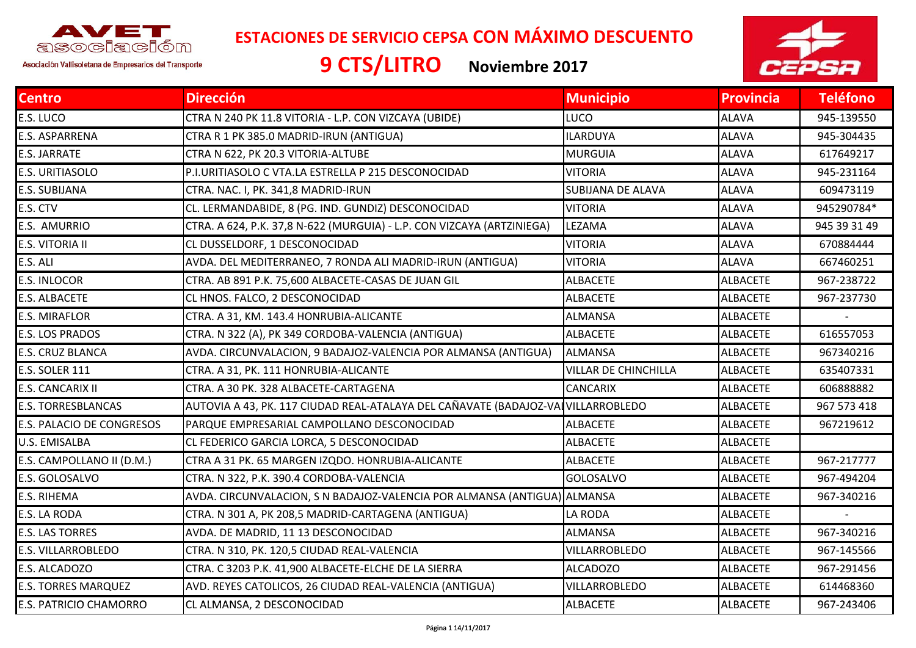

**ESTACIONES DE SERVICIO CEPSA CON MÁXIMO DESCUENTO**

Asociación Vallisoletana de Empresarios del Transporte

**9 CTS/LITRO Noviembre <sup>2017</sup>**



| <b>Dirección</b>                                                       | <b>Municipio</b>            | <b>Provincia</b>                                                                                                                                              | <b>Teléfono</b> |
|------------------------------------------------------------------------|-----------------------------|---------------------------------------------------------------------------------------------------------------------------------------------------------------|-----------------|
| CTRA N 240 PK 11.8 VITORIA - L.P. CON VIZCAYA (UBIDE)                  | <b>LUCO</b>                 | <b>ALAVA</b>                                                                                                                                                  | 945-139550      |
| CTRA R 1 PK 385.0 MADRID-IRUN (ANTIGUA)                                | <b>ILARDUYA</b>             | <b>ALAVA</b>                                                                                                                                                  | 945-304435      |
| CTRA N 622, PK 20.3 VITORIA-ALTUBE                                     | <b>MURGUIA</b>              | <b>ALAVA</b>                                                                                                                                                  | 617649217       |
| P.I.URITIASOLO C VTA.LA ESTRELLA P 215 DESCONOCIDAD                    | <b>VITORIA</b>              | <b>ALAVA</b>                                                                                                                                                  | 945-231164      |
| CTRA. NAC. I, PK. 341,8 MADRID-IRUN                                    | <b>SUBIJANA DE ALAVA</b>    | <b>ALAVA</b>                                                                                                                                                  | 609473119       |
| CL. LERMANDABIDE, 8 (PG. IND. GUNDIZ) DESCONOCIDAD                     | <b>VITORIA</b>              | <b>ALAVA</b>                                                                                                                                                  | 945290784*      |
| CTRA. A 624, P.K. 37,8 N-622 (MURGUIA) - L.P. CON VIZCAYA (ARTZINIEGA) | LEZAMA                      | <b>ALAVA</b>                                                                                                                                                  | 945 39 31 49    |
| CL DUSSELDORF, 1 DESCONOCIDAD                                          | <b>VITORIA</b>              | <b>ALAVA</b>                                                                                                                                                  | 670884444       |
| AVDA. DEL MEDITERRANEO, 7 RONDA ALI MADRID-IRUN (ANTIGUA)              | <b>VITORIA</b>              | <b>ALAVA</b>                                                                                                                                                  | 667460251       |
| CTRA. AB 891 P.K. 75,600 ALBACETE-CASAS DE JUAN GIL                    | <b>ALBACETE</b>             | <b>ALBACETE</b>                                                                                                                                               | 967-238722      |
| CL HNOS. FALCO, 2 DESCONOCIDAD                                         | <b>ALBACETE</b>             | <b>ALBACETE</b>                                                                                                                                               | 967-237730      |
| CTRA. A 31, KM. 143.4 HONRUBIA-ALICANTE                                | <b>ALMANSA</b>              | <b>ALBACETE</b>                                                                                                                                               |                 |
| CTRA. N 322 (A), PK 349 CORDOBA-VALENCIA (ANTIGUA)                     | <b>ALBACETE</b>             | <b>ALBACETE</b>                                                                                                                                               | 616557053       |
| AVDA. CIRCUNVALACION, 9 BADAJOZ-VALENCIA POR ALMANSA (ANTIGUA)         | <b>ALMANSA</b>              | <b>ALBACETE</b>                                                                                                                                               | 967340216       |
| CTRA. A 31, PK. 111 HONRUBIA-ALICANTE                                  | <b>VILLAR DE CHINCHILLA</b> | <b>ALBACETE</b>                                                                                                                                               | 635407331       |
| CTRA. A 30 PK. 328 ALBACETE-CARTAGENA                                  | <b>CANCARIX</b>             | <b>ALBACETE</b>                                                                                                                                               | 606888882       |
|                                                                        |                             | <b>ALBACETE</b>                                                                                                                                               | 967 573 418     |
| PARQUE EMPRESARIAL CAMPOLLANO DESCONOCIDAD                             | <b>ALBACETE</b>             | <b>ALBACETE</b>                                                                                                                                               | 967219612       |
| CL FEDERICO GARCIA LORCA, 5 DESCONOCIDAD                               | <b>ALBACETE</b>             | <b>ALBACETE</b>                                                                                                                                               |                 |
| CTRA A 31 PK. 65 MARGEN IZQDO. HONRUBIA-ALICANTE                       | <b>ALBACETE</b>             | <b>ALBACETE</b>                                                                                                                                               | 967-217777      |
| CTRA. N 322, P.K. 390.4 CORDOBA-VALENCIA                               | <b>GOLOSALVO</b>            | <b>ALBACETE</b>                                                                                                                                               | 967-494204      |
|                                                                        |                             | <b>ALBACETE</b>                                                                                                                                               | 967-340216      |
| CTRA. N 301 A, PK 208,5 MADRID-CARTAGENA (ANTIGUA)                     | LA RODA                     | <b>ALBACETE</b>                                                                                                                                               |                 |
| AVDA. DE MADRID, 11 13 DESCONOCIDAD                                    | <b>ALMANSA</b>              | <b>ALBACETE</b>                                                                                                                                               | 967-340216      |
| CTRA. N 310, PK. 120,5 CIUDAD REAL-VALENCIA                            | VILLARROBLEDO               | <b>ALBACETE</b>                                                                                                                                               | 967-145566      |
| CTRA. C 3203 P.K. 41,900 ALBACETE-ELCHE DE LA SIERRA                   | <b>ALCADOZO</b>             | <b>ALBACETE</b>                                                                                                                                               | 967-291456      |
| AVD. REYES CATOLICOS, 26 CIUDAD REAL-VALENCIA (ANTIGUA)                | VILLARROBLEDO               | <b>ALBACETE</b>                                                                                                                                               | 614468360       |
| CL ALMANSA, 2 DESCONOCIDAD                                             | <b>ALBACETE</b>             | <b>ALBACETE</b>                                                                                                                                               | 967-243406      |
|                                                                        |                             | AUTOVIA A 43, PK. 117 CIUDAD REAL-ATALAYA DEL CAÑAVATE (BADAJOZ-VAI VILLARROBLEDO<br>AVDA. CIRCUNVALACION, S N BADAJOZ-VALENCIA POR ALMANSA (ANTIGUA) ALMANSA |                 |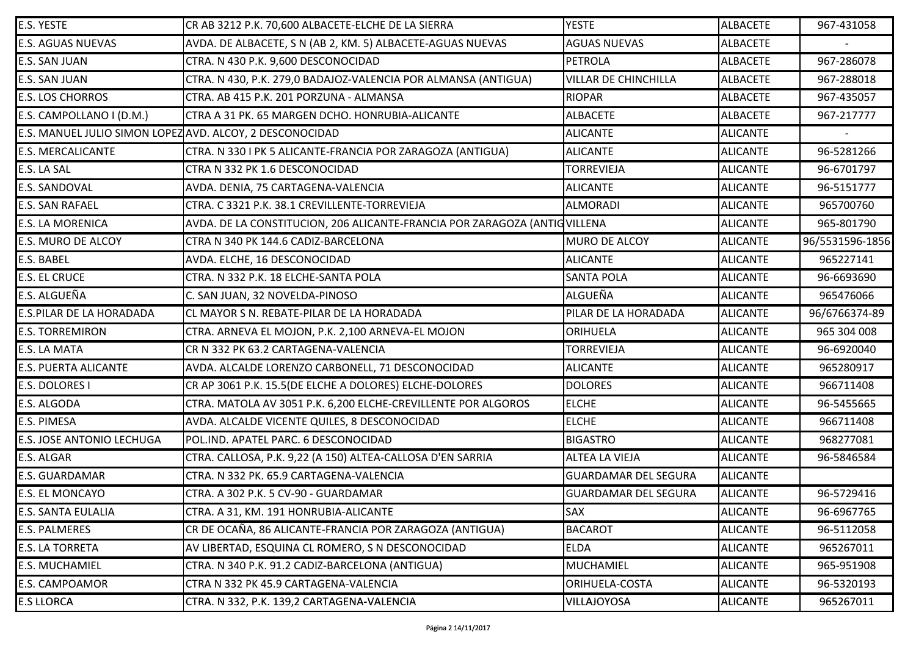| E.S. YESTE                  |                                                                           | <b>YESTE</b>                | <b>ALBACETE</b> | 967-431058      |
|-----------------------------|---------------------------------------------------------------------------|-----------------------------|-----------------|-----------------|
|                             | CR AB 3212 P.K. 70,600 ALBACETE-ELCHE DE LA SIERRA                        |                             |                 |                 |
| <b>E.S. AGUAS NUEVAS</b>    | AVDA. DE ALBACETE, S N (AB 2, KM. 5) ALBACETE-AGUAS NUEVAS                | <b>AGUAS NUEVAS</b>         | <b>ALBACETE</b> |                 |
| E.S. SAN JUAN               | CTRA. N 430 P.K. 9,600 DESCONOCIDAD                                       | PETROLA                     | <b>ALBACETE</b> | 967-286078      |
| E.S. SAN JUAN               | CTRA. N 430, P.K. 279,0 BADAJOZ-VALENCIA POR ALMANSA (ANTIGUA)            | <b>VILLAR DE CHINCHILLA</b> | <b>ALBACETE</b> | 967-288018      |
| <b>E.S. LOS CHORROS</b>     | CTRA. AB 415 P.K. 201 PORZUNA - ALMANSA                                   | <b>RIOPAR</b>               | <b>ALBACETE</b> | 967-435057      |
| E.S. CAMPOLLANO I (D.M.)    | CTRA A 31 PK. 65 MARGEN DCHO. HONRUBIA-ALICANTE                           | <b>ALBACETE</b>             | <b>ALBACETE</b> | 967-217777      |
|                             | E.S. MANUEL JULIO SIMON LOPEZ AVD. ALCOY, 2 DESCONOCIDAD                  | <b>ALICANTE</b>             | <b>ALICANTE</b> |                 |
| <b>E.S. MERCALICANTE</b>    | CTRA. N 330 I PK 5 ALICANTE-FRANCIA POR ZARAGOZA (ANTIGUA)                | <b>ALICANTE</b>             | <b>ALICANTE</b> | 96-5281266      |
| E.S. LA SAL                 | CTRA N 332 PK 1.6 DESCONOCIDAD                                            | <b>TORREVIEJA</b>           | <b>ALICANTE</b> | 96-6701797      |
| E.S. SANDOVAL               | AVDA. DENIA, 75 CARTAGENA-VALENCIA                                        | <b>ALICANTE</b>             | <b>ALICANTE</b> | 96-5151777      |
| <b>E.S. SAN RAFAEL</b>      | CTRA. C 3321 P.K. 38.1 CREVILLENTE-TORREVIEJA                             | <b>ALMORADI</b>             | <b>ALICANTE</b> | 965700760       |
| E.S. LA MORENICA            | AVDA. DE LA CONSTITUCION, 206 ALICANTE-FRANCIA POR ZARAGOZA (ANTIQVILLENA |                             | <b>ALICANTE</b> | 965-801790      |
| E.S. MURO DE ALCOY          | CTRA N 340 PK 144.6 CADIZ-BARCELONA                                       | MURO DE ALCOY               | <b>ALICANTE</b> | 96/5531596-1856 |
| E.S. BABEL                  | AVDA. ELCHE, 16 DESCONOCIDAD                                              | <b>ALICANTE</b>             | <b>ALICANTE</b> | 965227141       |
| <b>E.S. EL CRUCE</b>        | CTRA. N 332 P.K. 18 ELCHE-SANTA POLA                                      | <b>SANTA POLA</b>           | <b>ALICANTE</b> | 96-6693690      |
| E.S. ALGUEÑA                | C. SAN JUAN, 32 NOVELDA-PINOSO                                            | ALGUEÑA                     | <b>ALICANTE</b> | 965476066       |
| E.S.PILAR DE LA HORADADA    | CL MAYOR S N. REBATE-PILAR DE LA HORADADA                                 | PILAR DE LA HORADADA        | <b>ALICANTE</b> | 96/6766374-89   |
| <b>E.S. TORREMIRON</b>      | CTRA. ARNEVA EL MOJON, P.K. 2,100 ARNEVA-EL MOJON                         | <b>ORIHUELA</b>             | <b>ALICANTE</b> | 965 304 008     |
| E.S. LA MATA                | CR N 332 PK 63.2 CARTAGENA-VALENCIA                                       | <b>TORREVIEJA</b>           | <b>ALICANTE</b> | 96-6920040      |
| <b>E.S. PUERTA ALICANTE</b> | AVDA. ALCALDE LORENZO CARBONELL, 71 DESCONOCIDAD                          | <b>ALICANTE</b>             | <b>ALICANTE</b> | 965280917       |
| E.S. DOLORES I              | CR AP 3061 P.K. 15.5(DE ELCHE A DOLORES) ELCHE-DOLORES                    | <b>DOLORES</b>              | <b>ALICANTE</b> | 966711408       |
| E.S. ALGODA                 | CTRA. MATOLA AV 3051 P.K. 6,200 ELCHE-CREVILLENTE POR ALGOROS             | <b>ELCHE</b>                | <b>ALICANTE</b> | 96-5455665      |
| E.S. PIMESA                 | AVDA. ALCALDE VICENTE QUILES, 8 DESCONOCIDAD                              | <b>ELCHE</b>                | <b>ALICANTE</b> | 966711408       |
| E.S. JOSE ANTONIO LECHUGA   | POL.IND. APATEL PARC. 6 DESCONOCIDAD                                      | <b>BIGASTRO</b>             | <b>ALICANTE</b> | 968277081       |
| E.S. ALGAR                  | CTRA. CALLOSA, P.K. 9,22 (A 150) ALTEA-CALLOSA D'EN SARRIA                | <b>ALTEA LA VIEJA</b>       | <b>ALICANTE</b> | 96-5846584      |
| E.S. GUARDAMAR              | CTRA. N 332 PK. 65.9 CARTAGENA-VALENCIA                                   | <b>GUARDAMAR DEL SEGURA</b> | <b>ALICANTE</b> |                 |
| <b>E.S. EL MONCAYO</b>      | CTRA. A 302 P.K. 5 CV-90 - GUARDAMAR                                      | <b>GUARDAMAR DEL SEGURA</b> | <b>ALICANTE</b> | 96-5729416      |
| E.S. SANTA EULALIA          | CTRA. A 31, KM. 191 HONRUBIA-ALICANTE                                     | <b>SAX</b>                  | <b>ALICANTE</b> | 96-6967765      |
| E.S. PALMERES               | CR DE OCAÑA, 86 ALICANTE-FRANCIA POR ZARAGOZA (ANTIGUA)                   | <b>BACAROT</b>              | <b>ALICANTE</b> | 96-5112058      |
| <b>E.S. LA TORRETA</b>      | AV LIBERTAD, ESQUINA CL ROMERO, S N DESCONOCIDAD                          | <b>ELDA</b>                 | <b>ALICANTE</b> | 965267011       |
| <b>E.S. MUCHAMIEL</b>       | CTRA. N 340 P.K. 91.2 CADIZ-BARCELONA (ANTIGUA)                           | <b>MUCHAMIEL</b>            | <b>ALICANTE</b> | 965-951908      |
| E.S. CAMPOAMOR              | CTRA N 332 PK 45.9 CARTAGENA-VALENCIA                                     | ORIHUELA-COSTA              | <b>ALICANTE</b> | 96-5320193      |
| <b>E.S LLORCA</b>           | CTRA. N 332, P.K. 139,2 CARTAGENA-VALENCIA                                | <b>VILLAJOYOSA</b>          | <b>ALICANTE</b> | 965267011       |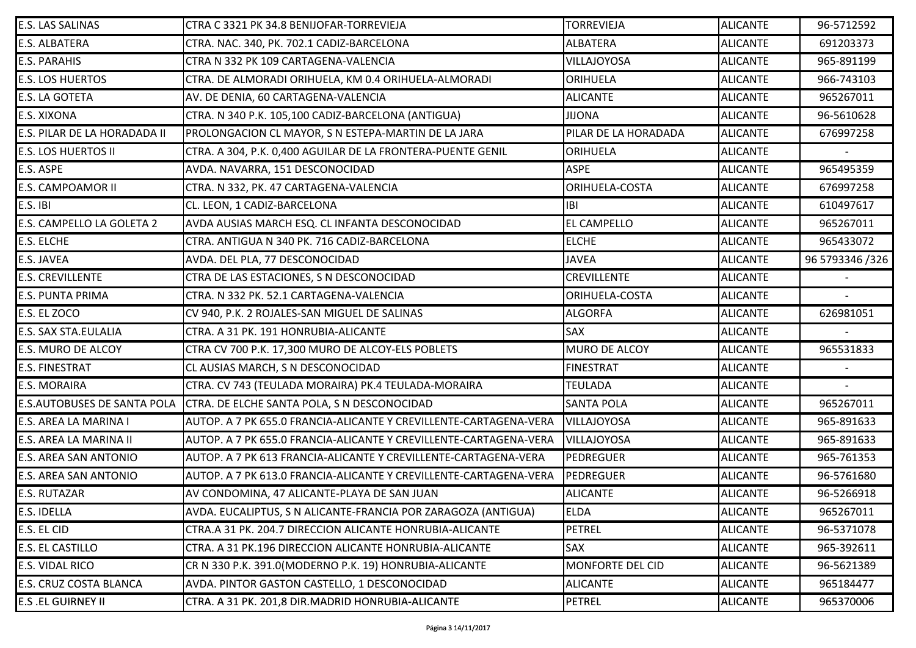| E.S. LAS SALINAS                   | CTRA C 3321 PK 34.8 BENIJOFAR-TORREVIEJA                          | <b>TORREVIEJA</b>       | <b>ALICANTE</b> | 96-5712592      |
|------------------------------------|-------------------------------------------------------------------|-------------------------|-----------------|-----------------|
| E.S. ALBATERA                      | CTRA. NAC. 340, PK. 702.1 CADIZ-BARCELONA                         | <b>ALBATERA</b>         | <b>ALICANTE</b> | 691203373       |
| <b>E.S. PARAHIS</b>                | CTRA N 332 PK 109 CARTAGENA-VALENCIA                              | <b>VILLAJOYOSA</b>      | <b>ALICANTE</b> | 965-891199      |
| <b>E.S. LOS HUERTOS</b>            | CTRA. DE ALMORADI ORIHUELA, KM 0.4 ORIHUELA-ALMORADI              | ORIHUELA                | <b>ALICANTE</b> | 966-743103      |
| E.S. LA GOTETA                     | AV. DE DENIA, 60 CARTAGENA-VALENCIA                               | <b>ALICANTE</b>         | <b>ALICANTE</b> | 965267011       |
| E.S. XIXONA                        | CTRA. N 340 P.K. 105,100 CADIZ-BARCELONA (ANTIGUA)                | <b>JIJONA</b>           | <b>ALICANTE</b> | 96-5610628      |
| E.S. PILAR DE LA HORADADA II       | PROLONGACION CL MAYOR, S N ESTEPA-MARTIN DE LA JARA               | PILAR DE LA HORADADA    | <b>ALICANTE</b> | 676997258       |
| E.S. LOS HUERTOS II                | CTRA. A 304, P.K. 0,400 AGUILAR DE LA FRONTERA-PUENTE GENIL       | <b>ORIHUELA</b>         | <b>ALICANTE</b> |                 |
| E.S. ASPE                          | AVDA. NAVARRA, 151 DESCONOCIDAD                                   | <b>ASPE</b>             | <b>ALICANTE</b> | 965495359       |
| E.S. CAMPOAMOR II                  | CTRA. N 332, PK. 47 CARTAGENA-VALENCIA                            | <b>ORIHUELA-COSTA</b>   | <b>ALICANTE</b> | 676997258       |
| E.S. IBI                           | CL. LEON, 1 CADIZ-BARCELONA                                       | <b>IBI</b>              | <b>ALICANTE</b> | 610497617       |
| E.S. CAMPELLO LA GOLETA 2          | AVDA AUSIAS MARCH ESQ. CL INFANTA DESCONOCIDAD                    | <b>EL CAMPELLO</b>      | <b>ALICANTE</b> | 965267011       |
| E.S. ELCHE                         | CTRA. ANTIGUA N 340 PK. 716 CADIZ-BARCELONA                       | <b>ELCHE</b>            | <b>ALICANTE</b> | 965433072       |
| E.S. JAVEA                         | AVDA. DEL PLA, 77 DESCONOCIDAD                                    | <b>JAVEA</b>            | <b>ALICANTE</b> | 96 5793346 /326 |
| <b>E.S. CREVILLENTE</b>            | CTRA DE LAS ESTACIONES, S N DESCONOCIDAD                          | <b>CREVILLENTE</b>      | <b>ALICANTE</b> |                 |
| E.S. PUNTA PRIMA                   | CTRA. N 332 PK. 52.1 CARTAGENA-VALENCIA                           | ORIHUELA-COSTA          | <b>ALICANTE</b> |                 |
| E.S. EL ZOCO                       | CV 940, P.K. 2 ROJALES-SAN MIGUEL DE SALINAS                      | <b>ALGORFA</b>          | <b>ALICANTE</b> | 626981051       |
| E.S. SAX STA.EULALIA               | CTRA. A 31 PK. 191 HONRUBIA-ALICANTE                              | <b>SAX</b>              | <b>ALICANTE</b> |                 |
| E.S. MURO DE ALCOY                 | CTRA CV 700 P.K. 17,300 MURO DE ALCOY-ELS POBLETS                 | MURO DE ALCOY           | <b>ALICANTE</b> | 965531833       |
| <b>E.S. FINESTRAT</b>              | CL AUSIAS MARCH, S N DESCONOCIDAD                                 | <b>FINESTRAT</b>        | <b>ALICANTE</b> |                 |
| E.S. MORAIRA                       | CTRA. CV 743 (TEULADA MORAIRA) PK.4 TEULADA-MORAIRA               | <b>TEULADA</b>          | <b>ALICANTE</b> |                 |
| <b>E.S.AUTOBUSES DE SANTA POLA</b> | CTRA. DE ELCHE SANTA POLA, S N DESCONOCIDAD                       | <b>SANTA POLA</b>       | <b>ALICANTE</b> | 965267011       |
| E.S. AREA LA MARINA I              | AUTOP. A 7 PK 655.0 FRANCIA-ALICANTE Y CREVILLENTE-CARTAGENA-VERA | <b>VILLAJOYOSA</b>      | <b>ALICANTE</b> | 965-891633      |
| E.S. AREA LA MARINA II             | AUTOP. A 7 PK 655.0 FRANCIA-ALICANTE Y CREVILLENTE-CARTAGENA-VERA | <b>VILLAJOYOSA</b>      | <b>ALICANTE</b> | 965-891633      |
| E.S. AREA SAN ANTONIO              | AUTOP. A 7 PK 613 FRANCIA-ALICANTE Y CREVILLENTE-CARTAGENA-VERA   | PEDREGUER               | <b>ALICANTE</b> | 965-761353      |
| E.S. AREA SAN ANTONIO              | AUTOP. A 7 PK 613.0 FRANCIA-ALICANTE Y CREVILLENTE-CARTAGENA-VERA | PEDREGUER               | <b>ALICANTE</b> | 96-5761680      |
| E.S. RUTAZAR                       | AV CONDOMINA, 47 ALICANTE-PLAYA DE SAN JUAN                       | <b>ALICANTE</b>         | <b>ALICANTE</b> | 96-5266918      |
| E.S. IDELLA                        | AVDA. EUCALIPTUS, S N ALICANTE-FRANCIA POR ZARAGOZA (ANTIGUA)     | <b>ELDA</b>             | <b>ALICANTE</b> | 965267011       |
| E.S. EL CID                        | CTRA.A 31 PK. 204.7 DIRECCION ALICANTE HONRUBIA-ALICANTE          | <b>PETREL</b>           | <b>ALICANTE</b> | 96-5371078      |
| E.S. EL CASTILLO                   | CTRA. A 31 PK.196 DIRECCION ALICANTE HONRUBIA-ALICANTE            | <b>SAX</b>              | <b>ALICANTE</b> | 965-392611      |
| E.S. VIDAL RICO                    | CR N 330 P.K. 391.0(MODERNO P.K. 19) HONRUBIA-ALICANTE            | <b>MONFORTE DEL CID</b> | <b>ALICANTE</b> | 96-5621389      |
| E.S. CRUZ COSTA BLANCA             | AVDA. PINTOR GASTON CASTELLO, 1 DESCONOCIDAD                      | <b>ALICANTE</b>         | <b>ALICANTE</b> | 965184477       |
| <b>E.S .EL GUIRNEY II</b>          | CTRA. A 31 PK. 201,8 DIR.MADRID HONRUBIA-ALICANTE                 | <b>PETREL</b>           | <b>ALICANTE</b> | 965370006       |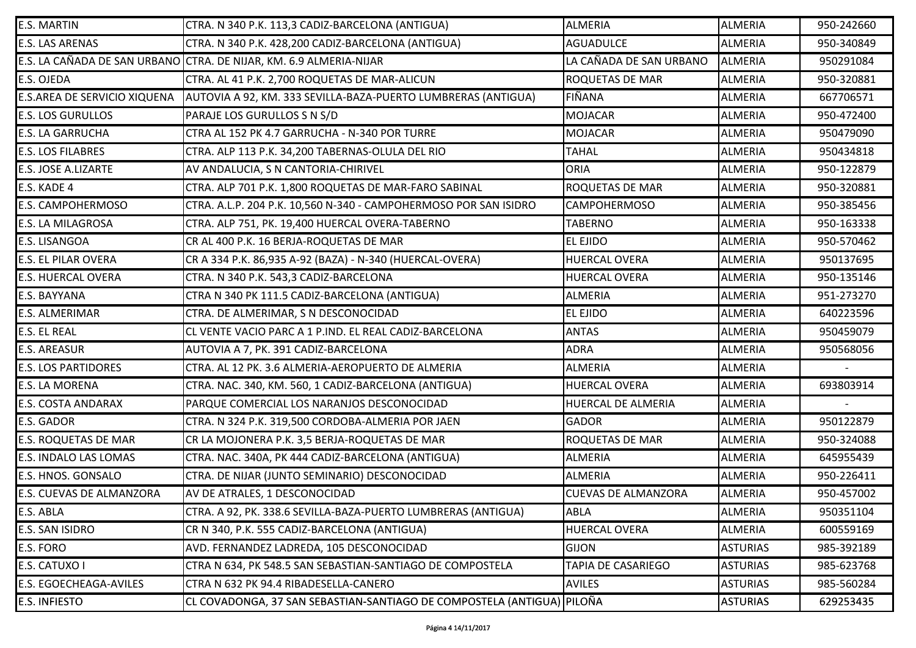| <b>E.S. MARTIN</b>           | CTRA. N 340 P.K. 113,3 CADIZ-BARCELONA (ANTIGUA)                       | <b>ALMERIA</b>             | <b>ALMERIA</b>  | 950-242660 |
|------------------------------|------------------------------------------------------------------------|----------------------------|-----------------|------------|
| E.S. LAS ARENAS              | CTRA. N 340 P.K. 428,200 CADIZ-BARCELONA (ANTIGUA)                     | <b>AGUADULCE</b>           | <b>ALMERIA</b>  | 950-340849 |
|                              | E.S. LA CAÑADA DE SAN URBANO  CTRA. DE NIJAR, KM. 6.9 ALMERIA-NIJAR    | LA CAÑADA DE SAN URBANO    | <b>ALMERIA</b>  | 950291084  |
| E.S. OJEDA                   | CTRA. AL 41 P.K. 2,700 ROQUETAS DE MAR-ALICUN                          | ROQUETAS DE MAR            | <b>ALMERIA</b>  | 950-320881 |
| E.S.AREA DE SERVICIO XIQUENA | AUTOVIA A 92, KM. 333 SEVILLA-BAZA-PUERTO LUMBRERAS (ANTIGUA)          | FIÑANA                     | <b>ALMERIA</b>  | 667706571  |
| <b>E.S. LOS GURULLOS</b>     | PARAJE LOS GURULLOS S N S/D                                            | <b>MOJACAR</b>             | <b>ALMERIA</b>  | 950-472400 |
| <b>E.S. LA GARRUCHA</b>      | CTRA AL 152 PK 4.7 GARRUCHA - N-340 POR TURRE                          | <b>MOJACAR</b>             | <b>ALMERIA</b>  | 950479090  |
| <b>E.S. LOS FILABRES</b>     | CTRA. ALP 113 P.K. 34,200 TABERNAS-OLULA DEL RIO                       | <b>TAHAL</b>               | <b>ALMERIA</b>  | 950434818  |
| E.S. JOSE A.LIZARTE          | AV ANDALUCIA, S N CANTORIA-CHIRIVEL                                    | <b>ORIA</b>                | <b>ALMERIA</b>  | 950-122879 |
| E.S. KADE 4                  | CTRA. ALP 701 P.K. 1,800 ROQUETAS DE MAR-FARO SABINAL                  | <b>ROQUETAS DE MAR</b>     | <b>ALMERIA</b>  | 950-320881 |
| E.S. CAMPOHERMOSO            | CTRA. A.L.P. 204 P.K. 10,560 N-340 - CAMPOHERMOSO POR SAN ISIDRO       | <b>CAMPOHERMOSO</b>        | <b>ALMERIA</b>  | 950-385456 |
| E.S. LA MILAGROSA            | CTRA. ALP 751, PK. 19,400 HUERCAL OVERA-TABERNO                        | <b>TABERNO</b>             | <b>ALMERIA</b>  | 950-163338 |
| E.S. LISANGOA                | CR AL 400 P.K. 16 BERJA-ROQUETAS DE MAR                                | <b>EL EJIDO</b>            | <b>ALMERIA</b>  | 950-570462 |
| E.S. EL PILAR OVERA          | CR A 334 P.K. 86,935 A-92 (BAZA) - N-340 (HUERCAL-OVERA)               | <b>HUERCAL OVERA</b>       | <b>ALMERIA</b>  | 950137695  |
| <b>E.S. HUERCAL OVERA</b>    | CTRA. N 340 P.K. 543,3 CADIZ-BARCELONA                                 | <b>HUERCAL OVERA</b>       | <b>ALMERIA</b>  | 950-135146 |
| E.S. BAYYANA                 | CTRA N 340 PK 111.5 CADIZ-BARCELONA (ANTIGUA)                          | <b>ALMERIA</b>             | <b>ALMERIA</b>  | 951-273270 |
| E.S. ALMERIMAR               | CTRA. DE ALMERIMAR, S N DESCONOCIDAD                                   | <b>EL EJIDO</b>            | <b>ALMERIA</b>  | 640223596  |
| E.S. EL REAL                 | CL VENTE VACIO PARC A 1 P.IND. EL REAL CADIZ-BARCELONA                 | <b>ANTAS</b>               | <b>ALMERIA</b>  | 950459079  |
| <b>E.S. AREASUR</b>          | AUTOVIA A 7, PK. 391 CADIZ-BARCELONA                                   | <b>ADRA</b>                | <b>ALMERIA</b>  | 950568056  |
| <b>E.S. LOS PARTIDORES</b>   | CTRA. AL 12 PK. 3.6 ALMERIA-AEROPUERTO DE ALMERIA                      | <b>ALMERIA</b>             | <b>ALMERIA</b>  |            |
| E.S. LA MORENA               | CTRA. NAC. 340, KM. 560, 1 CADIZ-BARCELONA (ANTIGUA)                   | <b>HUERCAL OVERA</b>       | <b>ALMERIA</b>  | 693803914  |
| <b>E.S. COSTA ANDARAX</b>    | PARQUE COMERCIAL LOS NARANJOS DESCONOCIDAD                             | HUERCAL DE ALMERIA         | <b>ALMERIA</b>  |            |
| E.S. GADOR                   | CTRA. N 324 P.K. 319,500 CORDOBA-ALMERIA POR JAEN                      | <b>GADOR</b>               | <b>ALMERIA</b>  | 950122879  |
| E.S. ROQUETAS DE MAR         | CR LA MOJONERA P.K. 3,5 BERJA-ROQUETAS DE MAR                          | ROQUETAS DE MAR            | <b>ALMERIA</b>  | 950-324088 |
| E.S. INDALO LAS LOMAS        | CTRA. NAC. 340A, PK 444 CADIZ-BARCELONA (ANTIGUA)                      | <b>ALMERIA</b>             | <b>ALMERIA</b>  | 645955439  |
| E.S. HNOS. GONSALO           | CTRA. DE NIJAR (JUNTO SEMINARIO) DESCONOCIDAD                          | <b>ALMERIA</b>             | <b>ALMERIA</b>  | 950-226411 |
| E.S. CUEVAS DE ALMANZORA     | AV DE ATRALES, 1 DESCONOCIDAD                                          | <b>CUEVAS DE ALMANZORA</b> | <b>ALMERIA</b>  | 950-457002 |
| E.S. ABLA                    | CTRA. A 92, PK. 338.6 SEVILLA-BAZA-PUERTO LUMBRERAS (ANTIGUA)          | ABLA                       | <b>ALMERIA</b>  | 950351104  |
| E.S. SAN ISIDRO              | CR N 340, P.K. 555 CADIZ-BARCELONA (ANTIGUA)                           | <b>HUERCAL OVERA</b>       | <b>ALMERIA</b>  | 600559169  |
| E.S. FORO                    | AVD. FERNANDEZ LADREDA, 105 DESCONOCIDAD                               | <b>GIJON</b>               | <b>ASTURIAS</b> | 985-392189 |
| E.S. CATUXO I                | CTRA N 634, PK 548.5 SAN SEBASTIAN-SANTIAGO DE COMPOSTELA              | TAPIA DE CASARIEGO         | <b>ASTURIAS</b> | 985-623768 |
| E.S. EGOECHEAGA-AVILES       | CTRA N 632 PK 94.4 RIBADESELLA-CANERO                                  | <b>AVILES</b>              | <b>ASTURIAS</b> | 985-560284 |
| <b>E.S. INFIESTO</b>         | CL COVADONGA, 37 SAN SEBASTIAN-SANTIAGO DE COMPOSTELA (ANTIGUA) PILOÑA |                            | <b>ASTURIAS</b> | 629253435  |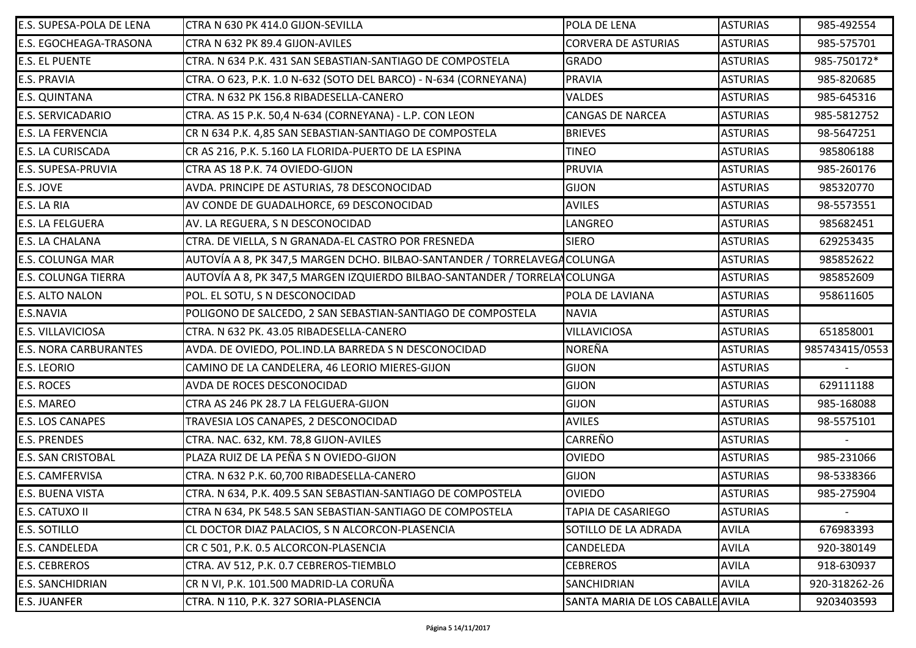| E.S. SUPESA-POLA DE LENA      | CTRA N 630 PK 414.0 GIJON-SEVILLA                                         | POLA DE LENA                     | <b>ASTURIAS</b> | 985-492554     |
|-------------------------------|---------------------------------------------------------------------------|----------------------------------|-----------------|----------------|
| <b>E.S. EGOCHEAGA-TRASONA</b> | CTRA N 632 PK 89.4 GIJON-AVILES                                           | <b>CORVERA DE ASTURIAS</b>       | <b>ASTURIAS</b> | 985-575701     |
| <b>E.S. EL PUENTE</b>         | CTRA. N 634 P.K. 431 SAN SEBASTIAN-SANTIAGO DE COMPOSTELA                 | <b>GRADO</b>                     | <b>ASTURIAS</b> | 985-750172*    |
| <b>E.S. PRAVIA</b>            | CTRA. O 623, P.K. 1.0 N-632 (SOTO DEL BARCO) - N-634 (CORNEYANA)          | <b>PRAVIA</b>                    | <b>ASTURIAS</b> | 985-820685     |
| <b>E.S. QUINTANA</b>          | CTRA. N 632 PK 156.8 RIBADESELLA-CANERO                                   | <b>VALDES</b>                    | <b>ASTURIAS</b> | 985-645316     |
| <b>E.S. SERVICADARIO</b>      | CTRA. AS 15 P.K. 50,4 N-634 (CORNEYANA) - L.P. CON LEON                   | <b>CANGAS DE NARCEA</b>          | <b>ASTURIAS</b> | 985-5812752    |
| <b>E.S. LA FERVENCIA</b>      | CR N 634 P.K. 4,85 SAN SEBASTIAN-SANTIAGO DE COMPOSTELA                   | <b>BRIEVES</b>                   | <b>ASTURIAS</b> | 98-5647251     |
| <b>E.S. LA CURISCADA</b>      | CR AS 216, P.K. 5.160 LA FLORIDA-PUERTO DE LA ESPINA                      | <b>TINEO</b>                     | <b>ASTURIAS</b> | 985806188      |
| <b>E.S. SUPESA-PRUVIA</b>     | CTRA AS 18 P.K. 74 OVIEDO-GIJON                                           | <b>PRUVIA</b>                    | <b>ASTURIAS</b> | 985-260176     |
| E.S. JOVE                     | AVDA. PRINCIPE DE ASTURIAS, 78 DESCONOCIDAD                               | <b>GIJON</b>                     | <b>ASTURIAS</b> | 985320770      |
| E.S. LA RIA                   | AV CONDE DE GUADALHORCE, 69 DESCONOCIDAD                                  | <b>AVILES</b>                    | <b>ASTURIAS</b> | 98-5573551     |
| <b>E.S. LA FELGUERA</b>       | AV. LA REGUERA, S N DESCONOCIDAD                                          | LANGREO                          | <b>ASTURIAS</b> | 985682451      |
| <b>E.S. LA CHALANA</b>        | CTRA. DE VIELLA, S N GRANADA-EL CASTRO POR FRESNEDA                       | <b>SIERO</b>                     | <b>ASTURIAS</b> | 629253435      |
| <b>E.S. COLUNGA MAR</b>       | AUTOVÍA A 8, PK 347,5 MARGEN DCHO. BILBAO-SANTANDER / TORRELAVEGACOLUNGA  |                                  | <b>ASTURIAS</b> | 985852622      |
| <b>E.S. COLUNGA TIERRA</b>    | AUTOVÍA A 8, PK 347,5 MARGEN IZQUIERDO BILBAO-SANTANDER / TORRELA\COLUNGA |                                  | <b>ASTURIAS</b> | 985852609      |
| <b>E.S. ALTO NALON</b>        | POL. EL SOTU, S N DESCONOCIDAD                                            | POLA DE LAVIANA                  | <b>ASTURIAS</b> | 958611605      |
| <b>E.S.NAVIA</b>              | POLIGONO DE SALCEDO, 2 SAN SEBASTIAN-SANTIAGO DE COMPOSTELA               | <b>NAVIA</b>                     | <b>ASTURIAS</b> |                |
| <b>E.S. VILLAVICIOSA</b>      | CTRA. N 632 PK. 43.05 RIBADESELLA-CANERO                                  | VILLAVICIOSA                     | <b>ASTURIAS</b> | 651858001      |
| <b>E.S. NORA CARBURANTES</b>  | AVDA. DE OVIEDO, POL.IND.LA BARREDA S N DESCONOCIDAD                      | <b>NOREÑA</b>                    | <b>ASTURIAS</b> | 985743415/0553 |
| <b>E.S. LEORIO</b>            | CAMINO DE LA CANDELERA, 46 LEORIO MIERES-GIJON                            | <b>GIJON</b>                     | <b>ASTURIAS</b> |                |
| <b>E.S. ROCES</b>             | AVDA DE ROCES DESCONOCIDAD                                                | <b>GIJON</b>                     | <b>ASTURIAS</b> | 629111188      |
| <b>E.S. MAREO</b>             | CTRA AS 246 PK 28.7 LA FELGUERA-GIJON                                     | <b>GIJON</b>                     | <b>ASTURIAS</b> | 985-168088     |
| <b>E.S. LOS CANAPES</b>       | TRAVESIA LOS CANAPES, 2 DESCONOCIDAD                                      | <b>AVILES</b>                    | <b>ASTURIAS</b> | 98-5575101     |
| <b>E.S. PRENDES</b>           | CTRA. NAC. 632, KM. 78,8 GIJON-AVILES                                     | <b>CARREÑO</b>                   | <b>ASTURIAS</b> |                |
| <b>E.S. SAN CRISTOBAL</b>     | PLAZA RUIZ DE LA PEÑA S N OVIEDO-GIJON                                    | <b>OVIEDO</b>                    | <b>ASTURIAS</b> | 985-231066     |
| <b>E.S. CAMFERVISA</b>        | CTRA. N 632 P.K. 60,700 RIBADESELLA-CANERO                                | GIJON                            | <b>ASTURIAS</b> | 98-5338366     |
| <b>E.S. BUENA VISTA</b>       | CTRA. N 634, P.K. 409.5 SAN SEBASTIAN-SANTIAGO DE COMPOSTELA              | <b>OVIEDO</b>                    | <b>ASTURIAS</b> | 985-275904     |
| <b>E.S. CATUXO II</b>         | CTRA N 634, PK 548.5 SAN SEBASTIAN-SANTIAGO DE COMPOSTELA                 | <b>TAPIA DE CASARIEGO</b>        | <b>ASTURIAS</b> |                |
| <b>E.S. SOTILLO</b>           | CL DOCTOR DIAZ PALACIOS, S N ALCORCON-PLASENCIA                           | SOTILLO DE LA ADRADA             | <b>AVILA</b>    | 676983393      |
| <b>E.S. CANDELEDA</b>         | CR C 501, P.K. 0.5 ALCORCON-PLASENCIA                                     | <b>CANDELEDA</b>                 | <b>AVILA</b>    | 920-380149     |
| <b>E.S. CEBREROS</b>          | CTRA. AV 512, P.K. 0.7 CEBREROS-TIEMBLO                                   | <b>CEBREROS</b>                  | <b>AVILA</b>    | 918-630937     |
| <b>E.S. SANCHIDRIAN</b>       | CR N VI, P.K. 101.500 MADRID-LA CORUÑA                                    | SANCHIDRIAN                      | <b>AVILA</b>    | 920-318262-26  |
| <b>E.S. JUANFER</b>           | CTRA. N 110, P.K. 327 SORIA-PLASENCIA                                     | SANTA MARIA DE LOS CABALLE AVILA |                 | 9203403593     |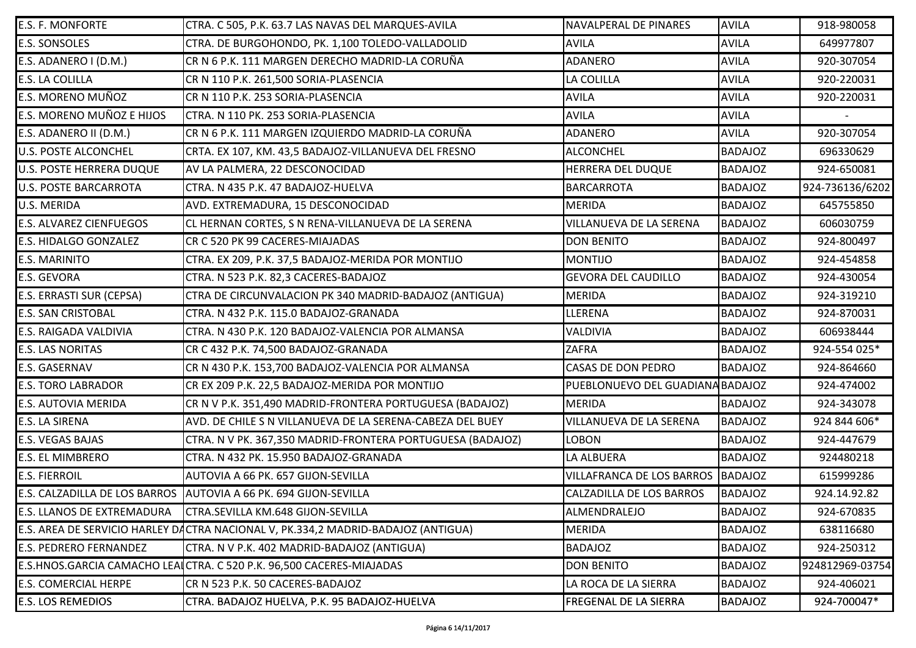| <b>E.S. F. MONFORTE</b>           | CTRA. C 505, P.K. 63.7 LAS NAVAS DEL MARQUES-AVILA                                | NAVALPERAL DE PINARES            | <b>AVILA</b>   | 918-980058      |
|-----------------------------------|-----------------------------------------------------------------------------------|----------------------------------|----------------|-----------------|
| <b>E.S. SONSOLES</b>              | CTRA. DE BURGOHONDO, PK. 1,100 TOLEDO-VALLADOLID                                  | <b>AVILA</b>                     | <b>AVILA</b>   | 649977807       |
| E.S. ADANERO I (D.M.)             | CR N 6 P.K. 111 MARGEN DERECHO MADRID-LA CORUÑA                                   | <b>ADANERO</b>                   | <b>AVILA</b>   | 920-307054      |
| <b>E.S. LA COLILLA</b>            | CR N 110 P.K. 261,500 SORIA-PLASENCIA                                             | LA COLILLA                       | <b>AVILA</b>   | 920-220031      |
| <b>E.S. MORENO MUÑOZ</b>          | CR N 110 P.K. 253 SORIA-PLASENCIA                                                 | <b>AVILA</b>                     | <b>AVILA</b>   | 920-220031      |
| E.S. MORENO MUÑOZ E HIJOS         | CTRA. N 110 PK. 253 SORIA-PLASENCIA                                               | <b>AVILA</b>                     | <b>AVILA</b>   |                 |
| E.S. ADANERO II (D.M.)            | CR N 6 P.K. 111 MARGEN IZQUIERDO MADRID-LA CORUÑA                                 | <b>ADANERO</b>                   | <b>AVILA</b>   | 920-307054      |
| <b>U.S. POSTE ALCONCHEL</b>       | CRTA. EX 107, KM. 43,5 BADAJOZ-VILLANUEVA DEL FRESNO                              | <b>ALCONCHEL</b>                 | <b>BADAJOZ</b> | 696330629       |
| <b>U.S. POSTE HERRERA DUQUE</b>   | AV LA PALMERA, 22 DESCONOCIDAD                                                    | HERRERA DEL DUQUE                | <b>BADAJOZ</b> | 924-650081      |
| <b>U.S. POSTE BARCARROTA</b>      | CTRA. N 435 P.K. 47 BADAJOZ-HUELVA                                                | <b>BARCARROTA</b>                | <b>BADAJOZ</b> | 924-736136/6202 |
| U.S. MERIDA                       | AVD. EXTREMADURA, 15 DESCONOCIDAD                                                 | <b>MERIDA</b>                    | <b>BADAJOZ</b> | 645755850       |
| <b>E.S. ALVAREZ CIENFUEGOS</b>    | CL HERNAN CORTES, S N RENA-VILLANUEVA DE LA SERENA                                | VILLANUEVA DE LA SERENA          | <b>BADAJOZ</b> | 606030759       |
| <b>E.S. HIDALGO GONZALEZ</b>      | CR C 520 PK 99 CACERES-MIAJADAS                                                   | <b>DON BENITO</b>                | <b>BADAJOZ</b> | 924-800497      |
| <b>E.S. MARINITO</b>              | CTRA. EX 209, P.K. 37,5 BADAJOZ-MERIDA POR MONTIJO                                | <b>MONTIJO</b>                   | <b>BADAJOZ</b> | 924-454858      |
| <b>E.S. GEVORA</b>                | CTRA. N 523 P.K. 82,3 CACERES-BADAJOZ                                             | <b>GEVORA DEL CAUDILLO</b>       | <b>BADAJOZ</b> | 924-430054      |
| <b>E.S. ERRASTI SUR (CEPSA)</b>   | CTRA DE CIRCUNVALACION PK 340 MADRID-BADAJOZ (ANTIGUA)                            | <b>MERIDA</b>                    | <b>BADAJOZ</b> | 924-319210      |
| <b>E.S. SAN CRISTOBAL</b>         | CTRA. N 432 P.K. 115.0 BADAJOZ-GRANADA                                            | LLERENA                          | <b>BADAJOZ</b> | 924-870031      |
| <b>E.S. RAIGADA VALDIVIA</b>      | CTRA. N 430 P.K. 120 BADAJOZ-VALENCIA POR ALMANSA                                 | VALDIVIA                         | <b>BADAJOZ</b> | 606938444       |
| <b>E.S. LAS NORITAS</b>           | CR C 432 P.K. 74,500 BADAJOZ-GRANADA                                              | <b>ZAFRA</b>                     | <b>BADAJOZ</b> | 924-554 025*    |
| <b>E.S. GASERNAV</b>              | CR N 430 P.K. 153,700 BADAJOZ-VALENCIA POR ALMANSA                                | <b>CASAS DE DON PEDRO</b>        | <b>BADAJOZ</b> | 924-864660      |
| <b>E.S. TORO LABRADOR</b>         | CR EX 209 P.K. 22,5 BADAJOZ-MERIDA POR MONTIJO                                    | PUEBLONUEVO DEL GUADIANA BADAJOZ |                | 924-474002      |
| <b>E.S. AUTOVIA MERIDA</b>        | CR N V P.K. 351,490 MADRID-FRONTERA PORTUGUESA (BADAJOZ)                          | <b>MERIDA</b>                    | <b>BADAJOZ</b> | 924-343078      |
| <b>E.S. LA SIRENA</b>             | AVD. DE CHILE S N VILLANUEVA DE LA SERENA-CABEZA DEL BUEY                         | VILLANUEVA DE LA SERENA          | <b>BADAJOZ</b> | 924 844 606*    |
| <b>E.S. VEGAS BAJAS</b>           | CTRA. N V PK. 367,350 MADRID-FRONTERA PORTUGUESA (BADAJOZ)                        | <b>LOBON</b>                     | <b>BADAJOZ</b> | 924-447679      |
| <b>E.S. EL MIMBRERO</b>           | CTRA. N 432 PK. 15.950 BADAJOZ-GRANADA                                            | LA ALBUERA                       | <b>BADAJOZ</b> | 924480218       |
| <b>E.S. FIERROIL</b>              | AUTOVIA A 66 PK. 657 GIJON-SEVILLA                                                | VILLAFRANCA DE LOS BARROS        | BADAJOZ        | 615999286       |
|                                   | E.S. CALZADILLA DE LOS BARROS AUTOVIA A 66 PK. 694 GIJON-SEVILLA                  | <b>CALZADILLA DE LOS BARROS</b>  | <b>BADAJOZ</b> | 924.14.92.82    |
| <b>E.S. LLANOS DE EXTREMADURA</b> | CTRA.SEVILLA KM.648 GIJON-SEVILLA                                                 | ALMENDRALEJO                     | <b>BADAJOZ</b> | 924-670835      |
|                                   | E.S. AREA DE SERVICIO HARLEY DACTRA NACIONAL V, PK.334,2 MADRID-BADAJOZ (ANTIGUA) | <b>MERIDA</b>                    | <b>BADAJOZ</b> | 638116680       |
| <b>E.S. PEDRERO FERNANDEZ</b>     | CTRA. N V P.K. 402 MADRID-BADAJOZ (ANTIGUA)                                       | <b>BADAJOZ</b>                   | <b>BADAJOZ</b> | 924-250312      |
|                                   | E.S.HNOS.GARCIA CAMACHO LEALCTRA. C 520 P.K. 96,500 CACERES-MIAJADAS              | <b>DON BENITO</b>                | <b>BADAJOZ</b> | 924812969-03754 |
| <b>E.S. COMERCIAL HERPE</b>       | CR N 523 P.K. 50 CACERES-BADAJOZ                                                  | LA ROCA DE LA SIERRA             | <b>BADAJOZ</b> | 924-406021      |
| <b>E.S. LOS REMEDIOS</b>          | CTRA. BADAJOZ HUELVA, P.K. 95 BADAJOZ-HUELVA                                      | FREGENAL DE LA SIERRA            | <b>BADAJOZ</b> | 924-700047*     |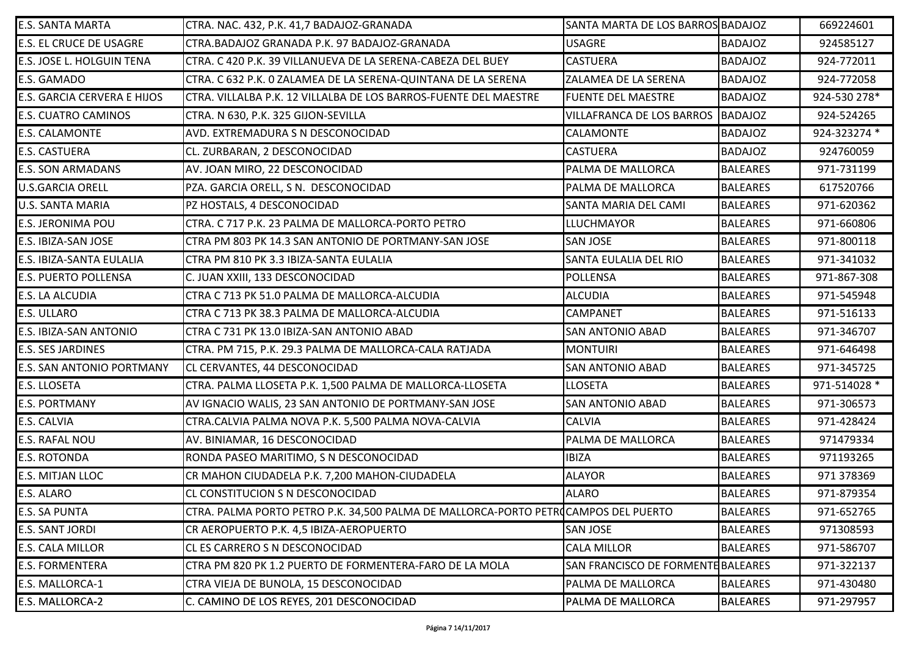| <b>E.S. SANTA MARTA</b>          | CTRA. NAC. 432, P.K. 41,7 BADAJOZ-GRANADA                                          | SANTA MARTA DE LOS BARROS BADAJOZ  |                 | 669224601    |
|----------------------------------|------------------------------------------------------------------------------------|------------------------------------|-----------------|--------------|
| <b>E.S. EL CRUCE DE USAGRE</b>   | CTRA.BADAJOZ GRANADA P.K. 97 BADAJOZ-GRANADA                                       | <b>USAGRE</b>                      | <b>BADAJOZ</b>  | 924585127    |
| E.S. JOSE L. HOLGUIN TENA        | CTRA. C 420 P.K. 39 VILLANUEVA DE LA SERENA-CABEZA DEL BUEY                        | <b>CASTUERA</b>                    | <b>BADAJOZ</b>  | 924-772011   |
| E.S. GAMADO                      | CTRA. C 632 P.K. O ZALAMEA DE LA SERENA-QUINTANA DE LA SERENA                      | ZALAMEA DE LA SERENA               | <b>BADAJOZ</b>  | 924-772058   |
| E.S. GARCIA CERVERA E HIJOS      | CTRA. VILLALBA P.K. 12 VILLALBA DE LOS BARROS-FUENTE DEL MAESTRE                   | <b>FUENTE DEL MAESTRE</b>          | <b>BADAJOZ</b>  | 924-530 278* |
| E.S. CUATRO CAMINOS              | CTRA. N 630, P.K. 325 GIJON-SEVILLA                                                | VILLAFRANCA DE LOS BARROS BADAJOZ  |                 | 924-524265   |
| E.S. CALAMONTE                   | AVD. EXTREMADURA S N DESCONOCIDAD                                                  | CALAMONTE                          | <b>BADAJOZ</b>  | 924-323274 * |
| <b>E.S. CASTUERA</b>             | CL. ZURBARAN, 2 DESCONOCIDAD                                                       | <b>CASTUERA</b>                    | <b>BADAJOZ</b>  | 924760059    |
| <b>E.S. SON ARMADANS</b>         | AV. JOAN MIRO, 22 DESCONOCIDAD                                                     | PALMA DE MALLORCA                  | <b>BALEARES</b> | 971-731199   |
| <b>U.S.GARCIA ORELL</b>          | PZA. GARCIA ORELL, S N. DESCONOCIDAD                                               | PALMA DE MALLORCA                  | <b>BALEARES</b> | 617520766    |
| U.S. SANTA MARIA                 | PZ HOSTALS, 4 DESCONOCIDAD                                                         | SANTA MARIA DEL CAMI               | <b>BALEARES</b> | 971-620362   |
| <b>E.S. JERONIMA POU</b>         | CTRA. C 717 P.K. 23 PALMA DE MALLORCA-PORTO PETRO                                  | <b>LLUCHMAYOR</b>                  | <b>BALEARES</b> | 971-660806   |
| E.S. IBIZA-SAN JOSE              | CTRA PM 803 PK 14.3 SAN ANTONIO DE PORTMANY-SAN JOSE                               | <b>SAN JOSE</b>                    | <b>BALEARES</b> | 971-800118   |
| E.S. IBIZA-SANTA EULALIA         | CTRA PM 810 PK 3.3 IBIZA-SANTA EULALIA                                             | SANTA EULALIA DEL RIO              | <b>BALEARES</b> | 971-341032   |
| E.S. PUERTO POLLENSA             | C. JUAN XXIII, 133 DESCONOCIDAD                                                    | <b>POLLENSA</b>                    | <b>BALEARES</b> | 971-867-308  |
| E.S. LA ALCUDIA                  | CTRA C 713 PK 51.0 PALMA DE MALLORCA-ALCUDIA                                       | <b>ALCUDIA</b>                     | <b>BALEARES</b> | 971-545948   |
| E.S. ULLARO                      | CTRA C 713 PK 38.3 PALMA DE MALLORCA-ALCUDIA                                       | <b>CAMPANET</b>                    | <b>BALEARES</b> | 971-516133   |
| E.S. IBIZA-SAN ANTONIO           | CTRA C 731 PK 13.0 IBIZA-SAN ANTONIO ABAD                                          | <b>SAN ANTONIO ABAD</b>            | <b>BALEARES</b> | 971-346707   |
| <b>E.S. SES JARDINES</b>         | CTRA. PM 715, P.K. 29.3 PALMA DE MALLORCA-CALA RATJADA                             | <b>MONTUIRI</b>                    | <b>BALEARES</b> | 971-646498   |
| <b>E.S. SAN ANTONIO PORTMANY</b> | CL CERVANTES, 44 DESCONOCIDAD                                                      | <b>SAN ANTONIO ABAD</b>            | <b>BALEARES</b> | 971-345725   |
| E.S. LLOSETA                     | CTRA. PALMA LLOSETA P.K. 1,500 PALMA DE MALLORCA-LLOSETA                           | <b>LLOSETA</b>                     | <b>BALEARES</b> | 971-514028 * |
| <b>E.S. PORTMANY</b>             | AV IGNACIO WALIS, 23 SAN ANTONIO DE PORTMANY-SAN JOSE                              | <b>SAN ANTONIO ABAD</b>            | <b>BALEARES</b> | 971-306573   |
| E.S. CALVIA                      | CTRA.CALVIA PALMA NOVA P.K. 5,500 PALMA NOVA-CALVIA                                | <b>CALVIA</b>                      | <b>BALEARES</b> | 971-428424   |
| E.S. RAFAL NOU                   | AV. BINIAMAR, 16 DESCONOCIDAD                                                      | PALMA DE MALLORCA                  | <b>BALEARES</b> | 971479334    |
| <b>E.S. ROTONDA</b>              | RONDA PASEO MARITIMO, S N DESCONOCIDAD                                             | <b>IBIZA</b>                       | <b>BALEARES</b> | 971193265    |
| E.S. MITJAN LLOC                 | CR MAHON CIUDADELA P.K. 7,200 MAHON-CIUDADELA                                      | <b>ALAYOR</b>                      | <b>BALEARES</b> | 971 378369   |
| E.S. ALARO                       | CL CONSTITUCION S N DESCONOCIDAD                                                   | <b>ALARO</b>                       | <b>BALEARES</b> | 971-879354   |
| E.S. SA PUNTA                    | CTRA. PALMA PORTO PETRO P.K. 34,500 PALMA DE MALLORCA-PORTO PETROCAMPOS DEL PUERTO |                                    | <b>BALEARES</b> | 971-652765   |
| <b>E.S. SANT JORDI</b>           | CR AEROPUERTO P.K. 4,5 IBIZA-AEROPUERTO                                            | SAN JOSE                           | <b>BALEARES</b> | 971308593    |
| E.S. CALA MILLOR                 | CL ES CARRERO S N DESCONOCIDAD                                                     | <b>CALA MILLOR</b>                 | <b>BALEARES</b> | 971-586707   |
| <b>E.S. FORMENTERA</b>           | CTRA PM 820 PK 1.2 PUERTO DE FORMENTERA-FARO DE LA MOLA                            | SAN FRANCISCO DE FORMENTE BALEARES |                 | 971-322137   |
| E.S. MALLORCA-1                  | CTRA VIEJA DE BUNOLA, 15 DESCONOCIDAD                                              | PALMA DE MALLORCA                  | <b>BALEARES</b> | 971-430480   |
| E.S. MALLORCA-2                  | C. CAMINO DE LOS REYES, 201 DESCONOCIDAD                                           | PALMA DE MALLORCA                  | <b>BALEARES</b> | 971-297957   |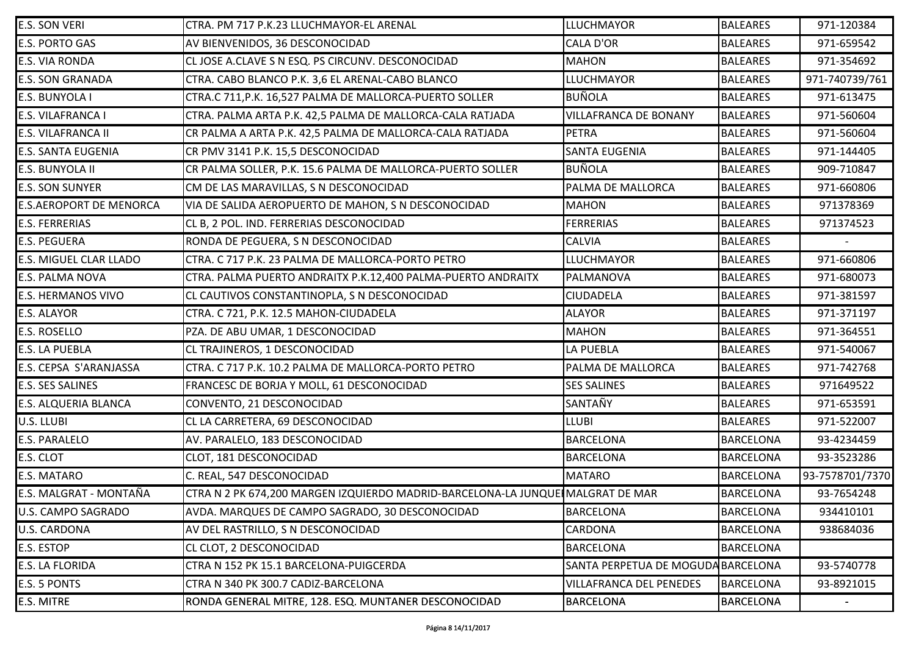| <b>E.S. SON VERI</b>      | CTRA. PM 717 P.K.23 LLUCHMAYOR-EL ARENAL                                       | <b>LLUCHMAYOR</b>                  | <b>BALEARES</b>  | 971-120384      |
|---------------------------|--------------------------------------------------------------------------------|------------------------------------|------------------|-----------------|
| E.S. PORTO GAS            | AV BIENVENIDOS, 36 DESCONOCIDAD                                                | <b>CALA D'OR</b>                   | <b>BALEARES</b>  | 971-659542      |
| E.S. VIA RONDA            | CL JOSE A.CLAVE S N ESQ. PS CIRCUNV. DESCONOCIDAD                              | <b>MAHON</b>                       | <b>BALEARES</b>  | 971-354692      |
| <b>E.S. SON GRANADA</b>   | CTRA. CABO BLANCO P.K. 3,6 EL ARENAL-CABO BLANCO                               | LLUCHMAYOR                         | <b>BALEARES</b>  | 971-740739/761  |
| E.S. BUNYOLA I            | CTRA.C 711, P.K. 16,527 PALMA DE MALLORCA-PUERTO SOLLER                        | <b>BUÑOLA</b>                      | <b>BALEARES</b>  | 971-613475      |
| E.S. VILAFRANCA I         | CTRA. PALMA ARTA P.K. 42,5 PALMA DE MALLORCA-CALA RATJADA                      | <b>VILLAFRANCA DE BONANY</b>       | <b>BALEARES</b>  | 971-560604      |
| E.S. VILAFRANCA II        | CR PALMA A ARTA P.K. 42,5 PALMA DE MALLORCA-CALA RATJADA                       | <b>PETRA</b>                       | <b>BALEARES</b>  | 971-560604      |
| E.S. SANTA EUGENIA        | CR PMV 3141 P.K. 15,5 DESCONOCIDAD                                             | <b>SANTA EUGENIA</b>               | <b>BALEARES</b>  | 971-144405      |
| E.S. BUNYOLA II           | CR PALMA SOLLER, P.K. 15.6 PALMA DE MALLORCA-PUERTO SOLLER                     | <b>BUÑOLA</b>                      | <b>BALEARES</b>  | 909-710847      |
| <b>E.S. SON SUNYER</b>    | CM DE LAS MARAVILLAS, S N DESCONOCIDAD                                         | PALMA DE MALLORCA                  | <b>BALEARES</b>  | 971-660806      |
| E.S.AEROPORT DE MENORCA   | VIA DE SALIDA AEROPUERTO DE MAHON, S N DESCONOCIDAD                            | <b>MAHON</b>                       | <b>BALEARES</b>  | 971378369       |
| <b>E.S. FERRERIAS</b>     | CL B, 2 POL. IND. FERRERIAS DESCONOCIDAD                                       | <b>FERRERIAS</b>                   | <b>BALEARES</b>  | 971374523       |
| <b>E.S. PEGUERA</b>       | RONDA DE PEGUERA, S N DESCONOCIDAD                                             | <b>CALVIA</b>                      | <b>BALEARES</b>  |                 |
| E.S. MIGUEL CLAR LLADO    | CTRA. C 717 P.K. 23 PALMA DE MALLORCA-PORTO PETRO                              | <b>LLUCHMAYOR</b>                  | <b>BALEARES</b>  | 971-660806      |
| <b>E.S. PALMA NOVA</b>    | CTRA. PALMA PUERTO ANDRAITX P.K.12,400 PALMA-PUERTO ANDRAITX                   | PALMANOVA                          | <b>BALEARES</b>  | 971-680073      |
| <b>E.S. HERMANOS VIVO</b> | CL CAUTIVOS CONSTANTINOPLA, S N DESCONOCIDAD                                   | CIUDADELA                          | <b>BALEARES</b>  | 971-381597      |
| E.S. ALAYOR               | CTRA. C 721, P.K. 12.5 MAHON-CIUDADELA                                         | <b>ALAYOR</b>                      | <b>BALEARES</b>  | 971-371197      |
| E.S. ROSELLO              | PZA. DE ABU UMAR, 1 DESCONOCIDAD                                               | <b>MAHON</b>                       | <b>BALEARES</b>  | 971-364551      |
| E.S. LA PUEBLA            | CL TRAJINEROS, 1 DESCONOCIDAD                                                  | LA PUEBLA                          | <b>BALEARES</b>  | 971-540067      |
| E.S. CEPSA S'ARANJASSA    | CTRA. C 717 P.K. 10.2 PALMA DE MALLORCA-PORTO PETRO                            | PALMA DE MALLORCA                  | <b>BALEARES</b>  | 971-742768      |
| <b>E.S. SES SALINES</b>   | FRANCESC DE BORJA Y MOLL, 61 DESCONOCIDAD                                      | <b>SES SALINES</b>                 | <b>BALEARES</b>  | 971649522       |
| E.S. ALQUERIA BLANCA      | CONVENTO, 21 DESCONOCIDAD                                                      | SANTAÑY                            | <b>BALEARES</b>  | 971-653591      |
| U.S. LLUBI                | CL LA CARRETERA, 69 DESCONOCIDAD                                               | <b>LLUBI</b>                       | <b>BALEARES</b>  | 971-522007      |
| E.S. PARALELO             | AV. PARALELO, 183 DESCONOCIDAD                                                 | <b>BARCELONA</b>                   | <b>BARCELONA</b> | 93-4234459      |
| E.S. CLOT                 | CLOT, 181 DESCONOCIDAD                                                         | <b>BARCELONA</b>                   | <b>BARCELONA</b> | 93-3523286      |
| E.S. MATARO               | C. REAL, 547 DESCONOCIDAD                                                      | <b>MATARO</b>                      | <b>BARCELONA</b> | 93-7578701/7370 |
| E.S. MALGRAT - MONTAÑA    | CTRA N 2 PK 674,200 MARGEN IZQUIERDO MADRID-BARCELONA-LA JUNQUE∥MALGRAT DE MAR |                                    | <b>BARCELONA</b> | 93-7654248      |
| U.S. CAMPO SAGRADO        | AVDA. MARQUES DE CAMPO SAGRADO, 30 DESCONOCIDAD                                | <b>BARCELONA</b>                   | <b>BARCELONA</b> | 934410101       |
| U.S. CARDONA              | AV DEL RASTRILLO, S N DESCONOCIDAD                                             | CARDONA                            | <b>BARCELONA</b> | 938684036       |
| E.S. ESTOP                | CL CLOT, 2 DESCONOCIDAD                                                        | <b>BARCELONA</b>                   | <b>BARCELONA</b> |                 |
| E.S. LA FLORIDA           | CTRA N 152 PK 15.1 BARCELONA-PUIGCERDA                                         | SANTA PERPETUA DE MOGUDA BARCELONA |                  | 93-5740778      |
| E.S. 5 PONTS              | CTRA N 340 PK 300.7 CADIZ-BARCELONA                                            | <b>VILLAFRANCA DEL PENEDES</b>     | <b>BARCELONA</b> | 93-8921015      |
| E.S. MITRE                | RONDA GENERAL MITRE, 128. ESQ. MUNTANER DESCONOCIDAD                           | <b>BARCELONA</b>                   | <b>BARCELONA</b> |                 |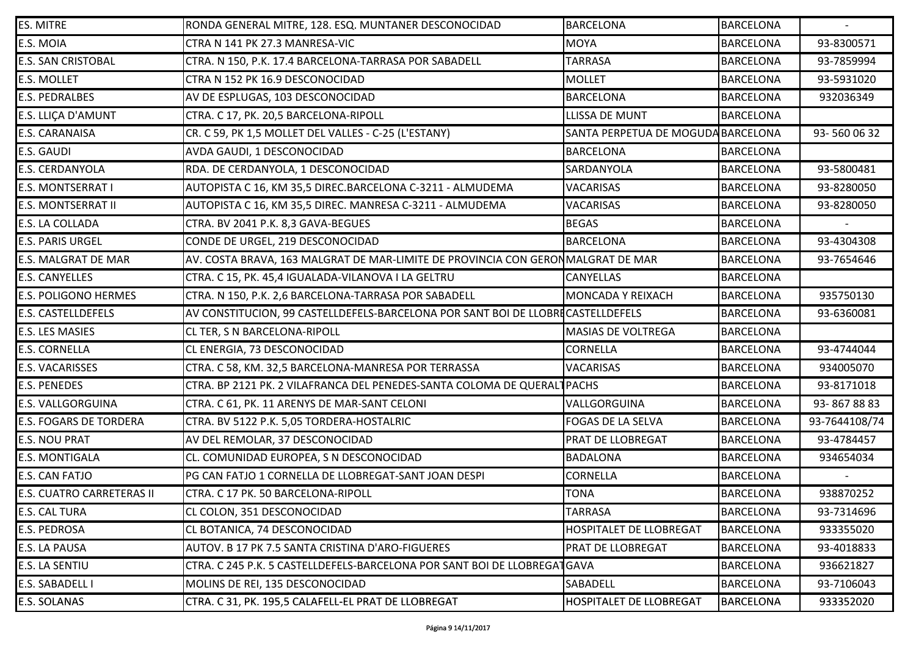| ES. MITRE                     | RONDA GENERAL MITRE, 128. ESQ. MUNTANER DESCONOCIDAD                            | <b>BARCELONA</b>                   | <b>BARCELONA</b> |               |
|-------------------------------|---------------------------------------------------------------------------------|------------------------------------|------------------|---------------|
| E.S. MOIA                     | CTRA N 141 PK 27.3 MANRESA-VIC                                                  | <b>MOYA</b>                        | <b>BARCELONA</b> | 93-8300571    |
| <b>E.S. SAN CRISTOBAL</b>     | CTRA. N 150, P.K. 17.4 BARCELONA-TARRASA POR SABADELL                           | <b>TARRASA</b>                     | <b>BARCELONA</b> | 93-7859994    |
| E.S. MOLLET                   | CTRA N 152 PK 16.9 DESCONOCIDAD                                                 | <b>MOLLET</b>                      | <b>BARCELONA</b> | 93-5931020    |
| <b>E.S. PEDRALBES</b>         | AV DE ESPLUGAS, 103 DESCONOCIDAD                                                | <b>BARCELONA</b>                   | <b>BARCELONA</b> | 932036349     |
| E.S. LLIÇA D'AMUNT            | CTRA. C 17, PK. 20,5 BARCELONA-RIPOLL                                           | <b>LLISSA DE MUNT</b>              | <b>BARCELONA</b> |               |
| E.S. CARANAISA                | CR. C 59, PK 1,5 MOLLET DEL VALLES - C-25 (L'ESTANY)                            | SANTA PERPETUA DE MOGUDA BARCELONA |                  | 93-5600632    |
| E.S. GAUDI                    | AVDA GAUDI, 1 DESCONOCIDAD                                                      | <b>BARCELONA</b>                   | <b>BARCELONA</b> |               |
| E.S. CERDANYOLA               | RDA. DE CERDANYOLA, 1 DESCONOCIDAD                                              | SARDANYOLA                         | <b>BARCELONA</b> | 93-5800481    |
| E.S. MONTSERRAT I             | AUTOPISTA C 16, KM 35,5 DIREC.BARCELONA C-3211 - ALMUDEMA                       | <b>VACARISAS</b>                   | <b>BARCELONA</b> | 93-8280050    |
| E.S. MONTSERRAT II            | AUTOPISTA C 16, KM 35,5 DIREC. MANRESA C-3211 - ALMUDEMA                        | <b>VACARISAS</b>                   | <b>BARCELONA</b> | 93-8280050    |
| E.S. LA COLLADA               | CTRA. BV 2041 P.K. 8,3 GAVA-BEGUES                                              | <b>BEGAS</b>                       | <b>BARCELONA</b> |               |
| <b>E.S. PARIS URGEL</b>       | CONDE DE URGEL, 219 DESCONOCIDAD                                                | <b>BARCELONA</b>                   | <b>BARCELONA</b> | 93-4304308    |
| E.S. MALGRAT DE MAR           | AV. COSTA BRAVA, 163 MALGRAT DE MAR-LIMITE DE PROVINCIA CON GERONMALGRAT DE MAR |                                    | <b>BARCELONA</b> | 93-7654646    |
| <b>E.S. CANYELLES</b>         | CTRA. C 15, PK. 45,4 IGUALADA-VILANOVA I LA GELTRU                              | <b>CANYELLAS</b>                   | <b>BARCELONA</b> |               |
| <b>E.S. POLIGONO HERMES</b>   | CTRA. N 150, P.K. 2,6 BARCELONA-TARRASA POR SABADELL                            | MONCADA Y REIXACH                  | <b>BARCELONA</b> | 935750130     |
| <b>E.S. CASTELLDEFELS</b>     | AV CONSTITUCION, 99 CASTELLDEFELS-BARCELONA POR SANT BOI DE LLOBRECASTELLDEFELS |                                    | <b>BARCELONA</b> | 93-6360081    |
| E.S. LES MASIES               | CL TER, S N BARCELONA-RIPOLL                                                    | <b>MASIAS DE VOLTREGA</b>          | <b>BARCELONA</b> |               |
| <b>E.S. CORNELLA</b>          | CL ENERGIA, 73 DESCONOCIDAD                                                     | <b>CORNELLA</b>                    | <b>BARCELONA</b> | 93-4744044    |
| E.S. VACARISSES               | CTRA. C 58, KM. 32,5 BARCELONA-MANRESA POR TERRASSA                             | <b>VACARISAS</b>                   | <b>BARCELONA</b> | 934005070     |
| <b>E.S. PENEDES</b>           | CTRA. BP 2121 PK. 2 VILAFRANCA DEL PENEDES-SANTA COLOMA DE QUERALT PACHS        |                                    | <b>BARCELONA</b> | 93-8171018    |
| E.S. VALLGORGUINA             | CTRA. C 61, PK. 11 ARENYS DE MAR-SANT CELONI                                    | VALLGORGUINA                       | <b>BARCELONA</b> | 93-8678883    |
| <b>E.S. FOGARS DE TORDERA</b> | CTRA. BV 5122 P.K. 5,05 TORDERA-HOSTALRIC                                       | FOGAS DE LA SELVA                  | <b>BARCELONA</b> | 93-7644108/74 |
| <b>E.S. NOU PRAT</b>          | AV DEL REMOLAR, 37 DESCONOCIDAD                                                 | <b>PRAT DE LLOBREGAT</b>           | <b>BARCELONA</b> | 93-4784457    |
| E.S. MONTIGALA                | CL. COMUNIDAD EUROPEA, S N DESCONOCIDAD                                         | <b>BADALONA</b>                    | <b>BARCELONA</b> | 934654034     |
| E.S. CAN FATJO                | PG CAN FATJO 1 CORNELLA DE LLOBREGAT-SANT JOAN DESPI                            | <b>CORNELLA</b>                    | <b>BARCELONA</b> |               |
| E.S. CUATRO CARRETERAS II     | CTRA. C 17 PK. 50 BARCELONA-RIPOLL                                              | <b>TONA</b>                        | <b>BARCELONA</b> | 938870252     |
| E.S. CAL TURA                 | CL COLON, 351 DESCONOCIDAD                                                      | <b>TARRASA</b>                     | <b>BARCELONA</b> | 93-7314696    |
| E.S. PEDROSA                  | CL BOTANICA, 74 DESCONOCIDAD                                                    | HOSPITALET DE LLOBREGAT            | <b>BARCELONA</b> | 933355020     |
| E.S. LA PAUSA                 | AUTOV. B 17 PK 7.5 SANTA CRISTINA D'ARO-FIGUERES                                | <b>PRAT DE LLOBREGAT</b>           | <b>BARCELONA</b> | 93-4018833    |
| E.S. LA SENTIU                | CTRA. C 245 P.K. 5 CASTELLDEFELS-BARCELONA POR SANT BOI DE LLOBREGATGAVA        |                                    | <b>BARCELONA</b> | 936621827     |
| E.S. SABADELL I               | MOLINS DE REI, 135 DESCONOCIDAD                                                 | SABADELL                           | <b>BARCELONA</b> | 93-7106043    |
| E.S. SOLANAS                  | CTRA. C 31, PK. 195,5 CALAFELL-EL PRAT DE LLOBREGAT                             | HOSPITALET DE LLOBREGAT            | <b>BARCELONA</b> | 933352020     |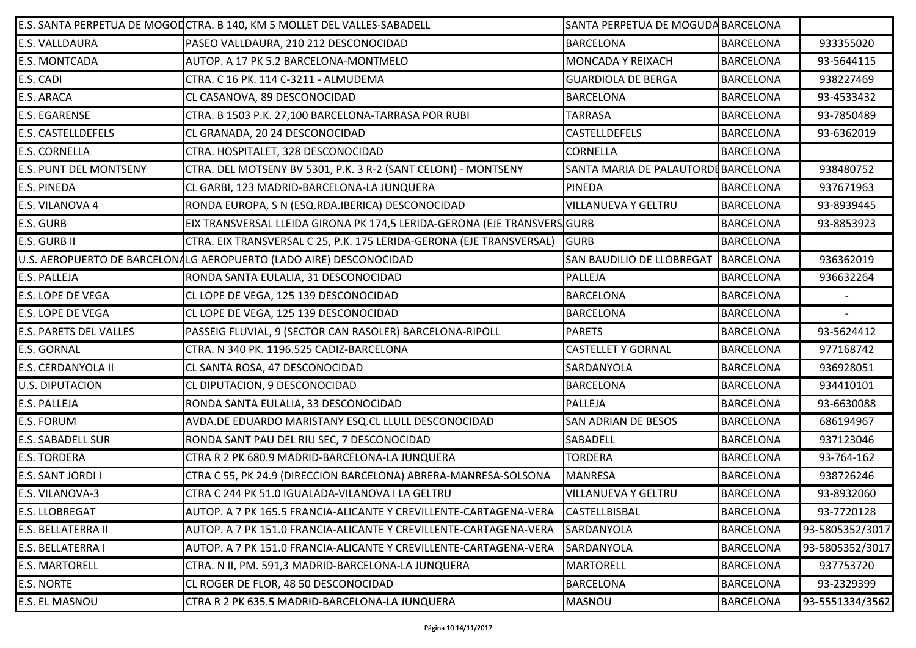|                               | E.S. SANTA PERPETUA DE MOGOLCTRA. B 140, KM 5 MOLLET DEL VALLES-SABADELL | SANTA PERPETUA DE MOGUDA BARCELONA  |                  |                 |
|-------------------------------|--------------------------------------------------------------------------|-------------------------------------|------------------|-----------------|
| E.S. VALLDAURA                | PASEO VALLDAURA, 210 212 DESCONOCIDAD                                    | <b>BARCELONA</b>                    | <b>BARCELONA</b> | 933355020       |
| <b>E.S. MONTCADA</b>          | AUTOP. A 17 PK 5.2 BARCELONA-MONTMELO                                    | MONCADA Y REIXACH                   | <b>BARCELONA</b> | 93-5644115      |
| E.S. CADI                     | CTRA. C 16 PK. 114 C-3211 - ALMUDEMA                                     | <b>GUARDIOLA DE BERGA</b>           | <b>BARCELONA</b> | 938227469       |
| E.S. ARACA                    | CL CASANOVA, 89 DESCONOCIDAD                                             | <b>BARCELONA</b>                    | <b>BARCELONA</b> | 93-4533432      |
| <b>E.S. EGARENSE</b>          | CTRA. B 1503 P.K. 27,100 BARCELONA-TARRASA POR RUBI                      | <b>TARRASA</b>                      | <b>BARCELONA</b> | 93-7850489      |
| <b>E.S. CASTELLDEFELS</b>     | CL GRANADA, 20 24 DESCONOCIDAD                                           | CASTELLDEFELS                       | <b>BARCELONA</b> | 93-6362019      |
| <b>E.S. CORNELLA</b>          | CTRA. HOSPITALET, 328 DESCONOCIDAD                                       | <b>CORNELLA</b>                     | <b>BARCELONA</b> |                 |
| <b>E.S. PUNT DEL MONTSENY</b> | CTRA. DEL MOTSENY BV 5301, P.K. 3 R-2 (SANT CELONI) - MONTSENY           | SANTA MARIA DE PALAUTORDE BARCELONA |                  | 938480752       |
| E.S. PINEDA                   | CL GARBI, 123 MADRID-BARCELONA-LA JUNQUERA                               | PINEDA                              | <b>BARCELONA</b> | 937671963       |
| E.S. VILANOVA 4               | RONDA EUROPA, S N (ESQ.RDA.IBERICA) DESCONOCIDAD                         | VILLANUEVA Y GELTRU                 | <b>BARCELONA</b> | 93-8939445      |
| E.S. GURB                     | EIX TRANSVERSAL LLEIDA GIRONA PK 174,5 LERIDA-GERONA (EJE TRANSVERSIGURB |                                     | <b>BARCELONA</b> | 93-8853923      |
| E.S. GURB II                  | CTRA. EIX TRANSVERSAL C 25, P.K. 175 LERIDA-GERONA (EJE TRANSVERSAL)     | <b>GURB</b>                         | <b>BARCELONA</b> |                 |
|                               | U.S. AEROPUERTO DE BARCELONALG AEROPUERTO (LADO AIRE) DESCONOCIDAD       | SAN BAUDILIO DE LLOBREGAT           | BARCELONA        | 936362019       |
| E.S. PALLEJA                  | RONDA SANTA EULALIA, 31 DESCONOCIDAD                                     | PALLEJA                             | <b>BARCELONA</b> | 936632264       |
| E.S. LOPE DE VEGA             | CL LOPE DE VEGA, 125 139 DESCONOCIDAD                                    | <b>BARCELONA</b>                    | <b>BARCELONA</b> |                 |
| E.S. LOPE DE VEGA             | CL LOPE DE VEGA, 125 139 DESCONOCIDAD                                    | <b>BARCELONA</b>                    | <b>BARCELONA</b> |                 |
| <b>E.S. PARETS DEL VALLES</b> | PASSEIG FLUVIAL, 9 (SECTOR CAN RASOLER) BARCELONA-RIPOLL                 | <b>PARETS</b>                       | <b>BARCELONA</b> | 93-5624412      |
| <b>E.S. GORNAL</b>            | CTRA. N 340 PK. 1196.525 CADIZ-BARCELONA                                 | <b>CASTELLET Y GORNAL</b>           | <b>BARCELONA</b> | 977168742       |
| E.S. CERDANYOLA II            | CL SANTA ROSA, 47 DESCONOCIDAD                                           | SARDANYOLA                          | <b>BARCELONA</b> | 936928051       |
| <b>U.S. DIPUTACION</b>        | CL DIPUTACION, 9 DESCONOCIDAD                                            | <b>BARCELONA</b>                    | <b>BARCELONA</b> | 934410101       |
| E.S. PALLEJA                  | RONDA SANTA EULALIA, 33 DESCONOCIDAD                                     | PALLEJA                             | <b>BARCELONA</b> | 93-6630088      |
| E.S. FORUM                    | AVDA.DE EDUARDO MARISTANY ESQ.CL LLULL DESCONOCIDAD                      | SAN ADRIAN DE BESOS                 | <b>BARCELONA</b> | 686194967       |
| E.S. SABADELL SUR             | RONDA SANT PAU DEL RIU SEC, 7 DESCONOCIDAD                               | SABADELL                            | <b>BARCELONA</b> | 937123046       |
| <b>E.S. TORDERA</b>           | CTRA R 2 PK 680.9 MADRID-BARCELONA-LA JUNQUERA                           | <b>TORDERA</b>                      | <b>BARCELONA</b> | 93-764-162      |
| E.S. SANT JORDI I             | CTRA C 55, PK 24.9 (DIRECCION BARCELONA) ABRERA-MANRESA-SOLSONA          | <b>MANRESA</b>                      | <b>BARCELONA</b> | 938726246       |
| E.S. VILANOVA-3               | CTRA C 244 PK 51.0 IGUALADA-VILANOVA I LA GELTRU                         | <b>VILLANUEVA Y GELTRU</b>          | <b>BARCELONA</b> | 93-8932060      |
| E.S. LLOBREGAT                | AUTOP. A 7 PK 165.5 FRANCIA-ALICANTE Y CREVILLENTE-CARTAGENA-VERA        | <b>CASTELLBISBAL</b>                | <b>BARCELONA</b> | 93-7720128      |
| E.S. BELLATERRA II            | AUTOP. A 7 PK 151.0 FRANCIA-ALICANTE Y CREVILLENTE-CARTAGENA-VERA        | SARDANYOLA                          | <b>BARCELONA</b> | 93-5805352/3017 |
| E.S. BELLATERRA I             | AUTOP. A 7 PK 151.0 FRANCIA-ALICANTE Y CREVILLENTE-CARTAGENA-VERA        | SARDANYOLA                          | <b>BARCELONA</b> | 93-5805352/3017 |
| <b>E.S. MARTORELL</b>         | CTRA. N II, PM. 591,3 MADRID-BARCELONA-LA JUNQUERA                       | <b>MARTORELL</b>                    | <b>BARCELONA</b> | 937753720       |
| E.S. NORTE                    | CL ROGER DE FLOR, 48 50 DESCONOCIDAD                                     | <b>BARCELONA</b>                    | <b>BARCELONA</b> | 93-2329399      |
| E.S. EL MASNOU                | CTRA R 2 PK 635.5 MADRID-BARCELONA-LA JUNQUERA                           | <b>MASNOU</b>                       | <b>BARCELONA</b> | 93-5551334/3562 |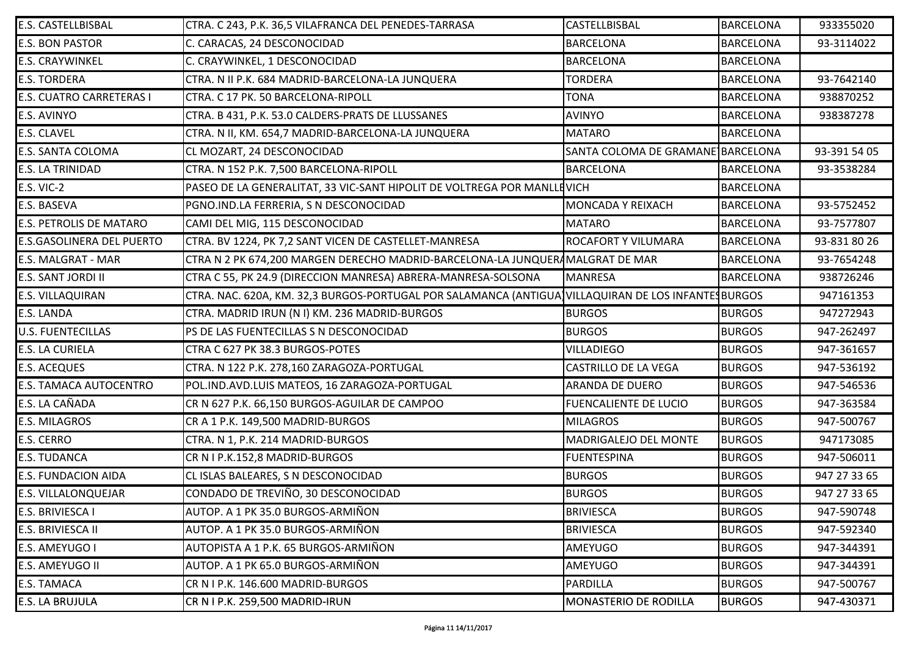| E.S. CASTELLBISBAL               | CTRA. C 243, P.K. 36,5 VILAFRANCA DEL PENEDES-TARRASA                                              | CASTELLBISBAL                     | <b>BARCELONA</b> | 933355020    |
|----------------------------------|----------------------------------------------------------------------------------------------------|-----------------------------------|------------------|--------------|
| <b>E.S. BON PASTOR</b>           | C. CARACAS, 24 DESCONOCIDAD                                                                        | <b>BARCELONA</b>                  | <b>BARCELONA</b> | 93-3114022   |
| <b>E.S. CRAYWINKEL</b>           | C. CRAYWINKEL, 1 DESCONOCIDAD                                                                      | <b>BARCELONA</b>                  | <b>BARCELONA</b> |              |
| <b>E.S. TORDERA</b>              | CTRA. N II P.K. 684 MADRID-BARCELONA-LA JUNQUERA                                                   | <b>TORDERA</b>                    | <b>BARCELONA</b> | 93-7642140   |
| <b>E.S. CUATRO CARRETERAS I</b>  | CTRA. C 17 PK. 50 BARCELONA-RIPOLL                                                                 | <b>TONA</b>                       | <b>BARCELONA</b> | 938870252    |
| E.S. AVINYO                      | CTRA. B 431, P.K. 53.0 CALDERS-PRATS DE LLUSSANES                                                  | <b>AVINYO</b>                     | <b>BARCELONA</b> | 938387278    |
| <b>E.S. CLAVEL</b>               | CTRA. N II, KM. 654,7 MADRID-BARCELONA-LA JUNQUERA                                                 | <b>MATARO</b>                     | <b>BARCELONA</b> |              |
| <b>E.S. SANTA COLOMA</b>         | CL MOZART, 24 DESCONOCIDAD                                                                         | SANTA COLOMA DE GRAMANE BARCELONA |                  | 93-391 54 05 |
| <b>E.S. LA TRINIDAD</b>          | CTRA. N 152 P.K. 7,500 BARCELONA-RIPOLL                                                            | <b>BARCELONA</b>                  | <b>BARCELONA</b> | 93-3538284   |
| <b>E.S. VIC-2</b>                | PASEO DE LA GENERALITAT, 33 VIC-SANT HIPOLIT DE VOLTREGA POR MANLLEVICH                            |                                   | <b>BARCELONA</b> |              |
| E.S. BASEVA                      | PGNO.IND.LA FERRERIA, S N DESCONOCIDAD                                                             | MONCADA Y REIXACH                 | <b>BARCELONA</b> | 93-5752452   |
| <b>E.S. PETROLIS DE MATARO</b>   | CAMI DEL MIG, 115 DESCONOCIDAD                                                                     | <b>MATARO</b>                     | <b>BARCELONA</b> | 93-7577807   |
| <b>E.S.GASOLINERA DEL PUERTO</b> | CTRA. BV 1224, PK 7,2 SANT VICEN DE CASTELLET-MANRESA                                              | ROCAFORT Y VILUMARA               | <b>BARCELONA</b> | 93-831 80 26 |
| <b>E.S. MALGRAT - MAR</b>        | CTRA N 2 PK 674,200 MARGEN DERECHO MADRID-BARCELONA-LA JUNQUERAMALGRAT DE MAR                      |                                   | <b>BARCELONA</b> | 93-7654248   |
| <b>E.S. SANT JORDI II</b>        | CTRA C 55, PK 24.9 (DIRECCION MANRESA) ABRERA-MANRESA-SOLSONA                                      | <b>MANRESA</b>                    | <b>BARCELONA</b> | 938726246    |
| <b>E.S. VILLAQUIRAN</b>          | CTRA. NAC. 620A, KM. 32,3 BURGOS-PORTUGAL POR SALAMANCA (ANTIGUA)VILLAQUIRAN DE LOS INFANTESBURGOS |                                   |                  | 947161353    |
| <b>E.S. LANDA</b>                | CTRA. MADRID IRUN (N I) KM. 236 MADRID-BURGOS                                                      | <b>BURGOS</b>                     | <b>BURGOS</b>    | 947272943    |
| <b>U.S. FUENTECILLAS</b>         | PS DE LAS FUENTECILLAS S N DESCONOCIDAD                                                            | <b>BURGOS</b>                     | <b>BURGOS</b>    | 947-262497   |
| <b>E.S. LA CURIELA</b>           | CTRA C 627 PK 38.3 BURGOS-POTES                                                                    | <b>VILLADIEGO</b>                 | <b>BURGOS</b>    | 947-361657   |
| <b>E.S. ACEQUES</b>              | CTRA. N 122 P.K. 278,160 ZARAGOZA-PORTUGAL                                                         | <b>CASTRILLO DE LA VEGA</b>       | <b>BURGOS</b>    | 947-536192   |
| <b>E.S. TAMACA AUTOCENTRO</b>    | POL.IND.AVD.LUIS MATEOS, 16 ZARAGOZA-PORTUGAL                                                      | ARANDA DE DUERO                   | <b>BURGOS</b>    | 947-546536   |
| E.S. LA CAÑADA                   | CR N 627 P.K. 66,150 BURGOS-AGUILAR DE CAMPOO                                                      | <b>FUENCALIENTE DE LUCIO</b>      | <b>BURGOS</b>    | 947-363584   |
| <b>E.S. MILAGROS</b>             | CR A 1 P.K. 149,500 MADRID-BURGOS                                                                  | <b>MILAGROS</b>                   | <b>BURGOS</b>    | 947-500767   |
| <b>E.S. CERRO</b>                | CTRA. N 1, P.K. 214 MADRID-BURGOS                                                                  | MADRIGALEJO DEL MONTE             | <b>BURGOS</b>    | 947173085    |
| <b>E.S. TUDANCA</b>              | CR N I P.K.152,8 MADRID-BURGOS                                                                     | <b>FUENTESPINA</b>                | <b>BURGOS</b>    | 947-506011   |
| <b>E.S. FUNDACION AIDA</b>       | CL ISLAS BALEARES, S N DESCONOCIDAD                                                                | <b>BURGOS</b>                     | <b>BURGOS</b>    | 947 27 33 65 |
| <b>E.S. VILLALONQUEJAR</b>       | CONDADO DE TREVIÑO, 30 DESCONOCIDAD                                                                | <b>BURGOS</b>                     | <b>BURGOS</b>    | 947 27 33 65 |
| E.S. BRIVIESCA I                 | AUTOP. A 1 PK 35.0 BURGOS-ARMIÑON                                                                  | <b>BRIVIESCA</b>                  | <b>BURGOS</b>    | 947-590748   |
| E.S. BRIVIESCA II                | AUTOP. A 1 PK 35.0 BURGOS-ARMIÑON                                                                  | <b>BRIVIESCA</b>                  | <b>BURGOS</b>    | 947-592340   |
| E.S. AMEYUGO I                   | AUTOPISTA A 1 P.K. 65 BURGOS-ARMIÑON                                                               | AMEYUGO                           | <b>BURGOS</b>    | 947-344391   |
| E.S. AMEYUGO II                  | AUTOP. A 1 PK 65.0 BURGOS-ARMIÑON                                                                  | <b>AMEYUGO</b>                    | <b>BURGOS</b>    | 947-344391   |
| <b>E.S. TAMACA</b>               | CR N I P.K. 146.600 MADRID-BURGOS                                                                  | <b>PARDILLA</b>                   | <b>BURGOS</b>    | 947-500767   |
| <b>E.S. LA BRUJULA</b>           | CR N I P.K. 259,500 MADRID-IRUN                                                                    | MONASTERIO DE RODILLA             | <b>BURGOS</b>    | 947-430371   |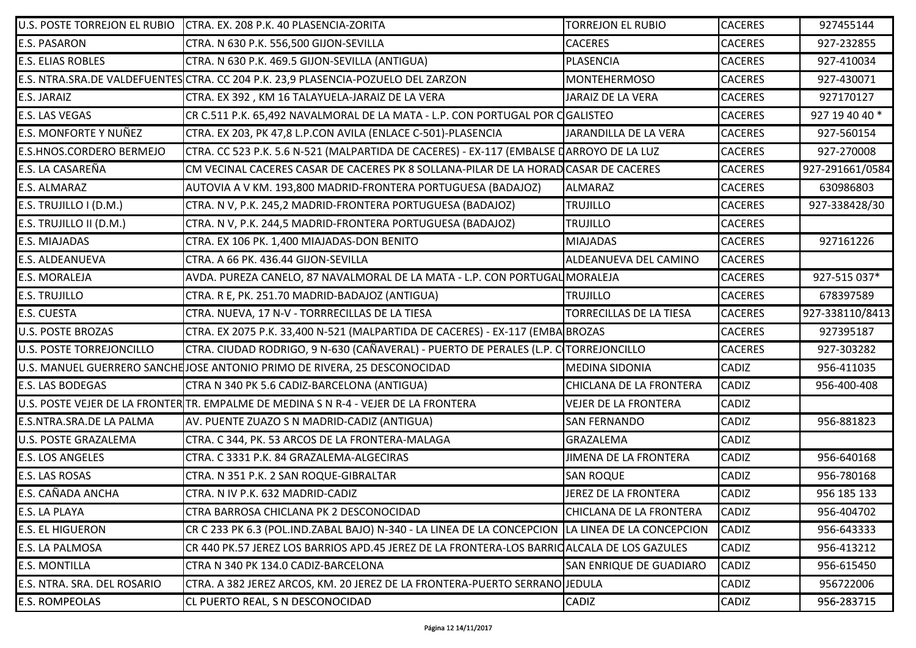| U.S. POSTE TORREJON EL RUBIO    | CTRA. EX. 208 P.K. 40 PLASENCIA-ZORITA                                                      | <b>TORREJON EL RUBIO</b>       | <b>CACERES</b> | 927455144       |
|---------------------------------|---------------------------------------------------------------------------------------------|--------------------------------|----------------|-----------------|
| <b>E.S. PASARON</b>             | CTRA. N 630 P.K. 556,500 GIJON-SEVILLA                                                      | <b>CACERES</b>                 | <b>CACERES</b> | 927-232855      |
| <b>E.S. ELIAS ROBLES</b>        | CTRA. N 630 P.K. 469.5 GIJON-SEVILLA (ANTIGUA)                                              | PLASENCIA                      | <b>CACERES</b> | 927-410034      |
|                                 | E.S. NTRA.SRA.DE VALDEFUENTES CTRA. CC 204 P.K. 23,9 PLASENCIA-POZUELO DEL ZARZON           | <b>MONTEHERMOSO</b>            | <b>CACERES</b> | 927-430071      |
| <b>E.S. JARAIZ</b>              | CTRA. EX 392, KM 16 TALAYUELA-JARAIZ DE LA VERA                                             | <b>JARAIZ DE LA VERA</b>       | <b>CACERES</b> | 927170127       |
| <b>E.S. LAS VEGAS</b>           | CR C.511 P.K. 65,492 NAVALMORAL DE LA MATA - L.P. CON PORTUGAL POR CGALISTEO                |                                | <b>CACERES</b> | 927 19 40 40 *  |
| <b>E.S. MONFORTE Y NUÑEZ</b>    | CTRA. EX 203, PK 47,8 L.P.CON AVILA (ENLACE C-501)-PLASENCIA                                | JARANDILLA DE LA VERA          | <b>CACERES</b> | 927-560154      |
| <b>E.S.HNOS.CORDERO BERMEJO</b> | CTRA. CC 523 P.K. 5.6 N-521 (MALPARTIDA DE CACERES) - EX-117 (EMBALSE DARROYO DE LA LUZ     |                                | <b>CACERES</b> | 927-270008      |
| E.S. LA CASAREÑA                | CM VECINAL CACERES CASAR DE CACERES PK 8 SOLLANA-PILAR DE LA HORAD CASAR DE CACERES         |                                | <b>CACERES</b> | 927-291661/0584 |
| <b>E.S. ALMARAZ</b>             | AUTOVIA A V KM. 193,800 MADRID-FRONTERA PORTUGUESA (BADAJOZ)                                | <b>ALMARAZ</b>                 | <b>CACERES</b> | 630986803       |
| E.S. TRUJILLO I (D.M.)          | CTRA. N V, P.K. 245,2 MADRID-FRONTERA PORTUGUESA (BADAJOZ)                                  | <b>TRUJILLO</b>                | <b>CACERES</b> | 927-338428/30   |
| E.S. TRUJILLO II (D.M.)         | CTRA. N V, P.K. 244,5 MADRID-FRONTERA PORTUGUESA (BADAJOZ)                                  | <b>TRUJILLO</b>                | <b>CACERES</b> |                 |
| <b>E.S. MIAJADAS</b>            | CTRA. EX 106 PK. 1,400 MIAJADAS-DON BENITO                                                  | <b>MIAJADAS</b>                | <b>CACERES</b> | 927161226       |
| <b>E.S. ALDEANUEVA</b>          | CTRA. A 66 PK. 436.44 GIJON-SEVILLA                                                         | ALDEANUEVA DEL CAMINO          | <b>CACERES</b> |                 |
| <b>E.S. MORALEJA</b>            | AVDA. PUREZA CANELO, 87 NAVALMORAL DE LA MATA - L.P. CON PORTUGAL MORALEJA                  |                                | <b>CACERES</b> | 927-515 037*    |
| <b>E.S. TRUJILLO</b>            | CTRA. R E, PK. 251.70 MADRID-BADAJOZ (ANTIGUA)                                              | <b>TRUJILLO</b>                | <b>CACERES</b> | 678397589       |
| <b>E.S. CUESTA</b>              | CTRA. NUEVA, 17 N-V - TORRRECILLAS DE LA TIESA                                              | <b>TORRECILLAS DE LA TIESA</b> | <b>CACERES</b> | 927-338110/8413 |
| <b>U.S. POSTE BROZAS</b>        | CTRA. EX 2075 P.K. 33,400 N-521 (MALPARTIDA DE CACERES) - EX-117 (EMBA BROZAS               |                                | <b>CACERES</b> | 927395187       |
| <b>U.S. POSTE TORREJONCILLO</b> | CTRA. CIUDAD RODRIGO, 9 N-630 (CAÑAVERAL) - PUERTO DE PERALES (L.P. CTORREJONCILLO          |                                | <b>CACERES</b> | 927-303282      |
|                                 | U.S. MANUEL GUERRERO SANCHE JOSE ANTONIO PRIMO DE RIVERA, 25 DESCONOCIDAD                   | <b>MEDINA SIDONIA</b>          | <b>CADIZ</b>   | 956-411035      |
| <b>E.S. LAS BODEGAS</b>         | CTRA N 340 PK 5.6 CADIZ-BARCELONA (ANTIGUA)                                                 | CHICLANA DE LA FRONTERA        | <b>CADIZ</b>   | 956-400-408     |
|                                 | U.S. POSTE VEJER DE LA FRONTER TR. EMPALME DE MEDINA S N R-4 - VEJER DE LA FRONTERA         | <b>VEJER DE LA FRONTERA</b>    | <b>CADIZ</b>   |                 |
| <b>E.S.NTRA.SRA.DE LA PALMA</b> | AV. PUENTE ZUAZO S N MADRID-CADIZ (ANTIGUA)                                                 | <b>SAN FERNANDO</b>            | <b>CADIZ</b>   | 956-881823      |
| <b>U.S. POSTE GRAZALEMA</b>     | CTRA. C 344, PK. 53 ARCOS DE LA FRONTERA-MALAGA                                             | GRAZALEMA                      | <b>CADIZ</b>   |                 |
| <b>E.S. LOS ANGELES</b>         | CTRA. C 3331 P.K. 84 GRAZALEMA-ALGECIRAS                                                    | <b>JIMENA DE LA FRONTERA</b>   | <b>CADIZ</b>   | 956-640168      |
| <b>E.S. LAS ROSAS</b>           | CTRA. N 351 P.K. 2 SAN ROQUE-GIBRALTAR                                                      | <b>SAN ROQUE</b>               | <b>CADIZ</b>   | 956-780168      |
| <b>E.S. CAÑADA ANCHA</b>        | CTRA. N IV P.K. 632 MADRID-CADIZ                                                            | JEREZ DE LA FRONTERA           | <b>CADIZ</b>   | 956 185 133     |
| <b>E.S. LA PLAYA</b>            | CTRA BARROSA CHICLANA PK 2 DESCONOCIDAD                                                     | CHICLANA DE LA FRONTERA        | <b>CADIZ</b>   | 956-404702      |
| <b>E.S. EL HIGUERON</b>         | CR C 233 PK 6.3 (POL.IND.ZABAL BAJO) N-340 - LA LINEA DE LA CONCEPCION                      | LA LINEA DE LA CONCEPCION      | <b>CADIZ</b>   | 956-643333      |
| <b>E.S. LA PALMOSA</b>          | CR 440 PK.57 JEREZ LOS BARRIOS APD.45 JEREZ DE LA FRONTERA-LOS BARRIO ALCALA DE LOS GAZULES |                                | <b>CADIZ</b>   | 956-413212      |
| <b>E.S. MONTILLA</b>            | CTRA N 340 PK 134.0 CADIZ-BARCELONA                                                         | SAN ENRIQUE DE GUADIARO        | <b>CADIZ</b>   | 956-615450      |
| E.S. NTRA. SRA. DEL ROSARIO     | CTRA. A 382 JEREZ ARCOS, KM. 20 JEREZ DE LA FRONTERA-PUERTO SERRANO JEDULA                  |                                | <b>CADIZ</b>   | 956722006       |
| <b>E.S. ROMPEOLAS</b>           | CL PUERTO REAL, S N DESCONOCIDAD                                                            | CADIZ                          | <b>CADIZ</b>   | 956-283715      |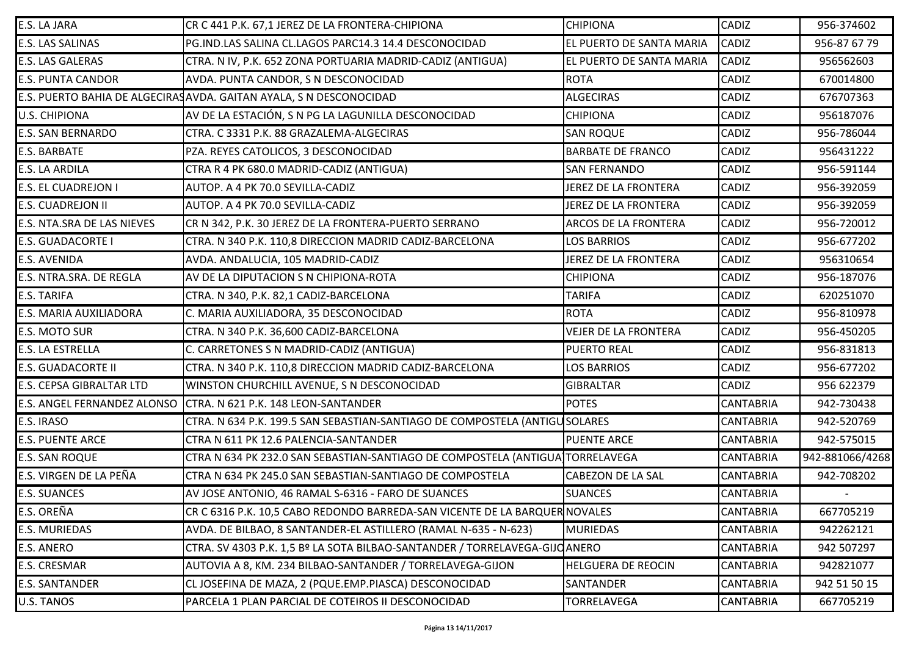| E.S. LA JARA                       | CR C 441 P.K. 67,1 JEREZ DE LA FRONTERA-CHIPIONA                              | <b>CHIPIONA</b>             | <b>CADIZ</b>     | 956-374602      |
|------------------------------------|-------------------------------------------------------------------------------|-----------------------------|------------------|-----------------|
| <b>E.S. LAS SALINAS</b>            | PG.IND.LAS SALINA CL.LAGOS PARC14.3 14.4 DESCONOCIDAD                         | EL PUERTO DE SANTA MARIA    | CADIZ            | 956-87 67 79    |
| <b>E.S. LAS GALERAS</b>            | CTRA. N IV, P.K. 652 ZONA PORTUARIA MADRID-CADIZ (ANTIGUA)                    | EL PUERTO DE SANTA MARIA    | <b>CADIZ</b>     | 956562603       |
| <b>E.S. PUNTA CANDOR</b>           | AVDA. PUNTA CANDOR, S N DESCONOCIDAD                                          | <b>ROTA</b>                 | CADIZ            | 670014800       |
|                                    | E.S. PUERTO BAHIA DE ALGECIRAS AVDA. GAITAN AYALA, S N DESCONOCIDAD           | <b>ALGECIRAS</b>            | <b>CADIZ</b>     | 676707363       |
| <b>U.S. CHIPIONA</b>               | AV DE LA ESTACIÓN, S N PG LA LAGUNILLA DESCONOCIDAD                           | <b>CHIPIONA</b>             | CADIZ            | 956187076       |
| <b>E.S. SAN BERNARDO</b>           | CTRA. C 3331 P.K. 88 GRAZALEMA-ALGECIRAS                                      | <b>SAN ROQUE</b>            | <b>CADIZ</b>     | 956-786044      |
| <b>E.S. BARBATE</b>                | PZA. REYES CATOLICOS, 3 DESCONOCIDAD                                          | <b>BARBATE DE FRANCO</b>    | CADIZ            | 956431222       |
| <b>E.S. LA ARDILA</b>              | CTRA R 4 PK 680.0 MADRID-CADIZ (ANTIGUA)                                      | <b>SAN FERNANDO</b>         | <b>CADIZ</b>     | 956-591144      |
| <b>E.S. EL CUADREJON I</b>         | AUTOP. A 4 PK 70.0 SEVILLA-CADIZ                                              | JEREZ DE LA FRONTERA        | CADIZ            | 956-392059      |
| <b>E.S. CUADREJON II</b>           | AUTOP. A 4 PK 70.0 SEVILLA-CADIZ                                              | JEREZ DE LA FRONTERA        | <b>CADIZ</b>     | 956-392059      |
| E.S. NTA.SRA DE LAS NIEVES         | CR N 342, P.K. 30 JEREZ DE LA FRONTERA-PUERTO SERRANO                         | <b>ARCOS DE LA FRONTERA</b> | <b>CADIZ</b>     | 956-720012      |
| <b>E.S. GUADACORTE I</b>           | CTRA. N 340 P.K. 110,8 DIRECCION MADRID CADIZ-BARCELONA                       | <b>LOS BARRIOS</b>          | <b>CADIZ</b>     | 956-677202      |
| <b>E.S. AVENIDA</b>                | AVDA. ANDALUCIA, 105 MADRID-CADIZ                                             | JEREZ DE LA FRONTERA        | <b>CADIZ</b>     | 956310654       |
| <b>E.S. NTRA.SRA. DE REGLA</b>     | AV DE LA DIPUTACION S N CHIPIONA-ROTA                                         | <b>CHIPIONA</b>             | <b>CADIZ</b>     | 956-187076      |
| <b>E.S. TARIFA</b>                 | CTRA. N 340, P.K. 82,1 CADIZ-BARCELONA                                        | <b>TARIFA</b>               | CADIZ            | 620251070       |
| E.S. MARIA AUXILIADORA             | C. MARIA AUXILIADORA, 35 DESCONOCIDAD                                         | <b>ROTA</b>                 | <b>CADIZ</b>     | 956-810978      |
| <b>E.S. MOTO SUR</b>               | CTRA. N 340 P.K. 36,600 CADIZ-BARCELONA                                       | <b>VEJER DE LA FRONTERA</b> | CADIZ            | 956-450205      |
| <b>E.S. LA ESTRELLA</b>            | C. CARRETONES S N MADRID-CADIZ (ANTIGUA)                                      | <b>PUERTO REAL</b>          | CADIZ            | 956-831813      |
| <b>E.S. GUADACORTE II</b>          | CTRA. N 340 P.K. 110,8 DIRECCION MADRID CADIZ-BARCELONA                       | LOS BARRIOS                 | <b>CADIZ</b>     | 956-677202      |
| <b>E.S. CEPSA GIBRALTAR LTD</b>    | WINSTON CHURCHILL AVENUE, S N DESCONOCIDAD                                    | <b>GIBRALTAR</b>            | CADIZ            | 956 622379      |
| <b>E.S. ANGEL FERNANDEZ ALONSO</b> | CTRA. N 621 P.K. 148 LEON-SANTANDER                                           | <b>POTES</b>                | <b>CANTABRIA</b> | 942-730438      |
| <b>E.S. IRASO</b>                  | CTRA. N 634 P.K. 199.5 SAN SEBASTIAN-SANTIAGO DE COMPOSTELA (ANTIGUSOLARES    |                             | <b>CANTABRIA</b> | 942-520769      |
| <b>E.S. PUENTE ARCE</b>            | CTRA N 611 PK 12.6 PALENCIA-SANTANDER                                         | <b>PUENTE ARCE</b>          | <b>CANTABRIA</b> | 942-575015      |
| <b>E.S. SAN ROQUE</b>              | CTRA N 634 PK 232.0 SAN SEBASTIAN-SANTIAGO DE COMPOSTELA (ANTIGUA]TORRELAVEGA |                             | <b>CANTABRIA</b> | 942-881066/4268 |
| E.S. VIRGEN DE LA PEÑA             | CTRA N 634 PK 245.0 SAN SEBASTIAN-SANTIAGO DE COMPOSTELA                      | <b>CABEZON DE LA SAL</b>    | <b>CANTABRIA</b> | 942-708202      |
| <b>E.S. SUANCES</b>                | AV JOSE ANTONIO, 46 RAMAL S-6316 - FARO DE SUANCES                            | <b>SUANCES</b>              | <b>CANTABRIA</b> |                 |
| E.S. OREÑA                         | CR C 6316 P.K. 10,5 CABO REDONDO BARREDA-SAN VICENTE DE LA BARQUER NOVALES    |                             | <b>CANTABRIA</b> | 667705219       |
| <b>E.S. MURIEDAS</b>               | AVDA. DE BILBAO, 8 SANTANDER-EL ASTILLERO (RAMAL N-635 - N-623)               | <b>MURIEDAS</b>             | <b>CANTABRIA</b> | 942262121       |
| <b>E.S. ANERO</b>                  | CTRA. SV 4303 P.K. 1,5 Bº LA SOTA BILBAO-SANTANDER / TORRELAVEGA-GIJQANERO    |                             | <b>CANTABRIA</b> | 942 507297      |
| <b>E.S. CRESMAR</b>                | AUTOVIA A 8, KM. 234 BILBAO-SANTANDER / TORRELAVEGA-GIJON                     | <b>HELGUERA DE REOCIN</b>   | <b>CANTABRIA</b> | 942821077       |
| <b>E.S. SANTANDER</b>              | CL JOSEFINA DE MAZA, 2 (PQUE.EMP.PIASCA) DESCONOCIDAD                         | <b>SANTANDER</b>            | <b>CANTABRIA</b> | 942 51 50 15    |
| U.S. TANOS                         | PARCELA 1 PLAN PARCIAL DE COTEIROS II DESCONOCIDAD                            | TORRELAVEGA                 | <b>CANTABRIA</b> | 667705219       |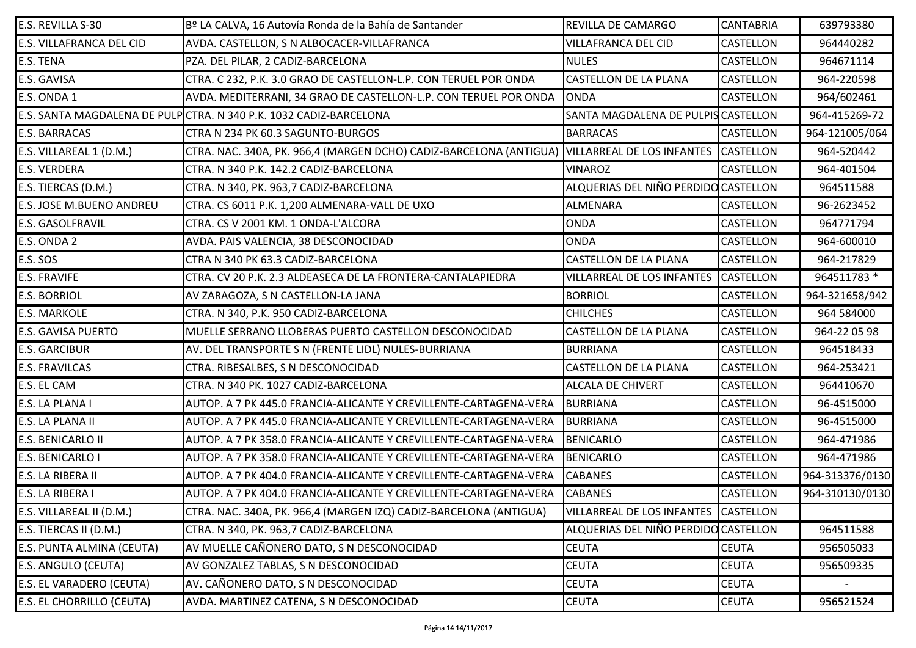| E.S. REVILLA S-30                | Bº LA CALVA, 16 Autovía Ronda de la Bahía de Santander                                        | REVILLA DE CAMARGO                   | <b>CANTABRIA</b> | 639793380       |
|----------------------------------|-----------------------------------------------------------------------------------------------|--------------------------------------|------------------|-----------------|
| <b>E.S. VILLAFRANCA DEL CID</b>  | AVDA. CASTELLON, S N ALBOCACER-VILLAFRANCA                                                    | <b>VILLAFRANCA DEL CID</b>           | <b>CASTELLON</b> | 964440282       |
| E.S. TENA                        | PZA. DEL PILAR, 2 CADIZ-BARCELONA                                                             | <b>NULES</b>                         | <b>CASTELLON</b> | 964671114       |
| E.S. GAVISA                      | CTRA. C 232, P.K. 3.0 GRAO DE CASTELLON-L.P. CON TERUEL POR ONDA                              | <b>CASTELLON DE LA PLANA</b>         | <b>CASTELLON</b> | 964-220598      |
| E.S. ONDA 1                      | AVDA. MEDITERRANI, 34 GRAO DE CASTELLON-L.P. CON TERUEL POR ONDA                              | <b>ONDA</b>                          | <b>CASTELLON</b> | 964/602461      |
|                                  | E.S. SANTA MAGDALENA DE PULP CTRA. N 340 P.K. 1032 CADIZ-BARCELONA                            | SANTA MAGDALENA DE PULPIS CASTELLON  |                  | 964-415269-72   |
| <b>E.S. BARRACAS</b>             | CTRA N 234 PK 60.3 SAGUNTO-BURGOS                                                             | <b>BARRACAS</b>                      | <b>CASTELLON</b> | 964-121005/064  |
| E.S. VILLAREAL 1 (D.M.)          | CTRA. NAC. 340A, PK. 966,4 (MARGEN DCHO) CADIZ-BARCELONA (ANTIGUA) VILLARREAL DE LOS INFANTES |                                      | <b>CASTELLON</b> | 964-520442      |
| <b>E.S. VERDERA</b>              | CTRA. N 340 P.K. 142.2 CADIZ-BARCELONA                                                        | <b>VINAROZ</b>                       | <b>CASTELLON</b> | 964-401504      |
| E.S. TIERCAS (D.M.)              | CTRA. N 340, PK. 963,7 CADIZ-BARCELONA                                                        | ALQUERIAS DEL NIÑO PERDIDO CASTELLON |                  | 964511588       |
| <b>E.S. JOSE M.BUENO ANDREU</b>  | CTRA. CS 6011 P.K. 1,200 ALMENARA-VALL DE UXO                                                 | ALMENARA                             | <b>CASTELLON</b> | 96-2623452      |
| <b>E.S. GASOLFRAVIL</b>          | CTRA. CS V 2001 KM. 1 ONDA-L'ALCORA                                                           | <b>ONDA</b>                          | <b>CASTELLON</b> | 964771794       |
| E.S. ONDA 2                      | AVDA. PAIS VALENCIA, 38 DESCONOCIDAD                                                          | <b>ONDA</b>                          | <b>CASTELLON</b> | 964-600010      |
| E.S. SOS                         | CTRA N 340 PK 63.3 CADIZ-BARCELONA                                                            | <b>CASTELLON DE LA PLANA</b>         | <b>CASTELLON</b> | 964-217829      |
| <b>E.S. FRAVIFE</b>              | CTRA. CV 20 P.K. 2.3 ALDEASECA DE LA FRONTERA-CANTALAPIEDRA                                   | VILLARREAL DE LOS INFANTES           | <b>CASTELLON</b> | 964511783 *     |
| <b>E.S. BORRIOL</b>              | AV ZARAGOZA, S N CASTELLON-LA JANA                                                            | <b>BORRIOL</b>                       | <b>CASTELLON</b> | 964-321658/942  |
| <b>E.S. MARKOLE</b>              | CTRA. N 340, P.K. 950 CADIZ-BARCELONA                                                         | <b>CHILCHES</b>                      | <b>CASTELLON</b> | 964 584000      |
| <b>E.S. GAVISA PUERTO</b>        | MUELLE SERRANO LLOBERAS PUERTO CASTELLON DESCONOCIDAD                                         | CASTELLON DE LA PLANA                | <b>CASTELLON</b> | 964-22 05 98    |
| <b>E.S. GARCIBUR</b>             | AV. DEL TRANSPORTE S N (FRENTE LIDL) NULES-BURRIANA                                           | <b>BURRIANA</b>                      | <b>CASTELLON</b> | 964518433       |
| <b>E.S. FRAVILCAS</b>            | CTRA. RIBESALBES, S N DESCONOCIDAD                                                            | <b>CASTELLON DE LA PLANA</b>         | <b>CASTELLON</b> | 964-253421      |
| E.S. EL CAM                      | CTRA. N 340 PK. 1027 CADIZ-BARCELONA                                                          | <b>ALCALA DE CHIVERT</b>             | <b>CASTELLON</b> | 964410670       |
| E.S. LA PLANA I                  | AUTOP. A 7 PK 445.0 FRANCIA-ALICANTE Y CREVILLENTE-CARTAGENA-VERA                             | <b>BURRIANA</b>                      | <b>CASTELLON</b> | 96-4515000      |
| E.S. LA PLANA II                 | AUTOP. A 7 PK 445.0 FRANCIA-ALICANTE Y CREVILLENTE-CARTAGENA-VERA                             | <b>BURRIANA</b>                      | <b>CASTELLON</b> | 96-4515000      |
| <b>E.S. BENICARLO II</b>         | AUTOP. A 7 PK 358.0 FRANCIA-ALICANTE Y CREVILLENTE-CARTAGENA-VERA                             | <b>BENICARLO</b>                     | <b>CASTELLON</b> | 964-471986      |
| E.S. BENICARLO I                 | AUTOP. A 7 PK 358.0 FRANCIA-ALICANTE Y CREVILLENTE-CARTAGENA-VERA                             | <b>BENICARLO</b>                     | <b>CASTELLON</b> | 964-471986      |
| E.S. LA RIBERA II                | AUTOP. A 7 PK 404.0 FRANCIA-ALICANTE Y CREVILLENTE-CARTAGENA-VERA                             | <b>CABANES</b>                       | <b>CASTELLON</b> | 964-313376/0130 |
| E.S. LA RIBERA I                 | AUTOP. A 7 PK 404.0 FRANCIA-ALICANTE Y CREVILLENTE-CARTAGENA-VERA                             | <b>CABANES</b>                       | <b>CASTELLON</b> | 964-310130/0130 |
| E.S. VILLAREAL II (D.M.)         | CTRA. NAC. 340A, PK. 966,4 (MARGEN IZQ) CADIZ-BARCELONA (ANTIGUA)                             | VILLARREAL DE LOS INFANTES CASTELLON |                  |                 |
| E.S. TIERCAS II (D.M.)           | CTRA. N 340, PK. 963,7 CADIZ-BARCELONA                                                        | ALQUERIAS DEL NIÑO PERDIDO CASTELLON |                  | 964511588       |
| E.S. PUNTA ALMINA (CEUTA)        | AV MUELLE CAÑONERO DATO, S N DESCONOCIDAD                                                     | <b>CEUTA</b>                         | <b>CEUTA</b>     | 956505033       |
| E.S. ANGULO (CEUTA)              | AV GONZALEZ TABLAS, S N DESCONOCIDAD                                                          | <b>CEUTA</b>                         | <b>CEUTA</b>     | 956509335       |
| <b>E.S. EL VARADERO (CEUTA)</b>  | AV. CAÑONERO DATO, S N DESCONOCIDAD                                                           | <b>CEUTA</b>                         | <b>CEUTA</b>     |                 |
| <b>E.S. EL CHORRILLO (CEUTA)</b> | AVDA. MARTINEZ CATENA, S N DESCONOCIDAD                                                       | <b>CEUTA</b>                         | <b>CEUTA</b>     | 956521524       |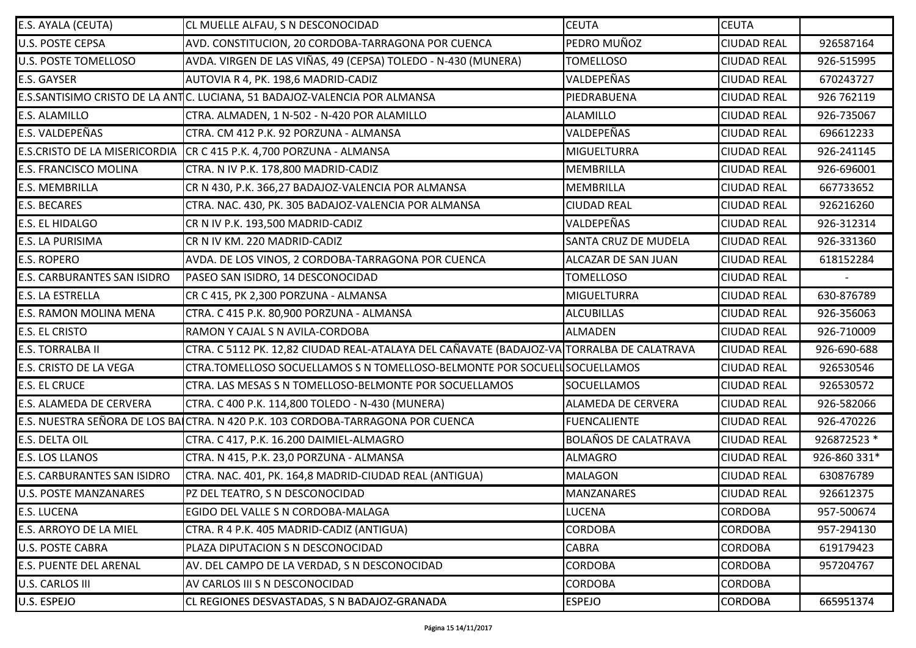| E.S. AYALA (CEUTA)                   | CL MUELLE ALFAU, S N DESCONOCIDAD                                                         | <b>CEUTA</b>                | <b>CEUTA</b>       |              |
|--------------------------------------|-------------------------------------------------------------------------------------------|-----------------------------|--------------------|--------------|
| <b>U.S. POSTE CEPSA</b>              | AVD. CONSTITUCION, 20 CORDOBA-TARRAGONA POR CUENCA                                        | PEDRO MUÑOZ                 | <b>CIUDAD REAL</b> | 926587164    |
| <b>U.S. POSTE TOMELLOSO</b>          | AVDA. VIRGEN DE LAS VIÑAS, 49 (CEPSA) TOLEDO - N-430 (MUNERA)                             | <b>TOMELLOSO</b>            | <b>CIUDAD REAL</b> | 926-515995   |
| <b>E.S. GAYSER</b>                   | AUTOVIA R 4, PK. 198,6 MADRID-CADIZ                                                       | VALDEPEÑAS                  | <b>CIUDAD REAL</b> | 670243727    |
|                                      | E.S.SANTISIMO CRISTO DE LA ANTIC. LUCIANA, 51 BADAJOZ-VALENCIA POR ALMANSA                | PIEDRABUENA                 | <b>CIUDAD REAL</b> | 926 762119   |
| <b>E.S. ALAMILLO</b>                 | CTRA. ALMADEN, 1 N-502 - N-420 POR ALAMILLO                                               | <b>ALAMILLO</b>             | <b>CIUDAD REAL</b> | 926-735067   |
| E.S. VALDEPEÑAS                      | CTRA. CM 412 P.K. 92 PORZUNA - ALMANSA                                                    | VALDEPEÑAS                  | <b>CIUDAD REAL</b> | 696612233    |
| <b>E.S.CRISTO DE LA MISERICORDIA</b> | CR C 415 P.K. 4,700 PORZUNA - ALMANSA                                                     | <b>MIGUELTURRA</b>          | <b>CIUDAD REAL</b> | 926-241145   |
| <b>E.S. FRANCISCO MOLINA</b>         | CTRA. N IV P.K. 178,800 MADRID-CADIZ                                                      | MEMBRILLA                   | <b>CIUDAD REAL</b> | 926-696001   |
| <b>E.S. MEMBRILLA</b>                | CR N 430, P.K. 366,27 BADAJOZ-VALENCIA POR ALMANSA                                        | <b>MEMBRILLA</b>            | <b>CIUDAD REAL</b> | 667733652    |
| <b>E.S. BECARES</b>                  | CTRA. NAC. 430, PK. 305 BADAJOZ-VALENCIA POR ALMANSA                                      | <b>CIUDAD REAL</b>          | <b>CIUDAD REAL</b> | 926216260    |
| <b>E.S. EL HIDALGO</b>               | CR N IV P.K. 193,500 MADRID-CADIZ                                                         | VALDEPEÑAS                  | <b>CIUDAD REAL</b> | 926-312314   |
| <b>E.S. LA PURISIMA</b>              | CR N IV KM. 220 MADRID-CADIZ                                                              | SANTA CRUZ DE MUDELA        | <b>CIUDAD REAL</b> | 926-331360   |
| <b>E.S. ROPERO</b>                   | AVDA. DE LOS VINOS, 2 CORDOBA-TARRAGONA POR CUENCA                                        | ALCAZAR DE SAN JUAN         | <b>CIUDAD REAL</b> | 618152284    |
| <b>E.S. CARBURANTES SAN ISIDRO</b>   | PASEO SAN ISIDRO, 14 DESCONOCIDAD                                                         | <b>TOMELLOSO</b>            | <b>CIUDAD REAL</b> |              |
| <b>E.S. LA ESTRELLA</b>              | CR C 415, PK 2,300 PORZUNA - ALMANSA                                                      | <b>MIGUELTURRA</b>          | <b>CIUDAD REAL</b> | 630-876789   |
| <b>E.S. RAMON MOLINA MENA</b>        | CTRA. C 415 P.K. 80,900 PORZUNA - ALMANSA                                                 | <b>ALCUBILLAS</b>           | <b>CIUDAD REAL</b> | 926-356063   |
| <b>E.S. EL CRISTO</b>                | RAMON Y CAJAL S N AVILA-CORDOBA                                                           | <b>ALMADEN</b>              | <b>CIUDAD REAL</b> | 926-710009   |
| <b>E.S. TORRALBA II</b>              | CTRA. C 5112 PK. 12,82 CIUDAD REAL-ATALAYA DEL CAÑAVATE (BADAJOZ-VA TORRALBA DE CALATRAVA |                             | <b>CIUDAD REAL</b> | 926-690-688  |
| <b>E.S. CRISTO DE LA VEGA</b>        | CTRA.TOMELLOSO SOCUELLAMOS S N TOMELLOSO-BELMONTE POR SOCUELLSOCUELLAMOS                  |                             | <b>CIUDAD REAL</b> | 926530546    |
| <b>E.S. EL CRUCE</b>                 | CTRA. LAS MESAS S N TOMELLOSO-BELMONTE POR SOCUELLAMOS                                    | SOCUELLAMOS                 | <b>CIUDAD REAL</b> | 926530572    |
| <b>E.S. ALAMEDA DE CERVERA</b>       | CTRA. C 400 P.K. 114,800 TOLEDO - N-430 (MUNERA)                                          | <b>ALAMEDA DE CERVERA</b>   | <b>CIUDAD REAL</b> | 926-582066   |
|                                      | E.S. NUESTRA SEÑORA DE LOS BAICTRA. N 420 P.K. 103 CORDOBA-TARRAGONA POR CUENCA           | <b>FUENCALIENTE</b>         | <b>CIUDAD REAL</b> | 926-470226   |
| E.S. DELTA OIL                       | CTRA. C 417, P.K. 16.200 DAIMIEL-ALMAGRO                                                  | <b>BOLAÑOS DE CALATRAVA</b> | <b>CIUDAD REAL</b> | 926872523 *  |
| <b>E.S. LOS LLANOS</b>               | CTRA. N 415, P.K. 23,0 PORZUNA - ALMANSA                                                  | <b>ALMAGRO</b>              | <b>CIUDAD REAL</b> | 926-860 331* |
| <b>E.S. CARBURANTES SAN ISIDRO</b>   | CTRA. NAC. 401, PK. 164,8 MADRID-CIUDAD REAL (ANTIGUA)                                    | <b>MALAGON</b>              | <b>CIUDAD REAL</b> | 630876789    |
| <b>U.S. POSTE MANZANARES</b>         | PZ DEL TEATRO, S N DESCONOCIDAD                                                           | <b>MANZANARES</b>           | <b>CIUDAD REAL</b> | 926612375    |
| <b>E.S. LUCENA</b>                   | EGIDO DEL VALLE S N CORDOBA-MALAGA                                                        | <b>LUCENA</b>               | <b>CORDOBA</b>     | 957-500674   |
| E.S. ARROYO DE LA MIEL               | CTRA. R 4 P.K. 405 MADRID-CADIZ (ANTIGUA)                                                 | <b>CORDOBA</b>              | <b>CORDOBA</b>     | 957-294130   |
| <b>U.S. POSTE CABRA</b>              | PLAZA DIPUTACION S N DESCONOCIDAD                                                         | <b>CABRA</b>                | <b>CORDOBA</b>     | 619179423    |
| <b>E.S. PUENTE DEL ARENAL</b>        | AV. DEL CAMPO DE LA VERDAD, S N DESCONOCIDAD                                              | <b>CORDOBA</b>              | <b>CORDOBA</b>     | 957204767    |
| U.S. CARLOS III                      | AV CARLOS III S N DESCONOCIDAD                                                            | <b>CORDOBA</b>              | <b>CORDOBA</b>     |              |
| U.S. ESPEJO                          | CL REGIONES DESVASTADAS, S N BADAJOZ-GRANADA                                              | <b>ESPEJO</b>               | <b>CORDOBA</b>     | 665951374    |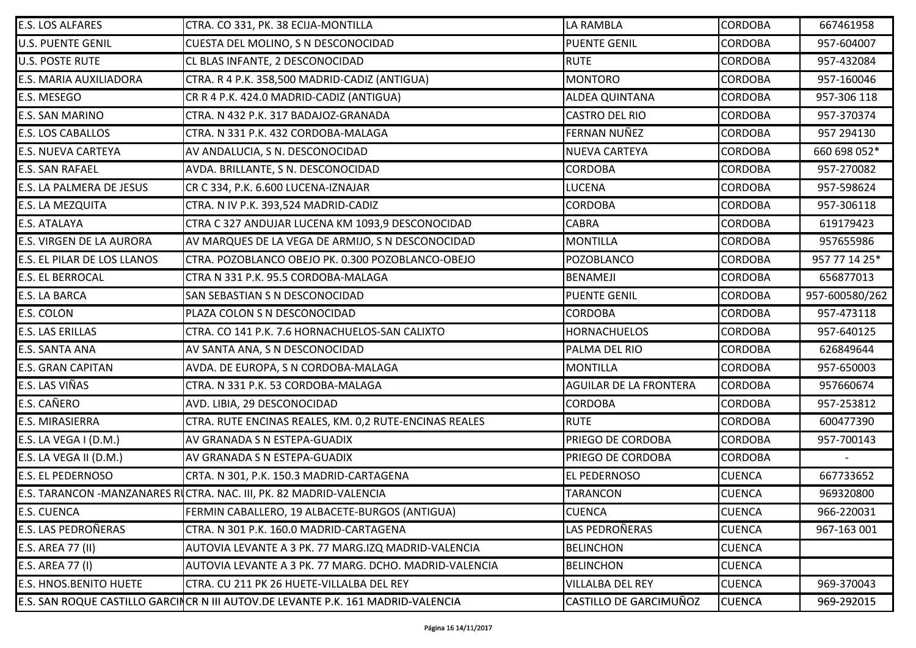| <b>E.S. LOS ALFARES</b>            | CTRA. CO 331, PK. 38 ECIJA-MONTILLA                                              | LA RAMBLA                     | <b>CORDOBA</b> | 667461958      |
|------------------------------------|----------------------------------------------------------------------------------|-------------------------------|----------------|----------------|
| <b>U.S. PUENTE GENIL</b>           | CUESTA DEL MOLINO, S N DESCONOCIDAD                                              | <b>PUENTE GENIL</b>           | <b>CORDOBA</b> | 957-604007     |
| <b>U.S. POSTE RUTE</b>             | CL BLAS INFANTE, 2 DESCONOCIDAD                                                  | <b>RUTE</b>                   | <b>CORDOBA</b> | 957-432084     |
| <b>E.S. MARIA AUXILIADORA</b>      | CTRA. R 4 P.K. 358,500 MADRID-CADIZ (ANTIGUA)                                    | <b>MONTORO</b>                | <b>CORDOBA</b> | 957-160046     |
| <b>E.S. MESEGO</b>                 | CR R 4 P.K. 424.0 MADRID-CADIZ (ANTIGUA)                                         | <b>ALDEA QUINTANA</b>         | <b>CORDOBA</b> | 957-306 118    |
| <b>E.S. SAN MARINO</b>             | CTRA. N 432 P.K. 317 BADAJOZ-GRANADA                                             | <b>CASTRO DEL RIO</b>         | <b>CORDOBA</b> | 957-370374     |
| <b>E.S. LOS CABALLOS</b>           | CTRA. N 331 P.K. 432 CORDOBA-MALAGA                                              | FERNAN NUÑEZ                  | <b>CORDOBA</b> | 957 294130     |
| <b>E.S. NUEVA CARTEYA</b>          | AV ANDALUCIA, S N. DESCONOCIDAD                                                  | <b>NUEVA CARTEYA</b>          | <b>CORDOBA</b> | 660 698 052*   |
| <b>E.S. SAN RAFAEL</b>             | AVDA. BRILLANTE, S N. DESCONOCIDAD                                               | <b>CORDOBA</b>                | <b>CORDOBA</b> | 957-270082     |
| <b>E.S. LA PALMERA DE JESUS</b>    | CR C 334, P.K. 6.600 LUCENA-IZNAJAR                                              | <b>LUCENA</b>                 | <b>CORDOBA</b> | 957-598624     |
| <b>E.S. LA MEZQUITA</b>            | CTRA. N IV P.K. 393,524 MADRID-CADIZ                                             | <b>CORDOBA</b>                | <b>CORDOBA</b> | 957-306118     |
| <b>E.S. ATALAYA</b>                | CTRA C 327 ANDUJAR LUCENA KM 1093,9 DESCONOCIDAD                                 | <b>CABRA</b>                  | <b>CORDOBA</b> | 619179423      |
| <b>E.S. VIRGEN DE LA AURORA</b>    | AV MARQUES DE LA VEGA DE ARMIJO, S N DESCONOCIDAD                                | <b>MONTILLA</b>               | <b>CORDOBA</b> | 957655986      |
| <b>E.S. EL PILAR DE LOS LLANOS</b> | CTRA. POZOBLANCO OBEJO PK. 0.300 POZOBLANCO-OBEJO                                | POZOBLANCO                    | <b>CORDOBA</b> | 957 77 14 25*  |
| <b>E.S. EL BERROCAL</b>            | CTRA N 331 P.K. 95.5 CORDOBA-MALAGA                                              | <b>BENAMEJI</b>               | <b>CORDOBA</b> | 656877013      |
| <b>E.S. LA BARCA</b>               | SAN SEBASTIAN S N DESCONOCIDAD                                                   | <b>PUENTE GENIL</b>           | <b>CORDOBA</b> | 957-600580/262 |
| <b>E.S. COLON</b>                  | PLAZA COLON S N DESCONOCIDAD                                                     | <b>CORDOBA</b>                | <b>CORDOBA</b> | 957-473118     |
| <b>E.S. LAS ERILLAS</b>            | CTRA. CO 141 P.K. 7.6 HORNACHUELOS-SAN CALIXTO                                   | <b>HORNACHUELOS</b>           | <b>CORDOBA</b> | 957-640125     |
| <b>E.S. SANTA ANA</b>              | AV SANTA ANA, S N DESCONOCIDAD                                                   | PALMA DEL RIO                 | <b>CORDOBA</b> | 626849644      |
| <b>E.S. GRAN CAPITAN</b>           | AVDA. DE EUROPA, S N CORDOBA-MALAGA                                              | <b>MONTILLA</b>               | <b>CORDOBA</b> | 957-650003     |
| <b>E.S. LAS VIÑAS</b>              | CTRA. N 331 P.K. 53 CORDOBA-MALAGA                                               | <b>AGUILAR DE LA FRONTERA</b> | <b>CORDOBA</b> | 957660674      |
| <b>E.S. CAÑERO</b>                 | AVD. LIBIA, 29 DESCONOCIDAD                                                      | <b>CORDOBA</b>                | <b>CORDOBA</b> | 957-253812     |
| <b>E.S. MIRASIERRA</b>             | CTRA. RUTE ENCINAS REALES, KM. 0,2 RUTE-ENCINAS REALES                           | <b>RUTE</b>                   | <b>CORDOBA</b> | 600477390      |
| E.S. LA VEGA I (D.M.)              | AV GRANADA S N ESTEPA-GUADIX                                                     | PRIEGO DE CORDOBA             | <b>CORDOBA</b> | 957-700143     |
| E.S. LA VEGA II (D.M.)             | AV GRANADA S N ESTEPA-GUADIX                                                     | PRIEGO DE CORDOBA             | <b>CORDOBA</b> |                |
| <b>E.S. EL PEDERNOSO</b>           | CRTA. N 301, P.K. 150.3 MADRID-CARTAGENA                                         | EL PEDERNOSO                  | <b>CUENCA</b>  | 667733652      |
|                                    | E.S. TARANCON -MANZANARES RUCTRA. NAC. III, PK. 82 MADRID-VALENCIA               | <b>TARANCON</b>               | <b>CUENCA</b>  | 969320800      |
| <b>E.S. CUENCA</b>                 | FERMIN CABALLERO, 19 ALBACETE-BURGOS (ANTIGUA)                                   | <b>CUENCA</b>                 | <b>CUENCA</b>  | 966-220031     |
| <b>E.S. LAS PEDROÑERAS</b>         | CTRA. N 301 P.K. 160.0 MADRID-CARTAGENA                                          | LAS PEDROÑERAS                | <b>CUENCA</b>  | 967-163 001    |
| <b>E.S. AREA 77 (II)</b>           | AUTOVIA LEVANTE A 3 PK. 77 MARG.IZQ MADRID-VALENCIA                              | <b>BELINCHON</b>              | <b>CUENCA</b>  |                |
| E.S. AREA 77 (I)                   | AUTOVIA LEVANTE A 3 PK. 77 MARG. DCHO. MADRID-VALENCIA                           | <b>BELINCHON</b>              | <b>CUENCA</b>  |                |
| <b>E.S. HNOS.BENITO HUETE</b>      | CTRA. CU 211 PK 26 HUETE-VILLALBA DEL REY                                        | <b>VILLALBA DEL REY</b>       | <b>CUENCA</b>  | 969-370043     |
|                                    | E.S. SAN ROQUE CASTILLO GARCINCR N III AUTOV.DE LEVANTE P.K. 161 MADRID-VALENCIA | CASTILLO DE GARCIMUÑOZ        | <b>CUENCA</b>  | 969-292015     |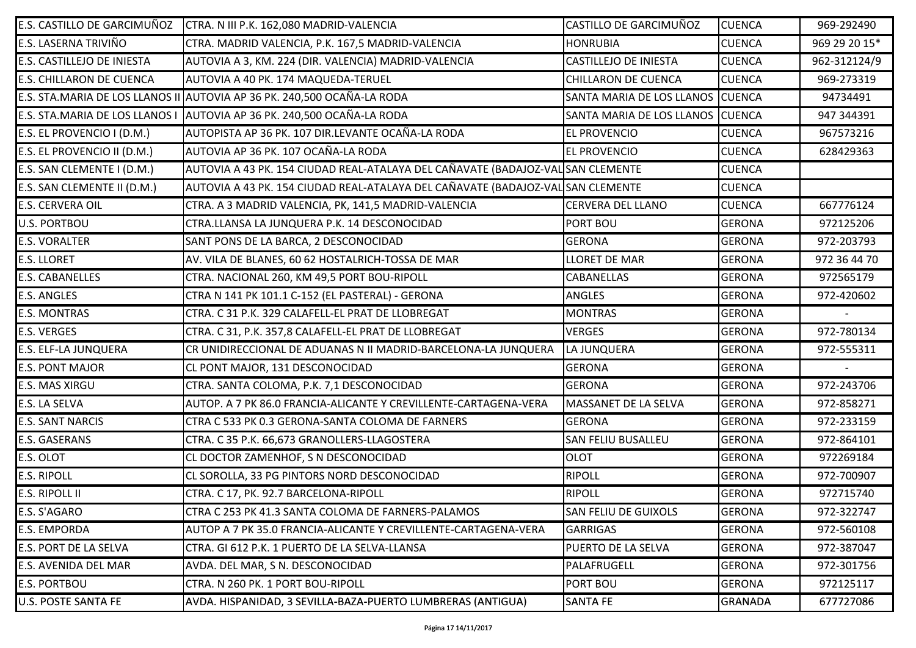| E.S. CASTILLO DE GARCIMUÑOZ     | CTRA. N III P.K. 162,080 MADRID-VALENCIA                                        | CASTILLO DE GARCIMUÑOZ           | <b>CUENCA</b>  | 969-292490    |
|---------------------------------|---------------------------------------------------------------------------------|----------------------------------|----------------|---------------|
| <b>E.S. LASERNA TRIVIÑO</b>     | CTRA. MADRID VALENCIA, P.K. 167,5 MADRID-VALENCIA                               | <b>HONRUBIA</b>                  | <b>CUENCA</b>  | 969 29 20 15* |
| E.S. CASTILLEJO DE INIESTA      | AUTOVIA A 3, KM. 224 (DIR. VALENCIA) MADRID-VALENCIA                            | <b>CASTILLEJO DE INIESTA</b>     | <b>CUENCA</b>  | 962-312124/9  |
| <b>E.S. CHILLARON DE CUENCA</b> | AUTOVIA A 40 PK. 174 MAQUEDA-TERUEL                                             | <b>CHILLARON DE CUENCA</b>       | <b>CUENCA</b>  | 969-273319    |
|                                 | E.S. STA.MARIA DE LOS LLANOS II AUTOVIA AP 36 PK. 240,500 OCAÑA-LA RODA         | SANTA MARIA DE LOS LLANOS CUENCA |                | 94734491      |
| E.S. STA.MARIA DE LOS LLANOS I  | AUTOVIA AP 36 PK. 240,500 OCAÑA-LA RODA                                         | SANTA MARIA DE LOS LLANOS CUENCA |                | 947 344391    |
| E.S. EL PROVENCIO I (D.M.)      | AUTOPISTA AP 36 PK. 107 DIR.LEVANTE OCAÑA-LA RODA                               | <b>EL PROVENCIO</b>              | <b>CUENCA</b>  | 967573216     |
| E.S. EL PROVENCIO II (D.M.)     | AUTOVIA AP 36 PK. 107 OCAÑA-LA RODA                                             | EL PROVENCIO                     | <b>CUENCA</b>  | 628429363     |
| E.S. SAN CLEMENTE I (D.M.)      | AUTOVIA A 43 PK. 154 CIUDAD REAL-ATALAYA DEL CAÑAVATE (BADAJOZ-VAL SAN CLEMENTE |                                  | <b>CUENCA</b>  |               |
| E.S. SAN CLEMENTE II (D.M.)     | AUTOVIA A 43 PK. 154 CIUDAD REAL-ATALAYA DEL CAÑAVATE (BADAJOZ-VAL SAN CLEMENTE |                                  | <b>CUENCA</b>  |               |
| <b>E.S. CERVERA OIL</b>         | CTRA. A 3 MADRID VALENCIA, PK, 141,5 MADRID-VALENCIA                            | <b>CERVERA DEL LLANO</b>         | <b>CUENCA</b>  | 667776124     |
| <b>U.S. PORTBOU</b>             | CTRA.LLANSA LA JUNQUERA P.K. 14 DESCONOCIDAD                                    | PORT BOU                         | <b>GERONA</b>  | 972125206     |
| <b>E.S. VORALTER</b>            | SANT PONS DE LA BARCA, 2 DESCONOCIDAD                                           | <b>GERONA</b>                    | <b>GERONA</b>  | 972-203793    |
| <b>E.S. LLORET</b>              | AV. VILA DE BLANES, 60 62 HOSTALRICH-TOSSA DE MAR                               | LLORET DE MAR                    | <b>GERONA</b>  | 972 36 44 70  |
| <b>E.S. CABANELLES</b>          | CTRA. NACIONAL 260, KM 49,5 PORT BOU-RIPOLL                                     | <b>CABANELLAS</b>                | <b>GERONA</b>  | 972565179     |
| <b>E.S. ANGLES</b>              | CTRA N 141 PK 101.1 C-152 (EL PASTERAL) - GERONA                                | ANGLES                           | <b>GERONA</b>  | 972-420602    |
| <b>E.S. MONTRAS</b>             | CTRA. C 31 P.K. 329 CALAFELL-EL PRAT DE LLOBREGAT                               | <b>MONTRAS</b>                   | <b>GERONA</b>  |               |
| <b>E.S. VERGES</b>              | CTRA. C 31, P.K. 357,8 CALAFELL-EL PRAT DE LLOBREGAT                            | <b>VERGES</b>                    | <b>GERONA</b>  | 972-780134    |
| <b>E.S. ELF-LA JUNQUERA</b>     | CR UNIDIRECCIONAL DE ADUANAS N II MADRID-BARCELONA-LA JUNQUERA                  | LA JUNQUERA                      | <b>GERONA</b>  | 972-555311    |
| <b>E.S. PONT MAJOR</b>          | CL PONT MAJOR, 131 DESCONOCIDAD                                                 | <b>GERONA</b>                    | <b>GERONA</b>  |               |
| <b>E.S. MAS XIRGU</b>           | CTRA. SANTA COLOMA, P.K. 7,1 DESCONOCIDAD                                       | <b>GERONA</b>                    | <b>GERONA</b>  | 972-243706    |
| E.S. LA SELVA                   | AUTOP. A 7 PK 86.0 FRANCIA-ALICANTE Y CREVILLENTE-CARTAGENA-VERA                | MASSANET DE LA SELVA             | <b>GERONA</b>  | 972-858271    |
| <b>E.S. SANT NARCIS</b>         | CTRA C 533 PK 0.3 GERONA-SANTA COLOMA DE FARNERS                                | <b>GERONA</b>                    | <b>GERONA</b>  | 972-233159    |
| <b>E.S. GASERANS</b>            | CTRA. C 35 P.K. 66,673 GRANOLLERS-LLAGOSTERA                                    | <b>SAN FELIU BUSALLEU</b>        | <b>GERONA</b>  | 972-864101    |
| E.S. OLOT                       | CL DOCTOR ZAMENHOF, S N DESCONOCIDAD                                            | <b>OLOT</b>                      | <b>GERONA</b>  | 972269184     |
| <b>E.S. RIPOLL</b>              | CL SOROLLA, 33 PG PINTORS NORD DESCONOCIDAD                                     | <b>RIPOLL</b>                    | <b>GERONA</b>  | 972-700907    |
| <b>E.S. RIPOLL II</b>           | CTRA. C 17, PK. 92.7 BARCELONA-RIPOLL                                           | <b>RIPOLL</b>                    | <b>GERONA</b>  | 972715740     |
| E.S. S'AGARO                    | CTRA C 253 PK 41.3 SANTA COLOMA DE FARNERS-PALAMOS                              | <b>SAN FELIU DE GUIXOLS</b>      | <b>GERONA</b>  | 972-322747    |
| <b>E.S. EMPORDA</b>             | AUTOP A 7 PK 35.0 FRANCIA-ALICANTE Y CREVILLENTE-CARTAGENA-VERA                 | <b>GARRIGAS</b>                  | <b>GERONA</b>  | 972-560108    |
| <b>E.S. PORT DE LA SELVA</b>    | CTRA. GI 612 P.K. 1 PUERTO DE LA SELVA-LLANSA                                   | PUERTO DE LA SELVA               | <b>GERONA</b>  | 972-387047    |
| <b>E.S. AVENIDA DEL MAR</b>     | AVDA. DEL MAR, S N. DESCONOCIDAD                                                | PALAFRUGELL                      | <b>GERONA</b>  | 972-301756    |
| <b>E.S. PORTBOU</b>             | CTRA. N 260 PK. 1 PORT BOU-RIPOLL                                               | PORT BOU                         | <b>GERONA</b>  | 972125117     |
| <b>U.S. POSTE SANTA FE</b>      | AVDA. HISPANIDAD, 3 SEVILLA-BAZA-PUERTO LUMBRERAS (ANTIGUA)                     | <b>SANTA FE</b>                  | <b>GRANADA</b> | 677727086     |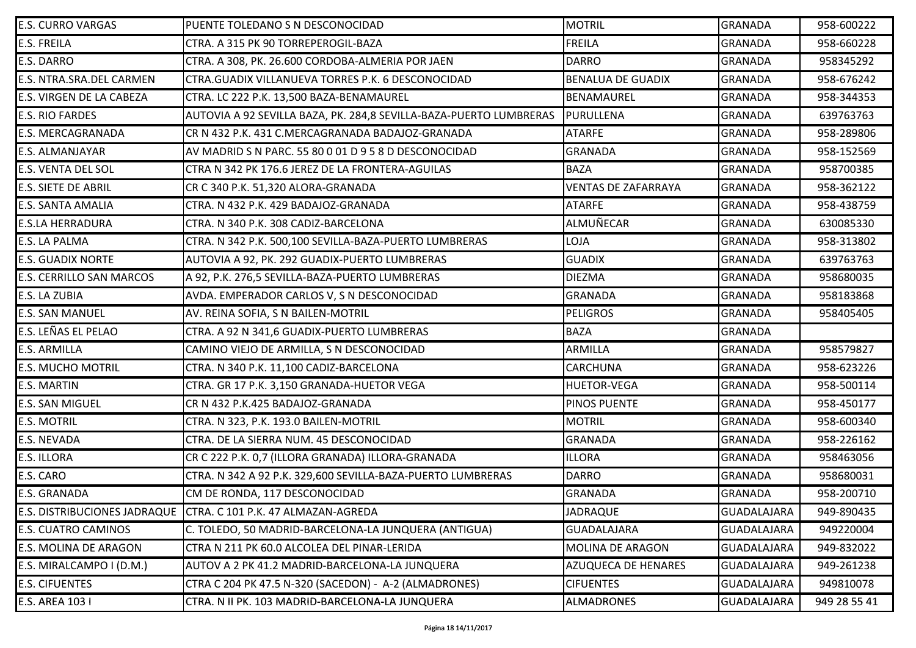| <b>E.S. CURRO VARGAS</b>        | PUENTE TOLEDANO S N DESCONOCIDAD                                   | <b>MOTRIL</b>              | <b>GRANADA</b>     | 958-600222   |
|---------------------------------|--------------------------------------------------------------------|----------------------------|--------------------|--------------|
| <b>E.S. FREILA</b>              | CTRA. A 315 PK 90 TORREPEROGIL-BAZA                                | <b>FREILA</b>              | <b>GRANADA</b>     | 958-660228   |
| <b>E.S. DARRO</b>               | CTRA. A 308, PK. 26.600 CORDOBA-ALMERIA POR JAEN                   | <b>DARRO</b>               | <b>GRANADA</b>     | 958345292    |
| E.S. NTRA.SRA.DEL CARMEN        | CTRA.GUADIX VILLANUEVA TORRES P.K. 6 DESCONOCIDAD                  | <b>BENALUA DE GUADIX</b>   | <b>GRANADA</b>     | 958-676242   |
| E.S. VIRGEN DE LA CABEZA        | CTRA. LC 222 P.K. 13,500 BAZA-BENAMAUREL                           | BENAMAUREL                 | <b>GRANADA</b>     | 958-344353   |
| <b>E.S. RIO FARDES</b>          | AUTOVIA A 92 SEVILLA BAZA, PK. 284,8 SEVILLA-BAZA-PUERTO LUMBRERAS | PURULLENA                  | <b>GRANADA</b>     | 639763763    |
| <b>E.S. MERCAGRANADA</b>        | CR N 432 P.K. 431 C.MERCAGRANADA BADAJOZ-GRANADA                   | <b>ATARFE</b>              | <b>GRANADA</b>     | 958-289806   |
| <b>E.S. ALMANJAYAR</b>          | AV MADRID S N PARC. 55 80 0 01 D 9 5 8 D DESCONOCIDAD              | <b>GRANADA</b>             | <b>GRANADA</b>     | 958-152569   |
| <b>E.S. VENTA DEL SOL</b>       | CTRA N 342 PK 176.6 JEREZ DE LA FRONTERA-AGUILAS                   | <b>BAZA</b>                | <b>GRANADA</b>     | 958700385    |
| <b>E.S. SIETE DE ABRIL</b>      | CR C 340 P.K. 51,320 ALORA-GRANADA                                 | <b>VENTAS DE ZAFARRAYA</b> | <b>GRANADA</b>     | 958-362122   |
| <b>E.S. SANTA AMALIA</b>        | CTRA. N 432 P.K. 429 BADAJOZ-GRANADA                               | <b>ATARFE</b>              | <b>GRANADA</b>     | 958-438759   |
| <b>E.S.LA HERRADURA</b>         | CTRA. N 340 P.K. 308 CADIZ-BARCELONA                               | ALMUÑECAR                  | <b>GRANADA</b>     | 630085330    |
| <b>E.S. LA PALMA</b>            | CTRA. N 342 P.K. 500,100 SEVILLA-BAZA-PUERTO LUMBRERAS             | LOJA                       | <b>GRANADA</b>     | 958-313802   |
| <b>E.S. GUADIX NORTE</b>        | AUTOVIA A 92, PK. 292 GUADIX-PUERTO LUMBRERAS                      | <b>GUADIX</b>              | <b>GRANADA</b>     | 639763763    |
| <b>E.S. CERRILLO SAN MARCOS</b> | A 92, P.K. 276,5 SEVILLA-BAZA-PUERTO LUMBRERAS                     | <b>DIEZMA</b>              | <b>GRANADA</b>     | 958680035    |
| E.S. LA ZUBIA                   | AVDA. EMPERADOR CARLOS V, S N DESCONOCIDAD                         | <b>GRANADA</b>             | <b>GRANADA</b>     | 958183868    |
| <b>E.S. SAN MANUEL</b>          | AV. REINA SOFIA, S N BAILEN-MOTRIL                                 | <b>PELIGROS</b>            | <b>GRANADA</b>     | 958405405    |
| E.S. LEÑAS EL PELAO             | CTRA. A 92 N 341,6 GUADIX-PUERTO LUMBRERAS                         | <b>BAZA</b>                | <b>GRANADA</b>     |              |
| <b>E.S. ARMILLA</b>             | CAMINO VIEJO DE ARMILLA, S N DESCONOCIDAD                          | ARMILLA                    | <b>GRANADA</b>     | 958579827    |
| <b>E.S. MUCHO MOTRIL</b>        | CTRA. N 340 P.K. 11,100 CADIZ-BARCELONA                            | <b>CARCHUNA</b>            | <b>GRANADA</b>     | 958-623226   |
| <b>E.S. MARTIN</b>              | CTRA. GR 17 P.K. 3,150 GRANADA-HUETOR VEGA                         | <b>HUETOR-VEGA</b>         | <b>GRANADA</b>     | 958-500114   |
| <b>E.S. SAN MIGUEL</b>          | CR N 432 P.K.425 BADAJOZ-GRANADA                                   | PINOS PUENTE               | <b>GRANADA</b>     | 958-450177   |
| <b>E.S. MOTRIL</b>              | CTRA. N 323, P.K. 193.0 BAILEN-MOTRIL                              | <b>MOTRIL</b>              | <b>GRANADA</b>     | 958-600340   |
| <b>E.S. NEVADA</b>              | CTRA. DE LA SIERRA NUM. 45 DESCONOCIDAD                            | <b>GRANADA</b>             | <b>GRANADA</b>     | 958-226162   |
| <b>E.S. ILLORA</b>              | CR C 222 P.K. 0,7 (ILLORA GRANADA) ILLORA-GRANADA                  | <b>ILLORA</b>              | <b>GRANADA</b>     | 958463056    |
| E.S. CARO                       | CTRA. N 342 A 92 P.K. 329,600 SEVILLA-BAZA-PUERTO LUMBRERAS        | <b>DARRO</b>               | <b>GRANADA</b>     | 958680031    |
| <b>E.S. GRANADA</b>             | CM DE RONDA, 117 DESCONOCIDAD                                      | <b>GRANADA</b>             | <b>GRANADA</b>     | 958-200710   |
|                                 | E.S. DISTRIBUCIONES JADRAQUE   CTRA. C 101 P.K. 47 ALMAZAN-AGREDA  | <b>JADRAQUE</b>            | <b>GUADALAJARA</b> | 949-890435   |
| <b>E.S. CUATRO CAMINOS</b>      | C. TOLEDO, 50 MADRID-BARCELONA-LA JUNQUERA (ANTIGUA)               | <b>GUADALAJARA</b>         | <b>GUADALAJARA</b> | 949220004    |
| <b>E.S. MOLINA DE ARAGON</b>    | CTRA N 211 PK 60.0 ALCOLEA DEL PINAR-LERIDA                        | MOLINA DE ARAGON           | <b>GUADALAJARA</b> | 949-832022   |
| E.S. MIRALCAMPO I (D.M.)        | AUTOV A 2 PK 41.2 MADRID-BARCELONA-LA JUNQUERA                     | AZUQUECA DE HENARES        | <b>GUADALAJARA</b> | 949-261238   |
| <b>E.S. CIFUENTES</b>           | CTRA C 204 PK 47.5 N-320 (SACEDON) - A-2 (ALMADRONES)              | <b>CIFUENTES</b>           | <b>GUADALAJARA</b> | 949810078    |
| E.S. AREA 103 I                 | CTRA. N II PK. 103 MADRID-BARCELONA-LA JUNQUERA                    | <b>ALMADRONES</b>          | <b>GUADALAJARA</b> | 949 28 55 41 |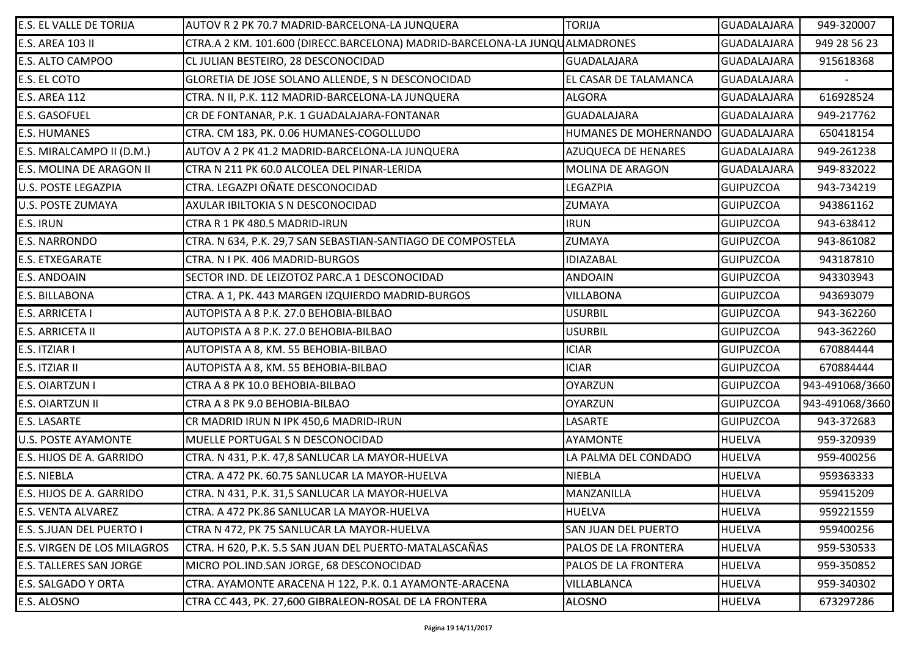| E.S. EL VALLE DE TORIJA        | AUTOV R 2 PK 70.7 MADRID-BARCELONA-LA JUNQUERA                              | <b>TORIJA</b>           | GUADALAJARA        | 949-320007      |
|--------------------------------|-----------------------------------------------------------------------------|-------------------------|--------------------|-----------------|
| E.S. AREA 103 II               | CTRA.A 2 KM. 101.600 (DIRECC.BARCELONA) MADRID-BARCELONA-LA JUNQUALMADRONES |                         | <b>GUADALAJARA</b> | 949 28 56 23    |
| E.S. ALTO CAMPOO               | CL JULIAN BESTEIRO, 28 DESCONOCIDAD                                         | <b>GUADALAJARA</b>      | <b>GUADALAJARA</b> | 915618368       |
| E.S. EL COTO                   | GLORETIA DE JOSE SOLANO ALLENDE, S N DESCONOCIDAD                           | EL CASAR DE TALAMANCA   | GUADALAJARA        |                 |
| <b>E.S. AREA 112</b>           | CTRA. N II, P.K. 112 MADRID-BARCELONA-LA JUNQUERA                           | <b>ALGORA</b>           | <b>GUADALAJARA</b> | 616928524       |
| <b>E.S. GASOFUEL</b>           | CR DE FONTANAR, P.K. 1 GUADALAJARA-FONTANAR                                 | <b>GUADALAJARA</b>      | <b>GUADALAJARA</b> | 949-217762      |
| <b>E.S. HUMANES</b>            | CTRA. CM 183, PK. 0.06 HUMANES-COGOLLUDO                                    | HUMANES DE MOHERNANDO   | GUADALAJARA        | 650418154       |
| E.S. MIRALCAMPO II (D.M.)      | AUTOV A 2 PK 41.2 MADRID-BARCELONA-LA JUNQUERA                              | AZUQUECA DE HENARES     | <b>GUADALAJARA</b> | 949-261238      |
| E.S. MOLINA DE ARAGON II       | CTRA N 211 PK 60.0 ALCOLEA DEL PINAR-LERIDA                                 | <b>MOLINA DE ARAGON</b> | GUADALAJARA        | 949-832022      |
| U.S. POSTE LEGAZPIA            | CTRA. LEGAZPI OÑATE DESCONOCIDAD                                            | LEGAZPIA                | <b>GUIPUZCOA</b>   | 943-734219      |
| U.S. POSTE ZUMAYA              | AXULAR IBILTOKIA S N DESCONOCIDAD                                           | ZUMAYA                  | <b>GUIPUZCOA</b>   | 943861162       |
| E.S. IRUN                      | CTRA R 1 PK 480.5 MADRID-IRUN                                               | <b>IRUN</b>             | <b>GUIPUZCOA</b>   | 943-638412      |
| <b>E.S. NARRONDO</b>           | CTRA. N 634, P.K. 29,7 SAN SEBASTIAN-SANTIAGO DE COMPOSTELA                 | ZUMAYA                  | <b>GUIPUZCOA</b>   | 943-861082      |
| <b>E.S. ETXEGARATE</b>         | CTRA. N I PK. 406 MADRID-BURGOS                                             | <b>IDIAZABAL</b>        | <b>GUIPUZCOA</b>   | 943187810       |
| E.S. ANDOAIN                   | SECTOR IND. DE LEIZOTOZ PARC.A 1 DESCONOCIDAD                               | <b>ANDOAIN</b>          | <b>GUIPUZCOA</b>   | 943303943       |
| E.S. BILLABONA                 | CTRA. A 1, PK. 443 MARGEN IZQUIERDO MADRID-BURGOS                           | <b>VILLABONA</b>        | <b>GUIPUZCOA</b>   | 943693079       |
| E.S. ARRICETA I                | AUTOPISTA A 8 P.K. 27.0 BEHOBIA-BILBAO                                      | <b>USURBIL</b>          | <b>GUIPUZCOA</b>   | 943-362260      |
| E.S. ARRICETA II               | AUTOPISTA A 8 P.K. 27.0 BEHOBIA-BILBAO                                      | <b>USURBIL</b>          | <b>GUIPUZCOA</b>   | 943-362260      |
| E.S. ITZIAR I                  | AUTOPISTA A 8, KM. 55 BEHOBIA-BILBAO                                        | <b>ICIAR</b>            | <b>GUIPUZCOA</b>   | 670884444       |
| E.S. ITZIAR II                 | AUTOPISTA A 8, KM. 55 BEHOBIA-BILBAO                                        | <b>ICIAR</b>            | <b>GUIPUZCOA</b>   | 670884444       |
| E.S. OIARTZUN I                | CTRA A 8 PK 10.0 BEHOBIA-BILBAO                                             | <b>OYARZUN</b>          | <b>GUIPUZCOA</b>   | 943-491068/3660 |
| E.S. OIARTZUN II               | CTRA A 8 PK 9.0 BEHOBIA-BILBAO                                              | <b>OYARZUN</b>          | <b>GUIPUZCOA</b>   | 943-491068/3660 |
| E.S. LASARTE                   | CR MADRID IRUN N IPK 450,6 MADRID-IRUN                                      | LASARTE                 | <b>GUIPUZCOA</b>   | 943-372683      |
| <b>U.S. POSTE AYAMONTE</b>     | MUELLE PORTUGAL S N DESCONOCIDAD                                            | <b>AYAMONTE</b>         | <b>HUELVA</b>      | 959-320939      |
| E.S. HIJOS DE A. GARRIDO       | CTRA. N 431, P.K. 47,8 SANLUCAR LA MAYOR-HUELVA                             | LA PALMA DEL CONDADO    | <b>HUELVA</b>      | 959-400256      |
| E.S. NIEBLA                    | CTRA. A 472 PK. 60.75 SANLUCAR LA MAYOR-HUELVA                              | <b>NIEBLA</b>           | <b>HUELVA</b>      | 959363333       |
| E.S. HIJOS DE A. GARRIDO       | CTRA. N 431, P.K. 31,5 SANLUCAR LA MAYOR-HUELVA                             | MANZANILLA              | <b>HUELVA</b>      | 959415209       |
| E.S. VENTA ALVAREZ             | CTRA. A 472 PK.86 SANLUCAR LA MAYOR-HUELVA                                  | <b>HUELVA</b>           | <b>HUELVA</b>      | 959221559       |
| E.S. S.JUAN DEL PUERTO I       | CTRA N 472, PK 75 SANLUCAR LA MAYOR-HUELVA                                  | SAN JUAN DEL PUERTO     | <b>HUELVA</b>      | 959400256       |
| E.S. VIRGEN DE LOS MILAGROS    | CTRA. H 620, P.K. 5.5 SAN JUAN DEL PUERTO-MATALASCAÑAS                      | PALOS DE LA FRONTERA    | <b>HUELVA</b>      | 959-530533      |
| <b>E.S. TALLERES SAN JORGE</b> | MICRO POL.IND.SAN JORGE, 68 DESCONOCIDAD                                    | PALOS DE LA FRONTERA    | <b>HUELVA</b>      | 959-350852      |
| E.S. SALGADO Y ORTA            | CTRA. AYAMONTE ARACENA H 122, P.K. 0.1 AYAMONTE-ARACENA                     | VILLABLANCA             | <b>HUELVA</b>      | 959-340302      |
| E.S. ALOSNO                    | CTRA CC 443, PK. 27,600 GIBRALEON-ROSAL DE LA FRONTERA                      | <b>ALOSNO</b>           | <b>HUELVA</b>      | 673297286       |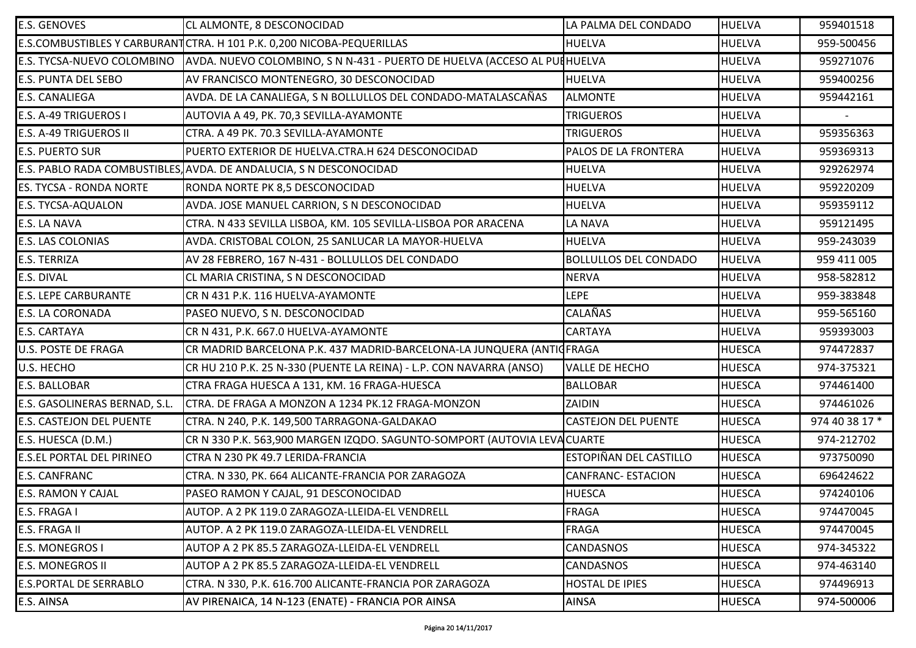| <b>E.S. GENOVES</b>            | CL ALMONTE, 8 DESCONOCIDAD                                                                             | LA PALMA DEL CONDADO          | <b>HUELVA</b> | 959401518      |
|--------------------------------|--------------------------------------------------------------------------------------------------------|-------------------------------|---------------|----------------|
|                                | E.S.COMBUSTIBLES Y CARBURANT CTRA. H 101 P.K. 0,200 NICOBA-PEQUERILLAS                                 | <b>HUELVA</b>                 | <b>HUELVA</b> | 959-500456     |
|                                | E.S. TYCSA-NUEVO COLOMBINO    AVDA. NUEVO COLOMBINO, S N N-431 - PUERTO DE HUELVA (ACCESO AL PU[HUELVA |                               | <b>HUELVA</b> | 959271076      |
| E.S. PUNTA DEL SEBO            | AV FRANCISCO MONTENEGRO, 30 DESCONOCIDAD                                                               | <b>HUELVA</b>                 | <b>HUELVA</b> | 959400256      |
| E.S. CANALIEGA                 | AVDA. DE LA CANALIEGA, S N BOLLULLOS DEL CONDADO-MATALASCAÑAS                                          | <b>ALMONTE</b>                | <b>HUELVA</b> | 959442161      |
| E.S. A-49 TRIGUEROS I          | AUTOVIA A 49, PK. 70,3 SEVILLA-AYAMONTE                                                                | <b>TRIGUEROS</b>              | <b>HUELVA</b> |                |
| E.S. A-49 TRIGUEROS II         | CTRA. A 49 PK. 70.3 SEVILLA-AYAMONTE                                                                   | <b>TRIGUEROS</b>              | <b>HUELVA</b> | 959356363      |
| <b>E.S. PUERTO SUR</b>         | PUERTO EXTERIOR DE HUELVA.CTRA.H 624 DESCONOCIDAD                                                      | PALOS DE LA FRONTERA          | <b>HUELVA</b> | 959369313      |
|                                | E.S. PABLO RADA COMBUSTIBLES, AVDA. DE ANDALUCIA, S N DESCONOCIDAD                                     | <b>HUELVA</b>                 | <b>HUELVA</b> | 929262974      |
| <b>ES. TYCSA - RONDA NORTE</b> | RONDA NORTE PK 8,5 DESCONOCIDAD                                                                        | <b>HUELVA</b>                 | <b>HUELVA</b> | 959220209      |
| E.S. TYCSA-AQUALON             | AVDA. JOSE MANUEL CARRION, S N DESCONOCIDAD                                                            | <b>HUELVA</b>                 | <b>HUELVA</b> | 959359112      |
| E.S. LA NAVA                   | CTRA. N 433 SEVILLA LISBOA, KM. 105 SEVILLA-LISBOA POR ARACENA                                         | <b>LA NAVA</b>                | <b>HUELVA</b> | 959121495      |
| E.S. LAS COLONIAS              | AVDA. CRISTOBAL COLON, 25 SANLUCAR LA MAYOR-HUELVA                                                     | <b>HUELVA</b>                 | <b>HUELVA</b> | 959-243039     |
| E.S. TERRIZA                   | AV 28 FEBRERO, 167 N-431 - BOLLULLOS DEL CONDADO                                                       | <b>BOLLULLOS DEL CONDADO</b>  | <b>HUELVA</b> | 959 411 005    |
| E.S. DIVAL                     | CL MARIA CRISTINA, S N DESCONOCIDAD                                                                    | <b>NERVA</b>                  | <b>HUELVA</b> | 958-582812     |
| <b>E.S. LEPE CARBURANTE</b>    | CR N 431 P.K. 116 HUELVA-AYAMONTE                                                                      | <b>LEPE</b>                   | <b>HUELVA</b> | 959-383848     |
| E.S. LA CORONADA               | PASEO NUEVO, S N. DESCONOCIDAD                                                                         | <b>CALAÑAS</b>                | <b>HUELVA</b> | 959-565160     |
| E.S. CARTAYA                   | CR N 431, P.K. 667.0 HUELVA-AYAMONTE                                                                   | <b>CARTAYA</b>                | <b>HUELVA</b> | 959393003      |
| U.S. POSTE DE FRAGA            | CR MADRID BARCELONA P.K. 437 MADRID-BARCELONA-LA JUNQUERA (ANTICFRAGA                                  |                               | <b>HUESCA</b> | 974472837      |
| U.S. HECHO                     | CR HU 210 P.K. 25 N-330 (PUENTE LA REINA) - L.P. CON NAVARRA (ANSO)                                    | <b>VALLE DE HECHO</b>         | <b>HUESCA</b> | 974-375321     |
| E.S. BALLOBAR                  | CTRA FRAGA HUESCA A 131, KM. 16 FRAGA-HUESCA                                                           | <b>BALLOBAR</b>               | <b>HUESCA</b> | 974461400      |
| E.S. GASOLINERAS BERNAD, S.L.  | CTRA. DE FRAGA A MONZON A 1234 PK.12 FRAGA-MONZON                                                      | ZAIDIN                        | <b>HUESCA</b> | 974461026      |
| E.S. CASTEJON DEL PUENTE       | CTRA. N 240, P.K. 149,500 TARRAGONA-GALDAKAO                                                           | <b>CASTEJON DEL PUENTE</b>    | <b>HUESCA</b> | 974 40 38 17 * |
| E.S. HUESCA (D.M.)             | CR N 330 P.K. 563,900 MARGEN IZQDO. SAGUNTO-SOMPORT (AUTOVIA LEVACUARTE                                |                               | <b>HUESCA</b> | 974-212702     |
| E.S.EL PORTAL DEL PIRINEO      | CTRA N 230 PK 49.7 LERIDA-FRANCIA                                                                      | <b>ESTOPIÑAN DEL CASTILLO</b> | <b>HUESCA</b> | 973750090      |
| <b>E.S. CANFRANC</b>           | CTRA. N 330, PK. 664 ALICANTE-FRANCIA POR ZARAGOZA                                                     | <b>CANFRANC- ESTACION</b>     | <b>HUESCA</b> | 696424622      |
| <b>E.S. RAMON Y CAJAL</b>      | PASEO RAMON Y CAJAL, 91 DESCONOCIDAD                                                                   | <b>HUESCA</b>                 | <b>HUESCA</b> | 974240106      |
| E.S. FRAGA I                   | AUTOP. A 2 PK 119.0 ZARAGOZA-LLEIDA-EL VENDRELL                                                        | <b>FRAGA</b>                  | <b>HUESCA</b> | 974470045      |
| E.S. FRAGA II                  | AUTOP. A 2 PK 119.0 ZARAGOZA-LLEIDA-EL VENDRELL                                                        | <b>FRAGA</b>                  | <b>HUESCA</b> | 974470045      |
| E.S. MONEGROS I                | AUTOP A 2 PK 85.5 ZARAGOZA-LLEIDA-EL VENDRELL                                                          | <b>CANDASNOS</b>              | <b>HUESCA</b> | 974-345322     |
| <b>E.S. MONEGROS II</b>        | AUTOP A 2 PK 85.5 ZARAGOZA-LLEIDA-EL VENDRELL                                                          | <b>CANDASNOS</b>              | <b>HUESCA</b> | 974-463140     |
| <b>E.S.PORTAL DE SERRABLO</b>  | CTRA. N 330, P.K. 616.700 ALICANTE-FRANCIA POR ZARAGOZA                                                | <b>HOSTAL DE IPIES</b>        | <b>HUESCA</b> | 974496913      |
| E.S. AINSA                     | AV PIRENAICA, 14 N-123 (ENATE) - FRANCIA POR AINSA                                                     | <b>AINSA</b>                  | <b>HUESCA</b> | 974-500006     |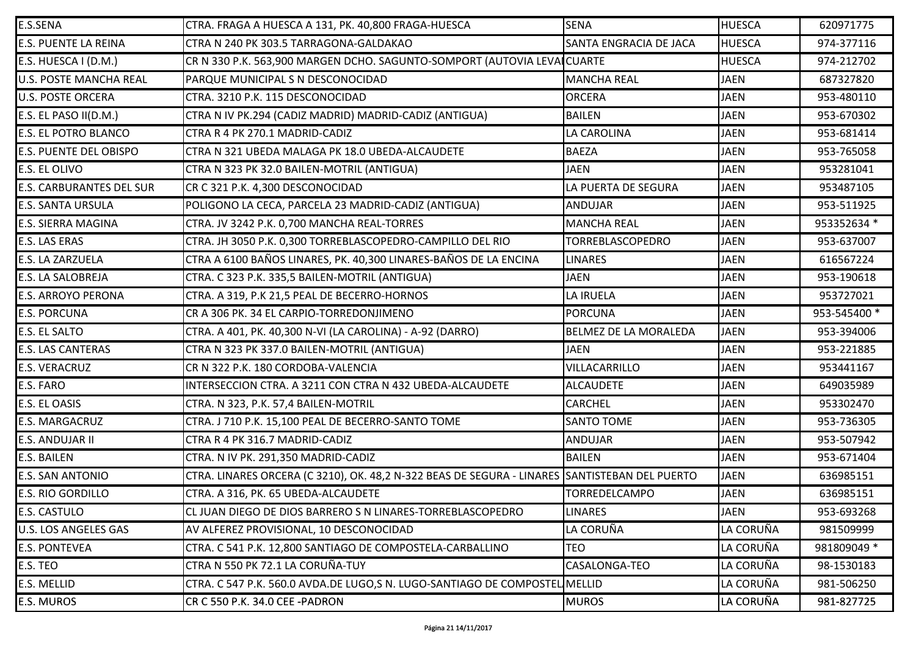| E.S.SENA                        | CTRA. FRAGA A HUESCA A 131, PK. 40,800 FRAGA-HUESCA                                           | <b>SENA</b>                   | <b>HUESCA</b> | 620971775    |
|---------------------------------|-----------------------------------------------------------------------------------------------|-------------------------------|---------------|--------------|
| <b>E.S. PUENTE LA REINA</b>     | CTRA N 240 PK 303.5 TARRAGONA-GALDAKAO                                                        | <b>SANTA ENGRACIA DE JACA</b> | <b>HUESCA</b> | 974-377116   |
| E.S. HUESCA I (D.M.)            | CR N 330 P.K. 563,900 MARGEN DCHO. SAGUNTO-SOMPORT (AUTOVIA LEVAICUARTE                       |                               | <b>HUESCA</b> | 974-212702   |
| <b>U.S. POSTE MANCHA REAL</b>   | PARQUE MUNICIPAL S N DESCONOCIDAD                                                             | <b>MANCHA REAL</b>            | <b>JAEN</b>   | 687327820    |
| <b>U.S. POSTE ORCERA</b>        | CTRA. 3210 P.K. 115 DESCONOCIDAD                                                              | <b>ORCERA</b>                 | <b>JAEN</b>   | 953-480110   |
| E.S. EL PASO II(D.M.)           | CTRA N IV PK.294 (CADIZ MADRID) MADRID-CADIZ (ANTIGUA)                                        | <b>BAILEN</b>                 | <b>JAEN</b>   | 953-670302   |
| <b>E.S. EL POTRO BLANCO</b>     | CTRA R 4 PK 270.1 MADRID-CADIZ                                                                | LA CAROLINA                   | <b>JAEN</b>   | 953-681414   |
| <b>E.S. PUENTE DEL OBISPO</b>   | CTRA N 321 UBEDA MALAGA PK 18.0 UBEDA-ALCAUDETE                                               | <b>BAEZA</b>                  | <b>JAEN</b>   | 953-765058   |
| <b>E.S. EL OLIVO</b>            | CTRA N 323 PK 32.0 BAILEN-MOTRIL (ANTIGUA)                                                    | <b>JAEN</b>                   | <b>JAEN</b>   | 953281041    |
| <b>E.S. CARBURANTES DEL SUR</b> | CR C 321 P.K. 4,300 DESCONOCIDAD                                                              | LA PUERTA DE SEGURA           | <b>JAEN</b>   | 953487105    |
| <b>E.S. SANTA URSULA</b>        | POLIGONO LA CECA, PARCELA 23 MADRID-CADIZ (ANTIGUA)                                           | <b>ANDUJAR</b>                | <b>JAEN</b>   | 953-511925   |
| <b>E.S. SIERRA MAGINA</b>       | CTRA. JV 3242 P.K. 0,700 MANCHA REAL-TORRES                                                   | <b>MANCHA REAL</b>            | <b>JAEN</b>   | 953352634 *  |
| <b>E.S. LAS ERAS</b>            | CTRA. JH 3050 P.K. 0,300 TORREBLASCOPEDRO-CAMPILLO DEL RIO                                    | <b>TORREBLASCOPEDRO</b>       | <b>JAEN</b>   | 953-637007   |
| <b>E.S. LA ZARZUELA</b>         | CTRA A 6100 BAÑOS LINARES, PK. 40,300 LINARES-BAÑOS DE LA ENCINA                              | <b>LINARES</b>                | <b>JAEN</b>   | 616567224    |
| <b>E.S. LA SALOBREJA</b>        | CTRA. C 323 P.K. 335,5 BAILEN-MOTRIL (ANTIGUA)                                                | <b>JAEN</b>                   | <b>JAEN</b>   | 953-190618   |
| <b>E.S. ARROYO PERONA</b>       | CTRA. A 319, P.K 21,5 PEAL DE BECERRO-HORNOS                                                  | LA IRUELA                     | <b>JAEN</b>   | 953727021    |
| <b>E.S. PORCUNA</b>             | CR A 306 PK. 34 EL CARPIO-TORREDONJIMENO                                                      | <b>PORCUNA</b>                | <b>JAEN</b>   | 953-545400 * |
| <b>E.S. EL SALTO</b>            | CTRA. A 401, PK. 40,300 N-VI (LA CAROLINA) - A-92 (DARRO)                                     | BELMEZ DE LA MORALEDA         | <b>JAEN</b>   | 953-394006   |
| <b>E.S. LAS CANTERAS</b>        | CTRA N 323 PK 337.0 BAILEN-MOTRIL (ANTIGUA)                                                   | <b>JAEN</b>                   | <b>JAEN</b>   | 953-221885   |
| <b>E.S. VERACRUZ</b>            | CR N 322 P.K. 180 CORDOBA-VALENCIA                                                            | VILLACARRILLO                 | <b>JAEN</b>   | 953441167    |
| <b>E.S. FARO</b>                | INTERSECCION CTRA. A 3211 CON CTRA N 432 UBEDA-ALCAUDETE                                      | <b>ALCAUDETE</b>              | <b>JAEN</b>   | 649035989    |
| <b>E.S. EL OASIS</b>            | CTRA. N 323, P.K. 57,4 BAILEN-MOTRIL                                                          | <b>CARCHEL</b>                | <b>JAEN</b>   | 953302470    |
| <b>E.S. MARGACRUZ</b>           | CTRA. J 710 P.K. 15,100 PEAL DE BECERRO-SANTO TOME                                            | <b>SANTO TOME</b>             | <b>JAEN</b>   | 953-736305   |
| <b>E.S. ANDUJAR II</b>          | CTRA R 4 PK 316.7 MADRID-CADIZ                                                                | ANDUJAR                       | <b>JAEN</b>   | 953-507942   |
| <b>E.S. BAILEN</b>              | CTRA. N IV PK. 291,350 MADRID-CADIZ                                                           | <b>BAILEN</b>                 | <b>JAEN</b>   | 953-671404   |
| <b>E.S. SAN ANTONIO</b>         | CTRA. LINARES ORCERA (C 3210), OK. 48,2 N-322 BEAS DE SEGURA - LINARES SANTISTEBAN DEL PUERTO |                               | <b>JAEN</b>   | 636985151    |
| <b>E.S. RIO GORDILLO</b>        | CTRA. A 316, PK. 65 UBEDA-ALCAUDETE                                                           | <b>TORREDELCAMPO</b>          | <b>JAEN</b>   | 636985151    |
| <b>E.S. CASTULO</b>             | CL JUAN DIEGO DE DIOS BARRERO S N LINARES-TORREBLASCOPEDRO                                    | <b>LINARES</b>                | <b>JAEN</b>   | 953-693268   |
| <b>U.S. LOS ANGELES GAS</b>     | AV ALFEREZ PROVISIONAL, 10 DESCONOCIDAD                                                       | LA CORUÑA                     | LA CORUÑA     | 981509999    |
| <b>E.S. PONTEVEA</b>            | CTRA. C 541 P.K. 12,800 SANTIAGO DE COMPOSTELA-CARBALLINO                                     | <b>TEO</b>                    | LA CORUÑA     | 981809049 *  |
| E.S. TEO                        | CTRA N 550 PK 72.1 LA CORUÑA-TUY                                                              | CASALONGA-TEO                 | LA CORUÑA     | 98-1530183   |
| <b>E.S. MELLID</b>              | CTRA. C 547 P.K. 560.0 AVDA.DE LUGO,S N. LUGO-SANTIAGO DE COMPOSTEL MELLID                    |                               | LA CORUÑA     | 981-506250   |
| <b>E.S. MUROS</b>               | CR C 550 P.K. 34.0 CEE -PADRON                                                                | <b>MUROS</b>                  | LA CORUÑA     | 981-827725   |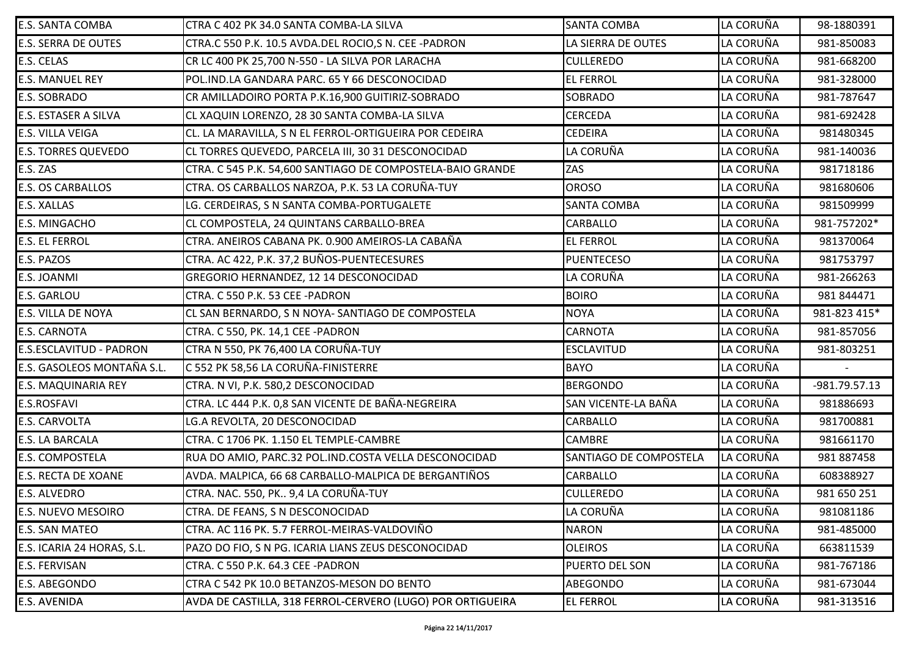| E.S. SANTA COMBA           | CTRA C 402 PK 34.0 SANTA COMBA-LA SILVA                    | <b>SANTA COMBA</b>     | LA CORUÑA | 98-1880391    |
|----------------------------|------------------------------------------------------------|------------------------|-----------|---------------|
| <b>E.S. SERRA DE OUTES</b> | CTRA.C 550 P.K. 10.5 AVDA.DEL ROCIO, SN. CEE - PADRON      | LA SIERRA DE OUTES     | LA CORUÑA | 981-850083    |
| E.S. CELAS                 | CR LC 400 PK 25,700 N-550 - LA SILVA POR LARACHA           | <b>CULLEREDO</b>       | LA CORUÑA | 981-668200    |
| <b>E.S. MANUEL REY</b>     | POL. IND. LA GANDARA PARC. 65 Y 66 DESCONOCIDAD            | <b>EL FERROL</b>       | LA CORUÑA | 981-328000    |
| E.S. SOBRADO               | CR AMILLADOIRO PORTA P.K.16,900 GUITIRIZ-SOBRADO           | <b>SOBRADO</b>         | LA CORUÑA | 981-787647    |
| E.S. ESTASER A SILVA       | CL XAQUIN LORENZO, 28 30 SANTA COMBA-LA SILVA              | <b>CERCEDA</b>         | LA CORUÑA | 981-692428    |
| E.S. VILLA VEIGA           | CL. LA MARAVILLA, S N EL FERROL-ORTIGUEIRA POR CEDEIRA     | <b>CEDEIRA</b>         | LA CORUÑA | 981480345     |
| <b>E.S. TORRES QUEVEDO</b> | CL TORRES QUEVEDO, PARCELA III, 30 31 DESCONOCIDAD         | LA CORUÑA              | LA CORUÑA | 981-140036    |
| E.S. ZAS                   | CTRA. C 545 P.K. 54,600 SANTIAGO DE COMPOSTELA-BAIO GRANDE | ZAS                    | LA CORUÑA | 981718186     |
| <b>E.S. OS CARBALLOS</b>   | CTRA. OS CARBALLOS NARZOA, P.K. 53 LA CORUÑA-TUY           | <b>OROSO</b>           | LA CORUÑA | 981680606     |
| E.S. XALLAS                | LG. CERDEIRAS, S N SANTA COMBA-PORTUGALETE                 | <b>SANTA COMBA</b>     | LA CORUÑA | 981509999     |
| E.S. MINGACHO              | CL COMPOSTELA, 24 QUINTANS CARBALLO-BREA                   | <b>CARBALLO</b>        | LA CORUÑA | 981-757202*   |
| <b>E.S. EL FERROL</b>      | CTRA. ANEIROS CABANA PK. 0.900 AMEIROS-LA CABAÑA           | <b>EL FERROL</b>       | LA CORUÑA | 981370064     |
| E.S. PAZOS                 | CTRA. AC 422, P.K. 37,2 BUÑOS-PUENTECESURES                | <b>PUENTECESO</b>      | LA CORUÑA | 981753797     |
| E.S. JOANMI                | GREGORIO HERNANDEZ, 12 14 DESCONOCIDAD                     | LA CORUÑA              | LA CORUÑA | 981-266263    |
| E.S. GARLOU                | CTRA. C 550 P.K. 53 CEE -PADRON                            | <b>BOIRO</b>           | LA CORUÑA | 981 844471    |
| E.S. VILLA DE NOYA         | CL SAN BERNARDO, S N NOYA- SANTIAGO DE COMPOSTELA          | <b>NOYA</b>            | LA CORUÑA | 981-823 415*  |
| <b>E.S. CARNOTA</b>        | CTRA. C 550, PK. 14,1 CEE -PADRON                          | <b>CARNOTA</b>         | LA CORUÑA | 981-857056    |
| E.S.ESCLAVITUD - PADRON    | CTRA N 550, PK 76,400 LA CORUÑA-TUY                        | <b>ESCLAVITUD</b>      | LA CORUÑA | 981-803251    |
| E.S. GASOLEOS MONTAÑA S.L. | C 552 PK 58,56 LA CORUÑA-FINISTERRE                        | <b>BAYO</b>            | LA CORUÑA |               |
| E.S. MAQUINARIA REY        | CTRA. N VI, P.K. 580,2 DESCONOCIDAD                        | <b>BERGONDO</b>        | LA CORUÑA | -981.79.57.13 |
| E.S.ROSFAVI                | CTRA. LC 444 P.K. 0,8 SAN VICENTE DE BAÑA-NEGREIRA         | SAN VICENTE-LA BAÑA    | LA CORUÑA | 981886693     |
| E.S. CARVOLTA              | LG.A REVOLTA, 20 DESCONOCIDAD                              | <b>CARBALLO</b>        | LA CORUÑA | 981700881     |
| E.S. LA BARCALA            | CTRA. C 1706 PK. 1.150 EL TEMPLE-CAMBRE                    | <b>CAMBRE</b>          | LA CORUÑA | 981661170     |
| E.S. COMPOSTELA            | RUA DO AMIO, PARC.32 POL.IND.COSTA VELLA DESCONOCIDAD      | SANTIAGO DE COMPOSTELA | LA CORUÑA | 981 887458    |
| E.S. RECTA DE XOANE        | AVDA. MALPICA, 66 68 CARBALLO-MALPICA DE BERGANTIÑOS       | <b>CARBALLO</b>        | LA CORUÑA | 608388927     |
| E.S. ALVEDRO               | CTRA. NAC. 550, PK 9,4 LA CORUÑA-TUY                       | <b>CULLEREDO</b>       | LA CORUÑA | 981 650 251   |
| E.S. NUEVO MESOIRO         | CTRA. DE FEANS, S N DESCONOCIDAD                           | LA CORUÑA              | LA CORUÑA | 981081186     |
| E.S. SAN MATEO             | CTRA. AC 116 PK. 5.7 FERROL-MEIRAS-VALDOVIÑO               | <b>NARON</b>           | LA CORUÑA | 981-485000    |
| E.S. ICARIA 24 HORAS, S.L. | PAZO DO FIO, S N PG. ICARIA LIANS ZEUS DESCONOCIDAD        | <b>OLEIROS</b>         | LA CORUÑA | 663811539     |
| E.S. FERVISAN              | CTRA. C 550 P.K. 64.3 CEE -PADRON                          | PUERTO DEL SON         | LA CORUÑA | 981-767186    |
| E.S. ABEGONDO              | CTRA C 542 PK 10.0 BETANZOS-MESON DO BENTO                 | ABEGONDO               | LA CORUÑA | 981-673044    |
| E.S. AVENIDA               | AVDA DE CASTILLA, 318 FERROL-CERVERO (LUGO) POR ORTIGUEIRA | <b>EL FERROL</b>       | LA CORUÑA | 981-313516    |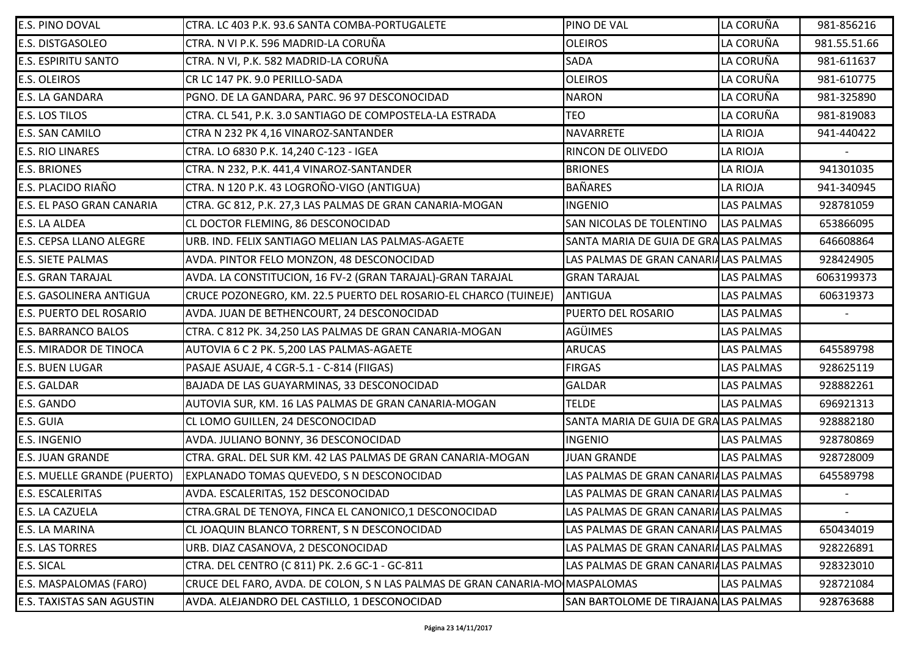| <b>E.S. PINO DOVAL</b>           | ICTRA. LC 403 P.K. 93.6 SANTA COMBA-PORTUGALETE                              | PINO DE VAL                          | LA CORUÑA         | 981-856216               |
|----------------------------------|------------------------------------------------------------------------------|--------------------------------------|-------------------|--------------------------|
| <b>E.S. DISTGASOLEO</b>          | CTRA. N VI P.K. 596 MADRID-LA CORUÑA                                         | <b>OLEIROS</b>                       | LA CORUÑA         | 981.55.51.66             |
| <b>E.S. ESPIRITU SANTO</b>       | CTRA. N VI, P.K. 582 MADRID-LA CORUÑA                                        | <b>SADA</b>                          | LA CORUÑA         | 981-611637               |
| <b>E.S. OLEIROS</b>              | CR LC 147 PK. 9.0 PERILLO-SADA                                               | <b>OLEIROS</b>                       | LA CORUÑA         | 981-610775               |
| <b>E.S. LA GANDARA</b>           | PGNO. DE LA GANDARA, PARC. 96 97 DESCONOCIDAD                                | <b>NARON</b>                         | LA CORUÑA         | 981-325890               |
| <b>E.S. LOS TILOS</b>            | CTRA. CL 541, P.K. 3.0 SANTIAGO DE COMPOSTELA-LA ESTRADA                     | <b>TEO</b>                           | LA CORUÑA         | 981-819083               |
| <b>E.S. SAN CAMILO</b>           | CTRA N 232 PK 4,16 VINAROZ-SANTANDER                                         | <b>NAVARRETE</b>                     | LA RIOJA          | 941-440422               |
| <b>E.S. RIO LINARES</b>          | CTRA. LO 6830 P.K. 14,240 C-123 - IGEA                                       | RINCON DE OLIVEDO                    | LA RIOJA          |                          |
| <b>E.S. BRIONES</b>              | CTRA. N 232, P.K. 441,4 VINAROZ-SANTANDER                                    | <b>BRIONES</b>                       | <b>LA RIOJA</b>   | 941301035                |
| E.S. PLACIDO RIAÑO               | CTRA. N 120 P.K. 43 LOGROÑO-VIGO (ANTIGUA)                                   | <b>BAÑARES</b>                       | <b>LA RIOJA</b>   | 941-340945               |
| E.S. EL PASO GRAN CANARIA        | CTRA. GC 812, P.K. 27,3 LAS PALMAS DE GRAN CANARIA-MOGAN                     | <b>INGENIO</b>                       | <b>LAS PALMAS</b> | 928781059                |
| <b>E.S. LA ALDEA</b>             | CL DOCTOR FLEMING, 86 DESCONOCIDAD                                           | SAN NICOLAS DE TOLENTINO             | <b>LAS PALMAS</b> | 653866095                |
| <b>E.S. CEPSA LLANO ALEGRE</b>   | URB. IND. FELIX SANTIAGO MELIAN LAS PALMAS-AGAETE                            | SANTA MARIA DE GUIA DE GRALAS PALMAS |                   | 646608864                |
| <b>E.S. SIETE PALMAS</b>         | AVDA. PINTOR FELO MONZON, 48 DESCONOCIDAD                                    | LAS PALMAS DE GRAN CANARIALAS PALMAS |                   | 928424905                |
| <b>E.S. GRAN TARAJAL</b>         | AVDA. LA CONSTITUCION, 16 FV-2 (GRAN TARAJAL)-GRAN TARAJAL                   | <b>GRAN TARAJAL</b>                  | <b>LAS PALMAS</b> | 6063199373               |
| <b>E.S. GASOLINERA ANTIGUA</b>   | CRUCE POZONEGRO, KM. 22.5 PUERTO DEL ROSARIO-EL CHARCO (TUINEJE)             | ANTIGUA                              | <b>LAS PALMAS</b> | 606319373                |
| <b>E.S. PUERTO DEL ROSARIO</b>   | AVDA. JUAN DE BETHENCOURT, 24 DESCONOCIDAD                                   | PUERTO DEL ROSARIO                   | <b>LAS PALMAS</b> |                          |
| <b>E.S. BARRANCO BALOS</b>       | CTRA. C 812 PK. 34,250 LAS PALMAS DE GRAN CANARIA-MOGAN                      | <b>AGÜIMES</b>                       | <b>LAS PALMAS</b> |                          |
| <b>E.S. MIRADOR DE TINOCA</b>    | AUTOVIA 6 C 2 PK. 5,200 LAS PALMAS-AGAETE                                    | <b>ARUCAS</b>                        | <b>LAS PALMAS</b> | 645589798                |
| <b>E.S. BUEN LUGAR</b>           | PASAJE ASUAJE, 4 CGR-5.1 - C-814 (FIIGAS)                                    | <b>FIRGAS</b>                        | LAS PALMAS        | 928625119                |
| <b>E.S. GALDAR</b>               | BAJADA DE LAS GUAYARMINAS, 33 DESCONOCIDAD                                   | <b>GALDAR</b>                        | <b>LAS PALMAS</b> | 928882261                |
| E.S. GANDO                       | AUTOVIA SUR, KM. 16 LAS PALMAS DE GRAN CANARIA-MOGAN                         | <b>TELDE</b>                         | <b>LAS PALMAS</b> | 696921313                |
| E.S. GUIA                        | CL LOMO GUILLEN, 24 DESCONOCIDAD                                             | SANTA MARIA DE GUIA DE GRALAS PALMAS |                   | 928882180                |
| <b>E.S. INGENIO</b>              | AVDA. JULIANO BONNY, 36 DESCONOCIDAD                                         | <b>INGENIO</b>                       | <b>LAS PALMAS</b> | 928780869                |
| <b>E.S. JUAN GRANDE</b>          | CTRA. GRAL. DEL SUR KM. 42 LAS PALMAS DE GRAN CANARIA-MOGAN                  | <b>JUAN GRANDE</b>                   | <b>LAS PALMAS</b> | 928728009                |
| E.S. MUELLE GRANDE (PUERTO)      | EXPLANADO TOMAS QUEVEDO, S N DESCONOCIDAD                                    | LAS PALMAS DE GRAN CANARIALAS PALMAS |                   | 645589798                |
| <b>E.S. ESCALERITAS</b>          | AVDA. ESCALERITAS, 152 DESCONOCIDAD                                          | LAS PALMAS DE GRAN CANARIALAS PALMAS |                   |                          |
| <b>E.S. LA CAZUELA</b>           | CTRA.GRAL DE TENOYA, FINCA EL CANONICO, 1 DESCONOCIDAD                       | LAS PALMAS DE GRAN CANARIALAS PALMAS |                   | $\overline{\phantom{a}}$ |
| E.S. LA MARINA                   | CL JOAQUIN BLANCO TORRENT, S N DESCONOCIDAD                                  | LAS PALMAS DE GRAN CANARIALAS PALMAS |                   | 650434019                |
| <b>E.S. LAS TORRES</b>           | URB. DIAZ CASANOVA, 2 DESCONOCIDAD                                           | LAS PALMAS DE GRAN CANARIALAS PALMAS |                   | 928226891                |
| <b>E.S. SICAL</b>                | CTRA. DEL CENTRO (C 811) PK. 2.6 GC-1 - GC-811                               | LAS PALMAS DE GRAN CANARIALAS PALMAS |                   | 928323010                |
| E.S. MASPALOMAS (FARO)           | CRUCE DEL FARO, AVDA. DE COLON, S N LAS PALMAS DE GRAN CANARIA-MO MASPALOMAS |                                      | LAS PALMAS        | 928721084                |
| <b>E.S. TAXISTAS SAN AGUSTIN</b> | AVDA. ALEJANDRO DEL CASTILLO, 1 DESCONOCIDAD                                 | SAN BARTOLOME DE TIRAJANA LAS PALMAS |                   | 928763688                |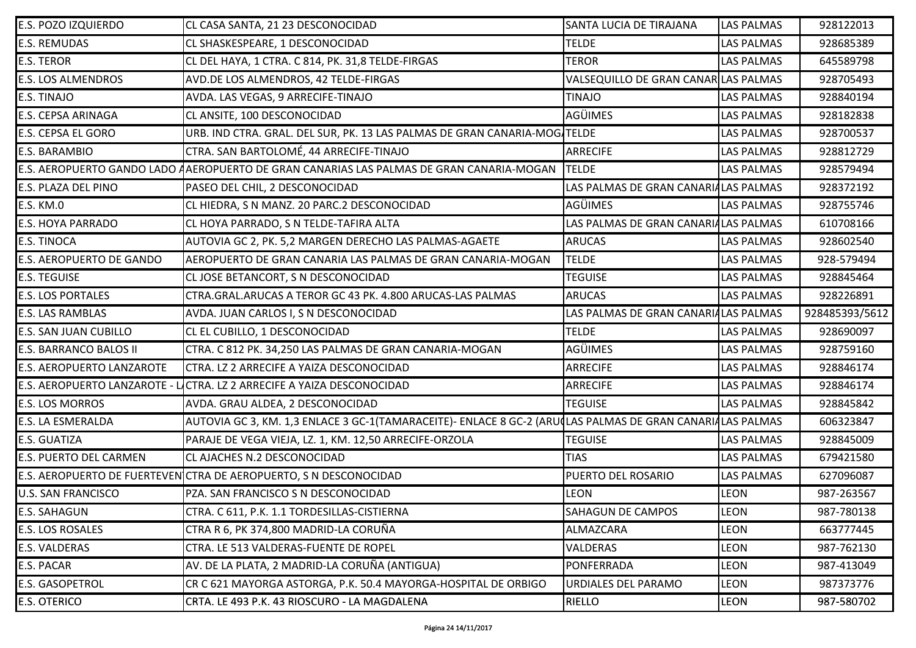| <b>E.S. POZO IZQUIERDO</b>       | CL CASA SANTA, 21 23 DESCONOCIDAD                                                                         | SANTA LUCIA DE TIRAJANA              | <b>LAS PALMAS</b> | 928122013      |
|----------------------------------|-----------------------------------------------------------------------------------------------------------|--------------------------------------|-------------------|----------------|
| <b>E.S. REMUDAS</b>              | CL SHASKESPEARE, 1 DESCONOCIDAD                                                                           | <b>TELDE</b>                         | <b>LAS PALMAS</b> | 928685389      |
| <b>E.S. TEROR</b>                | CL DEL HAYA, 1 CTRA. C 814, PK. 31,8 TELDE-FIRGAS                                                         | <b>TEROR</b>                         | <b>LAS PALMAS</b> | 645589798      |
| <b>E.S. LOS ALMENDROS</b>        | AVD.DE LOS ALMENDROS, 42 TELDE-FIRGAS                                                                     | VALSEQUILLO DE GRAN CANAR LAS PALMAS |                   | 928705493      |
| <b>E.S. TINAJO</b>               | AVDA. LAS VEGAS, 9 ARRECIFE-TINAJO                                                                        | <b>TINAJO</b>                        | <b>LAS PALMAS</b> | 928840194      |
| E.S. CEPSA ARINAGA               | CL ANSITE, 100 DESCONOCIDAD                                                                               | AGÜIMES                              | <b>LAS PALMAS</b> | 928182838      |
| <b>E.S. CEPSA EL GORO</b>        | URB. IND CTRA. GRAL. DEL SUR, PK. 13 LAS PALMAS DE GRAN CANARIA-MOG/TELDE                                 |                                      | <b>LAS PALMAS</b> | 928700537      |
| <b>E.S. BARAMBIO</b>             | CTRA. SAN BARTOLOMÉ, 44 ARRECIFE-TINAJO                                                                   | <b>ARRECIFE</b>                      | <b>LAS PALMAS</b> | 928812729      |
|                                  | E.S. AEROPUERTO GANDO LADO AAEROPUERTO DE GRAN CANARIAS LAS PALMAS DE GRAN CANARIA-MOGAN                  | <b>TELDE</b>                         | <b>LAS PALMAS</b> | 928579494      |
| E.S. PLAZA DEL PINO              | PASEO DEL CHIL, 2 DESCONOCIDAD                                                                            | LAS PALMAS DE GRAN CANARIALAS PALMAS |                   | 928372192      |
| <b>E.S. KM.0</b>                 | CL HIEDRA, S N MANZ. 20 PARC.2 DESCONOCIDAD                                                               | <b>AGÜIMES</b>                       | <b>LAS PALMAS</b> | 928755746      |
| <b>E.S. HOYA PARRADO</b>         | CL HOYA PARRADO, S N TELDE-TAFIRA ALTA                                                                    | LAS PALMAS DE GRAN CANARIALAS PALMAS |                   | 610708166      |
| <b>E.S. TINOCA</b>               | AUTOVIA GC 2, PK. 5,2 MARGEN DERECHO LAS PALMAS-AGAETE                                                    | <b>ARUCAS</b>                        | <b>LAS PALMAS</b> | 928602540      |
| <b>E.S. AEROPUERTO DE GANDO</b>  | AEROPUERTO DE GRAN CANARIA LAS PALMAS DE GRAN CANARIA-MOGAN                                               | <b>TELDE</b>                         | <b>LAS PALMAS</b> | 928-579494     |
| <b>E.S. TEGUISE</b>              | CL JOSE BETANCORT, S N DESCONOCIDAD                                                                       | <b>TEGUISE</b>                       | LAS PALMAS        | 928845464      |
| <b>E.S. LOS PORTALES</b>         | CTRA.GRAL.ARUCAS A TEROR GC 43 PK. 4.800 ARUCAS-LAS PALMAS                                                | <b>ARUCAS</b>                        | <b>LAS PALMAS</b> | 928226891      |
| <b>E.S. LAS RAMBLAS</b>          | AVDA. JUAN CARLOS I, S N DESCONOCIDAD                                                                     | LAS PALMAS DE GRAN CANARIALAS PALMAS |                   | 928485393/5612 |
| <b>E.S. SAN JUAN CUBILLO</b>     | CL EL CUBILLO, 1 DESCONOCIDAD                                                                             | <b>TELDE</b>                         | <b>LAS PALMAS</b> | 928690097      |
| <b>E.S. BARRANCO BALOS II</b>    | CTRA. C 812 PK. 34,250 LAS PALMAS DE GRAN CANARIA-MOGAN                                                   | <b>AGÜIMES</b>                       | <b>LAS PALMAS</b> | 928759160      |
| <b>E.S. AEROPUERTO LANZAROTE</b> | CTRA. LZ 2 ARRECIFE A YAIZA DESCONOCIDAD                                                                  | <b>ARRECIFE</b>                      | <b>LAS PALMAS</b> | 928846174      |
|                                  | E.S. AEROPUERTO LANZAROTE - LICTRA. LZ 2 ARRECIFE A YAIZA DESCONOCIDAD                                    | <b>ARRECIFE</b>                      | <b>LAS PALMAS</b> | 928846174      |
| <b>E.S. LOS MORROS</b>           | AVDA. GRAU ALDEA, 2 DESCONOCIDAD                                                                          | <b>TEGUISE</b>                       | <b>LAS PALMAS</b> | 928845842      |
| <b>E.S. LA ESMERALDA</b>         | AUTOVIA GC 3, KM. 1,3 ENLACE 3 GC-1(TAMARACEITE)- ENLACE 8 GC-2 (ARU(LAS PALMAS DE GRAN CANARI/LAS PALMAS |                                      |                   | 606323847      |
| <b>E.S. GUATIZA</b>              | PARAJE DE VEGA VIEJA, LZ. 1, KM. 12,50 ARRECIFE-ORZOLA                                                    | <b>TEGUISE</b>                       | <b>LAS PALMAS</b> | 928845009      |
| <b>E.S. PUERTO DEL CARMEN</b>    | CL AJACHES N.2 DESCONOCIDAD                                                                               | <b>TIAS</b>                          | <b>LAS PALMAS</b> | 679421580      |
|                                  | E.S. AEROPUERTO DE FUERTEVEN CTRA DE AEROPUERTO, S N DESCONOCIDAD                                         | PUERTO DEL ROSARIO                   | <b>LAS PALMAS</b> | 627096087      |
| <b>U.S. SAN FRANCISCO</b>        | PZA. SAN FRANCISCO S N DESCONOCIDAD                                                                       | <b>LEON</b>                          | <b>LEON</b>       | 987-263567     |
| <b>E.S. SAHAGUN</b>              | CTRA. C 611, P.K. 1.1 TORDESILLAS-CISTIERNA                                                               | <b>SAHAGUN DE CAMPOS</b>             | <b>LEON</b>       | 987-780138     |
| <b>E.S. LOS ROSALES</b>          | CTRA R 6, PK 374,800 MADRID-LA CORUÑA                                                                     | ALMAZCARA                            | <b>LEON</b>       | 663777445      |
| <b>E.S. VALDERAS</b>             | CTRA. LE 513 VALDERAS-FUENTE DE ROPEL                                                                     | <b>VALDERAS</b>                      | <b>LEON</b>       | 987-762130     |
| <b>E.S. PACAR</b>                | AV. DE LA PLATA, 2 MADRID-LA CORUÑA (ANTIGUA)                                                             | PONFERRADA                           | <b>LEON</b>       | 987-413049     |
| <b>E.S. GASOPETROL</b>           | CR C 621 MAYORGA ASTORGA, P.K. 50.4 MAYORGA-HOSPITAL DE ORBIGO                                            | URDIALES DEL PARAMO                  | <b>LEON</b>       | 987373776      |
| <b>E.S. OTERICO</b>              | CRTA. LE 493 P.K. 43 RIOSCURO - LA MAGDALENA                                                              | <b>RIELLO</b>                        | <b>LEON</b>       | 987-580702     |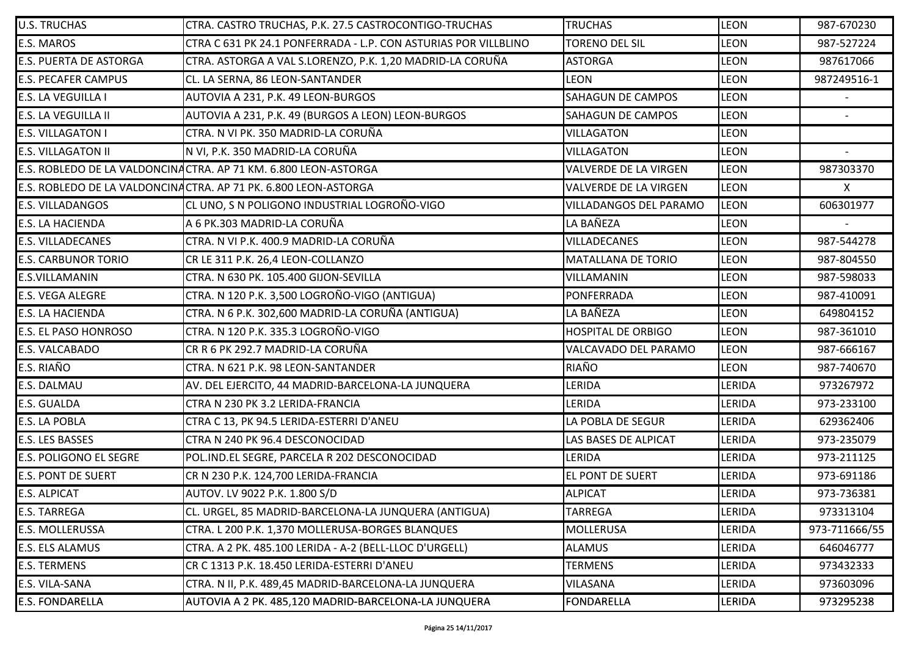| <b>U.S. TRUCHAS</b>           | CTRA. CASTRO TRUCHAS, P.K. 27.5 CASTROCONTIGO-TRUCHAS           | <b>TRUCHAS</b>               | <b>LEON</b>   | 987-670230    |
|-------------------------------|-----------------------------------------------------------------|------------------------------|---------------|---------------|
| <b>E.S. MAROS</b>             | CTRA C 631 PK 24.1 PONFERRADA - L.P. CON ASTURIAS POR VILLBLINO | <b>TORENO DEL SIL</b>        | <b>LEON</b>   | 987-527224    |
| <b>E.S. PUERTA DE ASTORGA</b> | CTRA. ASTORGA A VAL S.LORENZO, P.K. 1,20 MADRID-LA CORUÑA       | <b>ASTORGA</b>               | <b>LEON</b>   | 987617066     |
| <b>E.S. PECAFER CAMPUS</b>    | CL. LA SERNA, 86 LEON-SANTANDER                                 | <b>LEON</b>                  | <b>LEON</b>   | 987249516-1   |
| <b>E.S. LA VEGUILLA I</b>     | AUTOVIA A 231, P.K. 49 LEON-BURGOS                              | <b>SAHAGUN DE CAMPOS</b>     | <b>LEON</b>   |               |
| <b>E.S. LA VEGUILLA II</b>    | AUTOVIA A 231, P.K. 49 (BURGOS A LEON) LEON-BURGOS              | <b>SAHAGUN DE CAMPOS</b>     | <b>LEON</b>   | $\sim$        |
| <b>E.S. VILLAGATON I</b>      | CTRA. N VI PK. 350 MADRID-LA CORUÑA                             | <b>VILLAGATON</b>            | <b>LEON</b>   |               |
| <b>E.S. VILLAGATON II</b>     | N VI, P.K. 350 MADRID-LA CORUÑA                                 | <b>VILLAGATON</b>            | <b>LEON</b>   |               |
|                               | E.S. ROBLEDO DE LA VALDONCINACTRA. AP 71 KM. 6.800 LEON-ASTORGA | <b>VALVERDE DE LA VIRGEN</b> | <b>LEON</b>   | 987303370     |
|                               | E.S. ROBLEDO DE LA VALDONCINACTRA. AP 71 PK. 6.800 LEON-ASTORGA | <b>VALVERDE DE LA VIRGEN</b> | <b>LEON</b>   | X             |
| <b>E.S. VILLADANGOS</b>       | CL UNO, S N POLIGONO INDUSTRIAL LOGROÑO-VIGO                    | VILLADANGOS DEL PARAMO       | <b>LEON</b>   | 606301977     |
| <b>E.S. LA HACIENDA</b>       | A 6 PK.303 MADRID-LA CORUÑA                                     | LA BAÑEZA                    | <b>LEON</b>   |               |
| <b>E.S. VILLADECANES</b>      | CTRA. N VI P.K. 400.9 MADRID-LA CORUÑA                          | <b>VILLADECANES</b>          | <b>LEON</b>   | 987-544278    |
| <b>E.S. CARBUNOR TORIO</b>    | CR LE 311 P.K. 26,4 LEON-COLLANZO                               | <b>MATALLANA DE TORIO</b>    | LEON          | 987-804550    |
| <b>E.S.VILLAMANIN</b>         | CTRA. N 630 PK. 105.400 GIJON-SEVILLA                           | VILLAMANIN                   | <b>LEON</b>   | 987-598033    |
| <b>E.S. VEGA ALEGRE</b>       | CTRA. N 120 P.K. 3,500 LOGROÑO-VIGO (ANTIGUA)                   | PONFERRADA                   | <b>LEON</b>   | 987-410091    |
| <b>E.S. LA HACIENDA</b>       | CTRA. N 6 P.K. 302,600 MADRID-LA CORUÑA (ANTIGUA)               | LA BAÑEZA                    | <b>LEON</b>   | 649804152     |
| <b>E.S. EL PASO HONROSO</b>   | CTRA. N 120 P.K. 335.3 LOGROÑO-VIGO                             | <b>HOSPITAL DE ORBIGO</b>    | <b>LEON</b>   | 987-361010    |
| <b>E.S. VALCABADO</b>         | CR R 6 PK 292.7 MADRID-LA CORUÑA                                | VALCAVADO DEL PARAMO         | <b>LEON</b>   | 987-666167    |
| E.S. RIAÑO                    | CTRA. N 621 P.K. 98 LEON-SANTANDER                              | RIAÑO                        | <b>LEON</b>   | 987-740670    |
| E.S. DALMAU                   | AV. DEL EJERCITO, 44 MADRID-BARCELONA-LA JUNQUERA               | LERIDA                       | LERIDA        | 973267972     |
| <b>E.S. GUALDA</b>            | CTRA N 230 PK 3.2 LERIDA-FRANCIA                                | LERIDA                       | LERIDA        | 973-233100    |
| <b>E.S. LA POBLA</b>          | CTRA C 13, PK 94.5 LERIDA-ESTERRI D'ANEU                        | LA POBLA DE SEGUR            | LERIDA        | 629362406     |
| <b>E.S. LES BASSES</b>        | CTRA N 240 PK 96.4 DESCONOCIDAD                                 | LAS BASES DE ALPICAT         | LERIDA        | 973-235079    |
| <b>E.S. POLIGONO EL SEGRE</b> | POL.IND.EL SEGRE, PARCELA R 202 DESCONOCIDAD                    | LERIDA                       | LERIDA        | 973-211125    |
| <b>E.S. PONT DE SUERT</b>     | CR N 230 P.K. 124,700 LERIDA-FRANCIA                            | EL PONT DE SUERT             | LERIDA        | 973-691186    |
| <b>E.S. ALPICAT</b>           | AUTOV. LV 9022 P.K. 1.800 S/D                                   | <b>ALPICAT</b>               | <b>LERIDA</b> | 973-736381    |
| <b>E.S. TARREGA</b>           | CL. URGEL, 85 MADRID-BARCELONA-LA JUNQUERA (ANTIGUA)            | <b>TARREGA</b>               | LERIDA        | 973313104     |
| <b>E.S. MOLLERUSSA</b>        | CTRA. L 200 P.K. 1,370 MOLLERUSA-BORGES BLANQUES                | <b>MOLLERUSA</b>             | LERIDA        | 973-711666/55 |
| E.S. ELS ALAMUS               | CTRA. A 2 PK. 485.100 LERIDA - A-2 (BELL-LLOC D'URGELL)         | <b>ALAMUS</b>                | LERIDA        | 646046777     |
| <b>E.S. TERMENS</b>           | CR C 1313 P.K. 18.450 LERIDA-ESTERRI D'ANEU                     | <b>TERMENS</b>               | LERIDA        | 973432333     |
| E.S. VILA-SANA                | CTRA. N II, P.K. 489,45 MADRID-BARCELONA-LA JUNQUERA            | VILASANA                     | <b>LERIDA</b> | 973603096     |
| <b>E.S. FONDARELLA</b>        | AUTOVIA A 2 PK. 485,120 MADRID-BARCELONA-LA JUNQUERA            | <b>FONDARELLA</b>            | LERIDA        | 973295238     |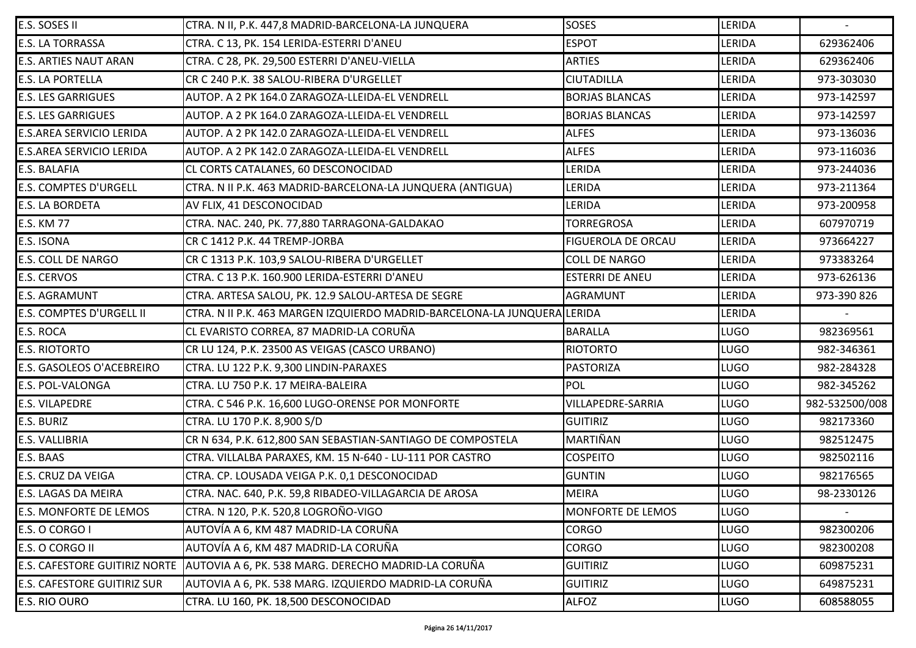| E.S. SOSES II                      | CTRA. N II, P.K. 447,8 MADRID-BARCELONA-LA JUNQUERA                                 | <b>SOSES</b>              | <b>LERIDA</b> |                |
|------------------------------------|-------------------------------------------------------------------------------------|---------------------------|---------------|----------------|
| <b>E.S. LA TORRASSA</b>            | CTRA. C 13, PK. 154 LERIDA-ESTERRI D'ANEU                                           | <b>ESPOT</b>              | LERIDA        | 629362406      |
| <b>E.S. ARTIES NAUT ARAN</b>       | CTRA. C 28, PK. 29,500 ESTERRI D'ANEU-VIELLA                                        | <b>ARTIES</b>             | <b>LERIDA</b> | 629362406      |
| <b>E.S. LA PORTELLA</b>            | CR C 240 P.K. 38 SALOU-RIBERA D'URGELLET                                            | <b>CIUTADILLA</b>         | LERIDA        | 973-303030     |
| <b>E.S. LES GARRIGUES</b>          | AUTOP. A 2 PK 164.0 ZARAGOZA-LLEIDA-EL VENDRELL                                     | <b>BORJAS BLANCAS</b>     | LERIDA        | 973-142597     |
| <b>E.S. LES GARRIGUES</b>          | AUTOP. A 2 PK 164.0 ZARAGOZA-LLEIDA-EL VENDRELL                                     | <b>BORJAS BLANCAS</b>     | LERIDA        | 973-142597     |
| <b>E.S.AREA SERVICIO LERIDA</b>    | AUTOP. A 2 PK 142.0 ZARAGOZA-LLEIDA-EL VENDRELL                                     | <b>ALFES</b>              | <b>LERIDA</b> | 973-136036     |
| <b>E.S.AREA SERVICIO LERIDA</b>    | AUTOP. A 2 PK 142.0 ZARAGOZA-LLEIDA-EL VENDRELL                                     | <b>ALFES</b>              | <b>LERIDA</b> | 973-116036     |
| <b>E.S. BALAFIA</b>                | CL CORTS CATALANES, 60 DESCONOCIDAD                                                 | <b>LERIDA</b>             | <b>LERIDA</b> | 973-244036     |
| <b>E.S. COMPTES D'URGELL</b>       | CTRA. N II P.K. 463 MADRID-BARCELONA-LA JUNQUERA (ANTIGUA)                          | LERIDA                    | LERIDA        | 973-211364     |
| <b>E.S. LA BORDETA</b>             | AV FLIX, 41 DESCONOCIDAD                                                            | <b>LERIDA</b>             | <b>LERIDA</b> | 973-200958     |
| <b>E.S. KM 77</b>                  | CTRA. NAC. 240, PK. 77,880 TARRAGONA-GALDAKAO                                       | <b>TORREGROSA</b>         | LERIDA        | 607970719      |
| <b>E.S. ISONA</b>                  | CR C 1412 P.K. 44 TREMP-JORBA                                                       | <b>FIGUEROLA DE ORCAU</b> | <b>LERIDA</b> | 973664227      |
| <b>E.S. COLL DE NARGO</b>          | CR C 1313 P.K. 103,9 SALOU-RIBERA D'URGELLET                                        | <b>COLL DE NARGO</b>      | <b>LERIDA</b> | 973383264      |
| <b>E.S. CERVOS</b>                 | CTRA. C 13 P.K. 160.900 LERIDA-ESTERRI D'ANEU                                       | <b>ESTERRI DE ANEU</b>    | <b>LERIDA</b> | 973-626136     |
| <b>E.S. AGRAMUNT</b>               | CTRA. ARTESA SALOU, PK. 12.9 SALOU-ARTESA DE SEGRE                                  | AGRAMUNT                  | <b>LERIDA</b> | 973-390 826    |
| <b>E.S. COMPTES D'URGELL II</b>    | CTRA. N II P.K. 463 MARGEN IZQUIERDO MADRID-BARCELONA-LA JUNQUERA LERIDA            |                           | LERIDA        |                |
| <b>E.S. ROCA</b>                   | CL EVARISTO CORREA, 87 MADRID-LA CORUÑA                                             | <b>BARALLA</b>            | <b>LUGO</b>   | 982369561      |
| <b>E.S. RIOTORTO</b>               | CR LU 124, P.K. 23500 AS VEIGAS (CASCO URBANO)                                      | <b>RIOTORTO</b>           | <b>LUGO</b>   | 982-346361     |
| <b>E.S. GASOLEOS O'ACEBREIRO</b>   | CTRA. LU 122 P.K. 9,300 LINDIN-PARAXES                                              | PASTORIZA                 | <b>LUGO</b>   | 982-284328     |
| E.S. POL-VALONGA                   | CTRA. LU 750 P.K. 17 MEIRA-BALEIRA                                                  | POL                       | <b>LUGO</b>   | 982-345262     |
| <b>E.S. VILAPEDRE</b>              | CTRA. C 546 P.K. 16,600 LUGO-ORENSE POR MONFORTE                                    | <b>VILLAPEDRE-SARRIA</b>  | <b>LUGO</b>   | 982-532500/008 |
| <b>E.S. BURIZ</b>                  | CTRA. LU 170 P.K. 8,900 S/D                                                         | <b>GUITIRIZ</b>           | <b>LUGO</b>   | 982173360      |
| <b>E.S. VALLIBRIA</b>              | CR N 634, P.K. 612,800 SAN SEBASTIAN-SANTIAGO DE COMPOSTELA                         | MARTIÑAN                  | <b>LUGO</b>   | 982512475      |
| E.S. BAAS                          | CTRA. VILLALBA PARAXES, KM. 15 N-640 - LU-111 POR CASTRO                            | <b>COSPEITO</b>           | <b>LUGO</b>   | 982502116      |
| <b>E.S. CRUZ DA VEIGA</b>          | CTRA. CP. LOUSADA VEIGA P.K. 0,1 DESCONOCIDAD                                       | <b>GUNTIN</b>             | <b>LUGO</b>   | 982176565      |
| <b>E.S. LAGAS DA MEIRA</b>         | CTRA. NAC. 640, P.K. 59,8 RIBADEO-VILLAGARCIA DE AROSA                              | <b>MEIRA</b>              | <b>LUGO</b>   | 98-2330126     |
| <b>E.S. MONFORTE DE LEMOS</b>      | CTRA. N 120, P.K. 520,8 LOGROÑO-VIGO                                                | MONFORTE DE LEMOS         | <b>LUGO</b>   |                |
| E.S. O CORGO I                     | AUTOVÍA A 6, KM 487 MADRID-LA CORUÑA                                                | <b>CORGO</b>              | <b>LUGO</b>   | 982300206      |
| E.S. O CORGO II                    | AUTOVÍA A 6, KM 487 MADRID-LA CORUÑA                                                | <b>CORGO</b>              | <b>LUGO</b>   | 982300208      |
|                                    | E.S. CAFESTORE GUITIRIZ NORTE   AUTOVIA A 6, PK. 538 MARG. DERECHO MADRID-LA CORUÑA | <b>GUITIRIZ</b>           | <b>LUGO</b>   | 609875231      |
| <b>E.S. CAFESTORE GUITIRIZ SUR</b> | AUTOVIA A 6, PK. 538 MARG. IZQUIERDO MADRID-LA CORUÑA                               | <b>GUITIRIZ</b>           | <b>LUGO</b>   | 649875231      |
| <b>E.S. RIO OURO</b>               | CTRA. LU 160, PK. 18,500 DESCONOCIDAD                                               | <b>ALFOZ</b>              | <b>LUGO</b>   | 608588055      |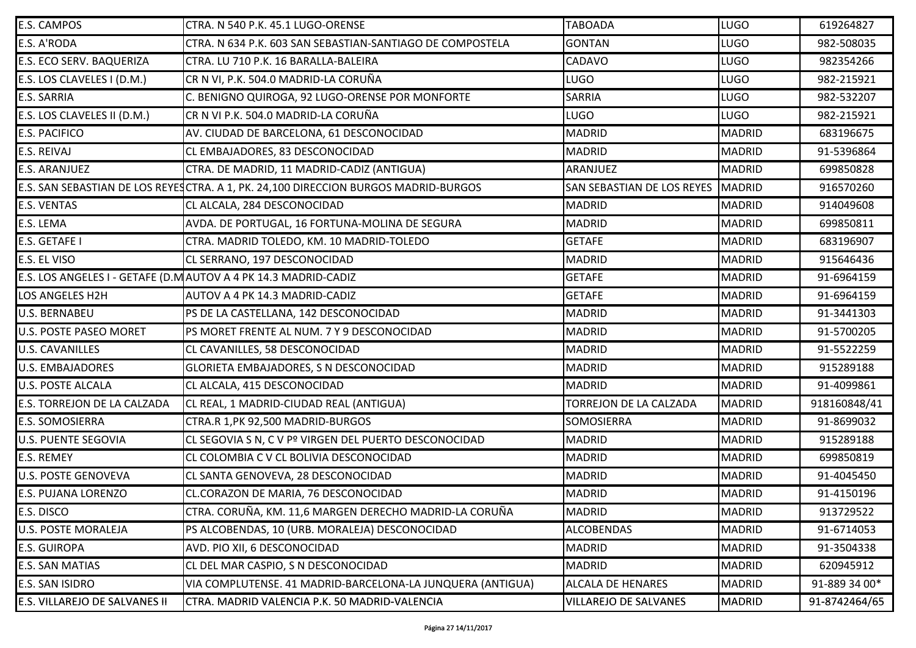| E.S. CAMPOS                   | CTRA. N 540 P.K. 45.1 LUGO-ORENSE                                                   | <b>TABOADA</b>                    | <b>LUGO</b>   | 619264827     |
|-------------------------------|-------------------------------------------------------------------------------------|-----------------------------------|---------------|---------------|
| E.S. A'RODA                   | CTRA. N 634 P.K. 603 SAN SEBASTIAN-SANTIAGO DE COMPOSTELA                           | <b>GONTAN</b>                     | <b>LUGO</b>   | 982-508035    |
| E.S. ECO SERV. BAQUERIZA      | CTRA. LU 710 P.K. 16 BARALLA-BALEIRA                                                | <b>CADAVO</b>                     | <b>LUGO</b>   | 982354266     |
| E.S. LOS CLAVELES I (D.M.)    | CR N VI, P.K. 504.0 MADRID-LA CORUÑA                                                | <b>LUGO</b>                       | <b>LUGO</b>   | 982-215921    |
| <b>E.S. SARRIA</b>            | C. BENIGNO QUIROGA, 92 LUGO-ORENSE POR MONFORTE                                     | <b>SARRIA</b>                     | <b>LUGO</b>   | 982-532207    |
| E.S. LOS CLAVELES II (D.M.)   | CR N VI P.K. 504.0 MADRID-LA CORUÑA                                                 | <b>LUGO</b>                       | <b>LUGO</b>   | 982-215921    |
| <b>E.S. PACIFICO</b>          | AV. CIUDAD DE BARCELONA, 61 DESCONOCIDAD                                            | <b>MADRID</b>                     | <b>MADRID</b> | 683196675     |
| E.S. REIVAJ                   | CL EMBAJADORES, 83 DESCONOCIDAD                                                     | <b>MADRID</b>                     | <b>MADRID</b> | 91-5396864    |
| <b>E.S. ARANJUEZ</b>          | CTRA. DE MADRID, 11 MADRID-CADIZ (ANTIGUA)                                          | ARANJUEZ                          | <b>MADRID</b> | 699850828     |
|                               | E.S. SAN SEBASTIAN DE LOS REYESCTRA. A 1, PK. 24,100 DIRECCION BURGOS MADRID-BURGOS | <b>SAN SEBASTIAN DE LOS REYES</b> | <b>MADRID</b> | 916570260     |
| <b>E.S. VENTAS</b>            | CL ALCALA, 284 DESCONOCIDAD                                                         | <b>MADRID</b>                     | <b>MADRID</b> | 914049608     |
| E.S. LEMA                     | AVDA. DE PORTUGAL, 16 FORTUNA-MOLINA DE SEGURA                                      | <b>MADRID</b>                     | <b>MADRID</b> | 699850811     |
| E.S. GETAFE I                 | CTRA. MADRID TOLEDO, KM. 10 MADRID-TOLEDO                                           | <b>GETAFE</b>                     | <b>MADRID</b> | 683196907     |
| E.S. EL VISO                  | CL SERRANO, 197 DESCONOCIDAD                                                        | <b>MADRID</b>                     | <b>MADRID</b> | 915646436     |
|                               | E.S. LOS ANGELES I - GETAFE (D.M AUTOV A 4 PK 14.3 MADRID-CADIZ                     | <b>GETAFE</b>                     | <b>MADRID</b> | 91-6964159    |
| LOS ANGELES H2H               | AUTOV A 4 PK 14.3 MADRID-CADIZ                                                      | <b>GETAFE</b>                     | <b>MADRID</b> | 91-6964159    |
| <b>U.S. BERNABEU</b>          | PS DE LA CASTELLANA, 142 DESCONOCIDAD                                               | <b>MADRID</b>                     | <b>MADRID</b> | 91-3441303    |
| <b>U.S. POSTE PASEO MORET</b> | PS MORET FRENTE AL NUM. 7 Y 9 DESCONOCIDAD                                          | <b>MADRID</b>                     | <b>MADRID</b> | 91-5700205    |
| <b>U.S. CAVANILLES</b>        | CL CAVANILLES, 58 DESCONOCIDAD                                                      | <b>MADRID</b>                     | <b>MADRID</b> | 91-5522259    |
| <b>U.S. EMBAJADORES</b>       | GLORIETA EMBAJADORES, S N DESCONOCIDAD                                              | <b>MADRID</b>                     | <b>MADRID</b> | 915289188     |
| <b>U.S. POSTE ALCALA</b>      | CL ALCALA, 415 DESCONOCIDAD                                                         | <b>MADRID</b>                     | <b>MADRID</b> | 91-4099861    |
| E.S. TORREJON DE LA CALZADA   | CL REAL, 1 MADRID-CIUDAD REAL (ANTIGUA)                                             | TORREJON DE LA CALZADA            | <b>MADRID</b> | 918160848/41  |
| <b>E.S. SOMOSIERRA</b>        | CTRA.R 1, PK 92, 500 MADRID-BURGOS                                                  | <b>SOMOSIERRA</b>                 | <b>MADRID</b> | 91-8699032    |
| <b>U.S. PUENTE SEGOVIA</b>    | CL SEGOVIA S N, C V Pº VIRGEN DEL PUERTO DESCONOCIDAD                               | <b>MADRID</b>                     | <b>MADRID</b> | 915289188     |
| <b>E.S. REMEY</b>             | CL COLOMBIA C V CL BOLIVIA DESCONOCIDAD                                             | <b>MADRID</b>                     | <b>MADRID</b> | 699850819     |
| <b>U.S. POSTE GENOVEVA</b>    | CL SANTA GENOVEVA, 28 DESCONOCIDAD                                                  | MADRID                            | <b>MADRID</b> | 91-4045450    |
| <b>E.S. PUJANA LORENZO</b>    | CL.CORAZON DE MARIA, 76 DESCONOCIDAD                                                | <b>MADRID</b>                     | <b>MADRID</b> | 91-4150196    |
| E.S. DISCO                    | CTRA. CORUÑA, KM. 11,6 MARGEN DERECHO MADRID-LA CORUÑA                              | <b>MADRID</b>                     | <b>MADRID</b> | 913729522     |
| <b>U.S. POSTE MORALEJA</b>    | PS ALCOBENDAS, 10 (URB. MORALEJA) DESCONOCIDAD                                      | <b>ALCOBENDAS</b>                 | <b>MADRID</b> | 91-6714053    |
| <b>E.S. GUIROPA</b>           | AVD. PIO XII, 6 DESCONOCIDAD                                                        | <b>MADRID</b>                     | <b>MADRID</b> | 91-3504338    |
| <b>E.S. SAN MATIAS</b>        | CL DEL MAR CASPIO, S N DESCONOCIDAD                                                 | <b>MADRID</b>                     | <b>MADRID</b> | 620945912     |
| <b>E.S. SAN ISIDRO</b>        | VIA COMPLUTENSE. 41 MADRID-BARCELONA-LA JUNQUERA (ANTIGUA)                          | <b>ALCALA DE HENARES</b>          | <b>MADRID</b> | 91-889 34 00* |
| E.S. VILLAREJO DE SALVANES II | CTRA. MADRID VALENCIA P.K. 50 MADRID-VALENCIA                                       | <b>VILLAREJO DE SALVANES</b>      | <b>MADRID</b> | 91-8742464/65 |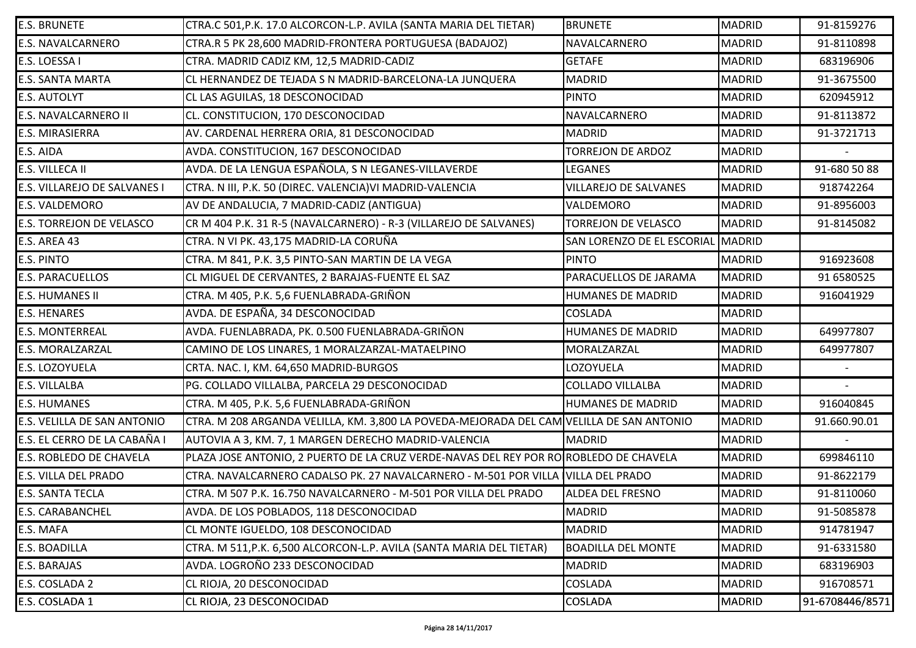| <b>E.S. BRUNETE</b>          | CTRA.C 501, P.K. 17.0 ALCORCON-L.P. AVILA (SANTA MARIA DEL TIETAR)                       | <b>BRUNETE</b>               | <b>MADRID</b> | 91-8159276      |
|------------------------------|------------------------------------------------------------------------------------------|------------------------------|---------------|-----------------|
| E.S. NAVALCARNERO            | CTRA.R 5 PK 28,600 MADRID-FRONTERA PORTUGUESA (BADAJOZ)                                  | NAVALCARNERO                 | <b>MADRID</b> | 91-8110898      |
| E.S. LOESSA I                | CTRA. MADRID CADIZ KM, 12,5 MADRID-CADIZ                                                 | <b>GETAFE</b>                | <b>MADRID</b> | 683196906       |
| <b>E.S. SANTA MARTA</b>      | CL HERNANDEZ DE TEJADA S N MADRID-BARCELONA-LA JUNQUERA                                  | <b>MADRID</b>                | <b>MADRID</b> | 91-3675500      |
| E.S. AUTOLYT                 | CL LAS AGUILAS, 18 DESCONOCIDAD                                                          | <b>PINTO</b>                 | <b>MADRID</b> | 620945912       |
| E.S. NAVALCARNERO II         | CL. CONSTITUCION, 170 DESCONOCIDAD                                                       | NAVALCARNERO                 | <b>MADRID</b> | 91-8113872      |
| E.S. MIRASIERRA              | AV. CARDENAL HERRERA ORIA, 81 DESCONOCIDAD                                               | <b>MADRID</b>                | <b>MADRID</b> | 91-3721713      |
| E.S. AIDA                    | AVDA. CONSTITUCION, 167 DESCONOCIDAD                                                     | <b>TORREJON DE ARDOZ</b>     | <b>MADRID</b> |                 |
| E.S. VILLECA II              | AVDA. DE LA LENGUA ESPAÑOLA, S N LEGANES-VILLAVERDE                                      | <b>LEGANES</b>               | <b>MADRID</b> | 91-680 50 88    |
| E.S. VILLAREJO DE SALVANES I | CTRA. N III, P.K. 50 (DIREC. VALENCIA) VI MADRID-VALENCIA                                | <b>VILLAREJO DE SALVANES</b> | <b>MADRID</b> | 918742264       |
| E.S. VALDEMORO               | AV DE ANDALUCIA, 7 MADRID-CADIZ (ANTIGUA)                                                | <b>VALDEMORO</b>             | <b>MADRID</b> | 91-8956003      |
| E.S. TORREJON DE VELASCO     | CR M 404 P.K. 31 R-5 (NAVALCARNERO) - R-3 (VILLAREJO DE SALVANES)                        | <b>TORREJON DE VELASCO</b>   | <b>MADRID</b> | 91-8145082      |
| E.S. AREA 43                 | CTRA. N VI PK. 43,175 MADRID-LA CORUÑA                                                   | SAN LORENZO DE EL ESCORIAL   | MADRID        |                 |
| E.S. PINTO                   | CTRA. M 841, P.K. 3,5 PINTO-SAN MARTIN DE LA VEGA                                        | <b>PINTO</b>                 | <b>MADRID</b> | 916923608       |
| <b>E.S. PARACUELLOS</b>      | CL MIGUEL DE CERVANTES, 2 BARAJAS-FUENTE EL SAZ                                          | PARACUELLOS DE JARAMA        | <b>MADRID</b> | 91 6580525      |
| <b>E.S. HUMANES II</b>       | CTRA. M 405, P.K. 5,6 FUENLABRADA-GRIÑON                                                 | <b>HUMANES DE MADRID</b>     | <b>MADRID</b> | 916041929       |
| <b>E.S. HENARES</b>          | AVDA. DE ESPAÑA, 34 DESCONOCIDAD                                                         | <b>COSLADA</b>               | <b>MADRID</b> |                 |
| <b>E.S. MONTERREAL</b>       | AVDA. FUENLABRADA, PK. 0.500 FUENLABRADA-GRIÑON                                          | <b>HUMANES DE MADRID</b>     | <b>MADRID</b> | 649977807       |
| E.S. MORALZARZAL             | CAMINO DE LOS LINARES, 1 MORALZARZAL-MATAELPINO                                          | MORALZARZAL                  | <b>MADRID</b> | 649977807       |
| E.S. LOZOYUELA               | CRTA. NAC. I, KM. 64,650 MADRID-BURGOS                                                   | LOZOYUELA                    | <b>MADRID</b> |                 |
| E.S. VILLALBA                | PG. COLLADO VILLALBA, PARCELA 29 DESCONOCIDAD                                            | <b>COLLADO VILLALBA</b>      | <b>MADRID</b> |                 |
| <b>E.S. HUMANES</b>          | CTRA. M 405, P.K. 5,6 FUENLABRADA-GRIÑON                                                 | <b>HUMANES DE MADRID</b>     | <b>MADRID</b> | 916040845       |
| E.S. VELILLA DE SAN ANTONIO  | CTRA. M 208 ARGANDA VELILLA, KM. 3,800 LA POVEDA-MEJORADA DEL CAM VELILLA DE SAN ANTONIO |                              | <b>MADRID</b> | 91.660.90.01    |
| E.S. EL CERRO DE LA CABAÑA I | AUTOVIA A 3, KM. 7, 1 MARGEN DERECHO MADRID-VALENCIA                                     | <b>MADRID</b>                | <b>MADRID</b> |                 |
| E.S. ROBLEDO DE CHAVELA      | PLAZA JOSE ANTONIO, 2 PUERTO DE LA CRUZ VERDE-NAVAS DEL REY POR RO RODELEDO DE CHAVELA   |                              | <b>MADRID</b> | 699846110       |
| E.S. VILLA DEL PRADO         | CTRA. NAVALCARNERO CADALSO PK. 27 NAVALCARNERO - M-501 POR VILLA IVILLA DEL PRADO        |                              | <b>MADRID</b> | 91-8622179      |
| <b>E.S. SANTA TECLA</b>      | CTRA. M 507 P.K. 16.750 NAVALCARNERO - M-501 POR VILLA DEL PRADO                         | <b>ALDEA DEL FRESNO</b>      | <b>MADRID</b> | 91-8110060      |
| E.S. CARABANCHEL             | AVDA. DE LOS POBLADOS, 118 DESCONOCIDAD                                                  | <b>MADRID</b>                | <b>MADRID</b> | 91-5085878      |
| E.S. MAFA                    | CL MONTE IGUELDO, 108 DESCONOCIDAD                                                       | <b>MADRID</b>                | <b>MADRID</b> | 914781947       |
| E.S. BOADILLA                | CTRA. M 511, P.K. 6,500 ALCORCON-L.P. AVILA (SANTA MARIA DEL TIETAR)                     | <b>BOADILLA DEL MONTE</b>    | <b>MADRID</b> | 91-6331580      |
| E.S. BARAJAS                 | AVDA. LOGROÑO 233 DESCONOCIDAD                                                           | <b>MADRID</b>                | <b>MADRID</b> | 683196903       |
| E.S. COSLADA 2               | CL RIOJA, 20 DESCONOCIDAD                                                                | <b>COSLADA</b>               | <b>MADRID</b> | 916708571       |
| E.S. COSLADA 1               | CL RIOJA, 23 DESCONOCIDAD                                                                | <b>COSLADA</b>               | <b>MADRID</b> | 91-6708446/8571 |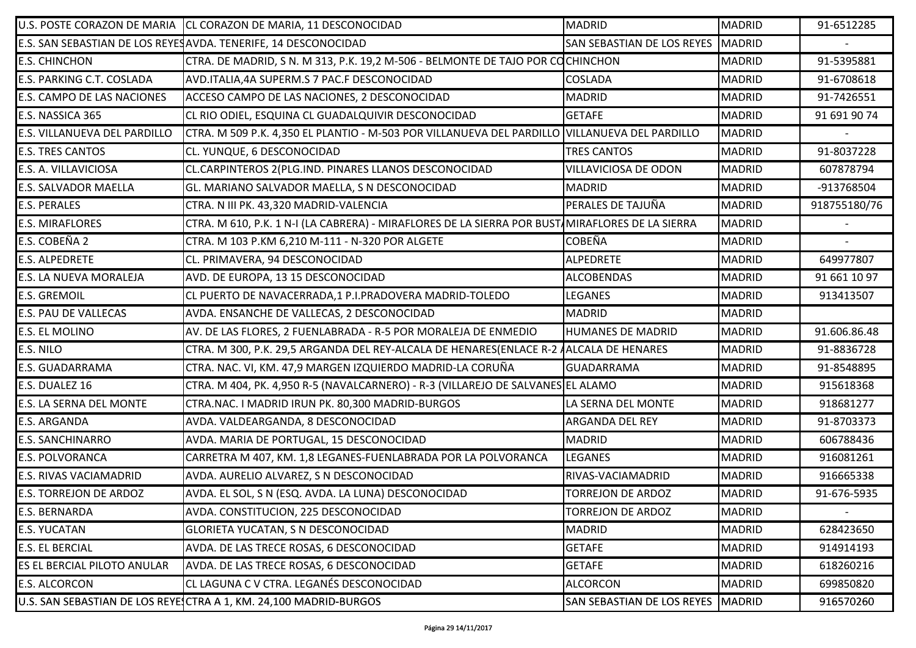|                                    | U.S. POSTE CORAZON DE MARIA CL CORAZON DE MARIA, 11 DESCONOCIDAD                                | <b>MADRID</b>                       | <b>MADRID</b> | 91-6512285   |
|------------------------------------|-------------------------------------------------------------------------------------------------|-------------------------------------|---------------|--------------|
|                                    | E.S. SAN SEBASTIAN DE LOS REYES AVDA. TENERIFE, 14 DESCONOCIDAD                                 | SAN SEBASTIAN DE LOS REYES          | <b>MADRID</b> |              |
| <b>E.S. CHINCHON</b>               | CTRA. DE MADRID, S N. M 313, P.K. 19,2 M-506 - BELMONTE DE TAJO POR COCHINCHON                  |                                     | <b>MADRID</b> | 91-5395881   |
| E.S. PARKING C.T. COSLADA          | AVD.ITALIA,4A SUPERM.S 7 PAC.F DESCONOCIDAD                                                     | <b>COSLADA</b>                      | <b>MADRID</b> | 91-6708618   |
| <b>E.S. CAMPO DE LAS NACIONES</b>  | ACCESO CAMPO DE LAS NACIONES, 2 DESCONOCIDAD                                                    | <b>MADRID</b>                       | <b>MADRID</b> | 91-7426551   |
| E.S. NASSICA 365                   | CL RIO ODIEL, ESQUINA CL GUADALQUIVIR DESCONOCIDAD                                              | <b>GETAFE</b>                       | <b>MADRID</b> | 91 691 90 74 |
| E.S. VILLANUEVA DEL PARDILLO       | CTRA. M 509 P.K. 4,350 EL PLANTIO - M-503 POR VILLANUEVA DEL PARDILLO VILLANUEVA DEL PARDILLO   |                                     | <b>MADRID</b> |              |
| <b>E.S. TRES CANTOS</b>            | CL. YUNQUE, 6 DESCONOCIDAD                                                                      | <b>TRES CANTOS</b>                  | <b>MADRID</b> | 91-8037228   |
| E.S. A. VILLAVICIOSA               | CL.CARPINTEROS 2(PLG.IND. PINARES LLANOS DESCONOCIDAD                                           | VILLAVICIOSA DE ODON                | <b>MADRID</b> | 607878794    |
| <b>E.S. SALVADOR MAELLA</b>        | GL. MARIANO SALVADOR MAELLA, S N DESCONOCIDAD                                                   | <b>MADRID</b>                       | <b>MADRID</b> | -913768504   |
| <b>E.S. PERALES</b>                | CTRA. N III PK. 43,320 MADRID-VALENCIA                                                          | PERALES DE TAJUÑA                   | <b>MADRID</b> | 918755180/76 |
| <b>E.S. MIRAFLORES</b>             | CTRA. M 610, P.K. 1 N-I (LA CABRERA) - MIRAFLORES DE LA SIERRA POR BUST MIRAFLORES DE LA SIERRA |                                     | <b>MADRID</b> |              |
| E.S. COBEÑA 2                      | CTRA. M 103 P.KM 6,210 M-111 - N-320 POR ALGETE                                                 | <b>COBEÑA</b>                       | <b>MADRID</b> |              |
| <b>E.S. ALPEDRETE</b>              | CL. PRIMAVERA, 94 DESCONOCIDAD                                                                  | <b>ALPEDRETE</b>                    | <b>MADRID</b> | 649977807    |
| <b>E.S. LA NUEVA MORALEJA</b>      | AVD. DE EUROPA, 13 15 DESCONOCIDAD                                                              | <b>ALCOBENDAS</b>                   | <b>MADRID</b> | 91 661 10 97 |
| <b>E.S. GREMOIL</b>                | CL PUERTO DE NAVACERRADA, 1 P.I.PRADOVERA MADRID-TOLEDO                                         | LEGANES                             | <b>MADRID</b> | 913413507    |
| <b>E.S. PAU DE VALLECAS</b>        | AVDA. ENSANCHE DE VALLECAS, 2 DESCONOCIDAD                                                      | <b>MADRID</b>                       | <b>MADRID</b> |              |
| <b>E.S. EL MOLINO</b>              | AV. DE LAS FLORES, 2 FUENLABRADA - R-5 POR MORALEJA DE ENMEDIO                                  | <b>HUMANES DE MADRID</b>            | <b>MADRID</b> | 91.606.86.48 |
| E.S. NILO                          | CTRA. M 300, P.K. 29,5 ARGANDA DEL REY-ALCALA DE HENARES(ENLACE R-2 AALCALA DE HENARES          |                                     | <b>MADRID</b> | 91-8836728   |
| <b>E.S. GUADARRAMA</b>             | CTRA. NAC. VI, KM. 47,9 MARGEN IZQUIERDO MADRID-LA CORUÑA                                       | GUADARRAMA                          | <b>MADRID</b> | 91-8548895   |
| E.S. DUALEZ 16                     | CTRA. M 404, PK. 4,950 R-5 (NAVALCARNERO) - R-3 (VILLAREJO DE SALVANES EL ALAMO                 |                                     | <b>MADRID</b> | 915618368    |
| <b>E.S. LA SERNA DEL MONTE</b>     | CTRA.NAC. I MADRID IRUN PK. 80,300 MADRID-BURGOS                                                | LA SERNA DEL MONTE                  | <b>MADRID</b> | 918681277    |
| <b>E.S. ARGANDA</b>                | AVDA. VALDEARGANDA, 8 DESCONOCIDAD                                                              | ARGANDA DEL REY                     | <b>MADRID</b> | 91-8703373   |
| <b>E.S. SANCHINARRO</b>            | AVDA. MARIA DE PORTUGAL, 15 DESCONOCIDAD                                                        | <b>MADRID</b>                       | <b>MADRID</b> | 606788436    |
| <b>E.S. POLVORANCA</b>             | CARRETRA M 407, KM. 1,8 LEGANES-FUENLABRADA POR LA POLVORANCA                                   | <b>LEGANES</b>                      | <b>MADRID</b> | 916081261    |
| <b>E.S. RIVAS VACIAMADRID</b>      | AVDA. AURELIO ALVAREZ, S N DESCONOCIDAD                                                         | RIVAS-VACIAMADRID                   | <b>MADRID</b> | 916665338    |
| <b>E.S. TORREJON DE ARDOZ</b>      | AVDA. EL SOL, S N (ESQ. AVDA. LA LUNA) DESCONOCIDAD                                             | <b>TORREJON DE ARDOZ</b>            | <b>MADRID</b> | 91-676-5935  |
| <b>E.S. BERNARDA</b>               | AVDA. CONSTITUCION, 225 DESCONOCIDAD                                                            | <b>TORREJON DE ARDOZ</b>            | <b>MADRID</b> | $\sim$       |
| <b>E.S. YUCATAN</b>                | GLORIETA YUCATAN, S N DESCONOCIDAD                                                              | <b>MADRID</b>                       | <b>MADRID</b> | 628423650    |
| <b>E.S. EL BERCIAL</b>             | AVDA. DE LAS TRECE ROSAS, 6 DESCONOCIDAD                                                        | <b>GETAFE</b>                       | <b>MADRID</b> | 914914193    |
| <b>ES EL BERCIAL PILOTO ANULAR</b> | AVDA. DE LAS TRECE ROSAS, 6 DESCONOCIDAD                                                        | <b>GETAFE</b>                       | <b>MADRID</b> | 618260216    |
| <b>E.S. ALCORCON</b>               | CL LAGUNA C V CTRA. LEGANÉS DESCONOCIDAD                                                        | <b>ALCORCON</b>                     | <b>MADRID</b> | 699850820    |
|                                    | U.S. SAN SEBASTIAN DE LOS REYESCTRA A 1, KM. 24,100 MADRID-BURGOS                               | SAN SEBASTIAN DE LOS REYES   MADRID |               | 916570260    |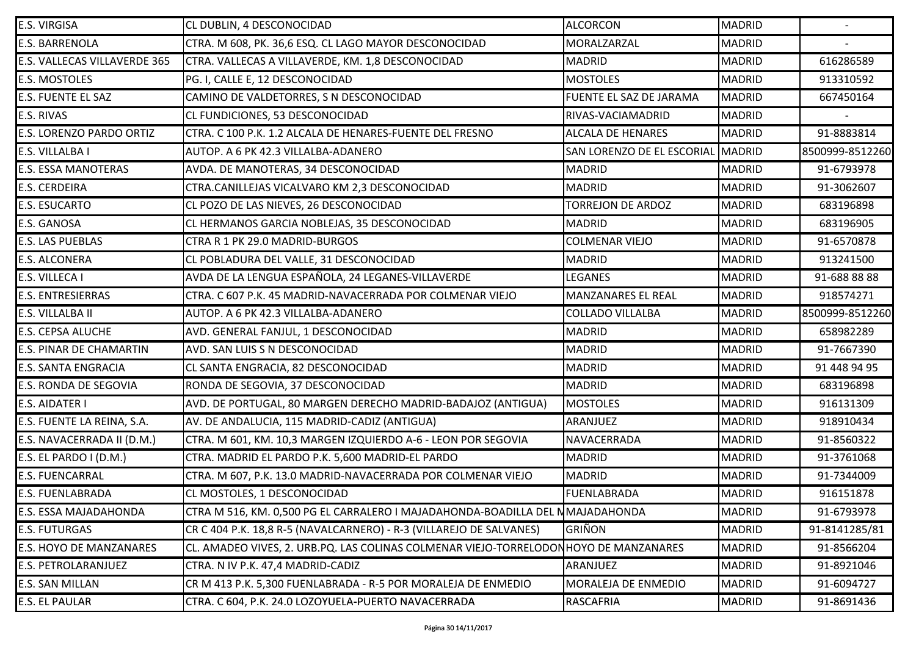| E.S. VIRGISA                 | CL DUBLIN, 4 DESCONOCIDAD                                                            | <b>ALCORCON</b>            | <b>MADRID</b> | $\sim$          |
|------------------------------|--------------------------------------------------------------------------------------|----------------------------|---------------|-----------------|
| <b>E.S. BARRENOLA</b>        | CTRA. M 608, PK. 36,6 ESQ. CL LAGO MAYOR DESCONOCIDAD                                | MORALZARZAL                | <b>MADRID</b> |                 |
| E.S. VALLECAS VILLAVERDE 365 | CTRA. VALLECAS A VILLAVERDE, KM. 1,8 DESCONOCIDAD                                    | <b>MADRID</b>              | <b>MADRID</b> | 616286589       |
| E.S. MOSTOLES                | PG. I, CALLE E, 12 DESCONOCIDAD                                                      | <b>MOSTOLES</b>            | <b>MADRID</b> | 913310592       |
| E.S. FUENTE EL SAZ           | CAMINO DE VALDETORRES, S N DESCONOCIDAD                                              | FUENTE EL SAZ DE JARAMA    | <b>MADRID</b> | 667450164       |
| E.S. RIVAS                   | CL FUNDICIONES, 53 DESCONOCIDAD                                                      | RIVAS-VACIAMADRID          | <b>MADRID</b> |                 |
| E.S. LORENZO PARDO ORTIZ     | CTRA. C 100 P.K. 1.2 ALCALA DE HENARES-FUENTE DEL FRESNO                             | <b>ALCALA DE HENARES</b>   | <b>MADRID</b> | 91-8883814      |
| E.S. VILLALBA I              | AUTOP. A 6 PK 42.3 VILLALBA-ADANERO                                                  | SAN LORENZO DE EL ESCORIAL | <b>MADRID</b> | 8500999-8512260 |
| <b>E.S. ESSA MANOTERAS</b>   | AVDA. DE MANOTERAS, 34 DESCONOCIDAD                                                  | <b>MADRID</b>              | <b>MADRID</b> | 91-6793978      |
| E.S. CERDEIRA                | CTRA.CANILLEJAS VICALVARO KM 2,3 DESCONOCIDAD                                        | <b>MADRID</b>              | <b>MADRID</b> | 91-3062607      |
| <b>E.S. ESUCARTO</b>         | CL POZO DE LAS NIEVES, 26 DESCONOCIDAD                                               | <b>TORREJON DE ARDOZ</b>   | <b>MADRID</b> | 683196898       |
| E.S. GANOSA                  | CL HERMANOS GARCIA NOBLEJAS, 35 DESCONOCIDAD                                         | <b>MADRID</b>              | <b>MADRID</b> | 683196905       |
| E.S. LAS PUEBLAS             | CTRA R 1 PK 29.0 MADRID-BURGOS                                                       | <b>COLMENAR VIEJO</b>      | <b>MADRID</b> | 91-6570878      |
| <b>E.S. ALCONERA</b>         | CL POBLADURA DEL VALLE, 31 DESCONOCIDAD                                              | <b>MADRID</b>              | <b>MADRID</b> | 913241500       |
| E.S. VILLECA I               | AVDA DE LA LENGUA ESPAÑOLA, 24 LEGANES-VILLAVERDE                                    | LEGANES                    | <b>MADRID</b> | 91-688 88 88    |
| E.S. ENTRESIERRAS            | CTRA. C 607 P.K. 45 MADRID-NAVACERRADA POR COLMENAR VIEJO                            | MANZANARES EL REAL         | <b>MADRID</b> | 918574271       |
| E.S. VILLALBA II             | AUTOP. A 6 PK 42.3 VILLALBA-ADANERO                                                  | <b>COLLADO VILLALBA</b>    | <b>MADRID</b> | 8500999-8512260 |
| <b>E.S. CEPSA ALUCHE</b>     | AVD. GENERAL FANJUL, 1 DESCONOCIDAD                                                  | <b>MADRID</b>              | <b>MADRID</b> | 658982289       |
| E.S. PINAR DE CHAMARTIN      | AVD. SAN LUIS S N DESCONOCIDAD                                                       | <b>MADRID</b>              | <b>MADRID</b> | 91-7667390      |
| <b>E.S. SANTA ENGRACIA</b>   | CL SANTA ENGRACIA, 82 DESCONOCIDAD                                                   | <b>MADRID</b>              | <b>MADRID</b> | 91 448 94 95    |
| E.S. RONDA DE SEGOVIA        | RONDA DE SEGOVIA, 37 DESCONOCIDAD                                                    | <b>MADRID</b>              | <b>MADRID</b> | 683196898       |
| E.S. AIDATER I               | AVD. DE PORTUGAL, 80 MARGEN DERECHO MADRID-BADAJOZ (ANTIGUA)                         | <b>MOSTOLES</b>            | <b>MADRID</b> | 916131309       |
| E.S. FUENTE LA REINA, S.A.   | AV. DE ANDALUCIA, 115 MADRID-CADIZ (ANTIGUA)                                         | ARANJUEZ                   | <b>MADRID</b> | 918910434       |
| E.S. NAVACERRADA II (D.M.)   | CTRA. M 601, KM. 10,3 MARGEN IZQUIERDO A-6 - LEON POR SEGOVIA                        | NAVACERRADA                | <b>MADRID</b> | 91-8560322      |
| E.S. EL PARDO I (D.M.)       | CTRA. MADRID EL PARDO P.K. 5,600 MADRID-EL PARDO                                     | <b>MADRID</b>              | <b>MADRID</b> | 91-3761068      |
| E.S. FUENCARRAL              | CTRA. M 607, P.K. 13.0 MADRID-NAVACERRADA POR COLMENAR VIEJO                         | <b>MADRID</b>              | <b>MADRID</b> | 91-7344009      |
| E.S. FUENLABRADA             | CL MOSTOLES, 1 DESCONOCIDAD                                                          | FUENLABRADA                | <b>MADRID</b> | 916151878       |
| E.S. ESSA MAJADAHONDA        | CTRA M 516, KM. 0,500 PG EL CARRALERO I MAJADAHONDA-BOADILLA DEL NMAJADAHONDA        |                            | <b>MADRID</b> | 91-6793978      |
| <b>E.S. FUTURGAS</b>         | CR C 404 P.K. 18,8 R-5 (NAVALCARNERO) - R-3 (VILLAREJO DE SALVANES)                  | <b>GRIÑON</b>              | <b>MADRID</b> | 91-8141285/81   |
| E.S. HOYO DE MANZANARES      | CL. AMADEO VIVES, 2. URB.PQ. LAS COLINAS COLMENAR VIEJO-TORRELODONHOYO DE MANZANARES |                            | <b>MADRID</b> | 91-8566204      |
| E.S. PETROLARANJUEZ          | CTRA. N IV P.K. 47,4 MADRID-CADIZ                                                    | ARANJUEZ                   | <b>MADRID</b> | 91-8921046      |
| E.S. SAN MILLAN              | CR M 413 P.K. 5,300 FUENLABRADA - R-5 POR MORALEJA DE ENMEDIO                        | <b>MORALEJA DE ENMEDIO</b> | <b>MADRID</b> | 91-6094727      |
| E.S. EL PAULAR               | CTRA. C 604, P.K. 24.0 LOZOYUELA-PUERTO NAVACERRADA                                  | <b>RASCAFRIA</b>           | <b>MADRID</b> | 91-8691436      |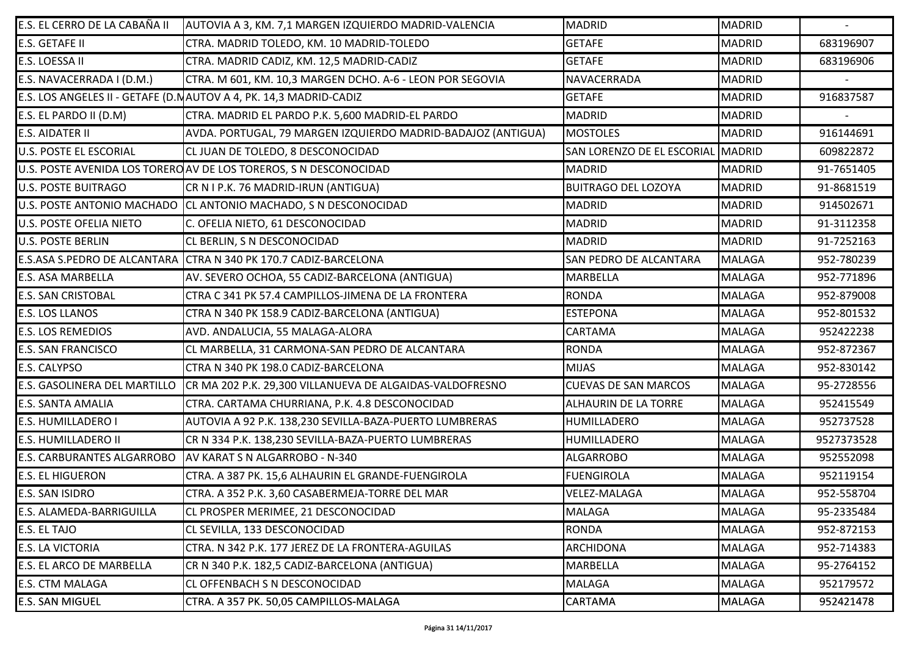| E.S. EL CERRO DE LA CABAÑA II     | AUTOVIA A 3, KM. 7,1 MARGEN IZQUIERDO MADRID-VALENCIA              | <b>MADRID</b>               | <b>MADRID</b> | $\sim$     |
|-----------------------------------|--------------------------------------------------------------------|-----------------------------|---------------|------------|
| <b>E.S. GETAFE II</b>             | CTRA. MADRID TOLEDO, KM. 10 MADRID-TOLEDO                          | <b>GETAFE</b>               | <b>MADRID</b> | 683196907  |
| E.S. LOESSA II                    | CTRA. MADRID CADIZ, KM. 12,5 MADRID-CADIZ                          | <b>GETAFE</b>               | <b>MADRID</b> | 683196906  |
| E.S. NAVACERRADA I (D.M.)         | CTRA. M 601, KM. 10,3 MARGEN DCHO. A-6 - LEON POR SEGOVIA          | NAVACERRADA                 | <b>MADRID</b> |            |
|                                   | E.S. LOS ANGELES II - GETAFE (D. NAUTOV A 4, PK. 14,3 MADRID-CADIZ | <b>GETAFE</b>               | <b>MADRID</b> | 916837587  |
| E.S. EL PARDO II (D.M)            | CTRA. MADRID EL PARDO P.K. 5,600 MADRID-EL PARDO                   | <b>MADRID</b>               | <b>MADRID</b> |            |
| <b>E.S. AIDATER II</b>            | AVDA. PORTUGAL, 79 MARGEN IZQUIERDO MADRID-BADAJOZ (ANTIGUA)       | <b>MOSTOLES</b>             | <b>MADRID</b> | 916144691  |
| <b>U.S. POSTE EL ESCORIAL</b>     | CL JUAN DE TOLEDO, 8 DESCONOCIDAD                                  | SAN LORENZO DE EL ESCORIAL  | MADRID        | 609822872  |
|                                   | U.S. POSTE AVENIDA LOS TORERO AV DE LOS TOREROS, S N DESCONOCIDAD  | <b>MADRID</b>               | <b>MADRID</b> | 91-7651405 |
| <b>U.S. POSTE BUITRAGO</b>        | CR N I P.K. 76 MADRID-IRUN (ANTIGUA)                               | <b>BUITRAGO DEL LOZOYA</b>  | <b>MADRID</b> | 91-8681519 |
|                                   | U.S. POSTE ANTONIO MACHADO CL ANTONIO MACHADO, S N DESCONOCIDAD    | <b>MADRID</b>               | <b>MADRID</b> | 914502671  |
| <b>U.S. POSTE OFELIA NIETO</b>    | C. OFELIA NIETO, 61 DESCONOCIDAD                                   | <b>MADRID</b>               | <b>MADRID</b> | 91-3112358 |
| <b>U.S. POSTE BERLIN</b>          | <b>CL BERLIN, S N DESCONOCIDAD</b>                                 | <b>MADRID</b>               | <b>MADRID</b> | 91-7252163 |
|                                   | E.S.ASA S.PEDRO DE ALCANTARA CTRA N 340 PK 170.7 CADIZ-BARCELONA   | SAN PEDRO DE ALCANTARA      | <b>MALAGA</b> | 952-780239 |
| <b>E.S. ASA MARBELLA</b>          | AV. SEVERO OCHOA, 55 CADIZ-BARCELONA (ANTIGUA)                     | <b>MARBELLA</b>             | <b>MALAGA</b> | 952-771896 |
| <b>E.S. SAN CRISTOBAL</b>         | CTRA C 341 PK 57.4 CAMPILLOS-JIMENA DE LA FRONTERA                 | <b>RONDA</b>                | <b>MALAGA</b> | 952-879008 |
| <b>E.S. LOS LLANOS</b>            | CTRA N 340 PK 158.9 CADIZ-BARCELONA (ANTIGUA)                      | <b>ESTEPONA</b>             | <b>MALAGA</b> | 952-801532 |
| <b>E.S. LOS REMEDIOS</b>          | AVD. ANDALUCIA, 55 MALAGA-ALORA                                    | CARTAMA                     | <b>MALAGA</b> | 952422238  |
| <b>E.S. SAN FRANCISCO</b>         | CL MARBELLA, 31 CARMONA-SAN PEDRO DE ALCANTARA                     | <b>RONDA</b>                | <b>MALAGA</b> | 952-872367 |
| E.S. CALYPSO                      | CTRA N 340 PK 198.0 CADIZ-BARCELONA                                | <b>MIJAS</b>                | <b>MALAGA</b> | 952-830142 |
| E.S. GASOLINERA DEL MARTILLO      | CR MA 202 P.K. 29,300 VILLANUEVA DE ALGAIDAS-VALDOFRESNO           | <b>CUEVAS DE SAN MARCOS</b> | <b>MALAGA</b> | 95-2728556 |
| <b>E.S. SANTA AMALIA</b>          | CTRA. CARTAMA CHURRIANA, P.K. 4.8 DESCONOCIDAD                     | <b>ALHAURIN DE LA TORRE</b> | <b>MALAGA</b> | 952415549  |
| <b>E.S. HUMILLADERO I</b>         | AUTOVIA A 92 P.K. 138,230 SEVILLA-BAZA-PUERTO LUMBRERAS            | HUMILLADERO                 | <b>MALAGA</b> | 952737528  |
| <b>E.S. HUMILLADERO II</b>        | CR N 334 P.K. 138,230 SEVILLA-BAZA-PUERTO LUMBRERAS                | <b>HUMILLADERO</b>          | <b>MALAGA</b> | 9527373528 |
| <b>E.S. CARBURANTES ALGARROBO</b> | AV KARAT S N ALGARROBO - N-340                                     | <b>ALGARROBO</b>            | <b>MALAGA</b> | 952552098  |
| <b>E.S. EL HIGUERON</b>           | CTRA. A 387 PK. 15,6 ALHAURIN EL GRANDE-FUENGIROLA                 | <b>FUENGIROLA</b>           | <b>MALAGA</b> | 952119154  |
| <b>E.S. SAN ISIDRO</b>            | CTRA. A 352 P.K. 3,60 CASABERMEJA-TORRE DEL MAR                    | VELEZ-MALAGA                | <b>MALAGA</b> | 952-558704 |
| E.S. ALAMEDA-BARRIGUILLA          | CL PROSPER MERIMEE, 21 DESCONOCIDAD                                | <b>MALAGA</b>               | <b>MALAGA</b> | 95-2335484 |
| E.S. EL TAJO                      | CL SEVILLA, 133 DESCONOCIDAD                                       | <b>RONDA</b>                | <b>MALAGA</b> | 952-872153 |
| <b>E.S. LA VICTORIA</b>           | CTRA. N 342 P.K. 177 JEREZ DE LA FRONTERA-AGUILAS                  | <b>ARCHIDONA</b>            | <b>MALAGA</b> | 952-714383 |
| <b>E.S. EL ARCO DE MARBELLA</b>   | CR N 340 P.K. 182,5 CADIZ-BARCELONA (ANTIGUA)                      | <b>MARBELLA</b>             | <b>MALAGA</b> | 95-2764152 |
| <b>E.S. CTM MALAGA</b>            | <b>CL OFFENBACH S N DESCONOCIDAD</b>                               | <b>MALAGA</b>               | <b>MALAGA</b> | 952179572  |
| <b>E.S. SAN MIGUEL</b>            | CTRA. A 357 PK. 50,05 CAMPILLOS-MALAGA                             | CARTAMA                     | <b>MALAGA</b> | 952421478  |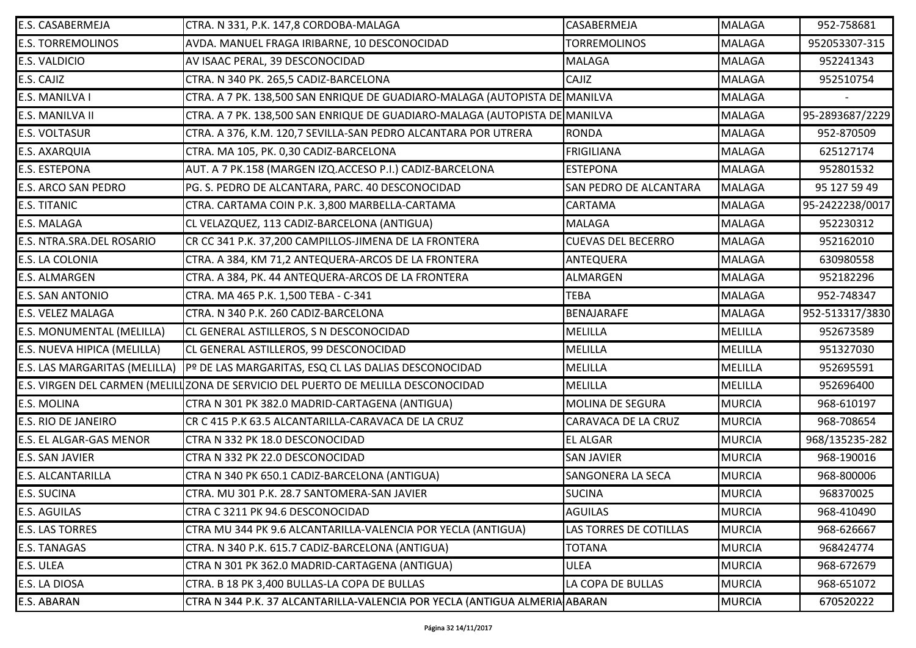| E.S. CASABERMEJA                 | CTRA. N 331, P.K. 147,8 CORDOBA-MALAGA                                            | <b>CASABERMEJA</b>            | <b>MALAGA</b>  | 952-758681      |
|----------------------------------|-----------------------------------------------------------------------------------|-------------------------------|----------------|-----------------|
| <b>E.S. TORREMOLINOS</b>         | AVDA. MANUEL FRAGA IRIBARNE, 10 DESCONOCIDAD                                      | <b>TORREMOLINOS</b>           | <b>MALAGA</b>  | 952053307-315   |
| <b>E.S. VALDICIO</b>             | AV ISAAC PERAL, 39 DESCONOCIDAD                                                   | <b>MALAGA</b>                 | <b>MALAGA</b>  | 952241343       |
| E.S. CAJIZ                       | CTRA. N 340 PK. 265,5 CADIZ-BARCELONA                                             | <b>CAJIZ</b>                  | <b>MALAGA</b>  | 952510754       |
| E.S. MANILVA I                   | CTRA. A 7 PK. 138,500 SAN ENRIQUE DE GUADIARO-MALAGA (AUTOPISTA DE MANILVA        |                               | <b>MALAGA</b>  |                 |
| E.S. MANILVA II                  | CTRA. A 7 PK. 138,500 SAN ENRIQUE DE GUADIARO-MALAGA (AUTOPISTA DE MANILVA        |                               | <b>MALAGA</b>  | 95-2893687/2229 |
| <b>E.S. VOLTASUR</b>             | CTRA. A 376, K.M. 120,7 SEVILLA-SAN PEDRO ALCANTARA POR UTRERA                    | <b>RONDA</b>                  | <b>MALAGA</b>  | 952-870509      |
| <b>E.S. AXARQUIA</b>             | CTRA. MA 105, PK. 0,30 CADIZ-BARCELONA                                            | <b>FRIGILIANA</b>             | <b>MALAGA</b>  | 625127174       |
| <b>E.S. ESTEPONA</b>             | AUT. A 7 PK.158 (MARGEN IZQ.ACCESO P.I.) CADIZ-BARCELONA                          | <b>ESTEPONA</b>               | <b>MALAGA</b>  | 952801532       |
| <b>E.S. ARCO SAN PEDRO</b>       | PG. S. PEDRO DE ALCANTARA, PARC. 40 DESCONOCIDAD                                  | <b>SAN PEDRO DE ALCANTARA</b> | <b>MALAGA</b>  | 95 127 59 49    |
| <b>E.S. TITANIC</b>              | CTRA. CARTAMA COIN P.K. 3,800 MARBELLA-CARTAMA                                    | <b>CARTAMA</b>                | <b>MALAGA</b>  | 95-2422238/0017 |
| <b>E.S. MALAGA</b>               | CL VELAZQUEZ, 113 CADIZ-BARCELONA (ANTIGUA)                                       | <b>MALAGA</b>                 | <b>MALAGA</b>  | 952230312       |
| E.S. NTRA.SRA.DEL ROSARIO        | CR CC 341 P.K. 37,200 CAMPILLOS-JIMENA DE LA FRONTERA                             | <b>CUEVAS DEL BECERRO</b>     | <b>MALAGA</b>  | 952162010       |
| <b>E.S. LA COLONIA</b>           | CTRA. A 384, KM 71,2 ANTEQUERA-ARCOS DE LA FRONTERA                               | ANTEQUERA                     | <b>MALAGA</b>  | 630980558       |
| <b>E.S. ALMARGEN</b>             | CTRA. A 384, PK. 44 ANTEQUERA-ARCOS DE LA FRONTERA                                | <b>ALMARGEN</b>               | <b>MALAGA</b>  | 952182296       |
| <b>E.S. SAN ANTONIO</b>          | CTRA. MA 465 P.K. 1,500 TEBA - C-341                                              | <b>TEBA</b>                   | <b>MALAGA</b>  | 952-748347      |
| <b>E.S. VELEZ MALAGA</b>         | CTRA. N 340 P.K. 260 CADIZ-BARCELONA                                              | BENAJARAFE                    | <b>MALAGA</b>  | 952-513317/3830 |
| <b>E.S. MONUMENTAL (MELILLA)</b> | CL GENERAL ASTILLEROS, S N DESCONOCIDAD                                           | <b>MELILLA</b>                | <b>MELILLA</b> | 952673589       |
| E.S. NUEVA HIPICA (MELILLA)      | CL GENERAL ASTILLEROS, 99 DESCONOCIDAD                                            | <b>MELILLA</b>                | <b>MELILLA</b> | 951327030       |
| E.S. LAS MARGARITAS (MELILLA)    | Pº DE LAS MARGARITAS, ESQ CL LAS DALIAS DESCONOCIDAD                              | <b>MELILLA</b>                | <b>MELILLA</b> | 952695591       |
|                                  | E.S. VIRGEN DEL CARMEN (MELILLZONA DE SERVICIO DEL PUERTO DE MELILLA DESCONOCIDAD | <b>MELILLA</b>                | <b>MELILLA</b> | 952696400       |
| <b>E.S. MOLINA</b>               | CTRA N 301 PK 382.0 MADRID-CARTAGENA (ANTIGUA)                                    | <b>MOLINA DE SEGURA</b>       | <b>MURCIA</b>  | 968-610197      |
| <b>E.S. RIO DE JANEIRO</b>       | CR C 415 P.K 63.5 ALCANTARILLA-CARAVACA DE LA CRUZ                                | <b>CARAVACA DE LA CRUZ</b>    | <b>MURCIA</b>  | 968-708654      |
| <b>E.S. EL ALGAR-GAS MENOR</b>   | CTRA N 332 PK 18.0 DESCONOCIDAD                                                   | <b>EL ALGAR</b>               | <b>MURCIA</b>  | 968/135235-282  |
| <b>E.S. SAN JAVIER</b>           | CTRA N 332 PK 22.0 DESCONOCIDAD                                                   | <b>SAN JAVIER</b>             | <b>MURCIA</b>  | 968-190016      |
| <b>E.S. ALCANTARILLA</b>         | CTRA N 340 PK 650.1 CADIZ-BARCELONA (ANTIGUA)                                     | <b>SANGONERA LA SECA</b>      | <b>MURCIA</b>  | 968-800006      |
| <b>E.S. SUCINA</b>               | CTRA. MU 301 P.K. 28.7 SANTOMERA-SAN JAVIER                                       | <b>SUCINA</b>                 | <b>MURCIA</b>  | 968370025       |
| <b>E.S. AGUILAS</b>              | CTRA C 3211 PK 94.6 DESCONOCIDAD                                                  | <b>AGUILAS</b>                | <b>MURCIA</b>  | 968-410490      |
| <b>E.S. LAS TORRES</b>           | CTRA MU 344 PK 9.6 ALCANTARILLA-VALENCIA POR YECLA (ANTIGUA)                      | LAS TORRES DE COTILLAS        | <b>MURCIA</b>  | 968-626667      |
| <b>E.S. TANAGAS</b>              | CTRA. N 340 P.K. 615.7 CADIZ-BARCELONA (ANTIGUA)                                  | <b>TOTANA</b>                 | <b>MURCIA</b>  | 968424774       |
| <b>E.S. ULEA</b>                 | CTRA N 301 PK 362.0 MADRID-CARTAGENA (ANTIGUA)                                    | ULEA                          | <b>MURCIA</b>  | 968-672679      |
| E.S. LA DIOSA                    | CTRA. B 18 PK 3,400 BULLAS-LA COPA DE BULLAS                                      | LA COPA DE BULLAS             | <b>MURCIA</b>  | 968-651072      |
| <b>E.S. ABARAN</b>               | CTRA N 344 P.K. 37 ALCANTARILLA-VALENCIA POR YECLA (ANTIGUA ALMERIA ABARAN        |                               | <b>MURCIA</b>  | 670520222       |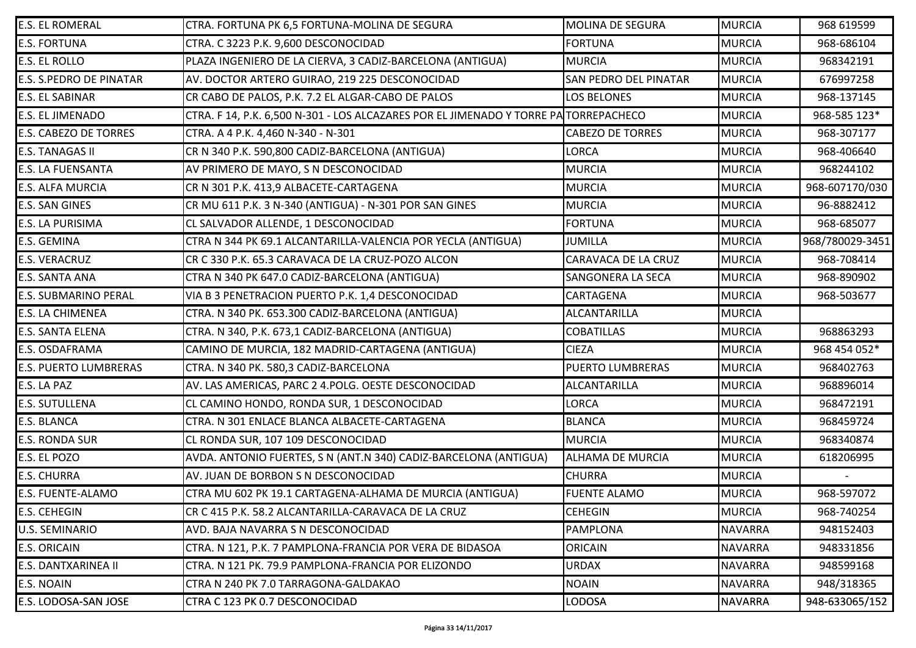| <b>E.S. EL ROMERAL</b>         | CTRA. FORTUNA PK 6,5 FORTUNA-MOLINA DE SEGURA                                        | <b>MOLINA DE SEGURA</b>      | <b>MURCIA</b>  | 968 619599      |
|--------------------------------|--------------------------------------------------------------------------------------|------------------------------|----------------|-----------------|
| <b>E.S. FORTUNA</b>            | CTRA. C 3223 P.K. 9,600 DESCONOCIDAD                                                 | <b>FORTUNA</b>               | <b>MURCIA</b>  | 968-686104      |
| <b>E.S. EL ROLLO</b>           | PLAZA INGENIERO DE LA CIERVA, 3 CADIZ-BARCELONA (ANTIGUA)                            | <b>MURCIA</b>                | <b>MURCIA</b>  | 968342191       |
| <b>E.S. S.PEDRO DE PINATAR</b> | AV. DOCTOR ARTERO GUIRAO, 219 225 DESCONOCIDAD                                       | <b>SAN PEDRO DEL PINATAR</b> | <b>MURCIA</b>  | 676997258       |
| <b>E.S. EL SABINAR</b>         | CR CABO DE PALOS, P.K. 7.2 EL ALGAR-CABO DE PALOS                                    | <b>LOS BELONES</b>           | <b>MURCIA</b>  | 968-137145      |
| <b>E.S. EL JIMENADO</b>        | CTRA. F 14, P.K. 6,500 N-301 - LOS ALCAZARES POR EL JIMENADO Y TORRE PA TORREPACHECO |                              | <b>MURCIA</b>  | 968-585 123*    |
| <b>E.S. CABEZO DE TORRES</b>   | CTRA. A 4 P.K. 4,460 N-340 - N-301                                                   | <b>CABEZO DE TORRES</b>      | <b>MURCIA</b>  | 968-307177      |
| <b>E.S. TANAGAS II</b>         | CR N 340 P.K. 590,800 CADIZ-BARCELONA (ANTIGUA)                                      | LORCA                        | <b>MURCIA</b>  | 968-406640      |
| <b>E.S. LA FUENSANTA</b>       | AV PRIMERO DE MAYO, S N DESCONOCIDAD                                                 | <b>MURCIA</b>                | <b>MURCIA</b>  | 968244102       |
| <b>E.S. ALFA MURCIA</b>        | CR N 301 P.K. 413,9 ALBACETE-CARTAGENA                                               | <b>MURCIA</b>                | <b>MURCIA</b>  | 968-607170/030  |
| <b>E.S. SAN GINES</b>          | CR MU 611 P.K. 3 N-340 (ANTIGUA) - N-301 POR SAN GINES                               | <b>MURCIA</b>                | <b>MURCIA</b>  | 96-8882412      |
| <b>E.S. LA PURISIMA</b>        | CL SALVADOR ALLENDE, 1 DESCONOCIDAD                                                  | <b>FORTUNA</b>               | <b>MURCIA</b>  | 968-685077      |
| <b>E.S. GEMINA</b>             | CTRA N 344 PK 69.1 ALCANTARILLA-VALENCIA POR YECLA (ANTIGUA)                         | <b>JUMILLA</b>               | <b>MURCIA</b>  | 968/780029-3451 |
| <b>E.S. VERACRUZ</b>           | CR C 330 P.K. 65.3 CARAVACA DE LA CRUZ-POZO ALCON                                    | CARAVACA DE LA CRUZ          | <b>MURCIA</b>  | 968-708414      |
| <b>E.S. SANTA ANA</b>          | CTRA N 340 PK 647.0 CADIZ-BARCELONA (ANTIGUA)                                        | <b>SANGONERA LA SECA</b>     | <b>MURCIA</b>  | 968-890902      |
| <b>E.S. SUBMARINO PERAL</b>    | VIA B 3 PENETRACION PUERTO P.K. 1,4 DESCONOCIDAD                                     | CARTAGENA                    | <b>MURCIA</b>  | 968-503677      |
| <b>E.S. LA CHIMENEA</b>        | CTRA. N 340 PK. 653.300 CADIZ-BARCELONA (ANTIGUA)                                    | <b>ALCANTARILLA</b>          | <b>MURCIA</b>  |                 |
| <b>E.S. SANTA ELENA</b>        | CTRA. N 340, P.K. 673,1 CADIZ-BARCELONA (ANTIGUA)                                    | <b>COBATILLAS</b>            | <b>MURCIA</b>  | 968863293       |
| E.S. OSDAFRAMA                 | CAMINO DE MURCIA, 182 MADRID-CARTAGENA (ANTIGUA)                                     | <b>CIEZA</b>                 | <b>MURCIA</b>  | 968 454 052*    |
| <b>E.S. PUERTO LUMBRERAS</b>   | CTRA. N 340 PK. 580,3 CADIZ-BARCELONA                                                | <b>PUERTO LUMBRERAS</b>      | <b>MURCIA</b>  | 968402763       |
| E.S. LA PAZ                    | AV. LAS AMERICAS, PARC 2 4. POLG. OESTE DESCONOCIDAD                                 | ALCANTARILLA                 | <b>MURCIA</b>  | 968896014       |
| <b>E.S. SUTULLENA</b>          | CL CAMINO HONDO, RONDA SUR, 1 DESCONOCIDAD                                           | LORCA                        | <b>MURCIA</b>  | 968472191       |
| <b>E.S. BLANCA</b>             | CTRA. N 301 ENLACE BLANCA ALBACETE-CARTAGENA                                         | <b>BLANCA</b>                | <b>MURCIA</b>  | 968459724       |
| <b>E.S. RONDA SUR</b>          | CL RONDA SUR, 107 109 DESCONOCIDAD                                                   | <b>MURCIA</b>                | <b>MURCIA</b>  | 968340874       |
| E.S. EL POZO                   | AVDA. ANTONIO FUERTES, S N (ANT.N 340) CADIZ-BARCELONA (ANTIGUA)                     | <b>ALHAMA DE MURCIA</b>      | <b>MURCIA</b>  | 618206995       |
| <b>E.S. CHURRA</b>             | AV. JUAN DE BORBON S N DESCONOCIDAD                                                  | <b>CHURRA</b>                | <b>MURCIA</b>  |                 |
| <b>E.S. FUENTE-ALAMO</b>       | CTRA MU 602 PK 19.1 CARTAGENA-ALHAMA DE MURCIA (ANTIGUA)                             | <b>FUENTE ALAMO</b>          | <b>MURCIA</b>  | 968-597072      |
| <b>E.S. CEHEGIN</b>            | CR C 415 P.K. 58.2 ALCANTARILLA-CARAVACA DE LA CRUZ                                  | <b>CEHEGIN</b>               | <b>MURCIA</b>  | 968-740254      |
| <b>U.S. SEMINARIO</b>          | AVD. BAJA NAVARRA S N DESCONOCIDAD                                                   | <b>PAMPLONA</b>              | <b>NAVARRA</b> | 948152403       |
| <b>E.S. ORICAIN</b>            | CTRA. N 121, P.K. 7 PAMPLONA-FRANCIA POR VERA DE BIDASOA                             | <b>ORICAIN</b>               | <b>NAVARRA</b> | 948331856       |
| <b>E.S. DANTXARINEA II</b>     | CTRA. N 121 PK. 79.9 PAMPLONA-FRANCIA POR ELIZONDO                                   | <b>URDAX</b>                 | <b>NAVARRA</b> | 948599168       |
| E.S. NOAIN                     | CTRA N 240 PK 7.0 TARRAGONA-GALDAKAO                                                 | <b>NOAIN</b>                 | <b>NAVARRA</b> | 948/318365      |
| <b>E.S. LODOSA-SAN JOSE</b>    | CTRA C 123 PK 0.7 DESCONOCIDAD                                                       | LODOSA                       | <b>NAVARRA</b> | 948-633065/152  |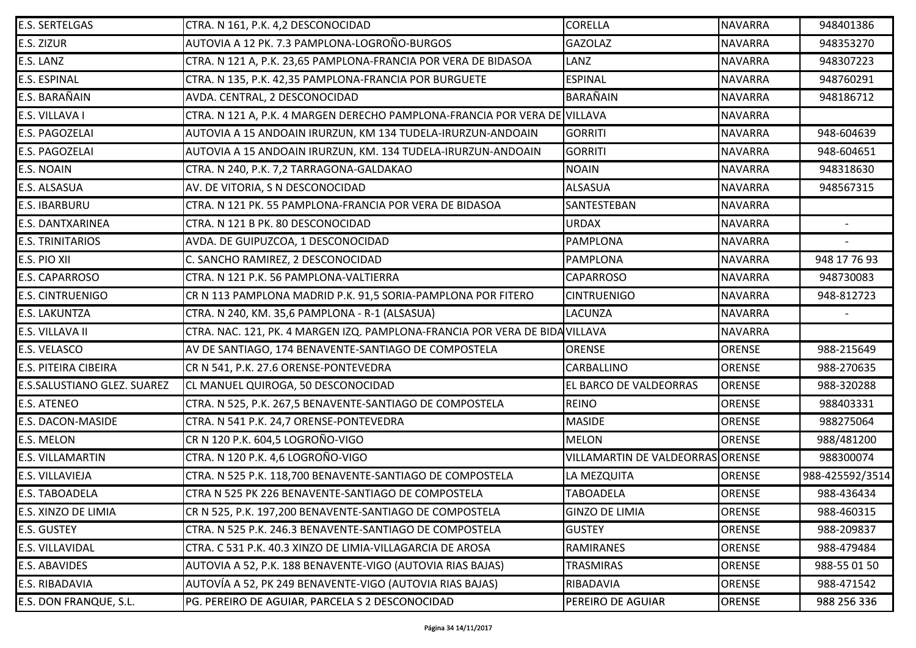| <b>E.S. SERTELGAS</b>       | CTRA. N 161, P.K. 4,2 DESCONOCIDAD                                         | <b>CORELLA</b>                   | <b>NAVARRA</b> | 948401386       |
|-----------------------------|----------------------------------------------------------------------------|----------------------------------|----------------|-----------------|
| E.S. ZIZUR                  | AUTOVIA A 12 PK. 7.3 PAMPLONA-LOGROÑO-BURGOS                               | <b>GAZOLAZ</b>                   | <b>NAVARRA</b> | 948353270       |
| E.S. LANZ                   | CTRA. N 121 A, P.K. 23,65 PAMPLONA-FRANCIA POR VERA DE BIDASOA             | LANZ                             | <b>NAVARRA</b> | 948307223       |
| <b>E.S. ESPINAL</b>         | CTRA. N 135, P.K. 42,35 PAMPLONA-FRANCIA POR BURGUETE                      | <b>ESPINAL</b>                   | <b>NAVARRA</b> | 948760291       |
| E.S. BARAÑAIN               | AVDA. CENTRAL, 2 DESCONOCIDAD                                              | <b>BARAÑAIN</b>                  | <b>NAVARRA</b> | 948186712       |
| E.S. VILLAVA I              | CTRA. N 121 A, P.K. 4 MARGEN DERECHO PAMPLONA-FRANCIA POR VERA DE VILLAVA  |                                  | <b>NAVARRA</b> |                 |
| E.S. PAGOZELAI              | AUTOVIA A 15 ANDOAIN IRURZUN, KM 134 TUDELA-IRURZUN-ANDOAIN                | <b>GORRITI</b>                   | <b>NAVARRA</b> | 948-604639      |
| E.S. PAGOZELAI              | AUTOVIA A 15 ANDOAIN IRURZUN, KM. 134 TUDELA-IRURZUN-ANDOAIN               | <b>GORRITI</b>                   | <b>NAVARRA</b> | 948-604651      |
| E.S. NOAIN                  | CTRA. N 240, P.K. 7,2 TARRAGONA-GALDAKAO                                   | <b>NOAIN</b>                     | <b>NAVARRA</b> | 948318630       |
| E.S. ALSASUA                | AV. DE VITORIA, S N DESCONOCIDAD                                           | <b>ALSASUA</b>                   | <b>NAVARRA</b> | 948567315       |
| E.S. IBARBURU               | CTRA. N 121 PK. 55 PAMPLONA-FRANCIA POR VERA DE BIDASOA                    | SANTESTEBAN                      | <b>NAVARRA</b> |                 |
| E.S. DANTXARINEA            | CTRA. N 121 B PK. 80 DESCONOCIDAD                                          | <b>URDAX</b>                     | <b>NAVARRA</b> |                 |
| <b>E.S. TRINITARIOS</b>     | AVDA. DE GUIPUZCOA, 1 DESCONOCIDAD                                         | PAMPLONA                         | <b>NAVARRA</b> |                 |
| E.S. PIO XII                | C. SANCHO RAMIREZ, 2 DESCONOCIDAD                                          | <b>PAMPLONA</b>                  | <b>NAVARRA</b> | 948 17 76 93    |
| E.S. CAPARROSO              | CTRA. N 121 P.K. 56 PAMPLONA-VALTIERRA                                     | <b>CAPARROSO</b>                 | <b>NAVARRA</b> | 948730083       |
| <b>E.S. CINTRUENIGO</b>     | CR N 113 PAMPLONA MADRID P.K. 91,5 SORIA-PAMPLONA POR FITERO               | <b>CINTRUENIGO</b>               | <b>NAVARRA</b> | 948-812723      |
| E.S. LAKUNTZA               | CTRA. N 240, KM. 35,6 PAMPLONA - R-1 (ALSASUA)                             | <b>LACUNZA</b>                   | <b>NAVARRA</b> |                 |
| E.S. VILLAVA II             | CTRA. NAC. 121, PK. 4 MARGEN IZQ. PAMPLONA-FRANCIA POR VERA DE BIDAVILLAVA |                                  | <b>NAVARRA</b> |                 |
| E.S. VELASCO                | AV DE SANTIAGO, 174 BENAVENTE-SANTIAGO DE COMPOSTELA                       | <b>ORENSE</b>                    | ORENSE         | 988-215649      |
| <b>E.S. PITEIRA CIBEIRA</b> | CR N 541, P.K. 27.6 ORENSE-PONTEVEDRA                                      | <b>CARBALLINO</b>                | <b>ORENSE</b>  | 988-270635      |
| E.S.SALUSTIANO GLEZ. SUAREZ | CL MANUEL QUIROGA, 50 DESCONOCIDAD                                         | EL BARCO DE VALDEORRAS           | ORENSE         | 988-320288      |
| E.S. ATENEO                 | CTRA. N 525, P.K. 267,5 BENAVENTE-SANTIAGO DE COMPOSTELA                   | <b>REINO</b>                     | <b>ORENSE</b>  | 988403331       |
| E.S. DACON-MASIDE           | CTRA. N 541 P.K. 24,7 ORENSE-PONTEVEDRA                                    | <b>MASIDE</b>                    | <b>ORENSE</b>  | 988275064       |
| E.S. MELON                  | CR N 120 P.K. 604,5 LOGROÑO-VIGO                                           | <b>MELON</b>                     | <b>ORENSE</b>  | 988/481200      |
| <b>E.S. VILLAMARTIN</b>     | CTRA. N 120 P.K. 4,6 LOGROÑO-VIGO                                          | VILLAMARTIN DE VALDEORRAS ORENSE |                | 988300074       |
| E.S. VILLAVIEJA             | CTRA. N 525 P.K. 118,700 BENAVENTE-SANTIAGO DE COMPOSTELA                  | LA MEZQUITA                      | <b>ORENSE</b>  | 988-425592/3514 |
| E.S. TABOADELA              | CTRA N 525 PK 226 BENAVENTE-SANTIAGO DE COMPOSTELA                         | <b>TABOADELA</b>                 | ORENSE         | 988-436434      |
| E.S. XINZO DE LIMIA         | CR N 525, P.K. 197,200 BENAVENTE-SANTIAGO DE COMPOSTELA                    | <b>GINZO DE LIMIA</b>            | <b>ORENSE</b>  | 988-460315      |
| E.S. GUSTEY                 | CTRA. N 525 P.K. 246.3 BENAVENTE-SANTIAGO DE COMPOSTELA                    | <b>GUSTEY</b>                    | <b>ORENSE</b>  | 988-209837      |
| E.S. VILLAVIDAL             | CTRA. C 531 P.K. 40.3 XINZO DE LIMIA-VILLAGARCIA DE AROSA                  | <b>RAMIRANES</b>                 | <b>ORENSE</b>  | 988-479484      |
| E.S. ABAVIDES               | AUTOVIA A 52, P.K. 188 BENAVENTE-VIGO (AUTOVIA RIAS BAJAS)                 | TRASMIRAS                        | <b>ORENSE</b>  | 988-55 01 50    |
| E.S. RIBADAVIA              | AUTOVÍA A 52, PK 249 BENAVENTE-VIGO (AUTOVIA RIAS BAJAS)                   | RIBADAVIA                        | <b>ORENSE</b>  | 988-471542      |
| E.S. DON FRANQUE, S.L.      | PG. PEREIRO DE AGUIAR, PARCELA S 2 DESCONOCIDAD                            | PEREIRO DE AGUIAR                | <b>ORENSE</b>  | 988 256 336     |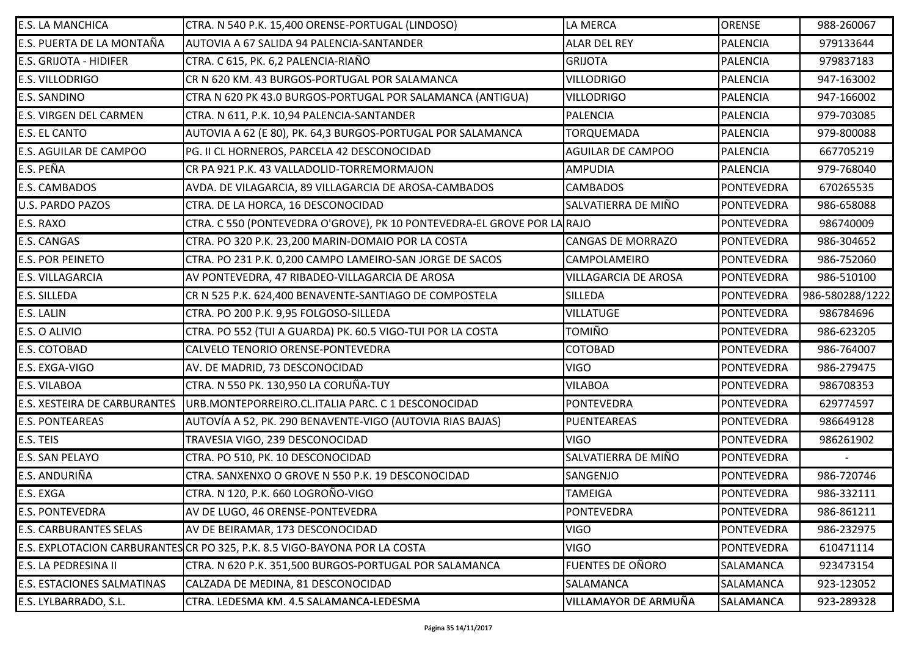| <b>E.S. LA MANCHICA</b>             | CTRA. N 540 P.K. 15,400 ORENSE-PORTUGAL (LINDOSO)                         | LA MERCA                    | <b>ORENSE</b>     | 988-260067      |
|-------------------------------------|---------------------------------------------------------------------------|-----------------------------|-------------------|-----------------|
| E.S. PUERTA DE LA MONTAÑA           | AUTOVIA A 67 SALIDA 94 PALENCIA-SANTANDER                                 | <b>ALAR DEL REY</b>         | <b>PALENCIA</b>   | 979133644       |
| <b>E.S. GRIJOTA - HIDIFER</b>       | CTRA. C 615, PK. 6,2 PALENCIA-RIAÑO                                       | <b>GRIJOTA</b>              | <b>PALENCIA</b>   | 979837183       |
| <b>E.S. VILLODRIGO</b>              | CR N 620 KM. 43 BURGOS-PORTUGAL POR SALAMANCA                             | <b>VILLODRIGO</b>           | <b>PALENCIA</b>   | 947-163002      |
| <b>E.S. SANDINO</b>                 | CTRA N 620 PK 43.0 BURGOS-PORTUGAL POR SALAMANCA (ANTIGUA)                | <b>VILLODRIGO</b>           | <b>PALENCIA</b>   | 947-166002      |
| <b>E.S. VIRGEN DEL CARMEN</b>       | CTRA. N 611, P.K. 10,94 PALENCIA-SANTANDER                                | <b>PALENCIA</b>             | <b>PALENCIA</b>   | 979-703085      |
| <b>E.S. EL CANTO</b>                | AUTOVIA A 62 (E 80), PK. 64,3 BURGOS-PORTUGAL POR SALAMANCA               | <b>TORQUEMADA</b>           | <b>PALENCIA</b>   | 979-800088      |
| <b>E.S. AGUILAR DE CAMPOO</b>       | PG. II CL HORNEROS, PARCELA 42 DESCONOCIDAD                               | <b>AGUILAR DE CAMPOO</b>    | <b>PALENCIA</b>   | 667705219       |
| E.S. PEÑA                           | CR PA 921 P.K. 43 VALLADOLID-TORREMORMAJON                                | <b>AMPUDIA</b>              | <b>PALENCIA</b>   | 979-768040      |
| <b>E.S. CAMBADOS</b>                | AVDA. DE VILAGARCIA, 89 VILLAGARCIA DE AROSA-CAMBADOS                     | <b>CAMBADOS</b>             | <b>PONTEVEDRA</b> | 670265535       |
| <b>U.S. PARDO PAZOS</b>             | CTRA. DE LA HORCA, 16 DESCONOCIDAD                                        | SALVATIERRA DE MIÑO         | <b>PONTEVEDRA</b> | 986-658088      |
| E.S. RAXO                           | CTRA. C 550 (PONTEVEDRA O'GROVE), PK 10 PONTEVEDRA-EL GROVE POR LA RAJO   |                             | <b>PONTEVEDRA</b> | 986740009       |
| <b>E.S. CANGAS</b>                  | CTRA. PO 320 P.K. 23,200 MARIN-DOMAIO POR LA COSTA                        | <b>CANGAS DE MORRAZO</b>    | <b>PONTEVEDRA</b> | 986-304652      |
| <b>E.S. POR PEINETO</b>             | CTRA. PO 231 P.K. 0,200 CAMPO LAMEIRO-SAN JORGE DE SACOS                  | CAMPOLAMEIRO                | PONTEVEDRA        | 986-752060      |
| <b>E.S. VILLAGARCIA</b>             | AV PONTEVEDRA, 47 RIBADEO-VILLAGARCIA DE AROSA                            | <b>VILLAGARCIA DE AROSA</b> | <b>PONTEVEDRA</b> | 986-510100      |
| <b>E.S. SILLEDA</b>                 | CR N 525 P.K. 624,400 BENAVENTE-SANTIAGO DE COMPOSTELA                    | <b>SILLEDA</b>              | <b>PONTEVEDRA</b> | 986-580288/1222 |
| <b>E.S. LALIN</b>                   | CTRA. PO 200 P.K. 9,95 FOLGOSO-SILLEDA                                    | <b>VILLATUGE</b>            | <b>PONTEVEDRA</b> | 986784696       |
| E.S. O ALIVIO                       | CTRA. PO 552 (TUI A GUARDA) PK. 60.5 VIGO-TUI POR LA COSTA                | TOMIÑO                      | <b>PONTEVEDRA</b> | 986-623205      |
| <b>E.S. COTOBAD</b>                 | CALVELO TENORIO ORENSE-PONTEVEDRA                                         | COTOBAD                     | <b>PONTEVEDRA</b> | 986-764007      |
| E.S. EXGA-VIGO                      | AV. DE MADRID, 73 DESCONOCIDAD                                            | <b>VIGO</b>                 | <b>PONTEVEDRA</b> | 986-279475      |
| <b>E.S. VILABOA</b>                 | CTRA. N 550 PK. 130,950 LA CORUÑA-TUY                                     | <b>VILABOA</b>              | <b>PONTEVEDRA</b> | 986708353       |
| <b>E.S. XESTEIRA DE CARBURANTES</b> | URB.MONTEPORREIRO.CL.ITALIA PARC. C 1 DESCONOCIDAD                        | PONTEVEDRA                  | <b>PONTEVEDRA</b> | 629774597       |
| <b>E.S. PONTEAREAS</b>              | AUTOVÍA A 52, PK. 290 BENAVENTE-VIGO (AUTOVIA RIAS BAJAS)                 | PUENTEAREAS                 | <b>PONTEVEDRA</b> | 986649128       |
| E.S. TEIS                           | TRAVESIA VIGO, 239 DESCONOCIDAD                                           | <b>VIGO</b>                 | <b>PONTEVEDRA</b> | 986261902       |
| <b>E.S. SAN PELAYO</b>              | CTRA. PO 510, PK. 10 DESCONOCIDAD                                         | SALVATIERRA DE MIÑO         | <b>PONTEVEDRA</b> |                 |
| E.S. ANDURIÑA                       | CTRA. SANXENXO O GROVE N 550 P.K. 19 DESCONOCIDAD                         | SANGENJO                    | PONTEVEDRA        | 986-720746      |
| E.S. EXGA                           | CTRA. N 120, P.K. 660 LOGROÑO-VIGO                                        | <b>TAMEIGA</b>              | <b>PONTEVEDRA</b> | 986-332111      |
| <b>E.S. PONTEVEDRA</b>              | AV DE LUGO, 46 ORENSE-PONTEVEDRA                                          | <b>PONTEVEDRA</b>           | <b>PONTEVEDRA</b> | 986-861211      |
| <b>E.S. CARBURANTES SELAS</b>       | AV DE BEIRAMAR, 173 DESCONOCIDAD                                          | <b>VIGO</b>                 | <b>PONTEVEDRA</b> | 986-232975      |
|                                     | E.S. EXPLOTACION CARBURANTES CR PO 325, P.K. 8.5 VIGO-BAYONA POR LA COSTA | <b>VIGO</b>                 | <b>PONTEVEDRA</b> | 610471114       |
| <b>E.S. LA PEDRESINA II</b>         | CTRA. N 620 P.K. 351,500 BURGOS-PORTUGAL POR SALAMANCA                    | FUENTES DE OÑORO            | SALAMANCA         | 923473154       |
| <b>E.S. ESTACIONES SALMATINAS</b>   | CALZADA DE MEDINA, 81 DESCONOCIDAD                                        | SALAMANCA                   | SALAMANCA         | 923-123052      |
| E.S. LYLBARRADO, S.L.               | CTRA. LEDESMA KM. 4.5 SALAMANCA-LEDESMA                                   | VILLAMAYOR DE ARMUÑA        | SALAMANCA         | 923-289328      |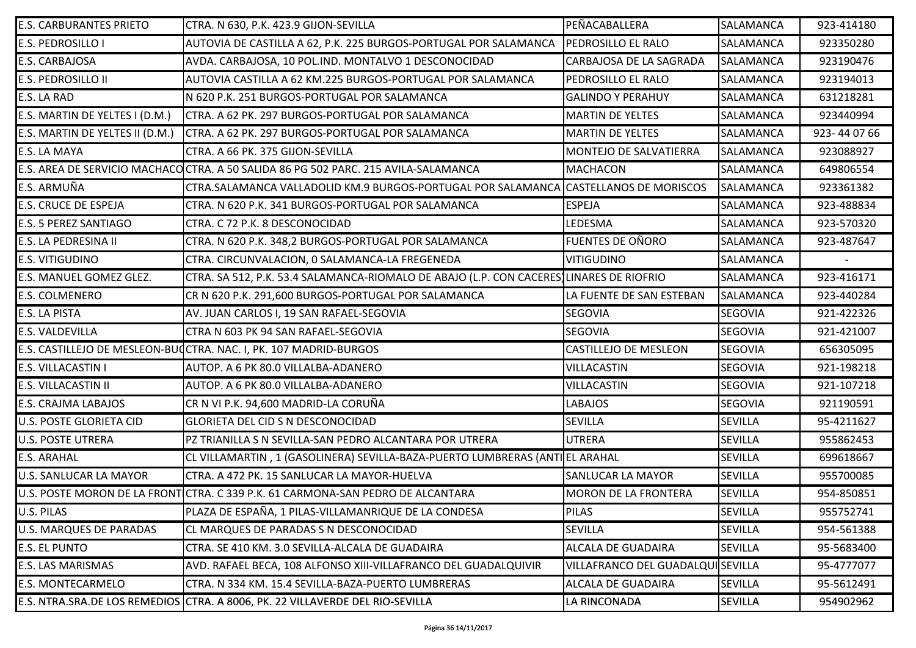| <b>E.S. CARBURANTES PRIETO</b>  | CTRA. N 630, P.K. 423.9 GIJON-SEVILLA                                                    | PEÑACABALLERA                    | <b>SALAMANCA</b> | 923-414180 |
|---------------------------------|------------------------------------------------------------------------------------------|----------------------------------|------------------|------------|
| <b>E.S. PEDROSILLO I</b>        | AUTOVIA DE CASTILLA A 62, P.K. 225 BURGOS-PORTUGAL POR SALAMANCA                         | <b>PEDROSILLO EL RALO</b>        | SALAMANCA        | 923350280  |
| <b>E.S. CARBAJOSA</b>           | AVDA. CARBAJOSA, 10 POL.IND. MONTALVO 1 DESCONOCIDAD                                     | CARBAJOSA DE LA SAGRADA          | <b>SALAMANCA</b> | 923190476  |
| <b>E.S. PEDROSILLO II</b>       | AUTOVIA CASTILLA A 62 KM.225 BURGOS-PORTUGAL POR SALAMANCA                               | PEDROSILLO EL RALO               | SALAMANCA        | 923194013  |
| E.S. LA RAD                     | N 620 P.K. 251 BURGOS-PORTUGAL POR SALAMANCA                                             | <b>GALINDO Y PERAHUY</b>         | SALAMANCA        | 631218281  |
| E.S. MARTIN DE YELTES I (D.M.)  | CTRA. A 62 PK. 297 BURGOS-PORTUGAL POR SALAMANCA                                         | <b>MARTIN DE YELTES</b>          | SALAMANCA        | 923440994  |
| E.S. MARTIN DE YELTES II (D.M.) | CTRA. A 62 PK. 297 BURGOS-PORTUGAL POR SALAMANCA                                         | <b>MARTIN DE YELTES</b>          | <b>SALAMANCA</b> | 923-440766 |
| E.S. LA MAYA                    | CTRA. A 66 PK. 375 GIJON-SEVILLA                                                         | MONTEJO DE SALVATIERRA           | SALAMANCA        | 923088927  |
|                                 | E.S. AREA DE SERVICIO MACHACO CTRA. A 50 SALIDA 86 PG 502 PARC. 215 AVILA-SALAMANCA      | <b>MACHACON</b>                  | SALAMANCA        | 649806554  |
| E.S. ARMUÑA                     | CTRA.SALAMANCA VALLADOLID KM.9 BURGOS-PORTUGAL POR SALAMANCA CASTELLANOS DE MORISCOS     |                                  | <b>SALAMANCA</b> | 923361382  |
| <b>E.S. CRUCE DE ESPEJA</b>     | CTRA. N 620 P.K. 341 BURGOS-PORTUGAL POR SALAMANCA                                       | <b>ESPEJA</b>                    | SALAMANCA        | 923-488834 |
| <b>E.S. 5 PEREZ SANTIAGO</b>    | CTRA. C 72 P.K. 8 DESCONOCIDAD                                                           | LEDESMA                          | SALAMANCA        | 923-570320 |
| <b>E.S. LA PEDRESINA II</b>     | CTRA. N 620 P.K. 348,2 BURGOS-PORTUGAL POR SALAMANCA                                     | <b>FUENTES DE OÑORO</b>          | SALAMANCA        | 923-487647 |
| <b>E.S. VITIGUDINO</b>          | CTRA. CIRCUNVALACION, 0 SALAMANCA-LA FREGENEDA                                           | <b>VITIGUDINO</b>                | <b>SALAMANCA</b> |            |
| E.S. MANUEL GOMEZ GLEZ.         | CTRA. SA 512, P.K. 53.4 SALAMANCA-RIOMALO DE ABAJO (L.P. CON CACERES) LINARES DE RIOFRIO |                                  | SALAMANCA        | 923-416171 |
| <b>E.S. COLMENERO</b>           | CR N 620 P.K. 291,600 BURGOS-PORTUGAL POR SALAMANCA                                      | LA FUENTE DE SAN ESTEBAN         | SALAMANCA        | 923-440284 |
| <b>E.S. LA PISTA</b>            | AV. JUAN CARLOS I, 19 SAN RAFAEL-SEGOVIA                                                 | SEGOVIA                          | <b>SEGOVIA</b>   | 921-422326 |
| <b>E.S. VALDEVILLA</b>          | CTRA N 603 PK 94 SAN RAFAEL-SEGOVIA                                                      | <b>SEGOVIA</b>                   | <b>SEGOVIA</b>   | 921-421007 |
|                                 | E.S. CASTILLEJO DE MESLEON-BUJCTRA. NAC. I, PK. 107 MADRID-BURGOS                        | CASTILLEJO DE MESLEON            | <b>SEGOVIA</b>   | 656305095  |
| <b>E.S. VILLACASTIN I</b>       | AUTOP. A 6 PK 80.0 VILLALBA-ADANERO                                                      | <b>VILLACASTIN</b>               | <b>SEGOVIA</b>   | 921-198218 |
| <b>E.S. VILLACASTIN II</b>      | AUTOP. A 6 PK 80.0 VILLALBA-ADANERO                                                      | VILLACASTIN                      | <b>SEGOVIA</b>   | 921-107218 |
| <b>E.S. CRAJMA LABAJOS</b>      | CR N VI P.K. 94,600 MADRID-LA CORUÑA                                                     | <b>LABAJOS</b>                   | <b>SEGOVIA</b>   | 921190591  |
| <b>U.S. POSTE GLORIETA CID</b>  | <b>GLORIETA DEL CID S N DESCONOCIDAD</b>                                                 | <b>SEVILLA</b>                   | <b>SEVILLA</b>   | 95-4211627 |
| <b>U.S. POSTE UTRERA</b>        | PZ TRIANILLA S N SEVILLA-SAN PEDRO ALCANTARA POR UTRERA                                  | <b>UTRERA</b>                    | <b>SEVILLA</b>   | 955862453  |
| <b>E.S. ARAHAL</b>              | CL VILLAMARTIN, 1 (GASOLINERA) SEVILLA-BAZA-PUERTO LUMBRERAS (ANTIEL ARAHAL              |                                  | <b>SEVILLA</b>   | 699618667  |
| <b>U.S. SANLUCAR LA MAYOR</b>   | CTRA. A 472 PK. 15 SANLUCAR LA MAYOR-HUELVA                                              | SANLUCAR LA MAYOR                | <b>SEVILLA</b>   | 955700085  |
|                                 | U.S. POSTE MORON DE LA FRONT CTRA. C 339 P.K. 61 CARMONA-SAN PEDRO DE ALCANTARA          | <b>MORON DE LA FRONTERA</b>      | <b>SEVILLA</b>   | 954-850851 |
| <b>U.S. PILAS</b>               | PLAZA DE ESPAÑA, 1 PILAS-VILLAMANRIQUE DE LA CONDESA                                     | <b>PILAS</b>                     | <b>SEVILLA</b>   | 955752741  |
| <b>U.S. MARQUES DE PARADAS</b>  | CL MARQUES DE PARADAS S N DESCONOCIDAD                                                   | SEVILLA                          | <b>SEVILLA</b>   | 954-561388 |
| <b>E.S. EL PUNTO</b>            | CTRA. SE 410 KM. 3.0 SEVILLA-ALCALA DE GUADAIRA                                          | ALCALA DE GUADAIRA               | <b>SEVILLA</b>   | 95-5683400 |
| <b>E.S. LAS MARISMAS</b>        | AVD. RAFAEL BECA, 108 ALFONSO XIII-VILLAFRANCO DEL GUADALQUIVIR                          | VILLAFRANCO DEL GUADALQUISEVILLA |                  | 95-4777077 |
| <b>E.S. MONTECARMELO</b>        | CTRA. N 334 KM. 15.4 SEVILLA-BAZA-PUERTO LUMBRERAS                                       | ALCALA DE GUADAIRA               | <b>SEVILLA</b>   | 95-5612491 |
|                                 | E.S. NTRA.SRA.DE LOS REMEDIOS CTRA. A 8006, PK. 22 VILLAVERDE DEL RIO-SEVILLA            | LA RINCONADA                     | <b>SEVILLA</b>   | 954902962  |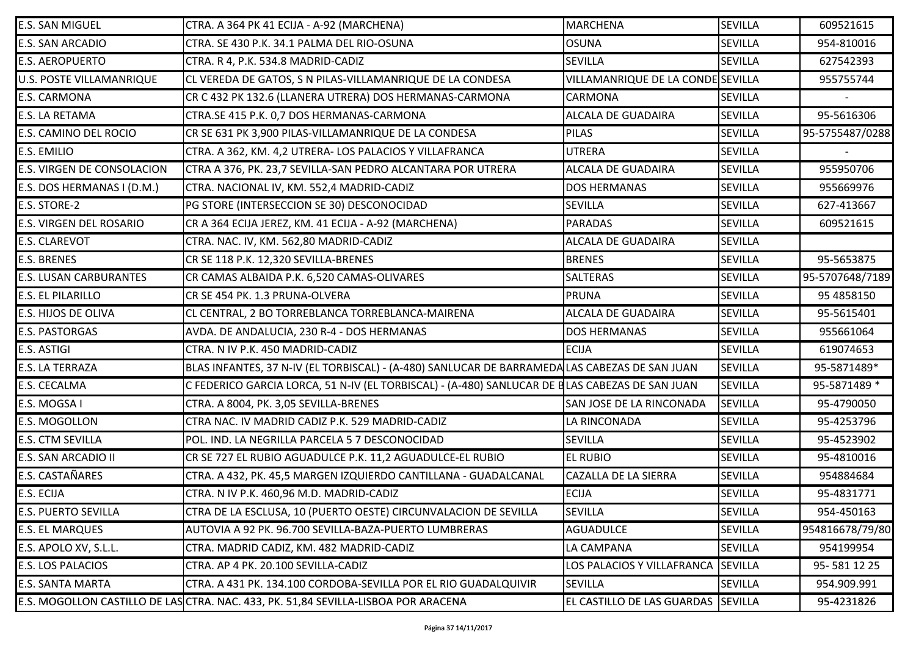| <b>E.S. SAN MIGUEL</b>            | CTRA. A 364 PK 41 ECIJA - A-92 (MARCHENA)                                                      | <b>MARCHENA</b>                    | <b>SEVILLA</b> | 609521615       |
|-----------------------------------|------------------------------------------------------------------------------------------------|------------------------------------|----------------|-----------------|
| <b>E.S. SAN ARCADIO</b>           | CTRA. SE 430 P.K. 34.1 PALMA DEL RIO-OSUNA                                                     | <b>OSUNA</b>                       | <b>SEVILLA</b> | 954-810016      |
| <b>E.S. AEROPUERTO</b>            | CTRA. R 4, P.K. 534.8 MADRID-CADIZ                                                             | <b>SEVILLA</b>                     | <b>SEVILLA</b> | 627542393       |
| <b>U.S. POSTE VILLAMANRIQUE</b>   | CL VEREDA DE GATOS, S N PILAS-VILLAMANRIQUE DE LA CONDESA                                      | VILLAMANRIQUE DE LA CONDE SEVILLA  |                | 955755744       |
| <b>E.S. CARMONA</b>               | CR C 432 PK 132.6 (LLANERA UTRERA) DOS HERMANAS-CARMONA                                        | <b>CARMONA</b>                     | <b>SEVILLA</b> |                 |
| <b>E.S. LA RETAMA</b>             | CTRA.SE 415 P.K. 0,7 DOS HERMANAS-CARMONA                                                      | <b>ALCALA DE GUADAIRA</b>          | <b>SEVILLA</b> | 95-5616306      |
| <b>E.S. CAMINO DEL ROCIO</b>      | CR SE 631 PK 3,900 PILAS-VILLAMANRIQUE DE LA CONDESA                                           | <b>PILAS</b>                       | <b>SEVILLA</b> | 95-5755487/0288 |
| <b>E.S. EMILIO</b>                | CTRA. A 362, KM. 4,2 UTRERA- LOS PALACIOS Y VILLAFRANCA                                        | <b>UTRERA</b>                      | <b>SEVILLA</b> |                 |
| <b>E.S. VIRGEN DE CONSOLACION</b> | CTRA A 376, PK. 23,7 SEVILLA-SAN PEDRO ALCANTARA POR UTRERA                                    | <b>ALCALA DE GUADAIRA</b>          | <b>SEVILLA</b> | 955950706       |
| E.S. DOS HERMANAS I (D.M.)        | CTRA. NACIONAL IV, KM. 552,4 MADRID-CADIZ                                                      | <b>DOS HERMANAS</b>                | <b>SEVILLA</b> | 955669976       |
| <b>E.S. STORE-2</b>               | PG STORE (INTERSECCION SE 30) DESCONOCIDAD                                                     | <b>SEVILLA</b>                     | <b>SEVILLA</b> | 627-413667      |
| <b>E.S. VIRGEN DEL ROSARIO</b>    | CR A 364 ECIJA JEREZ, KM. 41 ECIJA - A-92 (MARCHENA)                                           | <b>PARADAS</b>                     | <b>SEVILLA</b> | 609521615       |
| <b>E.S. CLAREVOT</b>              | CTRA. NAC. IV, KM. 562,80 MADRID-CADIZ                                                         | ALCALA DE GUADAIRA                 | <b>SEVILLA</b> |                 |
| <b>E.S. BRENES</b>                | CR SE 118 P.K. 12,320 SEVILLA-BRENES                                                           | <b>BRENES</b>                      | <b>SEVILLA</b> | 95-5653875      |
| <b>E.S. LUSAN CARBURANTES</b>     | CR CAMAS ALBAIDA P.K. 6,520 CAMAS-OLIVARES                                                     | <b>SALTERAS</b>                    | <b>SEVILLA</b> | 95-5707648/7189 |
| <b>E.S. EL PILARILLO</b>          | CR SE 454 PK. 1.3 PRUNA-OLVERA                                                                 | <b>PRUNA</b>                       | <b>SEVILLA</b> | 95 4858150      |
| <b>E.S. HIJOS DE OLIVA</b>        | CL CENTRAL, 2 BO TORREBLANCA TORREBLANCA-MAIRENA                                               | <b>ALCALA DE GUADAIRA</b>          | <b>SEVILLA</b> | 95-5615401      |
| <b>E.S. PASTORGAS</b>             | AVDA. DE ANDALUCIA, 230 R-4 - DOS HERMANAS                                                     | <b>DOS HERMANAS</b>                | <b>SEVILLA</b> | 955661064       |
| E.S. ASTIGI                       | CTRA. N IV P.K. 450 MADRID-CADIZ                                                               | <b>ECIJA</b>                       | <b>SEVILLA</b> | 619074653       |
| <b>E.S. LA TERRAZA</b>            | BLAS INFANTES, 37 N-IV (EL TORBISCAL) - (A-480) SANLUCAR DE BARRAMEDALAS CABEZAS DE SAN JUAN   |                                    | <b>SEVILLA</b> | 95-5871489*     |
| <b>E.S. CECALMA</b>               | C FEDERICO GARCIA LORCA, 51 N-IV (EL TORBISCAL) - (A-480) SANLUCAR DE BLAS CABEZAS DE SAN JUAN |                                    | <b>SEVILLA</b> | 95-5871489 *    |
| E.S. MOGSA I                      | CTRA. A 8004, PK. 3,05 SEVILLA-BRENES                                                          | SAN JOSE DE LA RINCONADA           | <b>SEVILLA</b> | 95-4790050      |
| <b>E.S. MOGOLLON</b>              | CTRA NAC. IV MADRID CADIZ P.K. 529 MADRID-CADIZ                                                | LA RINCONADA                       | <b>SEVILLA</b> | 95-4253796      |
| <b>E.S. CTM SEVILLA</b>           | POL. IND. LA NEGRILLA PARCELA 5 7 DESCONOCIDAD                                                 | <b>SEVILLA</b>                     | <b>SEVILLA</b> | 95-4523902      |
| E.S. SAN ARCADIO II               | CR SE 727 EL RUBIO AGUADULCE P.K. 11,2 AGUADULCE-EL RUBIO                                      | <b>EL RUBIO</b>                    | <b>SEVILLA</b> | 95-4810016      |
| E.S. CASTAÑARES                   | CTRA. A 432, PK. 45,5 MARGEN IZQUIERDO CANTILLANA - GUADALCANAL                                | CAZALLA DE LA SIERRA               | <b>SEVILLA</b> | 954884684       |
| <b>E.S. ECIJA</b>                 | CTRA. N IV P.K. 460,96 M.D. MADRID-CADIZ                                                       | <b>ECIJA</b>                       | <b>SEVILLA</b> | 95-4831771      |
| <b>E.S. PUERTO SEVILLA</b>        | CTRA DE LA ESCLUSA, 10 (PUERTO OESTE) CIRCUNVALACION DE SEVILLA                                | <b>SEVILLA</b>                     | SEVILLA        | 954-450163      |
| <b>E.S. EL MARQUES</b>            | AUTOVIA A 92 PK. 96.700 SEVILLA-BAZA-PUERTO LUMBRERAS                                          | <b>AGUADULCE</b>                   | <b>SEVILLA</b> | 954816678/79/80 |
| E.S. APOLO XV, S.L.L.             | CTRA. MADRID CADIZ, KM. 482 MADRID-CADIZ                                                       | LA CAMPANA                         | <b>SEVILLA</b> | 954199954       |
| <b>E.S. LOS PALACIOS</b>          | CTRA. AP 4 PK. 20.100 SEVILLA-CADIZ                                                            | LOS PALACIOS Y VILLAFRANCA         | <b>SEVILLA</b> | 95-581 12 25    |
| <b>E.S. SANTA MARTA</b>           | CTRA. A 431 PK. 134.100 CORDOBA-SEVILLA POR EL RIO GUADALQUIVIR                                | <b>SEVILLA</b>                     | SEVILLA        | 954.909.991     |
|                                   | E.S. MOGOLLON CASTILLO DE LASCTRA. NAC. 433, PK. 51,84 SEVILLA-LISBOA POR ARACENA              | EL CASTILLO DE LAS GUARDAS SEVILLA |                | 95-4231826      |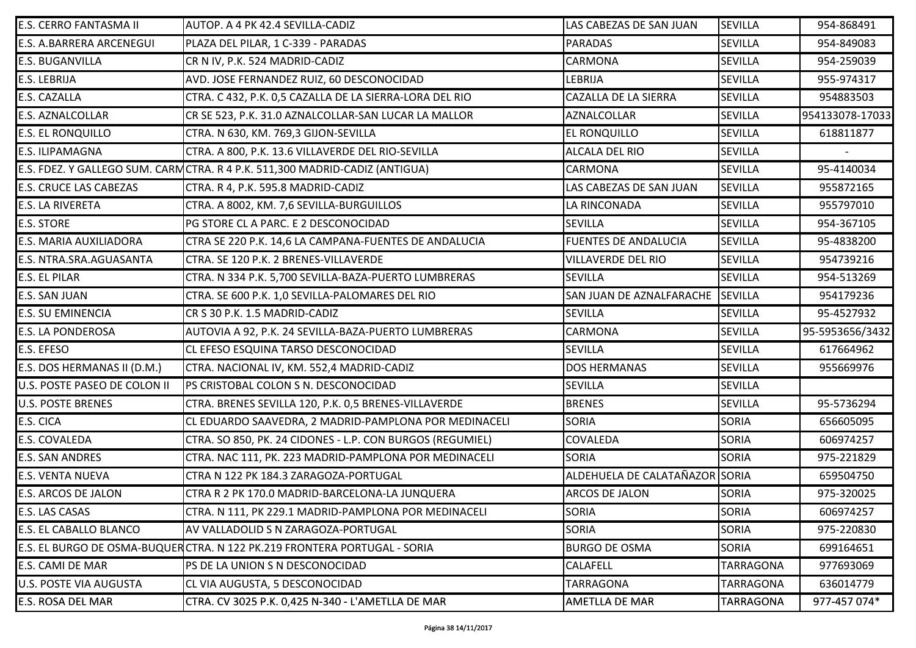| <b>E.S. CERRO FANTASMA II</b>   | AUTOP. A 4 PK 42.4 SEVILLA-CADIZ                                            | LAS CABEZAS DE SAN JUAN        | <b>SEVILLA</b>   | 954-868491      |
|---------------------------------|-----------------------------------------------------------------------------|--------------------------------|------------------|-----------------|
| <b>E.S. A.BARRERA ARCENEGUI</b> | PLAZA DEL PILAR, 1 C-339 - PARADAS                                          | <b>PARADAS</b>                 | <b>SEVILLA</b>   | 954-849083      |
| <b>E.S. BUGANVILLA</b>          | CR N IV, P.K. 524 MADRID-CADIZ                                              | <b>CARMONA</b>                 | <b>SEVILLA</b>   | 954-259039      |
| <b>E.S. LEBRIJA</b>             | AVD. JOSE FERNANDEZ RUIZ, 60 DESCONOCIDAD                                   | LEBRIJA                        | <b>SEVILLA</b>   | 955-974317      |
| <b>E.S. CAZALLA</b>             | CTRA. C 432, P.K. 0,5 CAZALLA DE LA SIERRA-LORA DEL RIO                     | CAZALLA DE LA SIERRA           | <b>SEVILLA</b>   | 954883503       |
| <b>E.S. AZNALCOLLAR</b>         | CR SE 523, P.K. 31.0 AZNALCOLLAR-SAN LUCAR LA MALLOR                        | <b>AZNALCOLLAR</b>             | <b>SEVILLA</b>   | 954133078-17033 |
| <b>E.S. EL RONQUILLO</b>        | CTRA. N 630, KM. 769,3 GIJON-SEVILLA                                        | EL RONQUILLO                   | <b>SEVILLA</b>   | 618811877       |
| <b>E.S. ILIPAMAGNA</b>          | CTRA. A 800, P.K. 13.6 VILLAVERDE DEL RIO-SEVILLA                           | <b>ALCALA DEL RIO</b>          | <b>SEVILLA</b>   |                 |
|                                 | E.S. FDEZ. Y GALLEGO SUM. CARMCTRA. R 4 P.K. 511,300 MADRID-CADIZ (ANTIGUA) | <b>CARMONA</b>                 | <b>SEVILLA</b>   | 95-4140034      |
| <b>E.S. CRUCE LAS CABEZAS</b>   | CTRA. R 4, P.K. 595.8 MADRID-CADIZ                                          | LAS CABEZAS DE SAN JUAN        | <b>SEVILLA</b>   | 955872165       |
| <b>E.S. LA RIVERETA</b>         | CTRA. A 8002, KM. 7,6 SEVILLA-BURGUILLOS                                    | LA RINCONADA                   | <b>SEVILLA</b>   | 955797010       |
| <b>E.S. STORE</b>               | PG STORE CL A PARC. E 2 DESCONOCIDAD                                        | <b>SEVILLA</b>                 | <b>SEVILLA</b>   | 954-367105      |
| <b>E.S. MARIA AUXILIADORA</b>   | CTRA SE 220 P.K. 14,6 LA CAMPANA-FUENTES DE ANDALUCIA                       | <b>FUENTES DE ANDALUCIA</b>    | <b>SEVILLA</b>   | 95-4838200      |
| <b>E.S. NTRA.SRA.AGUASANTA</b>  | CTRA. SE 120 P.K. 2 BRENES-VILLAVERDE                                       | <b>VILLAVERDE DEL RIO</b>      | <b>SEVILLA</b>   | 954739216       |
| <b>E.S. EL PILAR</b>            | CTRA. N 334 P.K. 5,700 SEVILLA-BAZA-PUERTO LUMBRERAS                        | <b>SEVILLA</b>                 | <b>SEVILLA</b>   | 954-513269      |
| <b>E.S. SAN JUAN</b>            | CTRA. SE 600 P.K. 1,0 SEVILLA-PALOMARES DEL RIO                             | SAN JUAN DE AZNALFARACHE       | <b>SEVILLA</b>   | 954179236       |
| <b>E.S. SU EMINENCIA</b>        | CR S 30 P.K. 1.5 MADRID-CADIZ                                               | <b>SEVILLA</b>                 | <b>SEVILLA</b>   | 95-4527932      |
| <b>E.S. LA PONDEROSA</b>        | AUTOVIA A 92, P.K. 24 SEVILLA-BAZA-PUERTO LUMBRERAS                         | <b>CARMONA</b>                 | <b>SEVILLA</b>   | 95-5953656/3432 |
| E.S. EFESO                      | CL EFESO ESQUINA TARSO DESCONOCIDAD                                         | <b>SEVILLA</b>                 | <b>SEVILLA</b>   | 617664962       |
| E.S. DOS HERMANAS II (D.M.)     | CTRA. NACIONAL IV, KM. 552,4 MADRID-CADIZ                                   | <b>DOS HERMANAS</b>            | <b>SEVILLA</b>   | 955669976       |
| U.S. POSTE PASEO DE COLON II    | PS CRISTOBAL COLON S N. DESCONOCIDAD                                        | <b>SEVILLA</b>                 | <b>SEVILLA</b>   |                 |
| <b>U.S. POSTE BRENES</b>        | CTRA. BRENES SEVILLA 120, P.K. 0,5 BRENES-VILLAVERDE                        | <b>BRENES</b>                  | <b>SEVILLA</b>   | 95-5736294      |
| E.S. CICA                       | CL EDUARDO SAAVEDRA, 2 MADRID-PAMPLONA POR MEDINACELI                       | SORIA                          | <b>SORIA</b>     | 656605095       |
| E.S. COVALEDA                   | CTRA. SO 850, PK. 24 CIDONES - L.P. CON BURGOS (REGUMIEL)                   | COVALEDA                       | <b>SORIA</b>     | 606974257       |
| <b>E.S. SAN ANDRES</b>          | CTRA. NAC 111, PK. 223 MADRID-PAMPLONA POR MEDINACELI                       | SORIA                          | <b>SORIA</b>     | 975-221829      |
| <b>E.S. VENTA NUEVA</b>         | CTRA N 122 PK 184.3 ZARAGOZA-PORTUGAL                                       | ALDEHUELA DE CALATAÑAZOR SORIA |                  | 659504750       |
| <b>E.S. ARCOS DE JALON</b>      | CTRA R 2 PK 170.0 MADRID-BARCELONA-LA JUNQUERA                              | ARCOS DE JALON                 | <b>SORIA</b>     | 975-320025      |
| E.S. LAS CASAS                  | CTRA. N 111, PK 229.1 MADRID-PAMPLONA POR MEDINACELI                        | <b>SORIA</b>                   | <b>SORIA</b>     | 606974257       |
| <b>E.S. EL CABALLO BLANCO</b>   | AV VALLADOLID S N ZARAGOZA-PORTUGAL                                         | <b>SORIA</b>                   | <b>SORIA</b>     | 975-220830      |
|                                 | E.S. EL BURGO DE OSMA-BUQUERCTRA. N 122 PK.219 FRONTERA PORTUGAL - SORIA    | <b>BURGO DE OSMA</b>           | <b>SORIA</b>     | 699164651       |
| E.S. CAMI DE MAR                | PS DE LA UNION S N DESCONOCIDAD                                             | CALAFELL                       | <b>TARRAGONA</b> | 977693069       |
| <b>U.S. POSTE VIA AUGUSTA</b>   | CL VIA AUGUSTA, 5 DESCONOCIDAD                                              | <b>TARRAGONA</b>               | <b>TARRAGONA</b> | 636014779       |
| E.S. ROSA DEL MAR               | CTRA. CV 3025 P.K. 0,425 N-340 - L'AMETLLA DE MAR                           | AMETLLA DE MAR                 | <b>TARRAGONA</b> | 977-457 074*    |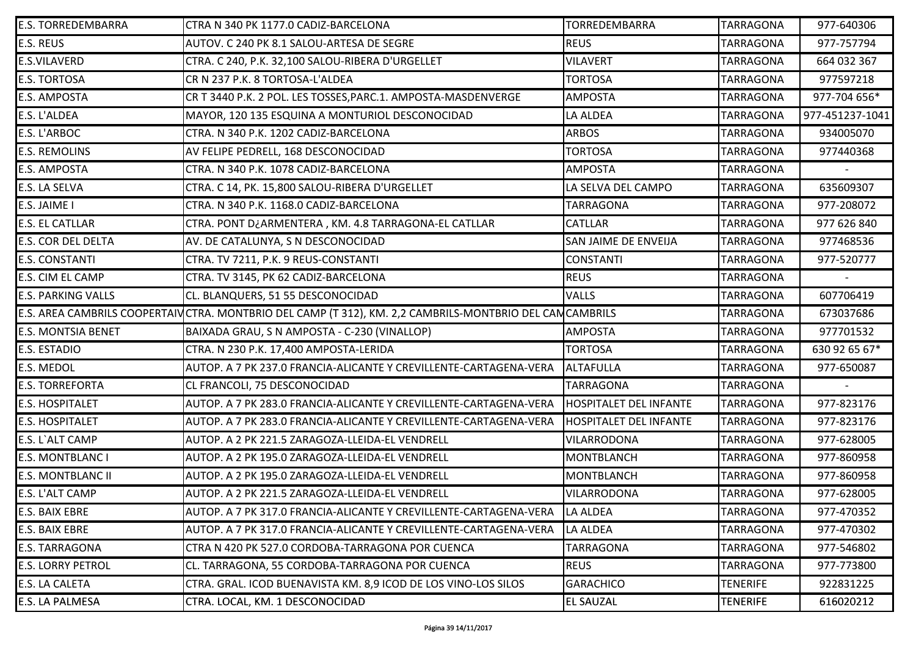| <b>E.S. TORREDEMBARRA</b> | CTRA N 340 PK 1177.0 CADIZ-BARCELONA                                                                      | TORREDEMBARRA                 | <b>TARRAGONA</b> | 977-640306      |
|---------------------------|-----------------------------------------------------------------------------------------------------------|-------------------------------|------------------|-----------------|
| <b>E.S. REUS</b>          | AUTOV. C 240 PK 8.1 SALOU-ARTESA DE SEGRE                                                                 | <b>REUS</b>                   | <b>TARRAGONA</b> | 977-757794      |
| <b>E.S.VILAVERD</b>       | CTRA. C 240, P.K. 32,100 SALOU-RIBERA D'URGELLET                                                          | <b>VILAVERT</b>               | <b>TARRAGONA</b> | 664 032 367     |
| <b>E.S. TORTOSA</b>       | CR N 237 P.K. 8 TORTOSA-L'ALDEA                                                                           | <b>TORTOSA</b>                | <b>TARRAGONA</b> | 977597218       |
| <b>E.S. AMPOSTA</b>       | CR T 3440 P.K. 2 POL. LES TOSSES, PARC.1. AMPOSTA-MASDENVERGE                                             | <b>AMPOSTA</b>                | <b>TARRAGONA</b> | 977-704 656*    |
| E.S. L'ALDEA              | MAYOR, 120 135 ESQUINA A MONTURIOL DESCONOCIDAD                                                           | LA ALDEA                      | <b>TARRAGONA</b> | 977-451237-1041 |
| <b>E.S. L'ARBOC</b>       | CTRA. N 340 P.K. 1202 CADIZ-BARCELONA                                                                     | <b>ARBOS</b>                  | <b>TARRAGONA</b> | 934005070       |
| <b>E.S. REMOLINS</b>      | AV FELIPE PEDRELL, 168 DESCONOCIDAD                                                                       | <b>TORTOSA</b>                | <b>TARRAGONA</b> | 977440368       |
| <b>E.S. AMPOSTA</b>       | CTRA. N 340 P.K. 1078 CADIZ-BARCELONA                                                                     | <b>AMPOSTA</b>                | <b>TARRAGONA</b> |                 |
| <b>E.S. LA SELVA</b>      | CTRA. C 14, PK. 15,800 SALOU-RIBERA D'URGELLET                                                            | LA SELVA DEL CAMPO            | <b>TARRAGONA</b> | 635609307       |
| E.S. JAIME I              | CTRA. N 340 P.K. 1168.0 CADIZ-BARCELONA                                                                   | <b>TARRAGONA</b>              | <b>TARRAGONA</b> | 977-208072      |
| <b>E.S. EL CATLLAR</b>    | CTRA. PONT D¿ARMENTERA, KM. 4.8 TARRAGONA-EL CATLLAR                                                      | <b>CATLLAR</b>                | <b>TARRAGONA</b> | 977 626 840     |
| <b>E.S. COR DEL DELTA</b> | AV. DE CATALUNYA, S N DESCONOCIDAD                                                                        | SAN JAIME DE ENVEIJA          | <b>TARRAGONA</b> | 977468536       |
| <b>E.S. CONSTANTI</b>     | CTRA. TV 7211, P.K. 9 REUS-CONSTANTI                                                                      | <b>CONSTANTI</b>              | <b>TARRAGONA</b> | 977-520777      |
| E.S. CIM EL CAMP          | CTRA. TV 3145, PK 62 CADIZ-BARCELONA                                                                      | <b>REUS</b>                   | <b>TARRAGONA</b> |                 |
| <b>E.S. PARKING VALLS</b> | CL. BLANQUERS, 51 55 DESCONOCIDAD                                                                         | <b>VALLS</b>                  | <b>TARRAGONA</b> | 607706419       |
|                           | E.S. AREA CAMBRILS COOPERTAIV CTRA. MONTBRIO DEL CAMP (T 312), KM. 2,2 CAMBRILS-MONTBRIO DEL CAM CAMBRILS |                               | <b>TARRAGONA</b> | 673037686       |
| <b>E.S. MONTSIA BENET</b> | BAIXADA GRAU, S N AMPOSTA - C-230 (VINALLOP)                                                              | <b>AMPOSTA</b>                | <b>TARRAGONA</b> | 977701532       |
| <b>E.S. ESTADIO</b>       | CTRA. N 230 P.K. 17,400 AMPOSTA-LERIDA                                                                    | <b>TORTOSA</b>                | <b>TARRAGONA</b> | 630 92 65 67*   |
| <b>E.S. MEDOL</b>         | AUTOP. A 7 PK 237.0 FRANCIA-ALICANTE Y CREVILLENTE-CARTAGENA-VERA                                         | <b>ALTAFULLA</b>              | <b>TARRAGONA</b> | 977-650087      |
| <b>E.S. TORREFORTA</b>    | CL FRANCOLI, 75 DESCONOCIDAD                                                                              | <b>TARRAGONA</b>              | <b>TARRAGONA</b> |                 |
| <b>E.S. HOSPITALET</b>    | AUTOP. A 7 PK 283.0 FRANCIA-ALICANTE Y CREVILLENTE-CARTAGENA-VERA                                         | <b>HOSPITALET DEL INFANTE</b> | <b>TARRAGONA</b> | 977-823176      |
| <b>E.S. HOSPITALET</b>    | AUTOP. A 7 PK 283.0 FRANCIA-ALICANTE Y CREVILLENTE-CARTAGENA-VERA                                         | <b>HOSPITALET DEL INFANTE</b> | <b>TARRAGONA</b> | 977-823176      |
| E.S. L'ALT CAMP           | AUTOP. A 2 PK 221.5 ZARAGOZA-LLEIDA-EL VENDRELL                                                           | VILARRODONA                   | <b>TARRAGONA</b> | 977-628005      |
| <b>E.S. MONTBLANC I</b>   | AUTOP. A 2 PK 195.0 ZARAGOZA-LLEIDA-EL VENDRELL                                                           | <b>MONTBLANCH</b>             | <b>TARRAGONA</b> | 977-860958      |
| <b>E.S. MONTBLANC II</b>  | AUTOP. A 2 PK 195.0 ZARAGOZA-LLEIDA-EL VENDRELL                                                           | <b>MONTBLANCH</b>             | <b>TARRAGONA</b> | 977-860958      |
| E.S. L'ALT CAMP           | AUTOP. A 2 PK 221.5 ZARAGOZA-LLEIDA-EL VENDRELL                                                           | VILARRODONA                   | <b>TARRAGONA</b> | 977-628005      |
| <b>E.S. BAIX EBRE</b>     | AUTOP. A 7 PK 317.0 FRANCIA-ALICANTE Y CREVILLENTE-CARTAGENA-VERA                                         | LA ALDEA                      | <b>TARRAGONA</b> | 977-470352      |
| <b>E.S. BAIX EBRE</b>     | AUTOP. A 7 PK 317.0 FRANCIA-ALICANTE Y CREVILLENTE-CARTAGENA-VERA                                         | LA ALDEA                      | TARRAGONA        | 977-470302      |
| <b>E.S. TARRAGONA</b>     | CTRA N 420 PK 527.0 CORDOBA-TARRAGONA POR CUENCA                                                          | <b>TARRAGONA</b>              | <b>TARRAGONA</b> | 977-546802      |
| <b>E.S. LORRY PETROL</b>  | CL. TARRAGONA, 55 CORDOBA-TARRAGONA POR CUENCA                                                            | <b>REUS</b>                   | <b>TARRAGONA</b> | 977-773800      |
| <b>E.S. LA CALETA</b>     | CTRA. GRAL. ICOD BUENAVISTA KM. 8,9 ICOD DE LOS VINO-LOS SILOS                                            | <b>GARACHICO</b>              | <b>TENERIFE</b>  | 922831225       |
| <b>E.S. LA PALMESA</b>    | CTRA. LOCAL, KM. 1 DESCONOCIDAD                                                                           | EL SAUZAL                     | <b>TENERIFE</b>  | 616020212       |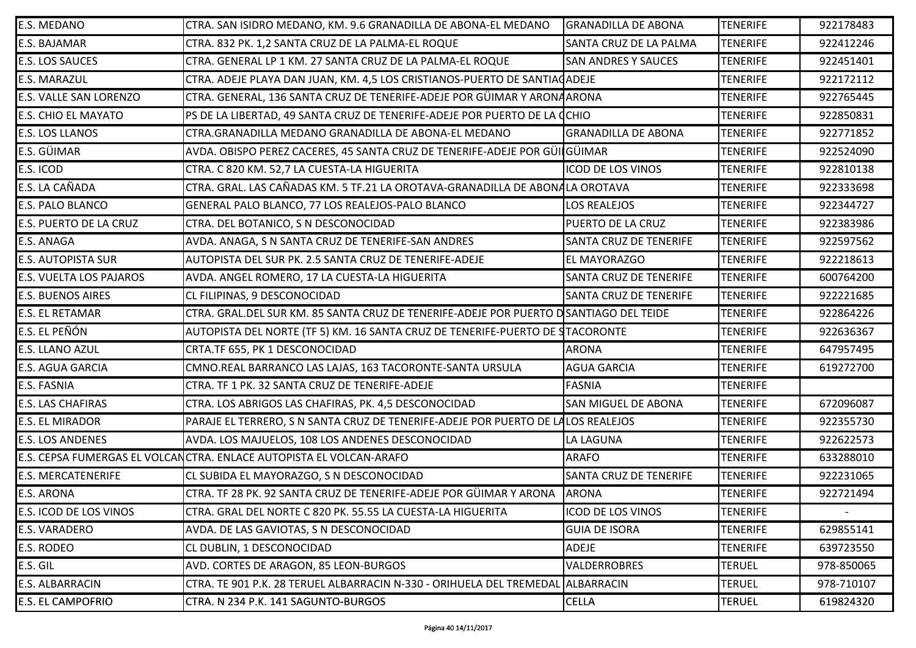| <b>E.S. MEDANO</b>             | CTRA. SAN ISIDRO MEDANO, KM. 9.6 GRANADILLA DE ABONA-EL MEDANO                        | <b>GRANADILLA DE ABONA</b>    | <b>TENERIFE</b> | 922178483  |
|--------------------------------|---------------------------------------------------------------------------------------|-------------------------------|-----------------|------------|
| <b>E.S. BAJAMAR</b>            | CTRA. 832 PK. 1,2 SANTA CRUZ DE LA PALMA-EL ROQUE                                     | SANTA CRUZ DE LA PALMA        | <b>TENERIFE</b> | 922412246  |
| <b>E.S. LOS SAUCES</b>         | CTRA. GENERAL LP 1 KM. 27 SANTA CRUZ DE LA PALMA-EL ROQUE                             | <b>SAN ANDRES Y SAUCES</b>    | <b>TENERIFE</b> | 922451401  |
| <b>E.S. MARAZUL</b>            | CTRA. ADEJE PLAYA DAN JUAN, KM. 4,5 LOS CRISTIANOS-PUERTO DE SANTIACADEJE             |                               | <b>TENERIFE</b> | 922172112  |
| <b>E.S. VALLE SAN LORENZO</b>  | CTRA. GENERAL, 136 SANTA CRUZ DE TENERIFE-ADEJE POR GÜIMAR Y ARONAARONA               |                               | <b>TENERIFE</b> | 922765445  |
| <b>E.S. CHIO EL MAYATO</b>     | PS DE LA LIBERTAD, 49 SANTA CRUZ DE TENERIFE-ADEJE POR PUERTO DE LA CCHIO             |                               | <b>TENERIFE</b> | 922850831  |
| <b>E.S. LOS LLANOS</b>         | CTRA.GRANADILLA MEDANO GRANADILLA DE ABONA-EL MEDANO                                  | <b>GRANADILLA DE ABONA</b>    | <b>TENERIFE</b> | 922771852  |
| E.S. GÜIMAR                    | AVDA. OBISPO PEREZ CACERES, 45 SANTA CRUZ DE TENERIFE-ADEJE POR GÜILGÜIMAR            |                               | <b>TENERIFE</b> | 922524090  |
| E.S. ICOD                      | CTRA. C 820 KM. 52,7 LA CUESTA-LA HIGUERITA                                           | <b>ICOD DE LOS VINOS</b>      | <b>TENERIFE</b> | 922810138  |
| E.S. LA CAÑADA                 | CTRA. GRAL. LAS CAÑADAS KM. 5 TF.21 LA OROTAVA-GRANADILLA DE ABONALA OROTAVA          |                               | <b>TENERIFE</b> | 922333698  |
| <b>E.S. PALO BLANCO</b>        | GENERAL PALO BLANCO, 77 LOS REALEJOS-PALO BLANCO                                      | LOS REALEJOS                  | <b>TENERIFE</b> | 922344727  |
| <b>E.S. PUERTO DE LA CRUZ</b>  | CTRA. DEL BOTANICO, S N DESCONOCIDAD                                                  | <b>PUERTO DE LA CRUZ</b>      | <b>TENERIFE</b> | 922383986  |
| <b>E.S. ANAGA</b>              | AVDA. ANAGA, S N SANTA CRUZ DE TENERIFE-SAN ANDRES                                    | <b>SANTA CRUZ DE TENERIFE</b> | <b>TENERIFE</b> | 922597562  |
| <b>E.S. AUTOPISTA SUR</b>      | AUTOPISTA DEL SUR PK. 2.5 SANTA CRUZ DE TENERIFE-ADEJE                                | <b>EL MAYORAZGO</b>           | <b>TENERIFE</b> | 922218613  |
| <b>E.S. VUELTA LOS PAJAROS</b> | AVDA. ANGEL ROMERO, 17 LA CUESTA-LA HIGUERITA                                         | <b>SANTA CRUZ DE TENERIFE</b> | <b>TENERIFE</b> | 600764200  |
| <b>E.S. BUENOS AIRES</b>       | CL FILIPINAS, 9 DESCONOCIDAD                                                          | <b>SANTA CRUZ DE TENERIFE</b> | <b>TENERIFE</b> | 922221685  |
| <b>E.S. EL RETAMAR</b>         | CTRA. GRAL.DEL SUR KM. 85 SANTA CRUZ DE TENERIFE-ADEJE POR PUERTO DSANTIAGO DEL TEIDE |                               | <b>TENERIFE</b> | 922864226  |
| E.S. EL PEÑÓN                  | AUTOPISTA DEL NORTE (TF 5) KM. 16 SANTA CRUZ DE TENERIFE-PUERTO DE STACORONTE         |                               | <b>TENERIFE</b> | 922636367  |
| <b>E.S. LLANO AZUL</b>         | CRTA.TF 655, PK 1 DESCONOCIDAD                                                        | <b>ARONA</b>                  | <b>TENERIFE</b> | 647957495  |
| <b>E.S. AGUA GARCIA</b>        | CMNO.REAL BARRANCO LAS LAJAS, 163 TACORONTE-SANTA URSULA                              | <b>AGUA GARCIA</b>            | <b>TENERIFE</b> | 619272700  |
| <b>E.S. FASNIA</b>             | CTRA. TF 1 PK. 32 SANTA CRUZ DE TENERIFE-ADEJE                                        | <b>FASNIA</b>                 | <b>TENERIFE</b> |            |
| <b>E.S. LAS CHAFIRAS</b>       | CTRA. LOS ABRIGOS LAS CHAFIRAS, PK. 4,5 DESCONOCIDAD                                  | <b>SAN MIGUEL DE ABONA</b>    | <b>TENERIFE</b> | 672096087  |
| <b>E.S. EL MIRADOR</b>         | PARAJE EL TERRERO, S N SANTA CRUZ DE TENERIFE-ADEJE POR PUERTO DE LALOS REALEJOS      |                               | <b>TENERIFE</b> | 922355730  |
| <b>E.S. LOS ANDENES</b>        | AVDA. LOS MAJUELOS, 108 LOS ANDENES DESCONOCIDAD                                      | LA LAGUNA                     | <b>TENERIFE</b> | 922622573  |
|                                | E.S. CEPSA FUMERGAS EL VOLCANCTRA. ENLACE AUTOPISTA EL VOLCAN-ARAFO                   | <b>ARAFO</b>                  | <b>TENERIFE</b> | 633288010  |
| <b>E.S. MERCATENERIFE</b>      | CL SUBIDA EL MAYORAZGO, S N DESCONOCIDAD                                              | <b>SANTA CRUZ DE TENERIFE</b> | <b>TENERIFE</b> | 922231065  |
| <b>E.S. ARONA</b>              | CTRA. TF 28 PK. 92 SANTA CRUZ DE TENERIFE-ADEJE POR GÜIMAR Y ARONA                    | <b>ARONA</b>                  | <b>TENERIFE</b> | 922721494  |
| <b>E.S. ICOD DE LOS VINOS</b>  | CTRA. GRAL DEL NORTE C 820 PK. 55.55 LA CUESTA-LA HIGUERITA                           | ICOD DE LOS VINOS             | <b>TENERIFE</b> |            |
| <b>E.S. VARADERO</b>           | AVDA. DE LAS GAVIOTAS, S N DESCONOCIDAD                                               | <b>GUIA DE ISORA</b>          | <b>TENERIFE</b> | 629855141  |
| <b>E.S. RODEO</b>              | CL DUBLIN, 1 DESCONOCIDAD                                                             | <b>ADEJE</b>                  | <b>TENERIFE</b> | 639723550  |
| E.S. GIL                       | AVD. CORTES DE ARAGON, 85 LEON-BURGOS                                                 | <b>VALDERROBRES</b>           | <b>TERUEL</b>   | 978-850065 |
| <b>E.S. ALBARRACIN</b>         | CTRA. TE 901 P.K. 28 TERUEL ALBARRACIN N-330 - ORIHUELA DEL TREMEDAL ALBARRACIN       |                               | <b>TERUEL</b>   | 978-710107 |
| <b>E.S. EL CAMPOFRIO</b>       | CTRA. N 234 P.K. 141 SAGUNTO-BURGOS                                                   | <b>CELLA</b>                  | <b>TERUEL</b>   | 619824320  |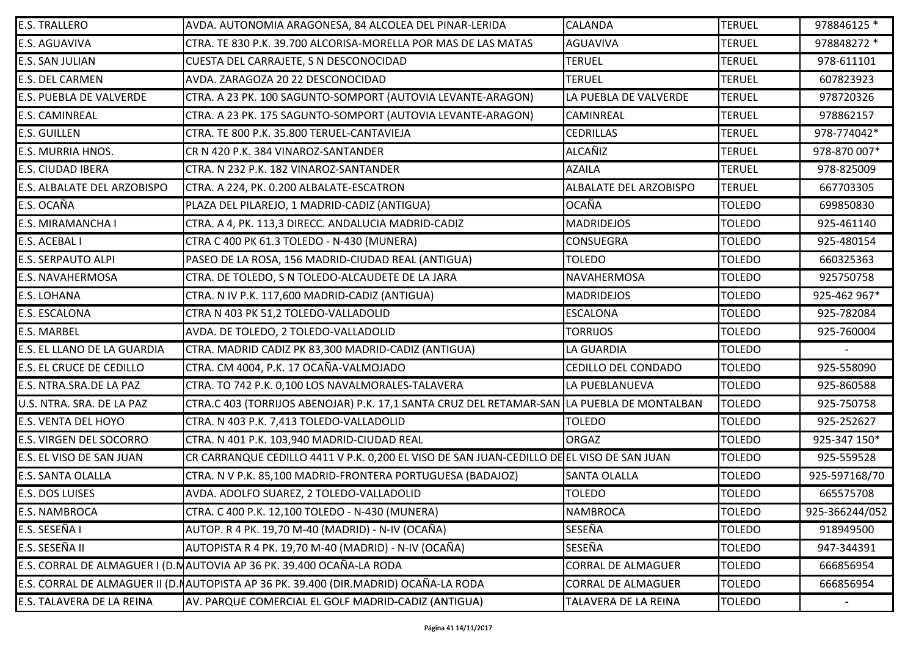| <b>E.S. TRALLERO</b>            | AVDA. AUTONOMIA ARAGONESA, 84 ALCOLEA DEL PINAR-LERIDA                                     | CALANDA                   | <b>TERUEL</b> | 978846125 *    |
|---------------------------------|--------------------------------------------------------------------------------------------|---------------------------|---------------|----------------|
| E.S. AGUAVIVA                   | CTRA. TE 830 P.K. 39.700 ALCORISA-MORELLA POR MAS DE LAS MATAS                             | <b>AGUAVIVA</b>           | <b>TERUEL</b> | 978848272 *    |
| <b>E.S. SAN JULIAN</b>          | CUESTA DEL CARRAJETE, S N DESCONOCIDAD                                                     | <b>TERUEL</b>             | <b>TERUEL</b> | 978-611101     |
| <b>E.S. DEL CARMEN</b>          | AVDA. ZARAGOZA 20 22 DESCONOCIDAD                                                          | <b>TERUEL</b>             | <b>TERUEL</b> | 607823923      |
| <b>E.S. PUEBLA DE VALVERDE</b>  | CTRA. A 23 PK. 100 SAGUNTO-SOMPORT (AUTOVIA LEVANTE-ARAGON)                                | LA PUEBLA DE VALVERDE     | <b>TERUEL</b> | 978720326      |
| <b>E.S. CAMINREAL</b>           | CTRA. A 23 PK. 175 SAGUNTO-SOMPORT (AUTOVIA LEVANTE-ARAGON)                                | CAMINREAL                 | <b>TERUEL</b> | 978862157      |
| <b>E.S. GUILLEN</b>             | CTRA. TE 800 P.K. 35.800 TERUEL-CANTAVIEJA                                                 | <b>CEDRILLAS</b>          | <b>TERUEL</b> | 978-774042*    |
| <b>E.S. MURRIA HNOS.</b>        | CR N 420 P.K. 384 VINAROZ-SANTANDER                                                        | ALCAÑIZ                   | <b>TERUEL</b> | 978-870 007*   |
| <b>E.S. CIUDAD IBERA</b>        | CTRA. N 232 P.K. 182 VINAROZ-SANTANDER                                                     | <b>AZAILA</b>             | <b>TERUEL</b> | 978-825009     |
| E.S. ALBALATE DEL ARZOBISPO     | CTRA. A 224, PK. 0.200 ALBALATE-ESCATRON                                                   | ALBALATE DEL ARZOBISPO    | <b>TERUEL</b> | 667703305      |
| E.S. OCAÑA                      | PLAZA DEL PILAREJO, 1 MADRID-CADIZ (ANTIGUA)                                               | <b>OCAÑA</b>              | <b>TOLEDO</b> | 699850830      |
| <b>E.S. MIRAMANCHA I</b>        | CTRA. A 4, PK. 113,3 DIRECC. ANDALUCIA MADRID-CADIZ                                        | <b>MADRIDEJOS</b>         | <b>TOLEDO</b> | 925-461140     |
| <b>E.S. ACEBAL I</b>            | CTRA C 400 PK 61.3 TOLEDO - N-430 (MUNERA)                                                 | CONSUEGRA                 | <b>TOLEDO</b> | 925-480154     |
| <b>E.S. SERPAUTO ALPI</b>       | PASEO DE LA ROSA, 156 MADRID-CIUDAD REAL (ANTIGUA)                                         | <b>TOLEDO</b>             | <b>TOLEDO</b> | 660325363      |
| <b>E.S. NAVAHERMOSA</b>         | CTRA. DE TOLEDO, S N TOLEDO-ALCAUDETE DE LA JARA                                           | <b>NAVAHERMOSA</b>        | <b>TOLEDO</b> | 925750758      |
| <b>E.S. LOHANA</b>              | CTRA. N IV P.K. 117,600 MADRID-CADIZ (ANTIGUA)                                             | <b>MADRIDEJOS</b>         | <b>TOLEDO</b> | 925-462 967*   |
| <b>E.S. ESCALONA</b>            | CTRA N 403 PK 51,2 TOLEDO-VALLADOLID                                                       | <b>ESCALONA</b>           | <b>TOLEDO</b> | 925-782084     |
| <b>E.S. MARBEL</b>              | AVDA. DE TOLEDO, 2 TOLEDO-VALLADOLID                                                       | <b>TORRIJOS</b>           | <b>TOLEDO</b> | 925-760004     |
| E.S. EL LLANO DE LA GUARDIA     | CTRA. MADRID CADIZ PK 83,300 MADRID-CADIZ (ANTIGUA)                                        | LA GUARDIA                | <b>TOLEDO</b> |                |
| <b>E.S. EL CRUCE DE CEDILLO</b> | CTRA. CM 4004, P.K. 17 OCAÑA-VALMOJADO                                                     | CEDILLO DEL CONDADO       | <b>TOLEDO</b> | 925-558090     |
| E.S. NTRA.SRA.DE LA PAZ         | CTRA. TO 742 P.K. 0,100 LOS NAVALMORALES-TALAVERA                                          | LA PUEBLANUEVA            | <b>TOLEDO</b> | 925-860588     |
| U.S. NTRA. SRA. DE LA PAZ       | CTRA.C 403 (TORRIJOS ABENOJAR) P.K. 17,1 SANTA CRUZ DEL RETAMAR-SAN LA PUEBLA DE MONTALBAN |                           | <b>TOLEDO</b> | 925-750758     |
| <b>E.S. VENTA DEL HOYO</b>      | CTRA. N 403 P.K. 7,413 TOLEDO-VALLADOLID                                                   | <b>TOLEDO</b>             | <b>TOLEDO</b> | 925-252627     |
| <b>E.S. VIRGEN DEL SOCORRO</b>  | CTRA. N 401 P.K. 103,940 MADRID-CIUDAD REAL                                                | ORGAZ                     | <b>TOLEDO</b> | 925-347 150*   |
| E.S. EL VISO DE SAN JUAN        | CR CARRANQUE CEDILLO 4411 V P.K. 0,200 EL VISO DE SAN JUAN-CEDILLO DE EL VISO DE SAN JUAN  |                           | <b>TOLEDO</b> | 925-559528     |
| <b>E.S. SANTA OLALLA</b>        | CTRA. N V P.K. 85,100 MADRID-FRONTERA PORTUGUESA (BADAJOZ)                                 | <b>SANTA OLALLA</b>       | <b>TOLEDO</b> | 925-597168/70  |
| <b>E.S. DOS LUISES</b>          | AVDA. ADOLFO SUAREZ, 2 TOLEDO-VALLADOLID                                                   | <b>TOLEDO</b>             | <b>TOLEDO</b> | 665575708      |
| <b>E.S. NAMBROCA</b>            | CTRA. C 400 P.K. 12,100 TOLEDO - N-430 (MUNERA)                                            | <b>NAMBROCA</b>           | <b>TOLEDO</b> | 925-366244/052 |
| E.S. SESEÑA I                   | AUTOP. R 4 PK. 19,70 M-40 (MADRID) - N-IV (OCAÑA)                                          | SESEÑA                    | <b>TOLEDO</b> | 918949500      |
| E.S. SESEÑA II                  | AUTOPISTA R 4 PK. 19,70 M-40 (MADRID) - N-IV (OCAÑA)                                       | SESEÑA                    | <b>TOLEDO</b> | 947-344391     |
|                                 | E.S. CORRAL DE ALMAGUER I (D.MAUTOVIA AP 36 PK. 39.400 OCAÑA-LA RODA                       | <b>CORRAL DE ALMAGUER</b> | <b>TOLEDO</b> | 666856954      |
|                                 | E.S. CORRAL DE ALMAGUER II (D. NAUTOPISTA AP 36 PK. 39.400 (DIR. MADRID) OCAÑA-LA RODA     | <b>CORRAL DE ALMAGUER</b> | <b>TOLEDO</b> | 666856954      |
| E.S. TALAVERA DE LA REINA       | AV. PARQUE COMERCIAL EL GOLF MADRID-CADIZ (ANTIGUA)                                        | TALAVERA DE LA REINA      | <b>TOLEDO</b> |                |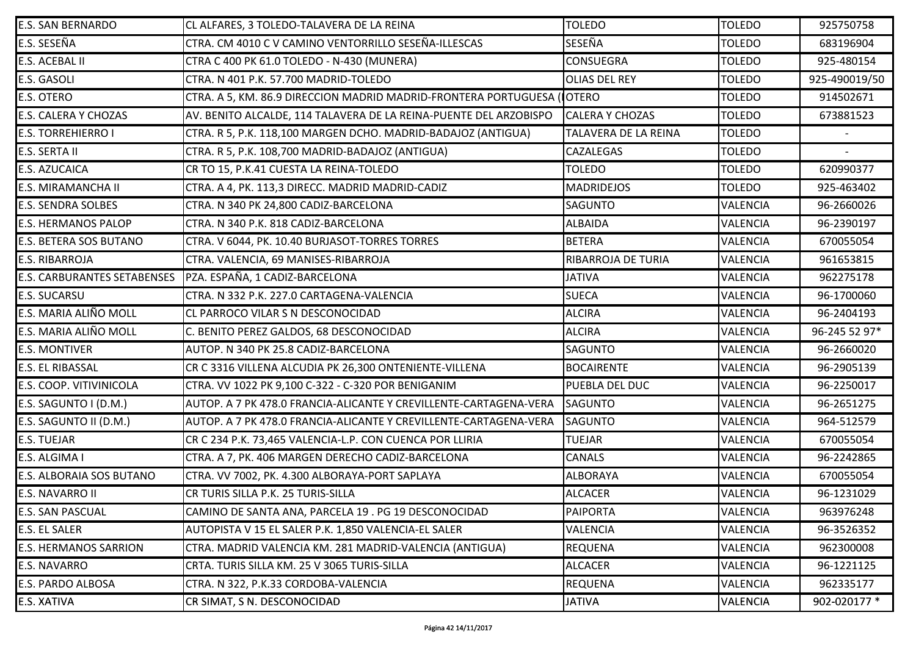| <b>E.S. SAN BERNARDO</b>        | CL ALFARES, 3 TOLEDO-TALAVERA DE LA REINA                              | <b>TOLEDO</b>               | <b>TOLEDO</b>   | 925750758     |
|---------------------------------|------------------------------------------------------------------------|-----------------------------|-----------------|---------------|
| E.S. SESEÑA                     | CTRA. CM 4010 C V CAMINO VENTORRILLO SESEÑA-ILLESCAS                   | SESEÑA                      | <b>TOLEDO</b>   | 683196904     |
| <b>E.S. ACEBAL II</b>           | CTRA C 400 PK 61.0 TOLEDO - N-430 (MUNERA)                             | <b>CONSUEGRA</b>            | <b>TOLEDO</b>   | 925-480154    |
| <b>E.S. GASOLI</b>              | CTRA. N 401 P.K. 57.700 MADRID-TOLEDO                                  | <b>OLIAS DEL REY</b>        | <b>TOLEDO</b>   | 925-490019/50 |
| <b>E.S. OTERO</b>               | CTRA. A 5, KM. 86.9 DIRECCION MADRID MADRID-FRONTERA PORTUGUESA (OTERO |                             | <b>TOLEDO</b>   | 914502671     |
| <b>E.S. CALERA Y CHOZAS</b>     | AV. BENITO ALCALDE, 114 TALAVERA DE LA REINA-PUENTE DEL ARZOBISPO      | <b>CALERA Y CHOZAS</b>      | <b>TOLEDO</b>   | 673881523     |
| <b>E.S. TORREHIERRO I</b>       | CTRA. R 5, P.K. 118,100 MARGEN DCHO. MADRID-BADAJOZ (ANTIGUA)          | <b>TALAVERA DE LA REINA</b> | <b>TOLEDO</b>   |               |
| E.S. SERTA II                   | CTRA. R 5, P.K. 108,700 MADRID-BADAJOZ (ANTIGUA)                       | CAZALEGAS                   | <b>TOLEDO</b>   |               |
| <b>E.S. AZUCAICA</b>            | CR TO 15, P.K.41 CUESTA LA REINA-TOLEDO                                | <b>TOLEDO</b>               | <b>TOLEDO</b>   | 620990377     |
| <b>E.S. MIRAMANCHA II</b>       | CTRA. A 4, PK. 113,3 DIRECC. MADRID MADRID-CADIZ                       | <b>MADRIDEJOS</b>           | <b>TOLEDO</b>   | 925-463402    |
| <b>E.S. SENDRA SOLBES</b>       | CTRA. N 340 PK 24,800 CADIZ-BARCELONA                                  | <b>SAGUNTO</b>              | <b>VALENCIA</b> | 96-2660026    |
| <b>E.S. HERMANOS PALOP</b>      | CTRA. N 340 P.K. 818 CADIZ-BARCELONA                                   | <b>ALBAIDA</b>              | <b>VALENCIA</b> | 96-2390197    |
| <b>E.S. BETERA SOS BUTANO</b>   | CTRA. V 6044, PK. 10.40 BURJASOT-TORRES TORRES                         | <b>BETERA</b>               | <b>VALENCIA</b> | 670055054     |
| <b>E.S. RIBARROJA</b>           | CTRA. VALENCIA, 69 MANISES-RIBARROJA                                   | RIBARROJA DE TURIA          | <b>VALENCIA</b> | 961653815     |
|                                 | E.S. CARBURANTES SETABENSES   PZA. ESPAÑA, 1 CADIZ-BARCELONA           | <b>JATIVA</b>               | <b>VALENCIA</b> | 962275178     |
| <b>E.S. SUCARSU</b>             | CTRA. N 332 P.K. 227.0 CARTAGENA-VALENCIA                              | <b>SUECA</b>                | <b>VALENCIA</b> | 96-1700060    |
| E.S. MARIA ALIÑO MOLL           | CL PARROCO VILAR S N DESCONOCIDAD                                      | <b>ALCIRA</b>               | VALENCIA        | 96-2404193    |
| E.S. MARIA ALIÑO MOLL           | C. BENITO PEREZ GALDOS, 68 DESCONOCIDAD                                | <b>ALCIRA</b>               | <b>VALENCIA</b> | 96-245 52 97* |
| <b>E.S. MONTIVER</b>            | AUTOP. N 340 PK 25.8 CADIZ-BARCELONA                                   | <b>SAGUNTO</b>              | VALENCIA        | 96-2660020    |
| <b>E.S. EL RIBASSAL</b>         | CR C 3316 VILLENA ALCUDIA PK 26,300 ONTENIENTE-VILLENA                 | <b>BOCAIRENTE</b>           | <b>VALENCIA</b> | 96-2905139    |
| <b>E.S. COOP. VITIVINICOLA</b>  | CTRA. VV 1022 PK 9,100 C-322 - C-320 POR BENIGANIM                     | PUEBLA DEL DUC              | <b>VALENCIA</b> | 96-2250017    |
| E.S. SAGUNTO I (D.M.)           | AUTOP. A 7 PK 478.0 FRANCIA-ALICANTE Y CREVILLENTE-CARTAGENA-VERA      | <b>SAGUNTO</b>              | <b>VALENCIA</b> | 96-2651275    |
| E.S. SAGUNTO II (D.M.)          | AUTOP. A 7 PK 478.0 FRANCIA-ALICANTE Y CREVILLENTE-CARTAGENA-VERA      | <b>SAGUNTO</b>              | <b>VALENCIA</b> | 964-512579    |
| <b>E.S. TUEJAR</b>              | CR C 234 P.K. 73,465 VALENCIA-L.P. CON CUENCA POR LLIRIA               | <b>TUEJAR</b>               | <b>VALENCIA</b> | 670055054     |
| E.S. ALGIMA I                   | CTRA. A 7, PK. 406 MARGEN DERECHO CADIZ-BARCELONA                      | CANALS                      | <b>VALENCIA</b> | 96-2242865    |
| <b>E.S. ALBORAIA SOS BUTANO</b> | CTRA. VV 7002, PK. 4.300 ALBORAYA-PORT SAPLAYA                         | <b>ALBORAYA</b>             | <b>VALENCIA</b> | 670055054     |
| <b>E.S. NAVARRO II</b>          | CR TURIS SILLA P.K. 25 TURIS-SILLA                                     | <b>ALCACER</b>              | <b>VALENCIA</b> | 96-1231029    |
| <b>E.S. SAN PASCUAL</b>         | CAMINO DE SANTA ANA, PARCELA 19. PG 19 DESCONOCIDAD                    | <b>PAIPORTA</b>             | <b>VALENCIA</b> | 963976248     |
| <b>E.S. EL SALER</b>            | AUTOPISTA V 15 EL SALER P.K. 1,850 VALENCIA-EL SALER                   | VALENCIA                    | <b>VALENCIA</b> | 96-3526352    |
| <b>E.S. HERMANOS SARRION</b>    | CTRA. MADRID VALENCIA KM. 281 MADRID-VALENCIA (ANTIGUA)                | <b>REQUENA</b>              | <b>VALENCIA</b> | 962300008     |
| <b>E.S. NAVARRO</b>             | CRTA. TURIS SILLA KM. 25 V 3065 TURIS-SILLA                            | <b>ALCACER</b>              | <b>VALENCIA</b> | 96-1221125    |
| <b>E.S. PARDO ALBOSA</b>        | CTRA. N 322, P.K.33 CORDOBA-VALENCIA                                   | <b>REQUENA</b>              | <b>VALENCIA</b> | 962335177     |
| E.S. XATIVA                     | CR SIMAT, S N. DESCONOCIDAD                                            | <b>JATIVA</b>               | <b>VALENCIA</b> | 902-020177 *  |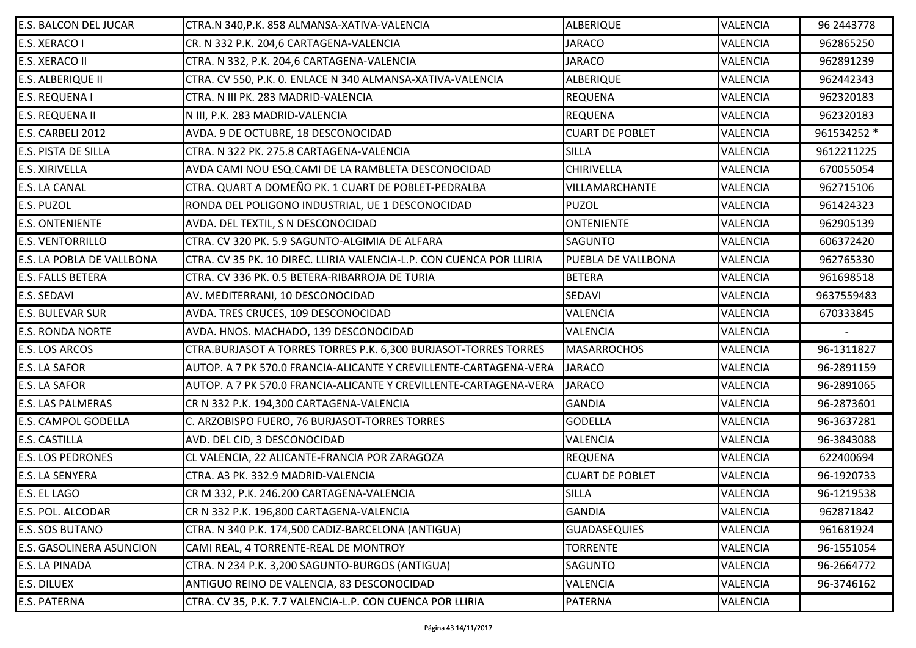| <b>E.S. BALCON DEL JUCAR</b>     | CTRA.N 340, P.K. 858 ALMANSA-XATIVA-VALENCIA                         | ALBERIQUE              | <b>VALENCIA</b> | 96 2443778               |
|----------------------------------|----------------------------------------------------------------------|------------------------|-----------------|--------------------------|
| E.S. XERACO I                    | CR. N 332 P.K. 204,6 CARTAGENA-VALENCIA                              | <b>JARACO</b>          | <b>VALENCIA</b> | 962865250                |
| <b>E.S. XERACO II</b>            | CTRA. N 332, P.K. 204,6 CARTAGENA-VALENCIA                           | <b>JARACO</b>          | <b>VALENCIA</b> | 962891239                |
| <b>E.S. ALBERIQUE II</b>         | CTRA. CV 550, P.K. O. ENLACE N 340 ALMANSA-XATIVA-VALENCIA           | <b>ALBERIQUE</b>       | <b>VALENCIA</b> | 962442343                |
| <b>E.S. REQUENA I</b>            | CTRA. N III PK. 283 MADRID-VALENCIA                                  | <b>REQUENA</b>         | <b>VALENCIA</b> | 962320183                |
| <b>E.S. REQUENA II</b>           | N III, P.K. 283 MADRID-VALENCIA                                      | <b>REQUENA</b>         | <b>VALENCIA</b> | 962320183                |
| E.S. CARBELI 2012                | AVDA. 9 DE OCTUBRE, 18 DESCONOCIDAD                                  | <b>CUART DE POBLET</b> | <b>VALENCIA</b> | 961534252 *              |
| <b>E.S. PISTA DE SILLA</b>       | CTRA. N 322 PK. 275.8 CARTAGENA-VALENCIA                             | <b>SILLA</b>           | <b>VALENCIA</b> | 9612211225               |
| <b>E.S. XIRIVELLA</b>            | AVDA CAMI NOU ESQ.CAMI DE LA RAMBLETA DESCONOCIDAD                   | <b>CHIRIVELLA</b>      | <b>VALENCIA</b> | 670055054                |
| <b>E.S. LA CANAL</b>             | CTRA. QUART A DOMEÑO PK. 1 CUART DE POBLET-PEDRALBA                  | <b>VILLAMARCHANTE</b>  | <b>VALENCIA</b> | 962715106                |
| E.S. PUZOL                       | RONDA DEL POLIGONO INDUSTRIAL, UE 1 DESCONOCIDAD                     | <b>PUZOL</b>           | <b>VALENCIA</b> | 961424323                |
| <b>E.S. ONTENIENTE</b>           | AVDA. DEL TEXTIL, S N DESCONOCIDAD                                   | <b>ONTENIENTE</b>      | <b>VALENCIA</b> | 962905139                |
| <b>E.S. VENTORRILLO</b>          | CTRA. CV 320 PK. 5.9 SAGUNTO-ALGIMIA DE ALFARA                       | <b>SAGUNTO</b>         | <b>VALENCIA</b> | 606372420                |
| <b>E.S. LA POBLA DE VALLBONA</b> | CTRA. CV 35 PK. 10 DIREC. LLIRIA VALENCIA-L.P. CON CUENCA POR LLIRIA | PUEBLA DE VALLBONA     | <b>VALENCIA</b> | 962765330                |
| <b>E.S. FALLS BETERA</b>         | CTRA. CV 336 PK. 0.5 BETERA-RIBARROJA DE TURIA                       | <b>BETERA</b>          | <b>VALENCIA</b> | 961698518                |
| <b>E.S. SEDAVI</b>               | AV. MEDITERRANI, 10 DESCONOCIDAD                                     | SEDAVI                 | <b>VALENCIA</b> | 9637559483               |
| <b>E.S. BULEVAR SUR</b>          | AVDA. TRES CRUCES, 109 DESCONOCIDAD                                  | <b>VALENCIA</b>        | <b>VALENCIA</b> | 670333845                |
| <b>E.S. RONDA NORTE</b>          | AVDA. HNOS. MACHADO, 139 DESCONOCIDAD                                | <b>VALENCIA</b>        | <b>VALENCIA</b> | $\overline{\phantom{a}}$ |
| E.S. LOS ARCOS                   | CTRA.BURJASOT A TORRES TORRES P.K. 6,300 BURJASOT-TORRES TORRES      | <b>MASARROCHOS</b>     | <b>VALENCIA</b> | 96-1311827               |
| <b>E.S. LA SAFOR</b>             | AUTOP. A 7 PK 570.0 FRANCIA-ALICANTE Y CREVILLENTE-CARTAGENA-VERA    | <b>JARACO</b>          | <b>VALENCIA</b> | 96-2891159               |
| <b>E.S. LA SAFOR</b>             | AUTOP. A 7 PK 570.0 FRANCIA-ALICANTE Y CREVILLENTE-CARTAGENA-VERA    | <b>JARACO</b>          | <b>VALENCIA</b> | 96-2891065               |
| <b>E.S. LAS PALMERAS</b>         | CR N 332 P.K. 194,300 CARTAGENA-VALENCIA                             | <b>GANDIA</b>          | <b>VALENCIA</b> | 96-2873601               |
| <b>E.S. CAMPOL GODELLA</b>       | C. ARZOBISPO FUERO, 76 BURJASOT-TORRES TORRES                        | <b>GODELLA</b>         | <b>VALENCIA</b> | 96-3637281               |
| <b>E.S. CASTILLA</b>             | AVD. DEL CID, 3 DESCONOCIDAD                                         | <b>VALENCIA</b>        | <b>VALENCIA</b> | 96-3843088               |
| <b>E.S. LOS PEDRONES</b>         | CL VALENCIA, 22 ALICANTE-FRANCIA POR ZARAGOZA                        | <b>REQUENA</b>         | <b>VALENCIA</b> | 622400694                |
| <b>E.S. LA SENYERA</b>           | CTRA. A3 PK. 332.9 MADRID-VALENCIA                                   | <b>CUART DE POBLET</b> | <b>VALENCIA</b> | 96-1920733               |
| <b>E.S. EL LAGO</b>              | CR M 332, P.K. 246.200 CARTAGENA-VALENCIA                            | <b>SILLA</b>           | <b>VALENCIA</b> | 96-1219538               |
| E.S. POL. ALCODAR                | CR N 332 P.K. 196,800 CARTAGENA-VALENCIA                             | <b>GANDIA</b>          | <b>VALENCIA</b> | 962871842                |
| <b>E.S. SOS BUTANO</b>           | CTRA. N 340 P.K. 174,500 CADIZ-BARCELONA (ANTIGUA)                   | <b>GUADASEQUIES</b>    | <b>VALENCIA</b> | 961681924                |
| <b>E.S. GASOLINERA ASUNCION</b>  | CAMI REAL, 4 TORRENTE-REAL DE MONTROY                                | <b>TORRENTE</b>        | <b>VALENCIA</b> | 96-1551054               |
| <b>E.S. LA PINADA</b>            | CTRA. N 234 P.K. 3,200 SAGUNTO-BURGOS (ANTIGUA)                      | <b>SAGUNTO</b>         | <b>VALENCIA</b> | 96-2664772               |
| <b>E.S. DILUEX</b>               | ANTIGUO REINO DE VALENCIA, 83 DESCONOCIDAD                           | <b>VALENCIA</b>        | <b>VALENCIA</b> | 96-3746162               |
| <b>E.S. PATERNA</b>              | CTRA. CV 35, P.K. 7.7 VALENCIA-L.P. CON CUENCA POR LLIRIA            | PATERNA                | <b>VALENCIA</b> |                          |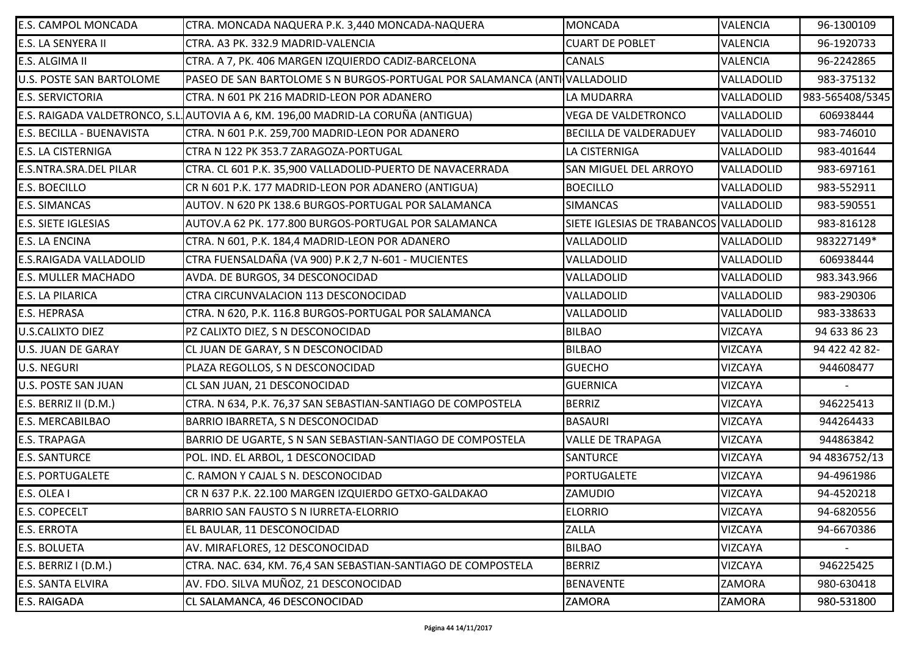| <b>E.S. CAMPOL MONCADA</b>      | CTRA. MONCADA NAQUERA P.K. 3,440 MONCADA-NAQUERA                                  | <b>MONCADA</b>                         | <b>VALENCIA</b> | 96-1300109      |
|---------------------------------|-----------------------------------------------------------------------------------|----------------------------------------|-----------------|-----------------|
| <b>E.S. LA SENYERA II</b>       | CTRA. A3 PK. 332.9 MADRID-VALENCIA                                                | <b>CUART DE POBLET</b>                 | VALENCIA        | 96-1920733      |
| E.S. ALGIMA II                  | CTRA. A 7, PK. 406 MARGEN IZQUIERDO CADIZ-BARCELONA                               | <b>CANALS</b>                          | <b>VALENCIA</b> | 96-2242865      |
| <b>U.S. POSTE SAN BARTOLOME</b> | PASEO DE SAN BARTOLOME S N BURGOS-PORTUGAL POR SALAMANCA (ANTIVALLADOLID          |                                        | VALLADOLID      | 983-375132      |
| <b>E.S. SERVICTORIA</b>         | CTRA. N 601 PK 216 MADRID-LEON POR ADANERO                                        | LA MUDARRA                             | VALLADOLID      | 983-565408/5345 |
|                                 | E.S. RAIGADA VALDETRONCO, S.L. AUTOVIA A 6, KM. 196,00 MADRID-LA CORUÑA (ANTIGUA) | <b>VEGA DE VALDETRONCO</b>             | VALLADOLID      | 606938444       |
| E.S. BECILLA - BUENAVISTA       | CTRA. N 601 P.K. 259,700 MADRID-LEON POR ADANERO                                  | <b>BECILLA DE VALDERADUEY</b>          | VALLADOLID      | 983-746010      |
| <b>E.S. LA CISTERNIGA</b>       | CTRA N 122 PK 353.7 ZARAGOZA-PORTUGAL                                             | LA CISTERNIGA                          | VALLADOLID      | 983-401644      |
| <b>E.S.NTRA.SRA.DEL PILAR</b>   | CTRA. CL 601 P.K. 35,900 VALLADOLID-PUERTO DE NAVACERRADA                         | SAN MIGUEL DEL ARROYO                  | VALLADOLID      | 983-697161      |
| <b>E.S. BOECILLO</b>            | CR N 601 P.K. 177 MADRID-LEON POR ADANERO (ANTIGUA)                               | <b>BOECILLO</b>                        | VALLADOLID      | 983-552911      |
| <b>E.S. SIMANCAS</b>            | AUTOV. N 620 PK 138.6 BURGOS-PORTUGAL POR SALAMANCA                               | <b>SIMANCAS</b>                        | VALLADOLID      | 983-590551      |
| <b>E.S. SIETE IGLESIAS</b>      | AUTOV.A 62 PK. 177.800 BURGOS-PORTUGAL POR SALAMANCA                              | SIETE IGLESIAS DE TRABANCOS VALLADOLID |                 | 983-816128      |
| <b>E.S. LA ENCINA</b>           | CTRA. N 601, P.K. 184,4 MADRID-LEON POR ADANERO                                   | VALLADOLID                             | VALLADOLID      | 983227149*      |
| <b>E.S.RAIGADA VALLADOLID</b>   | CTRA FUENSALDAÑA (VA 900) P.K 2,7 N-601 - MUCIENTES                               | VALLADOLID                             | VALLADOLID      | 606938444       |
| <b>E.S. MULLER MACHADO</b>      | AVDA. DE BURGOS, 34 DESCONOCIDAD                                                  | VALLADOLID                             | VALLADOLID      | 983.343.966     |
| <b>E.S. LA PILARICA</b>         | CTRA CIRCUNVALACION 113 DESCONOCIDAD                                              | VALLADOLID                             | VALLADOLID      | 983-290306      |
| <b>E.S. HEPRASA</b>             | CTRA. N 620, P.K. 116.8 BURGOS-PORTUGAL POR SALAMANCA                             | VALLADOLID                             | VALLADOLID      | 983-338633      |
| <b>U.S.CALIXTO DIEZ</b>         | PZ CALIXTO DIEZ, S N DESCONOCIDAD                                                 | <b>BILBAO</b>                          | <b>VIZCAYA</b>  | 94 633 86 23    |
| <b>U.S. JUAN DE GARAY</b>       | CL JUAN DE GARAY, S N DESCONOCIDAD                                                | <b>BILBAO</b>                          | <b>VIZCAYA</b>  | 94 422 42 82-   |
| <b>U.S. NEGURI</b>              | PLAZA REGOLLOS, S N DESCONOCIDAD                                                  | <b>GUECHO</b>                          | <b>VIZCAYA</b>  | 944608477       |
| <b>U.S. POSTE SAN JUAN</b>      | CL SAN JUAN, 21 DESCONOCIDAD                                                      | <b>GUERNICA</b>                        | <b>VIZCAYA</b>  |                 |
| E.S. BERRIZ II (D.M.)           | CTRA. N 634, P.K. 76,37 SAN SEBASTIAN-SANTIAGO DE COMPOSTELA                      | <b>BERRIZ</b>                          | <b>VIZCAYA</b>  | 946225413       |
| <b>E.S. MERCABILBAO</b>         | BARRIO IBARRETA, S N DESCONOCIDAD                                                 | <b>BASAURI</b>                         | <b>VIZCAYA</b>  | 944264433       |
| <b>E.S. TRAPAGA</b>             | BARRIO DE UGARTE, S N SAN SEBASTIAN-SANTIAGO DE COMPOSTELA                        | <b>VALLE DE TRAPAGA</b>                | <b>VIZCAYA</b>  | 944863842       |
| <b>E.S. SANTURCE</b>            | POL. IND. EL ARBOL, 1 DESCONOCIDAD                                                | <b>SANTURCE</b>                        | <b>VIZCAYA</b>  | 94 4836752/13   |
| <b>E.S. PORTUGALETE</b>         | C. RAMON Y CAJAL S N. DESCONOCIDAD                                                | PORTUGALETE                            | <b>VIZCAYA</b>  | 94-4961986      |
| E.S. OLEA I                     | CR N 637 P.K. 22.100 MARGEN IZQUIERDO GETXO-GALDAKAO                              | ZAMUDIO                                | <b>VIZCAYA</b>  | 94-4520218      |
| <b>E.S. COPECELT</b>            | BARRIO SAN FAUSTO S N IURRETA-ELORRIO                                             | <b>ELORRIO</b>                         | <b>VIZCAYA</b>  | 94-6820556      |
| <b>E.S. ERROTA</b>              | EL BAULAR, 11 DESCONOCIDAD                                                        | ZALLA                                  | <b>VIZCAYA</b>  | 94-6670386      |
| <b>E.S. BOLUETA</b>             | AV. MIRAFLORES, 12 DESCONOCIDAD                                                   | <b>BILBAO</b>                          | <b>VIZCAYA</b>  |                 |
| E.S. BERRIZ I (D.M.)            | CTRA. NAC. 634, KM. 76,4 SAN SEBASTIAN-SANTIAGO DE COMPOSTELA                     | <b>BERRIZ</b>                          | <b>VIZCAYA</b>  | 946225425       |
| <b>E.S. SANTA ELVIRA</b>        | AV. FDO. SILVA MUÑOZ, 21 DESCONOCIDAD                                             | <b>BENAVENTE</b>                       | ZAMORA          | 980-630418      |
| <b>E.S. RAIGADA</b>             | CL SALAMANCA, 46 DESCONOCIDAD                                                     | ZAMORA                                 | <b>ZAMORA</b>   | 980-531800      |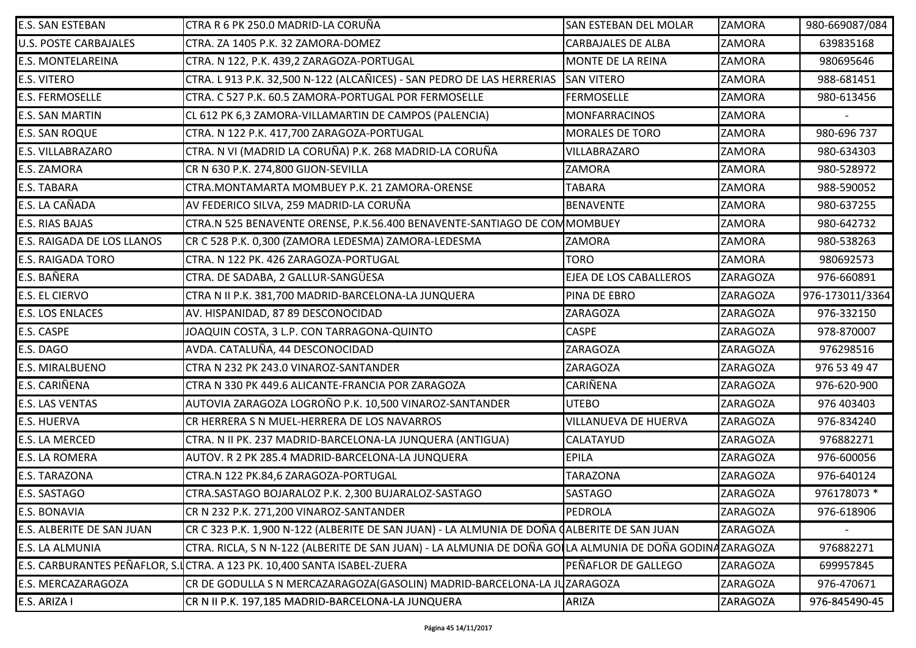| <b>E.S. SAN ESTEBAN</b>      | CTRA R 6 PK 250.0 MADRID-LA CORUÑA                                                                      | <b>SAN ESTEBAN DEL MOLAR</b>  | ZAMORA          | 980-669087/084  |
|------------------------------|---------------------------------------------------------------------------------------------------------|-------------------------------|-----------------|-----------------|
| <b>U.S. POSTE CARBAJALES</b> | CTRA. ZA 1405 P.K. 32 ZAMORA-DOMEZ                                                                      | <b>CARBAJALES DE ALBA</b>     | <b>ZAMORA</b>   | 639835168       |
| <b>E.S. MONTELAREINA</b>     | CTRA. N 122, P.K. 439,2 ZARAGOZA-PORTUGAL                                                               | MONTE DE LA REINA             | ZAMORA          | 980695646       |
| <b>E.S. VITERO</b>           | CTRA. L 913 P.K. 32,500 N-122 (ALCAÑICES) - SAN PEDRO DE LAS HERRERIAS                                  | <b>SAN VITERO</b>             | ZAMORA          | 988-681451      |
| <b>E.S. FERMOSELLE</b>       | CTRA. C 527 P.K. 60.5 ZAMORA-PORTUGAL POR FERMOSELLE                                                    | <b>FERMOSELLE</b>             | <b>ZAMORA</b>   | 980-613456      |
| <b>E.S. SAN MARTIN</b>       | CL 612 PK 6,3 ZAMORA-VILLAMARTIN DE CAMPOS (PALENCIA)                                                   | <b>MONFARRACINOS</b>          | <b>ZAMORA</b>   |                 |
| <b>E.S. SAN ROQUE</b>        | CTRA. N 122 P.K. 417,700 ZARAGOZA-PORTUGAL                                                              | <b>MORALES DE TORO</b>        | ZAMORA          | 980-696 737     |
| <b>E.S. VILLABRAZARO</b>     | CTRA. N VI (MADRID LA CORUÑA) P.K. 268 MADRID-LA CORUÑA                                                 | VILLABRAZARO                  | <b>ZAMORA</b>   | 980-634303      |
| <b>E.S. ZAMORA</b>           | CR N 630 P.K. 274,800 GIJON-SEVILLA                                                                     | ZAMORA                        | <b>ZAMORA</b>   | 980-528972      |
| <b>E.S. TABARA</b>           | CTRA.MONTAMARTA MOMBUEY P.K. 21 ZAMORA-ORENSE                                                           | <b>TABARA</b>                 | ZAMORA          | 988-590052      |
| E.S. LA CAÑADA               | AV FEDERICO SILVA, 259 MADRID-LA CORUÑA                                                                 | <b>BENAVENTE</b>              | ZAMORA          | 980-637255      |
| <b>E.S. RIAS BAJAS</b>       | CTRA.N 525 BENAVENTE ORENSE, P.K.56.400 BENAVENTE-SANTIAGO DE COMMOMBUEY                                |                               | <b>ZAMORA</b>   | 980-642732      |
| E.S. RAIGADA DE LOS LLANOS   | CR C 528 P.K. 0,300 (ZAMORA LEDESMA) ZAMORA-LEDESMA                                                     | ZAMORA                        | <b>ZAMORA</b>   | 980-538263      |
| <b>E.S. RAIGADA TORO</b>     | CTRA. N 122 PK. 426 ZARAGOZA-PORTUGAL                                                                   | <b>TORO</b>                   | ZAMORA          | 980692573       |
| E.S. BAÑERA                  | CTRA. DE SADABA, 2 GALLUR-SANGÜESA                                                                      | <b>EJEA DE LOS CABALLEROS</b> | <b>ZARAGOZA</b> | 976-660891      |
| <b>E.S. EL CIERVO</b>        | CTRA N II P.K. 381,700 MADRID-BARCELONA-LA JUNQUERA                                                     | PINA DE EBRO                  | <b>ZARAGOZA</b> | 976-173011/3364 |
| <b>E.S. LOS ENLACES</b>      | AV. HISPANIDAD, 87 89 DESCONOCIDAD                                                                      | <b>ZARAGOZA</b>               | <b>ZARAGOZA</b> | 976-332150      |
| <b>E.S. CASPE</b>            | JOAQUIN COSTA, 3 L.P. CON TARRAGONA-QUINTO                                                              | <b>CASPE</b>                  | <b>ZARAGOZA</b> | 978-870007      |
| E.S. DAGO                    | AVDA. CATALUÑA, 44 DESCONOCIDAD                                                                         | <b>ZARAGOZA</b>               | <b>ZARAGOZA</b> | 976298516       |
| <b>E.S. MIRALBUENO</b>       | CTRA N 232 PK 243.0 VINAROZ-SANTANDER                                                                   | <b>ZARAGOZA</b>               | <b>ZARAGOZA</b> | 976 53 49 47    |
| E.S. CARIÑENA                | CTRA N 330 PK 449.6 ALICANTE-FRANCIA POR ZARAGOZA                                                       | CARIÑENA                      | <b>ZARAGOZA</b> | 976-620-900     |
| <b>E.S. LAS VENTAS</b>       | AUTOVIA ZARAGOZA LOGROÑO P.K. 10,500 VINAROZ-SANTANDER                                                  | <b>UTEBO</b>                  | <b>ZARAGOZA</b> | 976 403403      |
| <b>E.S. HUERVA</b>           | CR HERRERA S N MUEL-HERRERA DE LOS NAVARROS                                                             | <b>VILLANUEVA DE HUERVA</b>   | <b>ZARAGOZA</b> | 976-834240      |
| <b>E.S. LA MERCED</b>        | CTRA. N II PK. 237 MADRID-BARCELONA-LA JUNQUERA (ANTIGUA)                                               | CALATAYUD                     | <b>ZARAGOZA</b> | 976882271       |
| <b>E.S. LA ROMERA</b>        | AUTOV. R 2 PK 285.4 MADRID-BARCELONA-LA JUNQUERA                                                        | <b>EPILA</b>                  | <b>ZARAGOZA</b> | 976-600056      |
| <b>E.S. TARAZONA</b>         | CTRA.N 122 PK.84,6 ZARAGOZA-PORTUGAL                                                                    | <b>TARAZONA</b>               | <b>ZARAGOZA</b> | 976-640124      |
| <b>E.S. SASTAGO</b>          | CTRA.SASTAGO BOJARALOZ P.K. 2,300 BUJARALOZ-SASTAGO                                                     | SASTAGO                       | ZARAGOZA        | 976178073 *     |
| <b>E.S. BONAVIA</b>          | CR N 232 P.K. 271,200 VINAROZ-SANTANDER                                                                 | PEDROLA                       | ZARAGOZA        | 976-618906      |
| E.S. ALBERITE DE SAN JUAN    | CR C 323 P.K. 1,900 N-122 (ALBERITE DE SAN JUAN) - LA ALMUNIA DE DOÑA (ALBERITE DE SAN JUAN)            |                               | <b>ZARAGOZA</b> |                 |
| <b>E.S. LA ALMUNIA</b>       | CTRA. RICLA, S N N-122 (ALBERITE DE SAN JUAN) - LA ALMUNIA DE DOÑA GOILA ALMUNIA DE DOÑA GODINAZARAGOZA |                               |                 | 976882271       |
|                              | E.S. CARBURANTES PEÑAFLOR, S. LCTRA. A 123 PK. 10,400 SANTA ISABEL-ZUERA                                | PEÑAFLOR DE GALLEGO           | ZARAGOZA        | 699957845       |
| <b>E.S. MERCAZARAGOZA</b>    | CR DE GODULLA S N MERCAZARAGOZA(GASOLIN) MADRID-BARCELONA-LA JUZARAGOZA                                 |                               | <b>ZARAGOZA</b> | 976-470671      |
| E.S. ARIZA I                 | CR N II P.K. 197,185 MADRID-BARCELONA-LA JUNQUERA                                                       | ARIZA                         | ZARAGOZA        | 976-845490-45   |